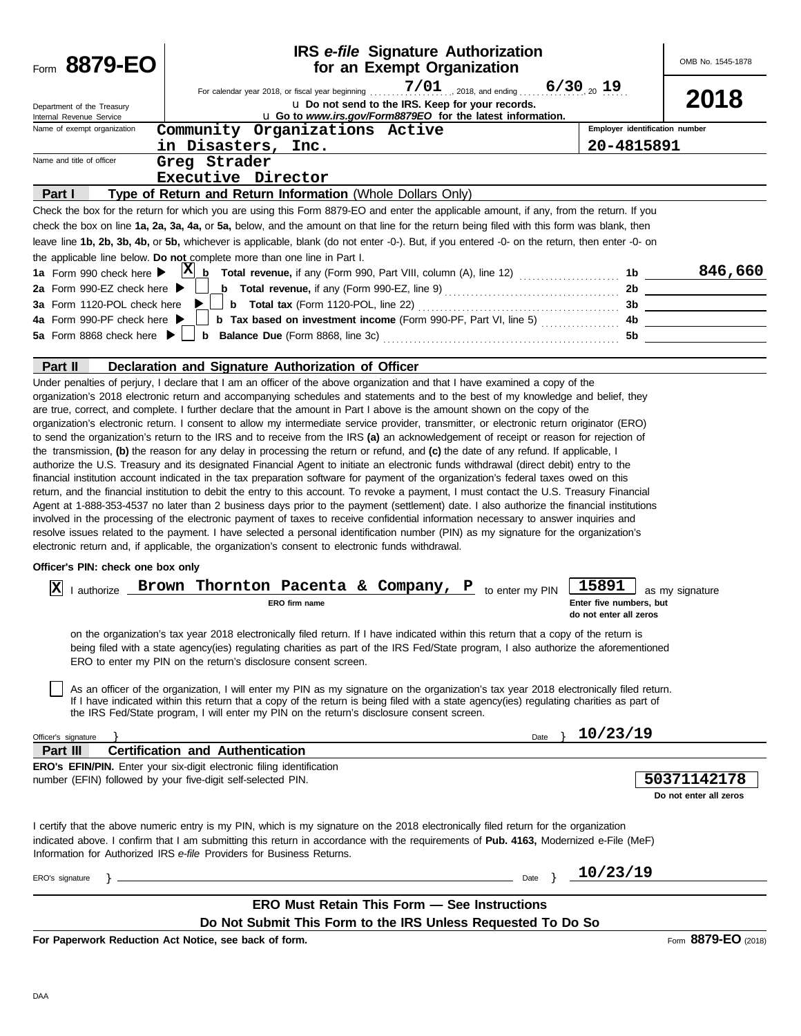| Form 8879-EO                                                                                                                                 |                                                                | <b>IRS</b> e-file Signature Authorization<br>for an Exempt Organization                                                                                                                                                                                                                                                                                                                                                                                                                                                                                                                                                                                                                                                                                                                                                                                                                                                                                                                                                                                                                                                                                                                                                                                                                                                                                                                                                                                                |                           |                                  | OMB No. 1545-1878      |
|----------------------------------------------------------------------------------------------------------------------------------------------|----------------------------------------------------------------|------------------------------------------------------------------------------------------------------------------------------------------------------------------------------------------------------------------------------------------------------------------------------------------------------------------------------------------------------------------------------------------------------------------------------------------------------------------------------------------------------------------------------------------------------------------------------------------------------------------------------------------------------------------------------------------------------------------------------------------------------------------------------------------------------------------------------------------------------------------------------------------------------------------------------------------------------------------------------------------------------------------------------------------------------------------------------------------------------------------------------------------------------------------------------------------------------------------------------------------------------------------------------------------------------------------------------------------------------------------------------------------------------------------------------------------------------------------------|---------------------------|----------------------------------|------------------------|
|                                                                                                                                              |                                                                | For calendar year 2018, or fiscal year beginning                                                                                                                                                                                                                                                                                                                                                                                                                                                                                                                                                                                                                                                                                                                                                                                                                                                                                                                                                                                                                                                                                                                                                                                                                                                                                                                                                                                                                       | $7/01$ , 2018, and ending | $6/30_{20}$ 19                   |                        |
| Department of the Treasury                                                                                                                   |                                                                | u Do not send to the IRS. Keep for your records.                                                                                                                                                                                                                                                                                                                                                                                                                                                                                                                                                                                                                                                                                                                                                                                                                                                                                                                                                                                                                                                                                                                                                                                                                                                                                                                                                                                                                       |                           |                                  | 2018                   |
| Internal Revenue Service<br>Name of exempt organization                                                                                      |                                                                | u Go to www.irs.gov/Form8879EO for the latest information.<br>Community Organizations Active                                                                                                                                                                                                                                                                                                                                                                                                                                                                                                                                                                                                                                                                                                                                                                                                                                                                                                                                                                                                                                                                                                                                                                                                                                                                                                                                                                           |                           | Employer identification number   |                        |
|                                                                                                                                              | in Disasters, Inc.                                             |                                                                                                                                                                                                                                                                                                                                                                                                                                                                                                                                                                                                                                                                                                                                                                                                                                                                                                                                                                                                                                                                                                                                                                                                                                                                                                                                                                                                                                                                        |                           | 20-4815891                       |                        |
| Name and title of officer                                                                                                                    | Greg Strader                                                   |                                                                                                                                                                                                                                                                                                                                                                                                                                                                                                                                                                                                                                                                                                                                                                                                                                                                                                                                                                                                                                                                                                                                                                                                                                                                                                                                                                                                                                                                        |                           |                                  |                        |
|                                                                                                                                              | Executive Director                                             |                                                                                                                                                                                                                                                                                                                                                                                                                                                                                                                                                                                                                                                                                                                                                                                                                                                                                                                                                                                                                                                                                                                                                                                                                                                                                                                                                                                                                                                                        |                           |                                  |                        |
| Part I                                                                                                                                       |                                                                | Type of Return and Return Information (Whole Dollars Only)                                                                                                                                                                                                                                                                                                                                                                                                                                                                                                                                                                                                                                                                                                                                                                                                                                                                                                                                                                                                                                                                                                                                                                                                                                                                                                                                                                                                             |                           |                                  |                        |
|                                                                                                                                              |                                                                | Check the box for the return for which you are using this Form 8879-EO and enter the applicable amount, if any, from the return. If you                                                                                                                                                                                                                                                                                                                                                                                                                                                                                                                                                                                                                                                                                                                                                                                                                                                                                                                                                                                                                                                                                                                                                                                                                                                                                                                                |                           |                                  |                        |
|                                                                                                                                              |                                                                | check the box on line 1a, 2a, 3a, 4a, or 5a, below, and the amount on that line for the return being filed with this form was blank, then                                                                                                                                                                                                                                                                                                                                                                                                                                                                                                                                                                                                                                                                                                                                                                                                                                                                                                                                                                                                                                                                                                                                                                                                                                                                                                                              |                           |                                  |                        |
|                                                                                                                                              |                                                                | leave line 1b, 2b, 3b, 4b, or 5b, whichever is applicable, blank (do not enter -0-). But, if you entered -0- on the return, then enter -0- on                                                                                                                                                                                                                                                                                                                                                                                                                                                                                                                                                                                                                                                                                                                                                                                                                                                                                                                                                                                                                                                                                                                                                                                                                                                                                                                          |                           |                                  |                        |
| the applicable line below. Do not complete more than one line in Part I.                                                                     |                                                                |                                                                                                                                                                                                                                                                                                                                                                                                                                                                                                                                                                                                                                                                                                                                                                                                                                                                                                                                                                                                                                                                                                                                                                                                                                                                                                                                                                                                                                                                        |                           |                                  |                        |
| 1a Form 990 check here ▶                                                                                                                     |                                                                | $X_0$ Total revenue, if any (Form 990, Part VIII, column (A), line 12) $\ldots$                                                                                                                                                                                                                                                                                                                                                                                                                                                                                                                                                                                                                                                                                                                                                                                                                                                                                                                                                                                                                                                                                                                                                                                                                                                                                                                                                                                        |                           | 1b                               | 846,660                |
| 2a Form 990-EZ check here $\blacktriangleright$                                                                                              |                                                                | <b>b</b> Total revenue, if any (Form 990-EZ, line 9) $\ldots$ $\ldots$ $\ldots$ $\ldots$ $\ldots$ $\ldots$                                                                                                                                                                                                                                                                                                                                                                                                                                                                                                                                                                                                                                                                                                                                                                                                                                                                                                                                                                                                                                                                                                                                                                                                                                                                                                                                                             |                           |                                  |                        |
| 3a Form 1120-POL check here                                                                                                                  |                                                                |                                                                                                                                                                                                                                                                                                                                                                                                                                                                                                                                                                                                                                                                                                                                                                                                                                                                                                                                                                                                                                                                                                                                                                                                                                                                                                                                                                                                                                                                        |                           |                                  |                        |
| 4a Form 990-PF check here ▶                                                                                                                  |                                                                | <b>b</b> Tax based on investment income (Form 990-PF, Part VI, line 5)                                                                                                                                                                                                                                                                                                                                                                                                                                                                                                                                                                                                                                                                                                                                                                                                                                                                                                                                                                                                                                                                                                                                                                                                                                                                                                                                                                                                 |                           |                                  | 4b                     |
|                                                                                                                                              |                                                                |                                                                                                                                                                                                                                                                                                                                                                                                                                                                                                                                                                                                                                                                                                                                                                                                                                                                                                                                                                                                                                                                                                                                                                                                                                                                                                                                                                                                                                                                        |                           |                                  | 5b                     |
| Part II                                                                                                                                      |                                                                | Declaration and Signature Authorization of Officer                                                                                                                                                                                                                                                                                                                                                                                                                                                                                                                                                                                                                                                                                                                                                                                                                                                                                                                                                                                                                                                                                                                                                                                                                                                                                                                                                                                                                     |                           |                                  |                        |
|                                                                                                                                              |                                                                | Under penalties of perjury, I declare that I am an officer of the above organization and that I have examined a copy of the                                                                                                                                                                                                                                                                                                                                                                                                                                                                                                                                                                                                                                                                                                                                                                                                                                                                                                                                                                                                                                                                                                                                                                                                                                                                                                                                            |                           |                                  |                        |
| Officer's PIN: check one box only<br>Ιx<br>I authorize                                                                                       |                                                                | organization's electronic return. I consent to allow my intermediate service provider, transmitter, or electronic return originator (ERO)<br>to send the organization's return to the IRS and to receive from the IRS (a) an acknowledgement of receipt or reason for rejection of<br>the transmission, (b) the reason for any delay in processing the return or refund, and (c) the date of any refund. If applicable, I<br>authorize the U.S. Treasury and its designated Financial Agent to initiate an electronic funds withdrawal (direct debit) entry to the<br>financial institution account indicated in the tax preparation software for payment of the organization's federal taxes owed on this<br>return, and the financial institution to debit the entry to this account. To revoke a payment, I must contact the U.S. Treasury Financial<br>Agent at 1-888-353-4537 no later than 2 business days prior to the payment (settlement) date. I also authorize the financial institutions<br>involved in the processing of the electronic payment of taxes to receive confidential information necessary to answer inquiries and<br>resolve issues related to the payment. I have selected a personal identification number (PIN) as my signature for the organization's<br>electronic return and, if applicable, the organization's consent to electronic funds withdrawal.<br>Brown Thornton Pacenta & Company, P to enter my PIN<br><b>ERO</b> firm name |                           | 15891<br>Enter five numbers, but | as my signature        |
|                                                                                                                                              |                                                                |                                                                                                                                                                                                                                                                                                                                                                                                                                                                                                                                                                                                                                                                                                                                                                                                                                                                                                                                                                                                                                                                                                                                                                                                                                                                                                                                                                                                                                                                        |                           | do not enter all zeros           |                        |
|                                                                                                                                              | ERO to enter my PIN on the return's disclosure consent screen. | on the organization's tax year 2018 electronically filed return. If I have indicated within this return that a copy of the return is<br>being filed with a state agency(ies) regulating charities as part of the IRS Fed/State program, I also authorize the aforementioned<br>As an officer of the organization, I will enter my PIN as my signature on the organization's tax year 2018 electronically filed return.<br>If I have indicated within this return that a copy of the return is being filed with a state agency(ies) regulating charities as part of                                                                                                                                                                                                                                                                                                                                                                                                                                                                                                                                                                                                                                                                                                                                                                                                                                                                                                     |                           |                                  |                        |
|                                                                                                                                              |                                                                | the IRS Fed/State program, I will enter my PIN on the return's disclosure consent screen.                                                                                                                                                                                                                                                                                                                                                                                                                                                                                                                                                                                                                                                                                                                                                                                                                                                                                                                                                                                                                                                                                                                                                                                                                                                                                                                                                                              |                           |                                  |                        |
| Officer's signature                                                                                                                          |                                                                |                                                                                                                                                                                                                                                                                                                                                                                                                                                                                                                                                                                                                                                                                                                                                                                                                                                                                                                                                                                                                                                                                                                                                                                                                                                                                                                                                                                                                                                                        | Date                      | 10/23/19                         |                        |
| Part III                                                                                                                                     | <b>Certification and Authentication</b>                        |                                                                                                                                                                                                                                                                                                                                                                                                                                                                                                                                                                                                                                                                                                                                                                                                                                                                                                                                                                                                                                                                                                                                                                                                                                                                                                                                                                                                                                                                        |                           |                                  |                        |
| <b>ERO's EFIN/PIN.</b> Enter your six-digit electronic filing identification<br>number (EFIN) followed by your five-digit self-selected PIN. |                                                                |                                                                                                                                                                                                                                                                                                                                                                                                                                                                                                                                                                                                                                                                                                                                                                                                                                                                                                                                                                                                                                                                                                                                                                                                                                                                                                                                                                                                                                                                        |                           |                                  | 50371142178            |
|                                                                                                                                              |                                                                |                                                                                                                                                                                                                                                                                                                                                                                                                                                                                                                                                                                                                                                                                                                                                                                                                                                                                                                                                                                                                                                                                                                                                                                                                                                                                                                                                                                                                                                                        |                           |                                  | Do not enter all zeros |
| Information for Authorized IRS e-file Providers for Business Returns.                                                                        |                                                                | I certify that the above numeric entry is my PIN, which is my signature on the 2018 electronically filed return for the organization<br>indicated above. I confirm that I am submitting this return in accordance with the requirements of Pub. 4163, Modernized e-File (MeF)                                                                                                                                                                                                                                                                                                                                                                                                                                                                                                                                                                                                                                                                                                                                                                                                                                                                                                                                                                                                                                                                                                                                                                                          |                           |                                  |                        |
| ERO's signature                                                                                                                              |                                                                |                                                                                                                                                                                                                                                                                                                                                                                                                                                                                                                                                                                                                                                                                                                                                                                                                                                                                                                                                                                                                                                                                                                                                                                                                                                                                                                                                                                                                                                                        | Date }                    | 10/23/19                         |                        |
|                                                                                                                                              |                                                                | <b>ERO Must Retain This Form - See Instructions</b>                                                                                                                                                                                                                                                                                                                                                                                                                                                                                                                                                                                                                                                                                                                                                                                                                                                                                                                                                                                                                                                                                                                                                                                                                                                                                                                                                                                                                    |                           |                                  |                        |
|                                                                                                                                              |                                                                | Do Not Submit This Form to the IRS Unless Requested To Do So                                                                                                                                                                                                                                                                                                                                                                                                                                                                                                                                                                                                                                                                                                                                                                                                                                                                                                                                                                                                                                                                                                                                                                                                                                                                                                                                                                                                           |                           |                                  |                        |
| For Paperwork Reduction Act Notice, see back of form.                                                                                        |                                                                |                                                                                                                                                                                                                                                                                                                                                                                                                                                                                                                                                                                                                                                                                                                                                                                                                                                                                                                                                                                                                                                                                                                                                                                                                                                                                                                                                                                                                                                                        |                           |                                  | Form 8879-EO (2018)    |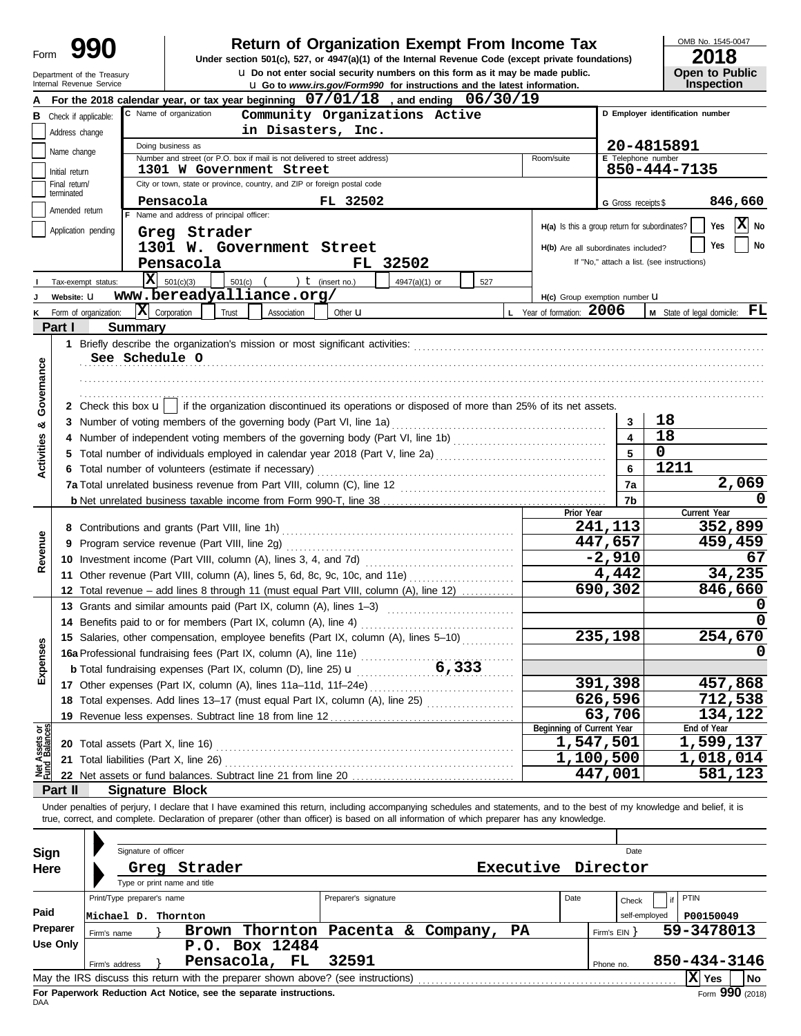#### Department of the Treasury

# **990 1990 2018 Depending Solution Solution Solution Script Script Script Script Script Prom Income Tax 1947(a)(1)** of the Internal Revenue Code (except private foundations)

u **Do not enter social security numbers on this form as it may be made public. Open to Public**

OMB No. 1545-0047

|                       | ZUIO |  |
|-----------------------|------|--|
| <b>Open to Public</b> |      |  |
| Inspection            |      |  |

|                                | Internal Revenue Service                                                                                             |                            |                                          |       |                                                                              |                      | <b>u</b> Go to www.irs.gov/Form990 for instructions and the latest information.                                                            |     |          |                                               |                           | <b>Inspection</b>                                                                                                                                                          |
|--------------------------------|----------------------------------------------------------------------------------------------------------------------|----------------------------|------------------------------------------|-------|------------------------------------------------------------------------------|----------------------|--------------------------------------------------------------------------------------------------------------------------------------------|-----|----------|-----------------------------------------------|---------------------------|----------------------------------------------------------------------------------------------------------------------------------------------------------------------------|
|                                |                                                                                                                      |                            |                                          |       |                                                                              |                      | For the 2018 calendar year, or tax year beginning $07/01/18$ , and ending $06/30/19$                                                       |     |          |                                               |                           |                                                                                                                                                                            |
|                                | C Name of organization<br>D Employer identification number<br>Community Organizations Active<br>Check if applicable: |                            |                                          |       |                                                                              |                      |                                                                                                                                            |     |          |                                               |                           |                                                                                                                                                                            |
|                                | Address change                                                                                                       | in Disasters, Inc.         |                                          |       |                                                                              |                      |                                                                                                                                            |     |          |                                               |                           |                                                                                                                                                                            |
|                                |                                                                                                                      |                            | Doing business as                        |       |                                                                              |                      |                                                                                                                                            |     |          |                                               |                           | 20-4815891                                                                                                                                                                 |
|                                | Name change                                                                                                          |                            |                                          |       | Number and street (or P.O. box if mail is not delivered to street address)   |                      |                                                                                                                                            |     |          | Room/suite                                    | <b>E</b> Telephone number |                                                                                                                                                                            |
|                                | Initial return                                                                                                       |                            |                                          |       | 1301 W Government Street                                                     |                      |                                                                                                                                            |     |          |                                               |                           | 850-444-7135                                                                                                                                                               |
|                                | Final return/                                                                                                        |                            |                                          |       | City or town, state or province, country, and ZIP or foreign postal code     |                      |                                                                                                                                            |     |          |                                               |                           |                                                                                                                                                                            |
|                                | terminated                                                                                                           |                            | Pensacola                                |       |                                                                              | FL 32502             |                                                                                                                                            |     |          |                                               | G Gross receipts \$       | 846,660                                                                                                                                                                    |
|                                | Amended return                                                                                                       |                            | F Name and address of principal officer: |       |                                                                              |                      |                                                                                                                                            |     |          |                                               |                           |                                                                                                                                                                            |
|                                | Application pending                                                                                                  |                            | Greg Strader                             |       |                                                                              |                      |                                                                                                                                            |     |          | H(a) Is this a group return for subordinates? |                           | X No<br>Yes                                                                                                                                                                |
|                                |                                                                                                                      |                            |                                          |       | 1301 W. Government Street                                                    |                      |                                                                                                                                            |     |          | H(b) Are all subordinates included?           |                           | Yes<br>No                                                                                                                                                                  |
|                                |                                                                                                                      |                            | Pensacola                                |       |                                                                              |                      | FL 32502                                                                                                                                   |     |          |                                               |                           | If "No," attach a list. (see instructions)                                                                                                                                 |
|                                |                                                                                                                      |                            |                                          |       |                                                                              |                      |                                                                                                                                            |     |          |                                               |                           |                                                                                                                                                                            |
|                                | Tax-exempt status:                                                                                                   |                            | $ \mathbf{X} $ 501(c)(3)                 |       | 501(c) $($ $)$ $($ $)$ $($ (insert no.)                                      |                      | 4947(a)(1) or                                                                                                                              | 527 |          |                                               |                           |                                                                                                                                                                            |
|                                | Website: U                                                                                                           |                            |                                          |       | www.bereadyalliance.org/                                                     |                      |                                                                                                                                            |     |          | H(c) Group exemption number LI                |                           |                                                                                                                                                                            |
|                                | K Form of organization:                                                                                              |                            | $\mathbf{X}$ Corporation                 | Trust | Association                                                                  | Other <b>u</b>       |                                                                                                                                            |     |          | L Year of formation: 2006                     |                           | <b>M</b> State of legal domicile: $\mathbf{FL}$                                                                                                                            |
|                                | Part I                                                                                                               | <b>Summary</b>             |                                          |       |                                                                              |                      |                                                                                                                                            |     |          |                                               |                           |                                                                                                                                                                            |
|                                |                                                                                                                      |                            |                                          |       |                                                                              |                      |                                                                                                                                            |     |          |                                               |                           |                                                                                                                                                                            |
|                                |                                                                                                                      | See Schedule O             |                                          |       |                                                                              |                      |                                                                                                                                            |     |          |                                               |                           |                                                                                                                                                                            |
|                                |                                                                                                                      |                            |                                          |       |                                                                              |                      |                                                                                                                                            |     |          |                                               |                           |                                                                                                                                                                            |
| Governance                     |                                                                                                                      |                            |                                          |       |                                                                              |                      |                                                                                                                                            |     |          |                                               |                           |                                                                                                                                                                            |
|                                |                                                                                                                      |                            |                                          |       |                                                                              |                      |                                                                                                                                            |     |          |                                               |                           |                                                                                                                                                                            |
|                                |                                                                                                                      |                            |                                          |       |                                                                              |                      | 2 Check this box $\mathbf{u}$   if the organization discontinued its operations or disposed of more than 25% of its net assets.            |     |          |                                               |                           |                                                                                                                                                                            |
| ಳ                              |                                                                                                                      |                            |                                          |       |                                                                              |                      |                                                                                                                                            |     |          |                                               | 3                         | 18                                                                                                                                                                         |
|                                |                                                                                                                      |                            |                                          |       |                                                                              |                      |                                                                                                                                            |     |          |                                               | 4                         | 18                                                                                                                                                                         |
| <b>Activities</b>              |                                                                                                                      |                            |                                          |       |                                                                              |                      |                                                                                                                                            |     |          |                                               | 5                         | $\mathbf 0$                                                                                                                                                                |
|                                |                                                                                                                      |                            |                                          |       | 6 Total number of volunteers (estimate if necessary)                         |                      |                                                                                                                                            |     |          |                                               | 6                         | 1211                                                                                                                                                                       |
|                                |                                                                                                                      |                            |                                          |       |                                                                              |                      |                                                                                                                                            |     |          |                                               | 7a                        | 2,069                                                                                                                                                                      |
|                                |                                                                                                                      |                            |                                          |       |                                                                              |                      |                                                                                                                                            |     |          |                                               | 7b                        |                                                                                                                                                                            |
|                                |                                                                                                                      |                            |                                          |       |                                                                              |                      |                                                                                                                                            |     |          | Prior Year                                    |                           | Current Year                                                                                                                                                               |
|                                |                                                                                                                      |                            |                                          |       |                                                                              |                      |                                                                                                                                            |     |          |                                               | 241,113                   | 352,899                                                                                                                                                                    |
| Revenue                        |                                                                                                                      |                            |                                          |       |                                                                              |                      |                                                                                                                                            |     |          |                                               | 447,657                   | 459,459                                                                                                                                                                    |
|                                |                                                                                                                      |                            |                                          |       |                                                                              |                      |                                                                                                                                            |     | $-2,910$ | 67                                            |                           |                                                                                                                                                                            |
|                                |                                                                                                                      |                            |                                          |       |                                                                              |                      |                                                                                                                                            |     |          |                                               |                           | 34,235                                                                                                                                                                     |
|                                |                                                                                                                      |                            |                                          |       |                                                                              |                      | 11 Other revenue (Part VIII, column (A), lines 5, 6d, 8c, 9c, 10c, and 11e)                                                                |     |          |                                               | 4,442                     |                                                                                                                                                                            |
|                                |                                                                                                                      |                            |                                          |       |                                                                              |                      | 12 Total revenue - add lines 8 through 11 (must equal Part VIII, column (A), line 12)                                                      |     |          |                                               | 690,302                   | 846,660                                                                                                                                                                    |
|                                |                                                                                                                      |                            |                                          |       | 13 Grants and similar amounts paid (Part IX, column (A), lines 1-3)          |                      |                                                                                                                                            |     |          |                                               |                           |                                                                                                                                                                            |
|                                |                                                                                                                      |                            |                                          |       | 14 Benefits paid to or for members (Part IX, column (A), line 4)             |                      |                                                                                                                                            |     |          |                                               |                           |                                                                                                                                                                            |
|                                |                                                                                                                      |                            |                                          |       |                                                                              |                      | 15 Salaries, other compensation, employee benefits (Part IX, column (A), lines 5-10)                                                       |     |          |                                               | 235,198                   | 254,670                                                                                                                                                                    |
| Expenses                       |                                                                                                                      |                            |                                          |       |                                                                              |                      |                                                                                                                                            |     |          |                                               |                           | 0                                                                                                                                                                          |
|                                |                                                                                                                      |                            |                                          |       |                                                                              |                      |                                                                                                                                            |     |          |                                               |                           |                                                                                                                                                                            |
|                                |                                                                                                                      |                            |                                          |       | 17 Other expenses (Part IX, column (A), lines 11a-11d, 11f-24e)              |                      |                                                                                                                                            |     |          |                                               | 391,398                   | 457,868                                                                                                                                                                    |
|                                |                                                                                                                      |                            |                                          |       | 18 Total expenses. Add lines 13-17 (must equal Part IX, column (A), line 25) |                      |                                                                                                                                            |     |          |                                               | 626,596                   | 712,538                                                                                                                                                                    |
|                                |                                                                                                                      |                            |                                          |       |                                                                              |                      |                                                                                                                                            |     |          |                                               | 63,706                    | 134,122                                                                                                                                                                    |
|                                |                                                                                                                      |                            |                                          |       | 19 Revenue less expenses. Subtract line 18 from line 12                      |                      |                                                                                                                                            |     |          | Beginning of Current Year                     |                           | End of Year                                                                                                                                                                |
| Net Assets or<br>Fund Balances | 20 Total assets (Part X, line 16)                                                                                    |                            |                                          |       |                                                                              |                      |                                                                                                                                            |     |          |                                               | 1,547,501                 | 1,599,137                                                                                                                                                                  |
|                                |                                                                                                                      |                            |                                          |       |                                                                              |                      |                                                                                                                                            |     |          |                                               | 1,100,500                 | 1,018,014                                                                                                                                                                  |
|                                | 21 Total liabilities (Part X, line 26)                                                                               |                            |                                          |       |                                                                              |                      |                                                                                                                                            |     |          |                                               | 447,001                   | 581,123                                                                                                                                                                    |
|                                |                                                                                                                      |                            |                                          |       | 22 Net assets or fund balances. Subtract line 21 from line 20                |                      |                                                                                                                                            |     |          |                                               |                           |                                                                                                                                                                            |
|                                | Part II                                                                                                              |                            | <b>Signature Block</b>                   |       |                                                                              |                      |                                                                                                                                            |     |          |                                               |                           |                                                                                                                                                                            |
|                                |                                                                                                                      |                            |                                          |       |                                                                              |                      |                                                                                                                                            |     |          |                                               |                           | Under penalties of perjury, I declare that I have examined this return, including accompanying schedules and statements, and to the best of my knowledge and belief, it is |
|                                |                                                                                                                      |                            |                                          |       |                                                                              |                      | true, correct, and complete. Declaration of preparer (other than officer) is based on all information of which preparer has any knowledge. |     |          |                                               |                           |                                                                                                                                                                            |
|                                |                                                                                                                      |                            |                                          |       |                                                                              |                      |                                                                                                                                            |     |          |                                               |                           |                                                                                                                                                                            |
| <b>Sign</b>                    |                                                                                                                      | Signature of officer       |                                          |       |                                                                              |                      |                                                                                                                                            |     |          |                                               | Date                      |                                                                                                                                                                            |
| Here                           |                                                                                                                      |                            | Greg Strader                             |       |                                                                              |                      |                                                                                                                                            |     |          | Executive Director                            |                           |                                                                                                                                                                            |
|                                |                                                                                                                      |                            | Type or print name and title             |       |                                                                              |                      |                                                                                                                                            |     |          |                                               |                           |                                                                                                                                                                            |
|                                |                                                                                                                      | Print/Type preparer's name |                                          |       |                                                                              | Preparer's signature |                                                                                                                                            |     |          | Date                                          |                           | PTIN                                                                                                                                                                       |
| Paid                           |                                                                                                                      |                            |                                          |       |                                                                              |                      |                                                                                                                                            |     |          |                                               | Check                     |                                                                                                                                                                            |
|                                |                                                                                                                      | Michael D. Thornton        |                                          |       |                                                                              |                      |                                                                                                                                            |     |          |                                               |                           | self-employed<br>P00150049                                                                                                                                                 |
|                                | Preparer<br>Firm's name                                                                                              |                            | Brown                                    |       |                                                                              |                      | Thornton Pacenta & Company,                                                                                                                |     | PA       |                                               | Firm's $EIN$ }            | 59-3478013                                                                                                                                                                 |
|                                | <b>Use Only</b><br>P.O. Box 12484                                                                                    |                            |                                          |       |                                                                              |                      |                                                                                                                                            |     |          |                                               |                           |                                                                                                                                                                            |
|                                | Firm's address                                                                                                       |                            |                                          |       | Pensacola, FL                                                                | 32591                |                                                                                                                                            |     |          |                                               | Phone no.                 | 850-434-3146                                                                                                                                                               |
|                                | May the IRS discuss this return with the preparer shown above? (see instructions)                                    |                            |                                          |       |                                                                              |                      |                                                                                                                                            |     |          |                                               |                           | $ \mathbf{X} $ Yes<br>  No                                                                                                                                                 |

| Sign       |                                                                                       | Signature of officer       |                              |  |  |                                                                                   |  |            |           |      |              | Date          |              |      |
|------------|---------------------------------------------------------------------------------------|----------------------------|------------------------------|--|--|-----------------------------------------------------------------------------------|--|------------|-----------|------|--------------|---------------|--------------|------|
| Here       |                                                                                       | Greg                       | Strader                      |  |  |                                                                                   |  |            | Executive |      |              | Director      |              |      |
|            |                                                                                       |                            | Type or print name and title |  |  |                                                                                   |  |            |           |      |              |               |              |      |
|            |                                                                                       | Print/Type preparer's name |                              |  |  | Preparer's signature                                                              |  |            |           | Date |              | Check         | PTIN         |      |
| Paid       | Michael D. Thornton                                                                   |                            |                              |  |  |                                                                                   |  |            |           |      |              | self-employed | P00150049    |      |
| Preparer   | Firm's name                                                                           |                            |                              |  |  | Brown Thornton Pacenta                                                            |  | & Company, | <b>PA</b> |      | Firm's $EIN$ |               | 59-3478013   |      |
| Use Only   |                                                                                       |                            | P.O. Box 12484               |  |  |                                                                                   |  |            |           |      |              |               |              |      |
|            | Firm's address                                                                        |                            | Pensacola, FL                |  |  | 32591                                                                             |  |            |           |      | Phone no.    |               | 850-434-3146 |      |
|            |                                                                                       |                            |                              |  |  | May the IRS discuss this return with the preparer shown above? (see instructions) |  |            |           |      |              |               | ΙxΙ<br>Yes   | l No |
| <b>DAA</b> | Form 990 (2018)<br>For Paperwork Reduction Act Notice, see the separate instructions. |                            |                              |  |  |                                                                                   |  |            |           |      |              |               |              |      |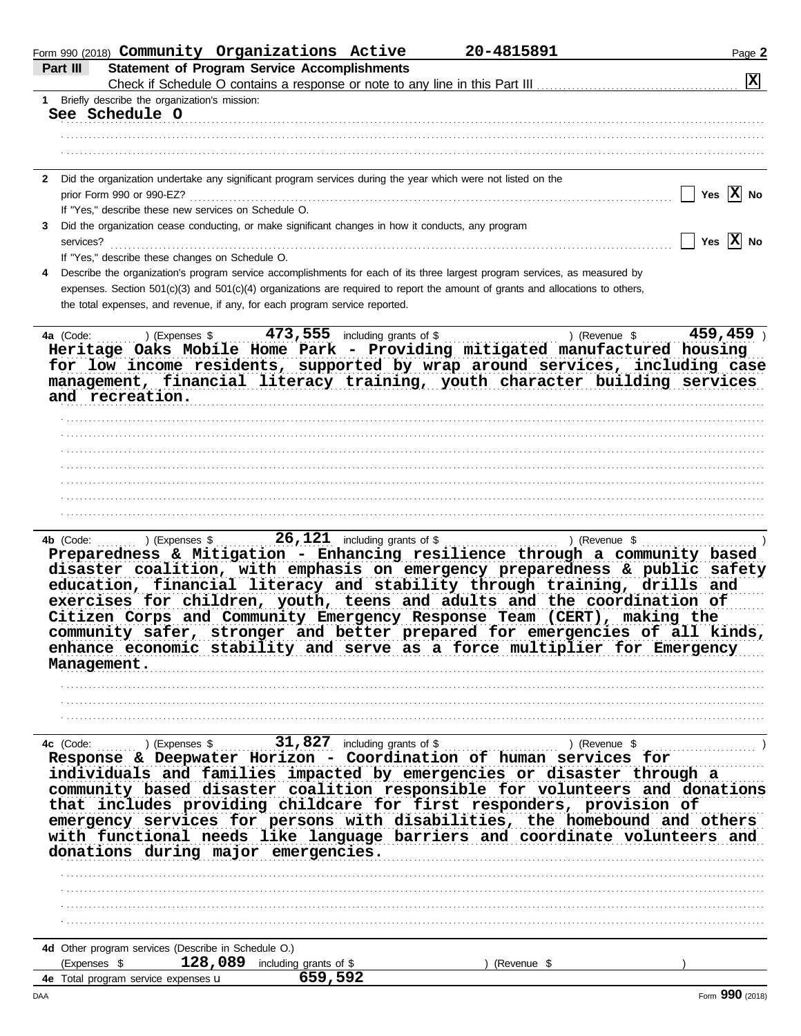|     | Form 990 (2018) Community Organizations Active                                                                                                                                                                                                                                                                                                                                                                                                                                                                                                                                                                                                                                       |         | 20-4815891  | Page 2                |
|-----|--------------------------------------------------------------------------------------------------------------------------------------------------------------------------------------------------------------------------------------------------------------------------------------------------------------------------------------------------------------------------------------------------------------------------------------------------------------------------------------------------------------------------------------------------------------------------------------------------------------------------------------------------------------------------------------|---------|-------------|-----------------------|
|     | <b>Statement of Program Service Accomplishments</b><br>Part III                                                                                                                                                                                                                                                                                                                                                                                                                                                                                                                                                                                                                      |         |             | X                     |
|     | 1 Briefly describe the organization's mission:                                                                                                                                                                                                                                                                                                                                                                                                                                                                                                                                                                                                                                       |         |             |                       |
|     | See Schedule O                                                                                                                                                                                                                                                                                                                                                                                                                                                                                                                                                                                                                                                                       |         |             |                       |
|     |                                                                                                                                                                                                                                                                                                                                                                                                                                                                                                                                                                                                                                                                                      |         |             |                       |
|     |                                                                                                                                                                                                                                                                                                                                                                                                                                                                                                                                                                                                                                                                                      |         |             |                       |
|     |                                                                                                                                                                                                                                                                                                                                                                                                                                                                                                                                                                                                                                                                                      |         |             |                       |
|     | 2 Did the organization undertake any significant program services during the year which were not listed on the                                                                                                                                                                                                                                                                                                                                                                                                                                                                                                                                                                       |         |             |                       |
|     | prior Form 990 or 990-EZ?<br>If "Yes," describe these new services on Schedule O.                                                                                                                                                                                                                                                                                                                                                                                                                                                                                                                                                                                                    |         |             | Yes $ X $ No          |
| 3   | Did the organization cease conducting, or make significant changes in how it conducts, any program                                                                                                                                                                                                                                                                                                                                                                                                                                                                                                                                                                                   |         |             |                       |
|     | services?                                                                                                                                                                                                                                                                                                                                                                                                                                                                                                                                                                                                                                                                            |         |             | Yes $\overline{X}$ No |
|     | If "Yes," describe these changes on Schedule O.                                                                                                                                                                                                                                                                                                                                                                                                                                                                                                                                                                                                                                      |         |             |                       |
|     | Describe the organization's program service accomplishments for each of its three largest program services, as measured by                                                                                                                                                                                                                                                                                                                                                                                                                                                                                                                                                           |         |             |                       |
|     | expenses. Section 501(c)(3) and 501(c)(4) organizations are required to report the amount of grants and allocations to others,                                                                                                                                                                                                                                                                                                                                                                                                                                                                                                                                                       |         |             |                       |
|     | the total expenses, and revenue, if any, for each program service reported.                                                                                                                                                                                                                                                                                                                                                                                                                                                                                                                                                                                                          |         |             |                       |
|     | 4a (Code:                                                                                                                                                                                                                                                                                                                                                                                                                                                                                                                                                                                                                                                                            |         |             | 459, 459              |
|     | a (Code: ) (Expenses \$473,555 including grants of \$9,459 ) (Revenue \$459,459 ) (Revenue \$459,459 ) (Revenue \$459,459 ) (Revenue \$459,459 ) (Revenue \$459,459 ) (Revenue \$459,459 ) (Revenue \$459,459 ) (Revenue \$459,459 ) (Re<br>for low income residents, supported by wrap around services, including case<br>management, financial literacy training, youth character building services<br>and recreation.                                                                                                                                                                                                                                                             |         |             |                       |
|     |                                                                                                                                                                                                                                                                                                                                                                                                                                                                                                                                                                                                                                                                                      |         |             |                       |
|     |                                                                                                                                                                                                                                                                                                                                                                                                                                                                                                                                                                                                                                                                                      |         |             |                       |
|     |                                                                                                                                                                                                                                                                                                                                                                                                                                                                                                                                                                                                                                                                                      |         |             |                       |
|     |                                                                                                                                                                                                                                                                                                                                                                                                                                                                                                                                                                                                                                                                                      |         |             |                       |
|     |                                                                                                                                                                                                                                                                                                                                                                                                                                                                                                                                                                                                                                                                                      |         |             |                       |
|     |                                                                                                                                                                                                                                                                                                                                                                                                                                                                                                                                                                                                                                                                                      |         |             |                       |
|     |                                                                                                                                                                                                                                                                                                                                                                                                                                                                                                                                                                                                                                                                                      |         |             |                       |
|     | disaster coalition, with emphasis on emergency preparedness & public safety<br>education, financial literacy and stability through training, drills and<br>exercises for children, youth, teens and adults and the coordination of<br>Citizen Corps and Community Emergency Response Team (CERT), making the<br>community safer, stronger and better prepared for emergencies of all kinds,<br>enhance economic stability and serve as a force multiplier for Emergency<br>Management.                                                                                                                                                                                               |         |             |                       |
|     |                                                                                                                                                                                                                                                                                                                                                                                                                                                                                                                                                                                                                                                                                      |         |             |                       |
|     |                                                                                                                                                                                                                                                                                                                                                                                                                                                                                                                                                                                                                                                                                      |         |             |                       |
|     |                                                                                                                                                                                                                                                                                                                                                                                                                                                                                                                                                                                                                                                                                      |         |             |                       |
|     | 4c (Code: ) (Expenses \$ 31,827 including grants of \$ ) (Revenue \$ ) (Revenue \$ ) (Revenue \$ ) (Revenue \$ ) (Revenue \$ ) (Revenue \$ ) (Revenue \$ ) (Revenue \$ ) (Revenue \$ ) (Revenue \$ ) (Revenue $\frac{1}{2}$ ) (Revenue $\frac{1}{2$<br>individuals and families impacted by emergencies or disaster through a<br>community based disaster coalition responsible for volunteers and donations<br>that includes providing childcare for first responders, provision of<br>emergency services for persons with disabilities, the homebound and others with functional needs like language barriers and coordinate volunteers and<br>donations during major emergencies. |         |             |                       |
|     |                                                                                                                                                                                                                                                                                                                                                                                                                                                                                                                                                                                                                                                                                      |         |             |                       |
|     |                                                                                                                                                                                                                                                                                                                                                                                                                                                                                                                                                                                                                                                                                      |         |             |                       |
|     |                                                                                                                                                                                                                                                                                                                                                                                                                                                                                                                                                                                                                                                                                      |         |             |                       |
|     | 4d Other program services (Describe in Schedule O.)<br>128,089 including grants of \$<br>(Expenses \$                                                                                                                                                                                                                                                                                                                                                                                                                                                                                                                                                                                |         | (Revenue \$ |                       |
|     | 4e Total program service expenses u                                                                                                                                                                                                                                                                                                                                                                                                                                                                                                                                                                                                                                                  | 659,592 |             |                       |
| DAA |                                                                                                                                                                                                                                                                                                                                                                                                                                                                                                                                                                                                                                                                                      |         |             | Form 990 (2018)       |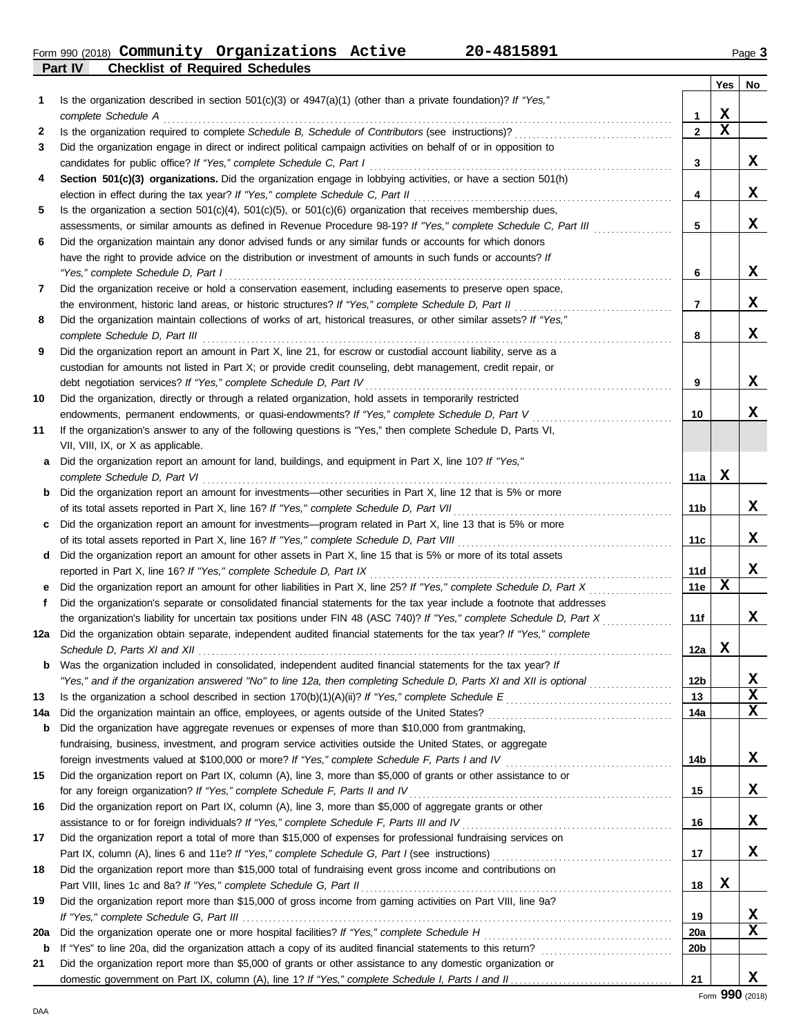Form 990 (2018) Page **3 Community Organizations Active 20-4815891**

**Part IV Checklist of Required Schedules**

|     | oncennor or neganea ocheaale.                                                                                                                                                                                                   |                 |     |     |
|-----|---------------------------------------------------------------------------------------------------------------------------------------------------------------------------------------------------------------------------------|-----------------|-----|-----|
|     |                                                                                                                                                                                                                                 |                 | Yes | No. |
| 1   | Is the organization described in section $501(c)(3)$ or $4947(a)(1)$ (other than a private foundation)? If "Yes,"                                                                                                               |                 | x   |     |
|     | complete Schedule A                                                                                                                                                                                                             | 1               | X   |     |
| 2   | Is the organization required to complete Schedule B, Schedule of Contributors (see instructions)?                                                                                                                               | $\mathbf{2}$    |     |     |
| 3   | Did the organization engage in direct or indirect political campaign activities on behalf of or in opposition to                                                                                                                |                 |     |     |
|     | candidates for public office? If "Yes," complete Schedule C, Part I                                                                                                                                                             | 3               |     | x   |
| 4   | Section 501(c)(3) organizations. Did the organization engage in lobbying activities, or have a section 501(h)                                                                                                                   |                 |     | X   |
|     | election in effect during the tax year? If "Yes," complete Schedule C, Part II                                                                                                                                                  | 4               |     |     |
| 5   | Is the organization a section $501(c)(4)$ , $501(c)(5)$ , or $501(c)(6)$ organization that receives membership dues,                                                                                                            |                 |     | X   |
|     | assessments, or similar amounts as defined in Revenue Procedure 98-19? If "Yes," complete Schedule C, Part III                                                                                                                  | 5               |     |     |
| 6   | Did the organization maintain any donor advised funds or any similar funds or accounts for which donors                                                                                                                         |                 |     |     |
|     | have the right to provide advice on the distribution or investment of amounts in such funds or accounts? If                                                                                                                     |                 |     | x   |
|     | "Yes," complete Schedule D, Part I                                                                                                                                                                                              | 6               |     |     |
| 7   | Did the organization receive or hold a conservation easement, including easements to preserve open space,                                                                                                                       |                 |     | X   |
|     | the environment, historic land areas, or historic structures? If "Yes," complete Schedule D, Part II                                                                                                                            | 7               |     |     |
| 8   | Did the organization maintain collections of works of art, historical treasures, or other similar assets? If "Yes,"                                                                                                             |                 |     | x   |
|     | complete Schedule D, Part III                                                                                                                                                                                                   | 8               |     |     |
| 9   | Did the organization report an amount in Part X, line 21, for escrow or custodial account liability, serve as a<br>custodian for amounts not listed in Part X; or provide credit counseling, debt management, credit repair, or |                 |     |     |
|     | debt negotiation services? If "Yes," complete Schedule D, Part IV                                                                                                                                                               | 9               |     | x   |
|     |                                                                                                                                                                                                                                 |                 |     |     |
| 10  | Did the organization, directly or through a related organization, hold assets in temporarily restricted<br>endowments, permanent endowments, or quasi-endowments? If "Yes," complete Schedule D, Part V                         | 10              |     | x   |
| 11  | If the organization's answer to any of the following questions is "Yes," then complete Schedule D, Parts VI,                                                                                                                    |                 |     |     |
|     | VII, VIII, IX, or X as applicable.                                                                                                                                                                                              |                 |     |     |
| a   | Did the organization report an amount for land, buildings, and equipment in Part X, line 10? If "Yes,"                                                                                                                          |                 |     |     |
|     | complete Schedule D, Part VI                                                                                                                                                                                                    | 11a             | x   |     |
| b   | Did the organization report an amount for investments—other securities in Part X, line 12 that is 5% or more                                                                                                                    |                 |     |     |
|     | of its total assets reported in Part X, line 16? If "Yes," complete Schedule D, Part VII                                                                                                                                        | 11b             |     | x   |
| c   | Did the organization report an amount for investments—program related in Part X, line 13 that is 5% or more                                                                                                                     |                 |     |     |
|     | of its total assets reported in Part X, line 16? If "Yes," complete Schedule D, Part VIII                                                                                                                                       | 11c             |     | x   |
| d   | Did the organization report an amount for other assets in Part X, line 15 that is 5% or more of its total assets                                                                                                                |                 |     |     |
|     | reported in Part X, line 16? If "Yes," complete Schedule D, Part IX                                                                                                                                                             | 11d             |     | X   |
| е   | Did the organization report an amount for other liabilities in Part X, line 25? If "Yes," complete Schedule D, Part X                                                                                                           | 11e             | x   |     |
| f   | Did the organization's separate or consolidated financial statements for the tax year include a footnote that addresses                                                                                                         |                 |     |     |
|     | the organization's liability for uncertain tax positions under FIN 48 (ASC 740)? If "Yes," complete Schedule D, Part X                                                                                                          | 11f             |     | x   |
| 12a | Did the organization obtain separate, independent audited financial statements for the tax year? If "Yes," complete                                                                                                             |                 |     |     |
|     |                                                                                                                                                                                                                                 | 12a             | x   |     |
| b   | Was the organization included in consolidated, independent audited financial statements for the tax year? If                                                                                                                    |                 |     |     |
|     | "Yes," and if the organization answered "No" to line 12a, then completing Schedule D, Parts XI and XII is optional <i>commension</i>                                                                                            | 12 <sub>b</sub> |     | х   |
| 13  |                                                                                                                                                                                                                                 | 13              |     | X   |
| 14a | Did the organization maintain an office, employees, or agents outside of the United States?                                                                                                                                     | 14a             |     | X   |
| b   | Did the organization have aggregate revenues or expenses of more than \$10,000 from grantmaking,                                                                                                                                |                 |     |     |
|     | fundraising, business, investment, and program service activities outside the United States, or aggregate                                                                                                                       |                 |     |     |
|     | foreign investments valued at \$100,000 or more? If "Yes," complete Schedule F, Parts I and IV                                                                                                                                  | 14b             |     | X   |
| 15  | Did the organization report on Part IX, column (A), line 3, more than \$5,000 of grants or other assistance to or                                                                                                               |                 |     |     |
|     | for any foreign organization? If "Yes," complete Schedule F, Parts II and IV                                                                                                                                                    | 15              |     | X   |
| 16  | Did the organization report on Part IX, column (A), line 3, more than \$5,000 of aggregate grants or other                                                                                                                      |                 |     |     |
|     | assistance to or for foreign individuals? If "Yes," complete Schedule F, Parts III and IV                                                                                                                                       | 16              |     | X   |
| 17  | Did the organization report a total of more than \$15,000 of expenses for professional fundraising services on                                                                                                                  |                 |     |     |
|     |                                                                                                                                                                                                                                 | 17              |     | x   |
| 18  | Did the organization report more than \$15,000 total of fundraising event gross income and contributions on                                                                                                                     |                 |     |     |
|     | Part VIII, lines 1c and 8a? If "Yes," complete Schedule G, Part II                                                                                                                                                              | 18              | X   |     |
| 19  | Did the organization report more than \$15,000 of gross income from gaming activities on Part VIII, line 9a?                                                                                                                    |                 |     |     |
|     |                                                                                                                                                                                                                                 | 19              |     | X   |
| 20a |                                                                                                                                                                                                                                 | 20a             |     | x   |
| b   |                                                                                                                                                                                                                                 | 20b             |     |     |
| 21  | Did the organization report more than \$5,000 of grants or other assistance to any domestic organization or                                                                                                                     |                 |     |     |
|     |                                                                                                                                                                                                                                 | 21              |     | x   |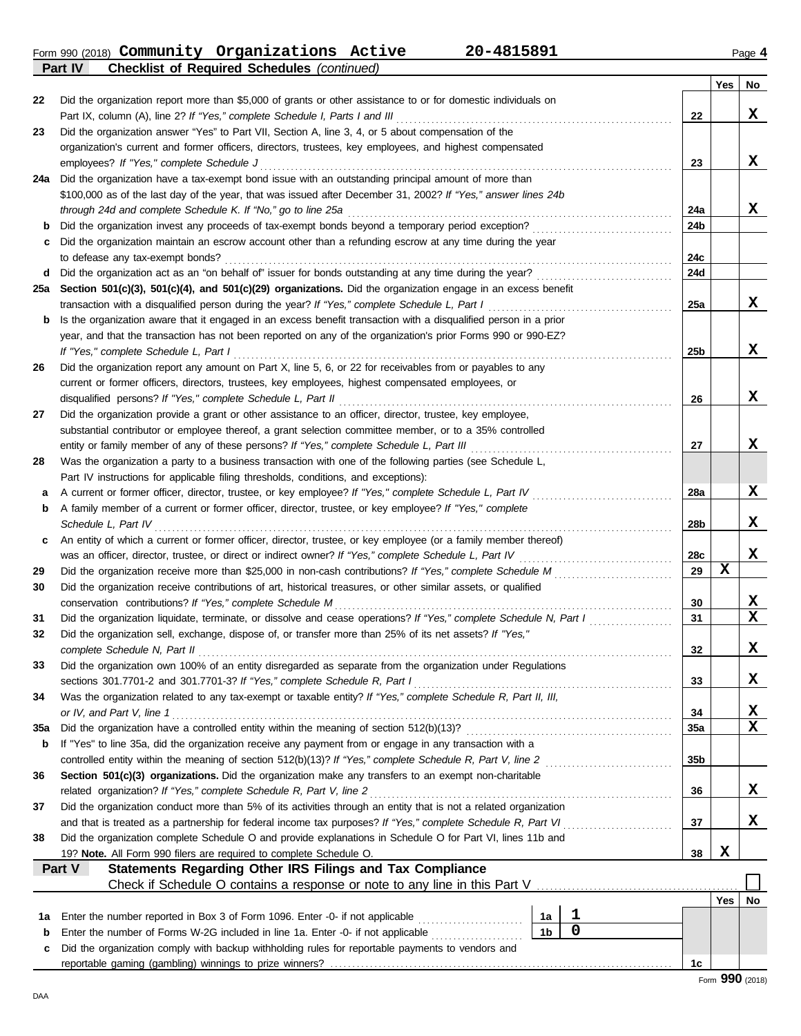Form 990 (2018) Page **4 Community Organizations Active 20-4815891**

**Part IV Checklist of Required Schedules** *(continued)*

|             |                                                                                                                                                     |                 | Yes | No.             |
|-------------|-----------------------------------------------------------------------------------------------------------------------------------------------------|-----------------|-----|-----------------|
| 22          | Did the organization report more than \$5,000 of grants or other assistance to or for domestic individuals on                                       |                 |     |                 |
|             | Part IX, column (A), line 2? If "Yes," complete Schedule I, Parts I and III                                                                         | 22              |     | X               |
| 23          | Did the organization answer "Yes" to Part VII, Section A, line 3, 4, or 5 about compensation of the                                                 |                 |     |                 |
|             | organization's current and former officers, directors, trustees, key employees, and highest compensated                                             |                 |     |                 |
|             | employees? If "Yes," complete Schedule J                                                                                                            | 23              |     | x               |
| 24a         | Did the organization have a tax-exempt bond issue with an outstanding principal amount of more than                                                 |                 |     |                 |
|             | \$100,000 as of the last day of the year, that was issued after December 31, 2002? If "Yes," answer lines 24b                                       |                 |     |                 |
|             | through 24d and complete Schedule K. If "No," go to line 25a                                                                                        | 24a             |     | x               |
| b           | Did the organization invest any proceeds of tax-exempt bonds beyond a temporary period exception?                                                   | 24b             |     |                 |
| c           | Did the organization maintain an escrow account other than a refunding escrow at any time during the year                                           |                 |     |                 |
|             | to defease any tax-exempt bonds?                                                                                                                    | 24c             |     |                 |
| d           | Did the organization act as an "on behalf of" issuer for bonds outstanding at any time during the year?                                             | 24d             |     |                 |
| 25a         | Section 501(c)(3), 501(c)(4), and 501(c)(29) organizations. Did the organization engage in an excess benefit                                        |                 |     |                 |
|             | transaction with a disqualified person during the year? If "Yes," complete Schedule L, Part I                                                       | 25a             |     | X               |
| b           | Is the organization aware that it engaged in an excess benefit transaction with a disqualified person in a prior                                    |                 |     |                 |
|             | year, and that the transaction has not been reported on any of the organization's prior Forms 990 or 990-EZ?                                        | 25 <sub>b</sub> |     | x               |
| 26          | If "Yes," complete Schedule L, Part I<br>Did the organization report any amount on Part X, line 5, 6, or 22 for receivables from or payables to any |                 |     |                 |
|             | current or former officers, directors, trustees, key employees, highest compensated employees, or                                                   |                 |     |                 |
|             | disqualified persons? If "Yes," complete Schedule L, Part II                                                                                        | 26              |     | x               |
| 27          | Did the organization provide a grant or other assistance to an officer, director, trustee, key employee,                                            |                 |     |                 |
|             | substantial contributor or employee thereof, a grant selection committee member, or to a 35% controlled                                             |                 |     |                 |
|             | entity or family member of any of these persons? If "Yes," complete Schedule L, Part III                                                            | 27              |     | x               |
| 28          | Was the organization a party to a business transaction with one of the following parties (see Schedule L,                                           |                 |     |                 |
|             | Part IV instructions for applicable filing thresholds, conditions, and exceptions):                                                                 |                 |     |                 |
| a           | A current or former officer, director, trustee, or key employee? If "Yes," complete Schedule L, Part IV                                             | 28a             |     | x               |
| b           | A family member of a current or former officer, director, trustee, or key employee? If "Yes," complete                                              |                 |     |                 |
|             | Schedule L, Part IV                                                                                                                                 | 28 <sub>b</sub> |     | x               |
| c           | An entity of which a current or former officer, director, trustee, or key employee (or a family member thereof)                                     |                 |     |                 |
|             |                                                                                                                                                     | 28c             |     | X               |
| 29          | Did the organization receive more than \$25,000 in non-cash contributions? If "Yes," complete Schedule M                                            | 29              | X   |                 |
| 30          | Did the organization receive contributions of art, historical treasures, or other similar assets, or qualified                                      |                 |     |                 |
|             | conservation contributions? If "Yes," complete Schedule M                                                                                           | 30              |     | x               |
| 31          | Did the organization liquidate, terminate, or dissolve and cease operations? If "Yes," complete Schedule N, Part I                                  | 31              |     | X               |
| 32          | Did the organization sell, exchange, dispose of, or transfer more than 25% of its net assets? If "Yes,"                                             |                 |     |                 |
|             | complete Schedule N, Part II                                                                                                                        | 32              |     | x               |
| 33          | Did the organization own 100% of an entity disregarded as separate from the organization under Regulations                                          |                 |     |                 |
|             | sections 301.7701-2 and 301.7701-3? If "Yes," complete Schedule R, Part I                                                                           | 33              |     | x               |
| 34          | Was the organization related to any tax-exempt or taxable entity? If "Yes," complete Schedule R, Part II, III,                                      |                 |     |                 |
|             | or IV, and Part V, line 1                                                                                                                           | 34              |     | X<br>X          |
| 35a         |                                                                                                                                                     | 35a             |     |                 |
| b           | If "Yes" to line 35a, did the organization receive any payment from or engage in any transaction with a                                             | 35 <sub>b</sub> |     |                 |
| 36          | Section 501(c)(3) organizations. Did the organization make any transfers to an exempt non-charitable                                                |                 |     |                 |
|             | related organization? If "Yes," complete Schedule R, Part V, line 2                                                                                 | 36              |     | x               |
| 37          | Did the organization conduct more than 5% of its activities through an entity that is not a related organization                                    |                 |     |                 |
|             |                                                                                                                                                     | 37              |     | x               |
| 38          | Did the organization complete Schedule O and provide explanations in Schedule O for Part VI, lines 11b and                                          |                 |     |                 |
|             | 19? Note. All Form 990 filers are required to complete Schedule O.                                                                                  | 38              | X   |                 |
|             | Part V<br><b>Statements Regarding Other IRS Filings and Tax Compliance</b>                                                                          |                 |     |                 |
|             | Check if Schedule O contains a response or note to any line in this Part V                                                                          |                 |     |                 |
|             |                                                                                                                                                     |                 | Yes | No              |
| 1а          | 1<br>Enter the number reported in Box 3 of Form 1096. Enter -0- if not applicable [<br>1a                                                           |                 |     |                 |
| $\mathbf b$ | 0<br>1 <sub>b</sub><br>Enter the number of Forms W-2G included in line 1a. Enter -0- if not applicable                                              |                 |     |                 |
| c           | Did the organization comply with backup withholding rules for reportable payments to vendors and                                                    |                 |     |                 |
|             |                                                                                                                                                     | 1c              |     |                 |
|             |                                                                                                                                                     |                 |     | Form 990 (2018) |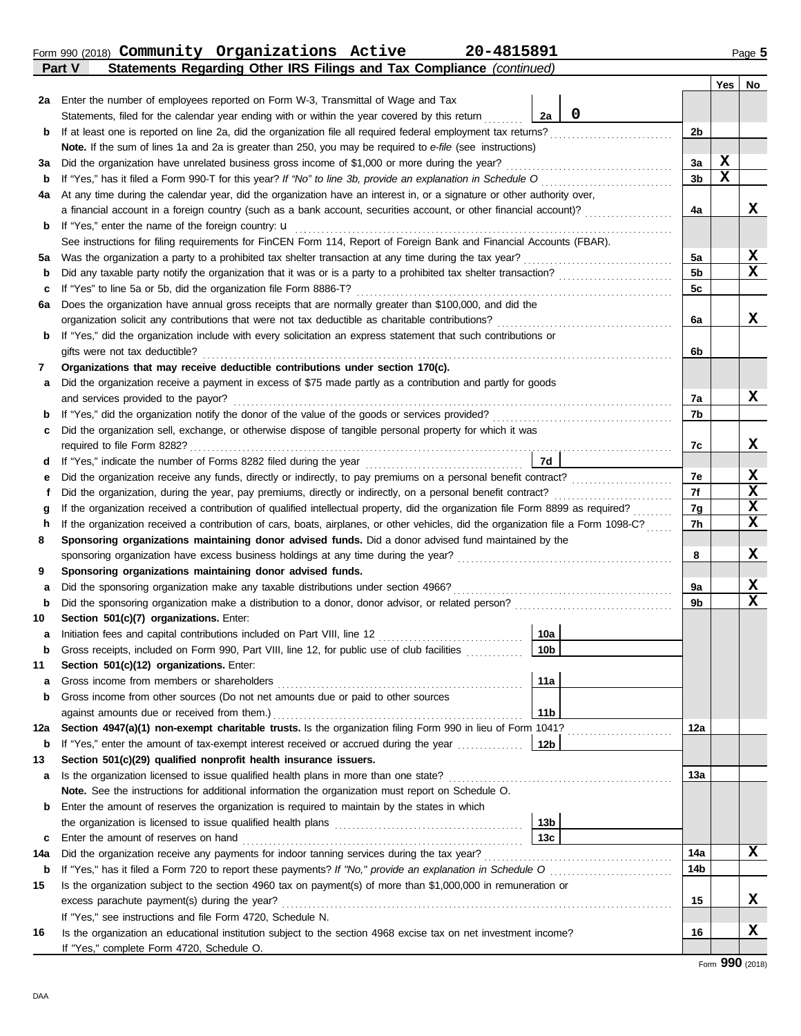|     | Form 990 (2018) Community Organizations Active<br>20-4815891<br>Part V                                                                          |                 |             | Page 5 |
|-----|-------------------------------------------------------------------------------------------------------------------------------------------------|-----------------|-------------|--------|
|     | Statements Regarding Other IRS Filings and Tax Compliance (continued)                                                                           |                 | Yes         | No     |
|     | 2a Enter the number of employees reported on Form W-3, Transmittal of Wage and Tax                                                              |                 |             |        |
|     | 0<br>Statements, filed for the calendar year ending with or within the year covered by this return<br>2a                                        |                 |             |        |
| b   | If at least one is reported on line 2a, did the organization file all required federal employment tax returns?                                  | 2 <sub>b</sub>  |             |        |
|     | Note. If the sum of lines 1a and 2a is greater than 250, you may be required to e-file (see instructions)                                       |                 |             |        |
| За  | Did the organization have unrelated business gross income of \$1,000 or more during the year?                                                   | 3a              | X           |        |
| b   | If "Yes," has it filed a Form 990-T for this year? If "No" to line 3b, provide an explanation in Schedule O                                     | 3 <sub>b</sub>  | $\mathbf x$ |        |
| 4a  | At any time during the calendar year, did the organization have an interest in, or a signature or other authority over,                         |                 |             |        |
|     | a financial account in a foreign country (such as a bank account, securities account, or other financial account)?                              | 4a              |             | x      |
| b   | If "Yes," enter the name of the foreign country: <b>u</b>                                                                                       |                 |             |        |
|     | See instructions for filing requirements for FinCEN Form 114, Report of Foreign Bank and Financial Accounts (FBAR).                             |                 |             |        |
| 5а  |                                                                                                                                                 | 5a              |             | X      |
| b   | Did any taxable party notify the organization that it was or is a party to a prohibited tax shelter transaction?                                | 5 <sub>b</sub>  |             | X      |
| c   | If "Yes" to line 5a or 5b, did the organization file Form 8886-T?                                                                               | 5c              |             |        |
| 6a  | Does the organization have annual gross receipts that are normally greater than \$100,000, and did the                                          |                 |             |        |
|     | organization solicit any contributions that were not tax deductible as charitable contributions?                                                | 6a              |             | X      |
| b   | If "Yes," did the organization include with every solicitation an express statement that such contributions or                                  |                 |             |        |
|     | gifts were not tax deductible?                                                                                                                  | 6b              |             |        |
| 7   | Organizations that may receive deductible contributions under section 170(c).                                                                   |                 |             |        |
| а   | Did the organization receive a payment in excess of \$75 made partly as a contribution and partly for goods                                     |                 |             |        |
|     | and services provided to the payor?                                                                                                             | 7a              |             | X      |
| b   |                                                                                                                                                 | 7b              |             |        |
| c   | Did the organization sell, exchange, or otherwise dispose of tangible personal property for which it was                                        |                 |             |        |
|     | required to file Form 8282?                                                                                                                     | 7c              |             | X      |
| d   | 7d<br>If "Yes," indicate the number of Forms 8282 filed during the year                                                                         |                 |             |        |
| е   |                                                                                                                                                 | 7e              |             | X<br>X |
| f   | Did the organization, during the year, pay premiums, directly or indirectly, on a personal benefit contract?                                    | 7f              |             | X      |
| g   | If the organization received a contribution of qualified intellectual property, did the organization file Form 8899 as required?                | 7g              |             | X      |
| h   | If the organization received a contribution of cars, boats, airplanes, or other vehicles, did the organization file a Form 1098-C?              | 7h              |             |        |
| 8   | Sponsoring organizations maintaining donor advised funds. Did a donor advised fund maintained by the                                            | 8               |             | X      |
| 9   | sponsoring organization have excess business holdings at any time during the year?<br>Sponsoring organizations maintaining donor advised funds. |                 |             |        |
| a   | Did the sponsoring organization make any taxable distributions under section 4966?                                                              | 9a              |             | х      |
| b   | Did the sponsoring organization make a distribution to a donor, donor advisor, or related person?                                               | 9b              |             | X      |
| 10  | Section 501(c)(7) organizations. Enter:                                                                                                         |                 |             |        |
| а   | 10a<br>Initiation fees and capital contributions included on Part VIII, line 12                                                                 |                 |             |        |
| b   | 10 <sub>b</sub><br>Gross receipts, included on Form 990, Part VIII, line 12, for public use of club facilities                                  |                 |             |        |
| 11  | Section 501(c)(12) organizations. Enter:                                                                                                        |                 |             |        |
| а   | Gross income from members or shareholders<br>11a                                                                                                |                 |             |        |
| b   | Gross income from other sources (Do not net amounts due or paid to other sources                                                                |                 |             |        |
|     | 11 <sub>b</sub><br>against amounts due or received from them.)                                                                                  |                 |             |        |
| 12a | Section 4947(a)(1) non-exempt charitable trusts. Is the organization filing Form 990 in lieu of Form 1041?                                      | 12a             |             |        |
| b   | If "Yes," enter the amount of tax-exempt interest received or accrued during the year<br>12 <sub>b</sub>                                        |                 |             |        |
| 13  | Section 501(c)(29) qualified nonprofit health insurance issuers.                                                                                |                 |             |        |
| а   | Is the organization licensed to issue qualified health plans in more than one state?                                                            | 13а             |             |        |
|     | Note. See the instructions for additional information the organization must report on Schedule O.                                               |                 |             |        |
| b   | Enter the amount of reserves the organization is required to maintain by the states in which                                                    |                 |             |        |
|     | 13b                                                                                                                                             |                 |             |        |
| c   | 13 <sub>c</sub><br>Enter the amount of reserves on hand                                                                                         |                 |             |        |
| 14a | Did the organization receive any payments for indoor tanning services during the tax year?                                                      | 14a             |             | x      |
|     | <b>b</b> If "Yes " has it filed a Form 720 to report these payments? If "No " provide an explanation in Schedule O                              | 14 <sub>b</sub> |             |        |

|    | <b>b</b> If "Yes," has it filed a Form 720 to report these payments? If "No," provide an explanation in Schedule O | 14b |   |
|----|--------------------------------------------------------------------------------------------------------------------|-----|---|
| 15 | Is the organization subject to the section 4960 tax on payment(s) of more than \$1,000,000 in remuneration or      |     |   |
|    | excess parachute payment(s) during the year?                                                                       | 15  | X |
|    | If "Yes," see instructions and file Form 4720, Schedule N.                                                         |     |   |
| 16 | Is the organization an educational institution subject to the section 4968 excise tax on net investment income?    | 16  | x |
|    | If "Yes," complete Form 4720, Schedule O.                                                                          |     |   |

**X**

**X**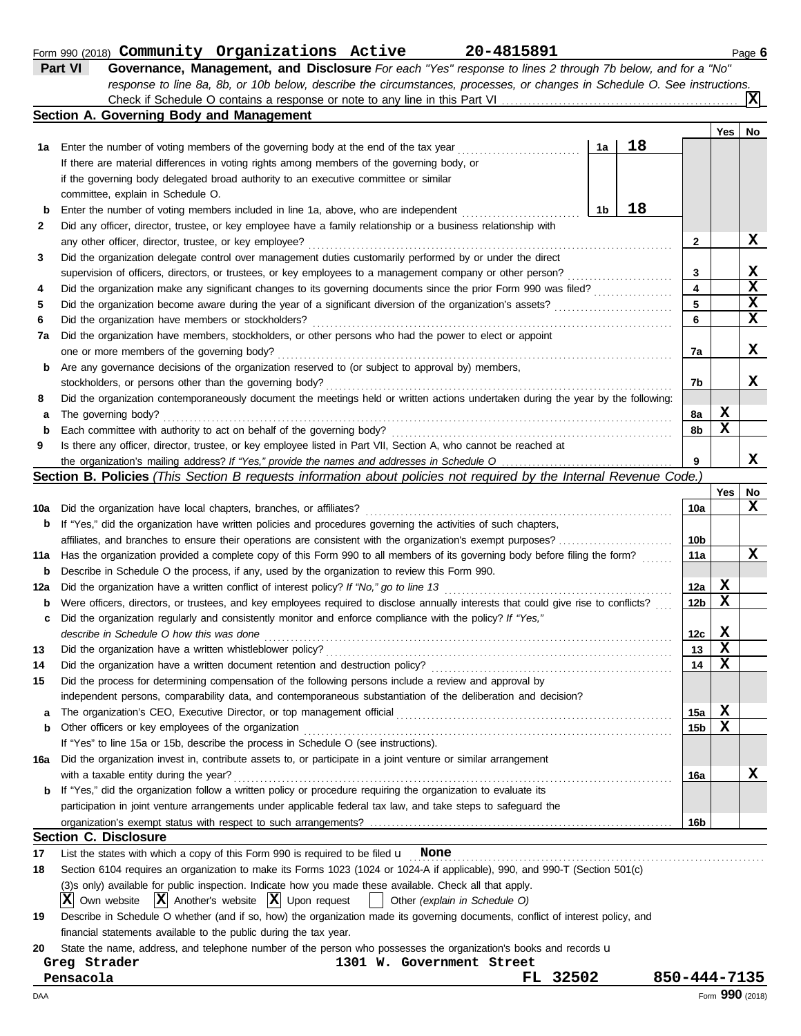#### Form 990 (2018) Page **6 Community Organizations Active 20-4815891**

| <b>Part VI</b> | Governance, Management, and Disclosure For each "Yes" response to lines 2 through 7b below, and for a "No"                |
|----------------|---------------------------------------------------------------------------------------------------------------------------|
|                | response to line 8a, 8b, or 10b below, describe the circumstances, processes, or changes in Schedule O. See instructions. |
|                | $\mathbf{X}$                                                                                                              |
|                | Section A. Governing Body and Management                                                                                  |

|     | conon A. Ooverning Douy and management                                                                                              |    |    |                 |        |                  |
|-----|-------------------------------------------------------------------------------------------------------------------------------------|----|----|-----------------|--------|------------------|
|     |                                                                                                                                     |    | 18 |                 | Yes    | No               |
| 1а  | Enter the number of voting members of the governing body at the end of the tax year                                                 | 1a |    |                 |        |                  |
|     | If there are material differences in voting rights among members of the governing body, or                                          |    |    |                 |        |                  |
|     | if the governing body delegated broad authority to an executive committee or similar                                                |    |    |                 |        |                  |
|     | committee, explain in Schedule O.                                                                                                   |    | 18 |                 |        |                  |
| b   | Enter the number of voting members included in line 1a, above, who are independent                                                  | 1b |    |                 |        |                  |
| 2   | Did any officer, director, trustee, or key employee have a family relationship or a business relationship with                      |    |    |                 |        | X                |
|     | any other officer, director, trustee, or key employee?                                                                              |    |    | 2               |        |                  |
| 3   | Did the organization delegate control over management duties customarily performed by or under the direct                           |    |    |                 |        |                  |
|     | supervision of officers, directors, or trustees, or key employees to a management company or other person?                          |    |    | 3<br>4          |        | X<br>$\mathbf x$ |
| 4   | Did the organization make any significant changes to its governing documents since the prior Form 990 was filed?                    |    |    | 5               |        | X                |
| 5   | Did the organization become aware during the year of a significant diversion of the organization's assets?                          |    |    |                 |        | $\mathbf x$      |
| 6   | Did the organization have members or stockholders?                                                                                  |    |    | 6               |        |                  |
| 7a  | Did the organization have members, stockholders, or other persons who had the power to elect or appoint                             |    |    |                 |        |                  |
|     | one or more members of the governing body?                                                                                          |    |    | 7a              |        | x                |
| b   | Are any governance decisions of the organization reserved to (or subject to approval by) members,                                   |    |    |                 |        |                  |
|     | stockholders, or persons other than the governing body?                                                                             |    |    | 7b              |        | x                |
| 8   | Did the organization contemporaneously document the meetings held or written actions undertaken during the year by the following:   |    |    |                 |        |                  |
| a   | The governing body?                                                                                                                 |    |    | 8a              | х<br>X |                  |
| b   | Each committee with authority to act on behalf of the governing body?                                                               |    |    | 8b              |        |                  |
| 9   | Is there any officer, director, trustee, or key employee listed in Part VII, Section A, who cannot be reached at                    |    |    | 9               |        | x                |
|     | Section B. Policies (This Section B requests information about policies not required by the Internal Revenue Code.)                 |    |    |                 |        |                  |
|     |                                                                                                                                     |    |    |                 | Yes    | No               |
| 10a | Did the organization have local chapters, branches, or affiliates?                                                                  |    |    | 10a             |        | X                |
| b   | If "Yes," did the organization have written policies and procedures governing the activities of such chapters,                      |    |    |                 |        |                  |
|     | affiliates, and branches to ensure their operations are consistent with the organization's exempt purposes?                         |    |    | 10 <sub>b</sub> |        |                  |
| 11a | Has the organization provided a complete copy of this Form 990 to all members of its governing body before filing the form?         |    |    | 11a             |        | X                |
| b   | Describe in Schedule O the process, if any, used by the organization to review this Form 990.                                       |    |    |                 |        |                  |
| 12a | Did the organization have a written conflict of interest policy? If "No," go to line 13                                             |    |    | 12a             | х      |                  |
| b   | Were officers, directors, or trustees, and key employees required to disclose annually interests that could give rise to conflicts? |    |    | 12 <sub>b</sub> | X      |                  |
| c   | Did the organization regularly and consistently monitor and enforce compliance with the policy? If "Yes,"                           |    |    |                 |        |                  |
|     | describe in Schedule O how this was done                                                                                            |    |    | 12c             | X      |                  |
| 13  | Did the organization have a written whistleblower policy?                                                                           |    |    | 13              | X      |                  |
| 14  | Did the organization have a written document retention and destruction policy?                                                      |    |    | 14              | X      |                  |
| 15  | Did the process for determining compensation of the following persons include a review and approval by                              |    |    |                 |        |                  |
|     | independent persons, comparability data, and contemporaneous substantiation of the deliberation and decision?                       |    |    |                 |        |                  |
| а   |                                                                                                                                     |    |    | 15a             | X      |                  |
| b   | Other officers or key employees of the organization                                                                                 |    |    | 15b             | X      |                  |
|     | If "Yes" to line 15a or 15b, describe the process in Schedule O (see instructions).                                                 |    |    |                 |        |                  |
| 16a | Did the organization invest in, contribute assets to, or participate in a joint venture or similar arrangement                      |    |    |                 |        |                  |
|     | with a taxable entity during the year?                                                                                              |    |    | 16a             |        | X                |
| b   | If "Yes," did the organization follow a written policy or procedure requiring the organization to evaluate its                      |    |    |                 |        |                  |
|     | participation in joint venture arrangements under applicable federal tax law, and take steps to safeguard the                       |    |    |                 |        |                  |
|     |                                                                                                                                     |    |    | 16b             |        |                  |
|     | <b>Section C. Disclosure</b>                                                                                                        |    |    |                 |        |                  |
| 17  | List the states with which a copy of this Form 990 is required to be filed $\mathbf u$ None                                         |    |    |                 |        |                  |
| 18  | Section 6104 requires an organization to make its Forms 1023 (1024 or 1024-A if applicable), 990, and 990-T (Section 501(c)         |    |    |                 |        |                  |
|     | (3)s only) available for public inspection. Indicate how you made these available. Check all that apply.                            |    |    |                 |        |                  |
|     | जि<br>$\overline{r}$<br>l szl                                                                                                       |    |    |                 |        |                  |

 $\overline{X}$  Own website  $\overline{X}$  Another's website  $\overline{X}$  Upon request  $\overline{X}$  Other *(explain in Schedule O)* 

| 19 Describe in Schedule O whether (and if so, how) the organization made its governing documents, conflict of interest policy, and |
|------------------------------------------------------------------------------------------------------------------------------------|
| financial statements available to the public during the tax year.                                                                  |

20 State the name, address, and telephone number of the person who possesses the organization's books and records u

**Greg Strader 1301 W. Government Street**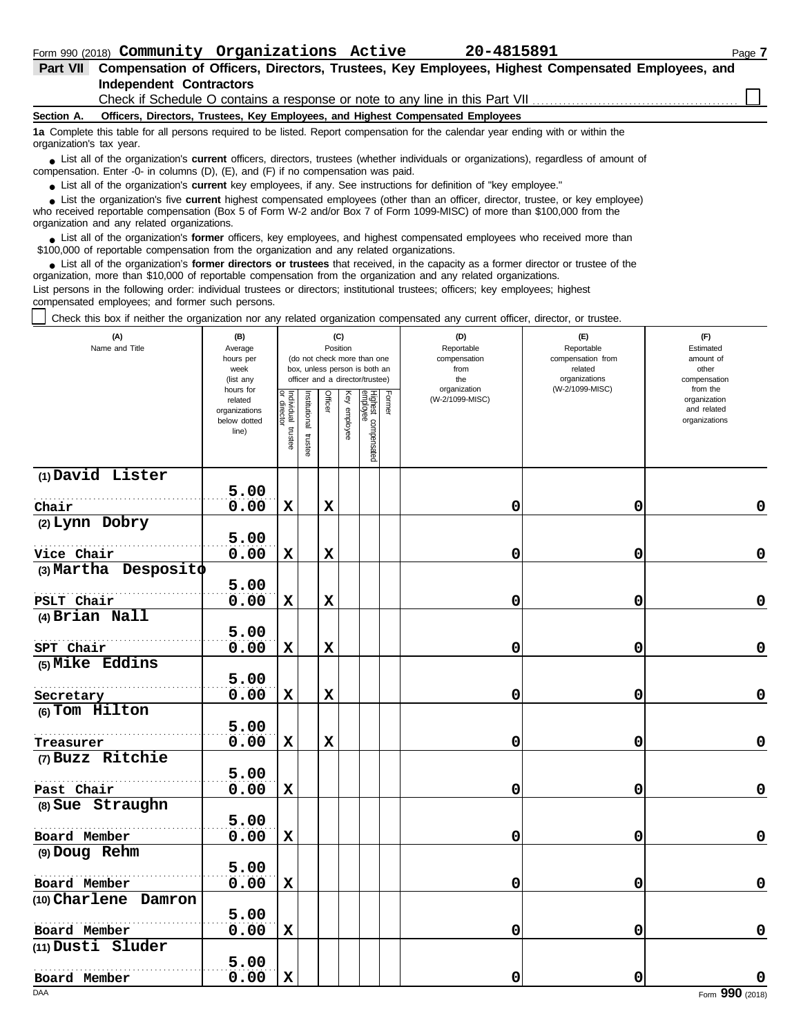| Part VII Compensation of Officers, Directors, Trustees, Key Employees, Highest Compensated Employees, and |  |
|-----------------------------------------------------------------------------------------------------------|--|
| Independent Contractors                                                                                   |  |
| Check if Schedule O contains a response or note to any line in this Part VII.                             |  |

#### **Section A. Officers, Directors, Trustees, Key Employees, and Highest Compensated Employees**

**1a** Complete this table for all persons required to be listed. Report compensation for the calendar year ending with or within the organization's tax year.

■ List all of the organization's **current** officers, directors, trustees (whether individuals or organizations), regardless of amount of the companies of amount of compensation. Enter -0- in columns (D), (E), and (F) if no compensation was paid.

● List all of the organization's **current** key employees, if any. See instructions for definition of "key employee."

■ List the organization's five **current** highest compensated employees (other than an officer, director, trustee, or key employee)<br> **•** Preceived reportable compensation (Box 5 of Form W.2 and/or Box 7 of Form 1000 MISC)

who received reportable compensation (Box 5 of Form W-2 and/or Box 7 of Form 1099-MISC) of more than \$100,000 from the organization and any related organizations.

■ List all of the organization's **former** officers, key employees, and highest compensated employees who received more than<br> **•** 00,000 of reportable compensation from the ergonization and any related ergonizations \$100,000 of reportable compensation from the organization and any related organizations.

■ List all of the organization's **former directors or trustees** that received, in the capacity as a former director or trustee of the<br>paization, more than \$10,000 of reportable compensation from the organization and any r organization, more than \$10,000 of reportable compensation from the organization and any related organizations. List persons in the following order: individual trustees or directors; institutional trustees; officers; key employees; highest

compensated employees; and former such persons.

Check this box if neither the organization nor any related organization compensated any current officer, director, or trustee.

| (A)<br>Name and Title      | (B)<br>(C)<br>Position<br>Average<br>hours per<br>(do not check more than one<br>week<br>box, unless person is both an<br>officer and a director/trustee)<br>(list any |                                   |                          |             |              | (D)<br>Reportable<br>compensation<br>from<br>the | (E)<br>Reportable<br>compensation from<br>related<br>organizations | (F)<br>Estimated<br>amount of<br>other<br>compensation |                 |                                                          |
|----------------------------|------------------------------------------------------------------------------------------------------------------------------------------------------------------------|-----------------------------------|--------------------------|-------------|--------------|--------------------------------------------------|--------------------------------------------------------------------|--------------------------------------------------------|-----------------|----------------------------------------------------------|
|                            | hours for<br>related<br>organizations<br>below dotted<br>line)                                                                                                         | Individual trustee<br>or director | Institutional<br>trustee | Officer     | Key employee | Highest compensated<br>employee                  | Former                                                             | organization<br>(W-2/1099-MISC)                        | (W-2/1099-MISC) | from the<br>organization<br>and related<br>organizations |
| (1) David Lister           | 5.00                                                                                                                                                                   |                                   |                          |             |              |                                                  |                                                                    |                                                        |                 |                                                          |
| Chair                      | 0.00                                                                                                                                                                   | $\mathbf x$                       |                          | $\mathbf x$ |              |                                                  |                                                                    | 0                                                      | 0               | $\pmb{0}$                                                |
| (2) Lynn Dobry             |                                                                                                                                                                        |                                   |                          |             |              |                                                  |                                                                    |                                                        |                 |                                                          |
|                            | 5.00                                                                                                                                                                   |                                   |                          |             |              |                                                  |                                                                    |                                                        |                 |                                                          |
| Vice Chair                 | 0.00                                                                                                                                                                   | $\mathbf x$                       |                          | $\mathbf x$ |              |                                                  |                                                                    | 0                                                      | 0               | 0                                                        |
| $(3)$ Martha Desposito     |                                                                                                                                                                        |                                   |                          |             |              |                                                  |                                                                    |                                                        |                 |                                                          |
|                            | 5.00                                                                                                                                                                   |                                   |                          |             |              |                                                  |                                                                    |                                                        |                 |                                                          |
| PSLT Chair                 | 0.00                                                                                                                                                                   | $\mathbf x$                       |                          | $\mathbf x$ |              |                                                  |                                                                    | 0                                                      | 0               | $\mathbf 0$                                              |
| (4) Brian Nall             |                                                                                                                                                                        |                                   |                          |             |              |                                                  |                                                                    |                                                        |                 |                                                          |
|                            | 5.00                                                                                                                                                                   |                                   |                          |             |              |                                                  |                                                                    |                                                        |                 |                                                          |
| SPT Chair                  | 0.00                                                                                                                                                                   | $\mathbf x$                       |                          | $\mathbf x$ |              |                                                  |                                                                    | 0                                                      | 0               | 0                                                        |
| (5) Mike Eddins            | 5.00                                                                                                                                                                   |                                   |                          |             |              |                                                  |                                                                    |                                                        |                 |                                                          |
| Secretary                  | 0.00                                                                                                                                                                   | $\mathbf x$                       |                          | $\mathbf x$ |              |                                                  |                                                                    | 0                                                      | $\mathbf 0$     | $\mathbf 0$                                              |
| (6) Tom Hilton             |                                                                                                                                                                        |                                   |                          |             |              |                                                  |                                                                    |                                                        |                 |                                                          |
|                            | 5.00                                                                                                                                                                   |                                   |                          |             |              |                                                  |                                                                    |                                                        |                 |                                                          |
| Treasurer                  | 0.00                                                                                                                                                                   | $\mathbf x$                       |                          | $\mathbf x$ |              |                                                  |                                                                    | 0                                                      | 0               | $\pmb{0}$                                                |
| (7) Buzz Ritchie           |                                                                                                                                                                        |                                   |                          |             |              |                                                  |                                                                    |                                                        |                 |                                                          |
|                            | 5.00                                                                                                                                                                   |                                   |                          |             |              |                                                  |                                                                    |                                                        |                 |                                                          |
| Past Chair                 | 0.00                                                                                                                                                                   | $\mathbf x$                       |                          |             |              |                                                  |                                                                    | 0                                                      | 0               | $\pmb{0}$                                                |
| (8) Sue Straughn           |                                                                                                                                                                        |                                   |                          |             |              |                                                  |                                                                    |                                                        |                 |                                                          |
|                            | 5.00                                                                                                                                                                   |                                   |                          |             |              |                                                  |                                                                    |                                                        |                 |                                                          |
| Board Member               | 0.00                                                                                                                                                                   | $\mathbf x$                       |                          |             |              |                                                  |                                                                    | 0                                                      | 0               | $\mathbf 0$                                              |
| (9) Doug Rehm              |                                                                                                                                                                        |                                   |                          |             |              |                                                  |                                                                    |                                                        |                 |                                                          |
|                            | 5.00                                                                                                                                                                   |                                   |                          |             |              |                                                  |                                                                    |                                                        |                 |                                                          |
| Board Member               | 0.00                                                                                                                                                                   | $\mathbf x$                       |                          |             |              |                                                  |                                                                    | 0                                                      | 0               | $\mathbf 0$                                              |
| (10) Charlene Damron       |                                                                                                                                                                        |                                   |                          |             |              |                                                  |                                                                    |                                                        |                 |                                                          |
|                            | 5.00                                                                                                                                                                   |                                   |                          |             |              |                                                  |                                                                    |                                                        |                 |                                                          |
| Board Member               | 0.00                                                                                                                                                                   | $\mathbf x$                       |                          |             |              |                                                  |                                                                    | 0                                                      | 0               | $\mathbf 0$                                              |
| (11) Dusti Sluder          |                                                                                                                                                                        |                                   |                          |             |              |                                                  |                                                                    |                                                        |                 |                                                          |
|                            | 5.00<br>0.00                                                                                                                                                           |                                   |                          |             |              |                                                  |                                                                    |                                                        | 0               |                                                          |
| Board Member<br><b>DAA</b> |                                                                                                                                                                        | $\mathbf x$                       |                          |             |              |                                                  |                                                                    | 0                                                      |                 | 0<br>Form 990 (2018)                                     |
|                            |                                                                                                                                                                        |                                   |                          |             |              |                                                  |                                                                    |                                                        |                 |                                                          |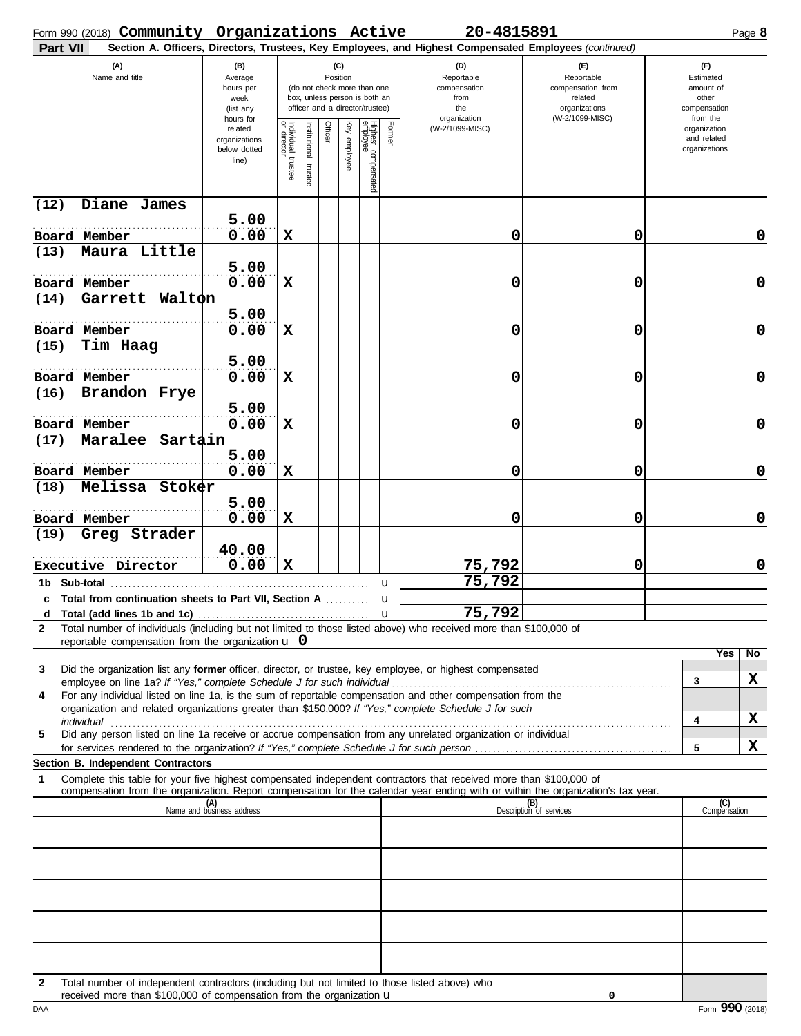| Form 990 (2018) Community Organizations Active                                                                                                                                                                            |                                                               |                                   |                         |                 |                 |                                                                                                 |               | 20-4815891                                                                                             |                                                                                       | Page 8                                                             |             |
|---------------------------------------------------------------------------------------------------------------------------------------------------------------------------------------------------------------------------|---------------------------------------------------------------|-----------------------------------|-------------------------|-----------------|-----------------|-------------------------------------------------------------------------------------------------|---------------|--------------------------------------------------------------------------------------------------------|---------------------------------------------------------------------------------------|--------------------------------------------------------------------|-------------|
| Part VII                                                                                                                                                                                                                  |                                                               |                                   |                         |                 |                 |                                                                                                 |               | Section A. Officers, Directors, Trustees, Key Employees, and Highest Compensated Employees (continued) |                                                                                       |                                                                    |             |
| (A)<br>Name and title                                                                                                                                                                                                     | (B)<br>Average<br>hours per<br>week<br>(list any<br>hours for |                                   |                         | (C)<br>Position |                 | (do not check more than one<br>box, unless person is both an<br>officer and a director/trustee) |               | (D)<br>Reportable<br>compensation<br>from<br>the<br>organization                                       | (E)<br>Reportable<br>compensation from<br>related<br>organizations<br>(W-2/1099-MISC) | (F)<br>Estimated<br>amount of<br>other<br>compensation<br>from the |             |
|                                                                                                                                                                                                                           | related<br>organizations<br>below dotted<br>line)             | Individual trustee<br>or director | nstitutional<br>trustee | Officer         | Ķey<br>employee | Highest compensated<br>employee                                                                 | Former        | (W-2/1099-MISC)                                                                                        |                                                                                       | organization<br>and related<br>organizations                       |             |
| Diane James<br>(12)                                                                                                                                                                                                       |                                                               |                                   |                         |                 |                 |                                                                                                 |               |                                                                                                        |                                                                                       |                                                                    |             |
| Board Member                                                                                                                                                                                                              | 5.00<br>0.00                                                  | X                                 |                         |                 |                 |                                                                                                 |               | 0                                                                                                      | 0                                                                                     |                                                                    | 0           |
| Maura Little<br>(13)                                                                                                                                                                                                      |                                                               |                                   |                         |                 |                 |                                                                                                 |               |                                                                                                        |                                                                                       |                                                                    |             |
|                                                                                                                                                                                                                           | 5.00                                                          |                                   |                         |                 |                 |                                                                                                 |               |                                                                                                        |                                                                                       |                                                                    |             |
| Board Member<br>Walton<br>Garrett<br>(14)                                                                                                                                                                                 | 0.00                                                          | X                                 |                         |                 |                 |                                                                                                 |               | 0                                                                                                      | 0                                                                                     |                                                                    | $\mathbf 0$ |
|                                                                                                                                                                                                                           | 5.00                                                          |                                   |                         |                 |                 |                                                                                                 |               |                                                                                                        |                                                                                       |                                                                    |             |
| Board Member                                                                                                                                                                                                              | 0.00                                                          | X                                 |                         |                 |                 |                                                                                                 |               | 0                                                                                                      | 0                                                                                     |                                                                    | $\mathbf 0$ |
| Tim Haag<br>(15)                                                                                                                                                                                                          |                                                               |                                   |                         |                 |                 |                                                                                                 |               |                                                                                                        |                                                                                       |                                                                    |             |
| Board Member                                                                                                                                                                                                              | 5.00<br>0.00                                                  | X                                 |                         |                 |                 |                                                                                                 |               | 0                                                                                                      | 0                                                                                     |                                                                    | $\mathbf 0$ |
| Brandon Frye<br>(16)                                                                                                                                                                                                      |                                                               |                                   |                         |                 |                 |                                                                                                 |               |                                                                                                        |                                                                                       |                                                                    |             |
| Board Member                                                                                                                                                                                                              | 5.00<br>0.00                                                  | X                                 |                         |                 |                 |                                                                                                 |               | 0                                                                                                      | 0                                                                                     |                                                                    | 0           |
| Maralee<br>Sartain<br>(17)                                                                                                                                                                                                |                                                               |                                   |                         |                 |                 |                                                                                                 |               |                                                                                                        |                                                                                       |                                                                    |             |
| Board Member                                                                                                                                                                                                              | 5.00<br>0.00                                                  | X                                 |                         |                 |                 |                                                                                                 |               | 0                                                                                                      | 0                                                                                     |                                                                    | 0           |
| Melissa<br>Stoker<br>(18)                                                                                                                                                                                                 | 5.00                                                          |                                   |                         |                 |                 |                                                                                                 |               |                                                                                                        |                                                                                       |                                                                    |             |
| Board Member                                                                                                                                                                                                              | 0.00                                                          | X                                 |                         |                 |                 |                                                                                                 |               | 0                                                                                                      | 0                                                                                     |                                                                    | 0           |
| Greg Strader<br>(19)                                                                                                                                                                                                      |                                                               |                                   |                         |                 |                 |                                                                                                 |               |                                                                                                        |                                                                                       |                                                                    |             |
| Executive Director                                                                                                                                                                                                        | 40.00<br>0.00                                                 | $\mathbf x$                       |                         |                 |                 |                                                                                                 |               | 75,792                                                                                                 | 0                                                                                     |                                                                    | 0           |
| 1b Sub-total                                                                                                                                                                                                              |                                                               |                                   |                         |                 |                 |                                                                                                 | u             | 75,792                                                                                                 |                                                                                       |                                                                    |             |
| c Total from continuation sheets to Part VII, Section A<br>Total (add lines 1b and 1c)                                                                                                                                    |                                                               |                                   |                         |                 |                 |                                                                                                 | u<br><b>u</b> | 75,792                                                                                                 |                                                                                       |                                                                    |             |
| d<br>Total number of individuals (including but not limited to those listed above) who received more than \$100,000 of<br>$\mathbf{2}$                                                                                    |                                                               |                                   |                         |                 |                 |                                                                                                 |               |                                                                                                        |                                                                                       |                                                                    |             |
| reportable compensation from the organization $\bf{u}$ 0                                                                                                                                                                  |                                                               |                                   |                         |                 |                 |                                                                                                 |               |                                                                                                        |                                                                                       | Yes<br>No                                                          |             |
| Did the organization list any former officer, director, or trustee, key employee, or highest compensated<br>3<br>employee on line 1a? If "Yes," complete Schedule J for such individual                                   |                                                               |                                   |                         |                 |                 |                                                                                                 |               |                                                                                                        |                                                                                       | X<br>3                                                             |             |
| For any individual listed on line 1a, is the sum of reportable compensation and other compensation from the<br>4<br>organization and related organizations greater than \$150,000? If "Yes," complete Schedule J for such |                                                               |                                   |                         |                 |                 |                                                                                                 |               |                                                                                                        |                                                                                       |                                                                    |             |
| Did any person listed on line 1a receive or accrue compensation from any unrelated organization or individual<br>5                                                                                                        |                                                               |                                   |                         |                 |                 |                                                                                                 |               |                                                                                                        |                                                                                       | X<br>4                                                             |             |
|                                                                                                                                                                                                                           |                                                               |                                   |                         |                 |                 |                                                                                                 |               |                                                                                                        |                                                                                       | x<br>5                                                             |             |
| Section B. Independent Contractors<br>Complete this table for your five highest compensated independent contractors that received more than \$100,000 of<br>1                                                             |                                                               |                                   |                         |                 |                 |                                                                                                 |               |                                                                                                        |                                                                                       |                                                                    |             |
| compensation from the organization. Report compensation for the calendar year ending with or within the organization's tax year.                                                                                          |                                                               |                                   |                         |                 |                 |                                                                                                 |               |                                                                                                        |                                                                                       |                                                                    |             |
|                                                                                                                                                                                                                           | $\overline{\mathsf{Name}}$ (A)<br>Name and business address   |                                   |                         |                 |                 |                                                                                                 |               |                                                                                                        | (B)<br>Description of services                                                        | (C)<br>Compensation                                                |             |
|                                                                                                                                                                                                                           |                                                               |                                   |                         |                 |                 |                                                                                                 |               |                                                                                                        |                                                                                       |                                                                    |             |
|                                                                                                                                                                                                                           |                                                               |                                   |                         |                 |                 |                                                                                                 |               |                                                                                                        |                                                                                       |                                                                    |             |
|                                                                                                                                                                                                                           |                                                               |                                   |                         |                 |                 |                                                                                                 |               |                                                                                                        |                                                                                       |                                                                    |             |
|                                                                                                                                                                                                                           |                                                               |                                   |                         |                 |                 |                                                                                                 |               |                                                                                                        |                                                                                       |                                                                    |             |
|                                                                                                                                                                                                                           |                                                               |                                   |                         |                 |                 |                                                                                                 |               |                                                                                                        |                                                                                       |                                                                    |             |
| Total number of independent contractors (including but not limited to those listed above) who<br>2                                                                                                                        |                                                               |                                   |                         |                 |                 |                                                                                                 |               |                                                                                                        |                                                                                       |                                                                    |             |
| received more than \$100,000 of compensation from the organization $\mathbf u$                                                                                                                                            |                                                               |                                   |                         |                 |                 |                                                                                                 |               |                                                                                                        | 0                                                                                     |                                                                    |             |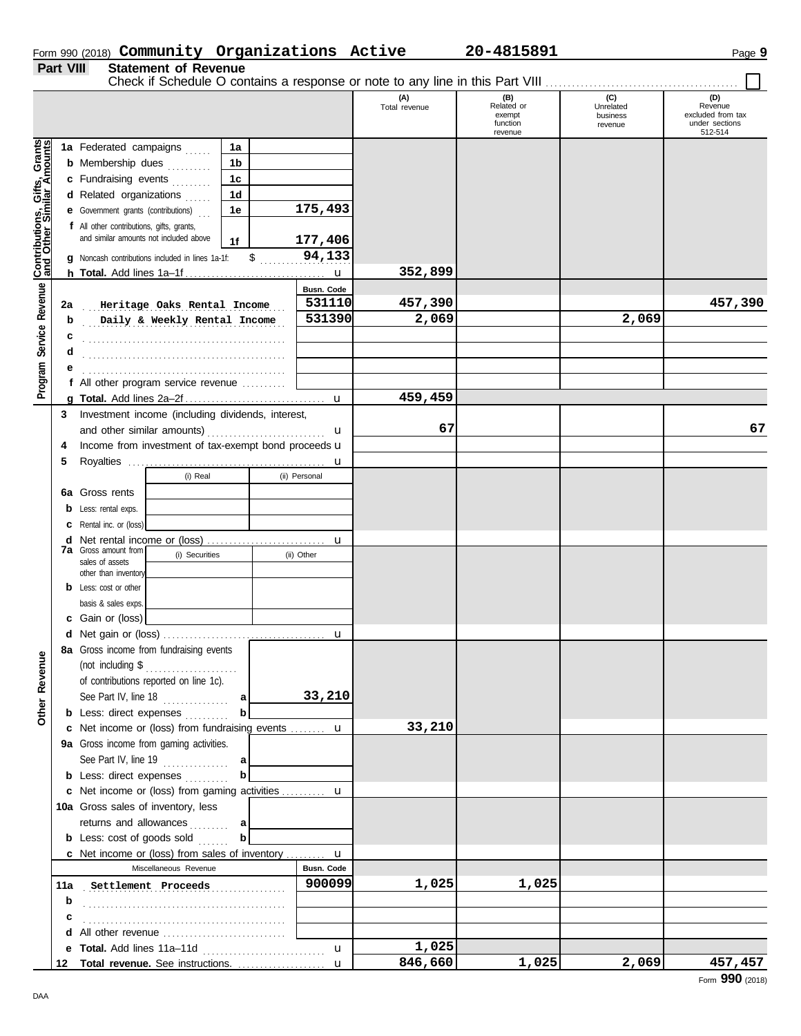|                  |                             | Form 990 (2018) Community Organizations Active | 20-4815891 | Page $\boldsymbol{9}$ |
|------------------|-----------------------------|------------------------------------------------|------------|-----------------------|
| <b>Part VIII</b> | <b>Statement of Revenue</b> |                                                |            |                       |

#### **Statement of Revenue**

Check if Schedule O contains a response or note to any line in this Part VIII . . . . . . . . . . . . . . . . . . . . . . . . . . . . . . . . . . . . . . . . . . . .

|                              |    |                                                                   |                   | (A)<br>Total revenue | (B)<br>Related or<br>exempt<br>function<br>revenue | (C)<br>Unrelated<br>business<br>revenue | (D)<br>Revenue<br>excluded from tax<br>under sections<br>512-514 |
|------------------------------|----|-------------------------------------------------------------------|-------------------|----------------------|----------------------------------------------------|-----------------------------------------|------------------------------------------------------------------|
| Contributions, Gifts, Grants |    | 1a Federated campaigns<br>1a<br><b>b</b> Membership dues<br>1b    |                   |                      |                                                    |                                         |                                                                  |
|                              |    | c Fundraising events<br>1 <sub>c</sub>                            |                   |                      |                                                    |                                         |                                                                  |
|                              |    | d Related organizations<br>1d                                     |                   |                      |                                                    |                                         |                                                                  |
|                              |    | <b>e</b> Government grants (contributions)<br>1e                  | 175,493           |                      |                                                    |                                         |                                                                  |
|                              |    | f All other contributions, gifts, grants,                         |                   |                      |                                                    |                                         |                                                                  |
|                              |    | and similar amounts not included above<br>1f                      | 177,406           |                      |                                                    |                                         |                                                                  |
|                              |    | $\frac{1}{2}$<br>g Noncash contributions included in lines 1a-1f: | 94,133            |                      |                                                    |                                         |                                                                  |
|                              |    |                                                                   |                   | 352,899              |                                                    |                                         |                                                                  |
| Program Service Revenue      |    |                                                                   | Busn. Code        |                      |                                                    |                                         |                                                                  |
|                              | 2a | Heritage Oaks Rental Income                                       | 531110            | 457,390              |                                                    |                                         | 457,390                                                          |
|                              | b  | Daily & Weekly Rental Income                                      | 531390            | 2,069                |                                                    | 2,069                                   |                                                                  |
|                              | c  |                                                                   |                   |                      |                                                    |                                         |                                                                  |
|                              | d  |                                                                   |                   |                      |                                                    |                                         |                                                                  |
|                              |    | f All other program service revenue                               |                   |                      |                                                    |                                         |                                                                  |
|                              |    |                                                                   | $\mathbf u$       | 459,459              |                                                    |                                         |                                                                  |
|                              | 3  | Investment income (including dividends, interest,                 |                   |                      |                                                    |                                         |                                                                  |
|                              |    |                                                                   | u                 | 67                   |                                                    |                                         | 67                                                               |
|                              | 4  | Income from investment of tax-exempt bond proceeds u              |                   |                      |                                                    |                                         |                                                                  |
|                              | 5  |                                                                   | u                 |                      |                                                    |                                         |                                                                  |
|                              |    | (i) Real                                                          | (ii) Personal     |                      |                                                    |                                         |                                                                  |
|                              |    | 6a Gross rents                                                    |                   |                      |                                                    |                                         |                                                                  |
|                              | b  | Less: rental exps.                                                |                   |                      |                                                    |                                         |                                                                  |
|                              |    | Rental inc. or (loss)                                             |                   |                      |                                                    |                                         |                                                                  |
|                              | d  |                                                                   | u                 |                      |                                                    |                                         |                                                                  |
|                              |    | <b>7a</b> Gross amount from<br>(i) Securities<br>sales of assets  | (ii) Other        |                      |                                                    |                                         |                                                                  |
|                              |    | other than inventory                                              |                   |                      |                                                    |                                         |                                                                  |
|                              | b  | Less: cost or other                                               |                   |                      |                                                    |                                         |                                                                  |
|                              |    | basis & sales exps.                                               |                   |                      |                                                    |                                         |                                                                  |
|                              |    | c Gain or (loss)                                                  |                   |                      |                                                    |                                         |                                                                  |
|                              |    |                                                                   |                   |                      |                                                    |                                         |                                                                  |
| enue                         |    | 8a Gross income from fundraising events<br>(not including \$      |                   |                      |                                                    |                                         |                                                                  |
|                              |    | .<br>of contributions reported on line 1c).                       |                   |                      |                                                    |                                         |                                                                  |
|                              |    | See Part IV, line $18$<br>a                                       | 33,210            |                      |                                                    |                                         |                                                                  |
| Other Rev                    |    | b<br><b>b</b> Less: direct expenses                               |                   |                      |                                                    |                                         |                                                                  |
|                              |    | c Net income or (loss) from fundraising events  u                 |                   | 33,210               |                                                    |                                         |                                                                  |
|                              |    | 9a Gross income from gaming activities.                           |                   |                      |                                                    |                                         |                                                                  |
|                              |    | See Part IV, line 19 $\ldots$<br>a                                |                   |                      |                                                    |                                         |                                                                  |
|                              |    | $\mathbf b$<br><b>b</b> Less: direct expenses                     |                   |                      |                                                    |                                         |                                                                  |
|                              |    | c Net income or (loss) from gaming activities  u                  |                   |                      |                                                    |                                         |                                                                  |
|                              |    | 10a Gross sales of inventory, less                                |                   |                      |                                                    |                                         |                                                                  |
|                              |    | returns and allowances<br>a                                       |                   |                      |                                                    |                                         |                                                                  |
|                              |    | <b>b</b> Less: cost of goods sold<br>b                            |                   |                      |                                                    |                                         |                                                                  |
|                              |    | <b>c</b> Net income or (loss) from sales of inventory             | u                 |                      |                                                    |                                         |                                                                  |
|                              |    | Miscellaneous Revenue                                             | Busn. Code        |                      |                                                    |                                         |                                                                  |
|                              |    | 11a Settlement Proceeds                                           | 900099            | 1,025                | 1,025                                              |                                         |                                                                  |
|                              | b  |                                                                   |                   |                      |                                                    |                                         |                                                                  |
|                              | c  |                                                                   |                   |                      |                                                    |                                         |                                                                  |
|                              |    | d All other revenue                                               |                   | 1,025                |                                                    |                                         |                                                                  |
|                              |    | e Total. Add lines 11a-11d<br>12 Total revenue. See instructions. | u<br>$\mathbf{u}$ | 846,660              | 1,025                                              | 2,069                                   | 457,457                                                          |
|                              |    |                                                                   |                   |                      |                                                    |                                         |                                                                  |

DAA

#### **Community Organizations Active 20-4815891**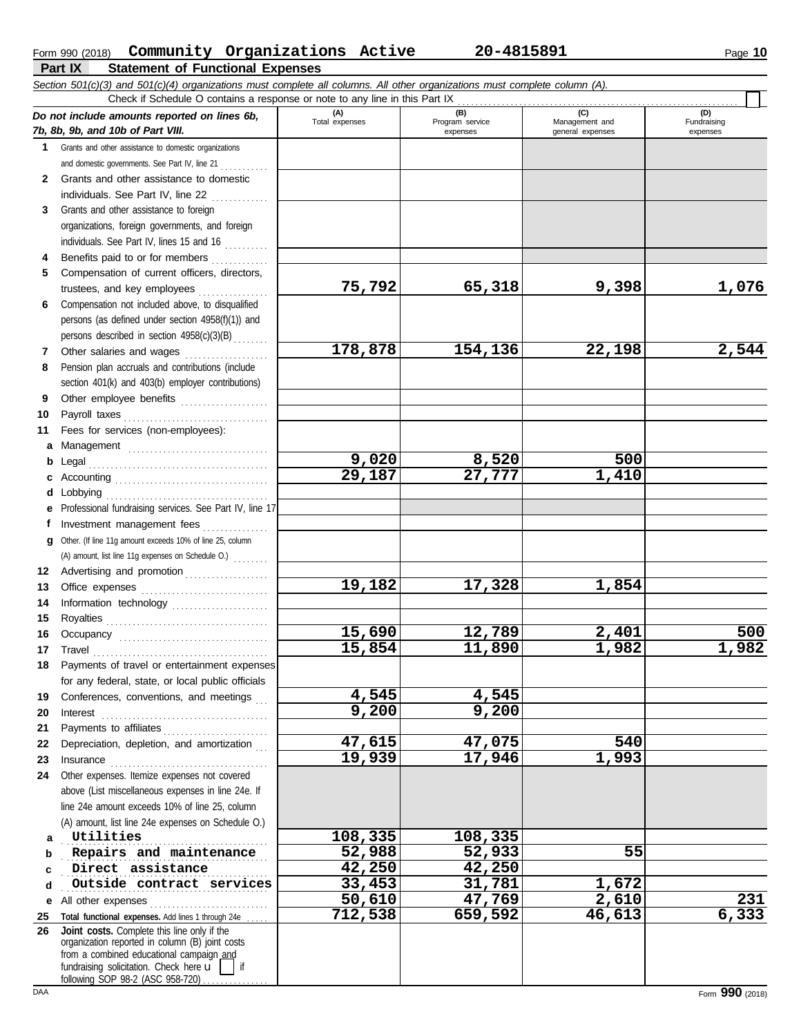### Form 990 (2018) Page **10 Community Organizations Active 20-4815891**

| <b>Statement of Functional Expenses</b><br>Part IX                                                                                                   |                       |                                    |                                           |                                |
|------------------------------------------------------------------------------------------------------------------------------------------------------|-----------------------|------------------------------------|-------------------------------------------|--------------------------------|
| Section 501(c)(3) and 501(c)(4) organizations must complete all columns. All other organizations must complete column (A).                           |                       |                                    |                                           |                                |
| Check if Schedule O contains a response or note to any line in this Part IX                                                                          |                       |                                    |                                           |                                |
| Do not include amounts reported on lines 6b,<br>7b, 8b, 9b, and 10b of Part VIII.                                                                    | (A)<br>Total expenses | (B)<br>Program service<br>expenses | (C)<br>Management and<br>general expenses | (D)<br>Fundraising<br>expenses |
| Grants and other assistance to domestic organizations<br>and domestic governments. See Part IV, line 21                                              |                       |                                    |                                           |                                |
| Grants and other assistance to domestic<br>individuals. See Part IV, line 22                                                                         |                       |                                    |                                           |                                |
| Grants and other assistance to foreign<br>3.<br>organizations, foreign governments, and foreign<br>$indluidualc$ , Coo Dort IV, $linoc$ , 15, and 14 |                       |                                    |                                           |                                |

|    | organizations, foreign governments, and foreign                                                                                            |                       |         |        |       |
|----|--------------------------------------------------------------------------------------------------------------------------------------------|-----------------------|---------|--------|-------|
|    | individuals. See Part IV, lines 15 and 16                                                                                                  |                       |         |        |       |
| 4  | Benefits paid to or for members                                                                                                            |                       |         |        |       |
| 5. | Compensation of current officers, directors,                                                                                               |                       |         |        |       |
|    | trustees, and key employees                                                                                                                | 75,792                | 65,318  | 9,398  | 1,076 |
| 6  | Compensation not included above, to disqualified                                                                                           |                       |         |        |       |
|    | persons (as defined under section 4958(f)(1)) and                                                                                          |                       |         |        |       |
|    | persons described in section 4958(c)(3)(B)                                                                                                 |                       |         |        |       |
| 7  | Other salaries and wages                                                                                                                   | 178,878               | 154,136 | 22,198 | 2,544 |
| 8  | Pension plan accruals and contributions (include                                                                                           |                       |         |        |       |
|    | section 401(k) and 403(b) employer contributions)                                                                                          |                       |         |        |       |
| 9  | Other employee benefits                                                                                                                    |                       |         |        |       |
| 10 | Payroll taxes                                                                                                                              |                       |         |        |       |
| 11 | Fees for services (non-employees):                                                                                                         |                       |         |        |       |
| а  |                                                                                                                                            |                       |         |        |       |
| b  | Legal                                                                                                                                      | 9,020                 | 8,520   | 500    |       |
| c  |                                                                                                                                            | $\overline{29}$ , 187 | 27,777  | 1,410  |       |
| d  | Lobbying                                                                                                                                   |                       |         |        |       |
| е  | Professional fundraising services. See Part IV, line 17                                                                                    |                       |         |        |       |
| f  | Investment management fees                                                                                                                 |                       |         |        |       |
| g  | Other. (If line 11g amount exceeds 10% of line 25, column                                                                                  |                       |         |        |       |
|    | (A) amount, list line 11g expenses on Schedule O.)                                                                                         |                       |         |        |       |
|    | 12 Advertising and promotion [1] [1] Advertising and promotion                                                                             |                       |         |        |       |
| 13 |                                                                                                                                            | 19,182                | 17,328  | 1,854  |       |
| 14 | Information technology                                                                                                                     |                       |         |        |       |
| 15 |                                                                                                                                            |                       |         |        |       |
| 16 |                                                                                                                                            | 15,690                | 12,789  | 2,401  | 500   |
| 17 | Travel                                                                                                                                     | 15,854                | 11,890  | 1,982  | 1,982 |
| 18 | Payments of travel or entertainment expenses                                                                                               |                       |         |        |       |
|    | for any federal, state, or local public officials                                                                                          |                       |         |        |       |
| 19 | Conferences, conventions, and meetings                                                                                                     | 4,545                 | 4,545   |        |       |
| 20 | Interest                                                                                                                                   | 9,200                 | 9,200   |        |       |
| 21 |                                                                                                                                            |                       |         |        |       |
| 22 | Depreciation, depletion, and amortization                                                                                                  | 47,615                | 47,075  | 540    |       |
| 23 | Insurance                                                                                                                                  | 19,939                | 17,946  | 1,993  |       |
| 24 | Other expenses. Itemize expenses not covered                                                                                               |                       |         |        |       |
|    | above (List miscellaneous expenses in line 24e. If                                                                                         |                       |         |        |       |
|    | line 24e amount exceeds 10% of line 25, column                                                                                             |                       |         |        |       |
|    | (A) amount, list line 24e expenses on Schedule O.)                                                                                         |                       |         |        |       |
| a  | Utilities                                                                                                                                  | 108,335               | 108,335 |        |       |
| b  | Repairs and maintenance                                                                                                                    | 52,988                | 52,933  | 55     |       |
| c  | Direct assistance                                                                                                                          | 42,250                | 42,250  |        |       |
| d  | Outside contract services                                                                                                                  | 33,453                | 31,781  | 1,672  |       |
| е  | All other expenses                                                                                                                         | 50,610                | 47,769  | 2,610  | 231   |
| 25 | Total functional expenses. Add lines 1 through 24e .                                                                                       | 712,538               | 659,592 | 46,613 | 6,333 |
| 26 | Joint costs. Complete this line only if the<br>organization reported in column (B) joint costs<br>from a combined educational campaign and |                       |         |        |       |
|    | fundraising solicitation. Check here u                                                                                                     |                       |         |        |       |

following SOP 98-2 (ASC 958-720) . . . . . . . . . . . . .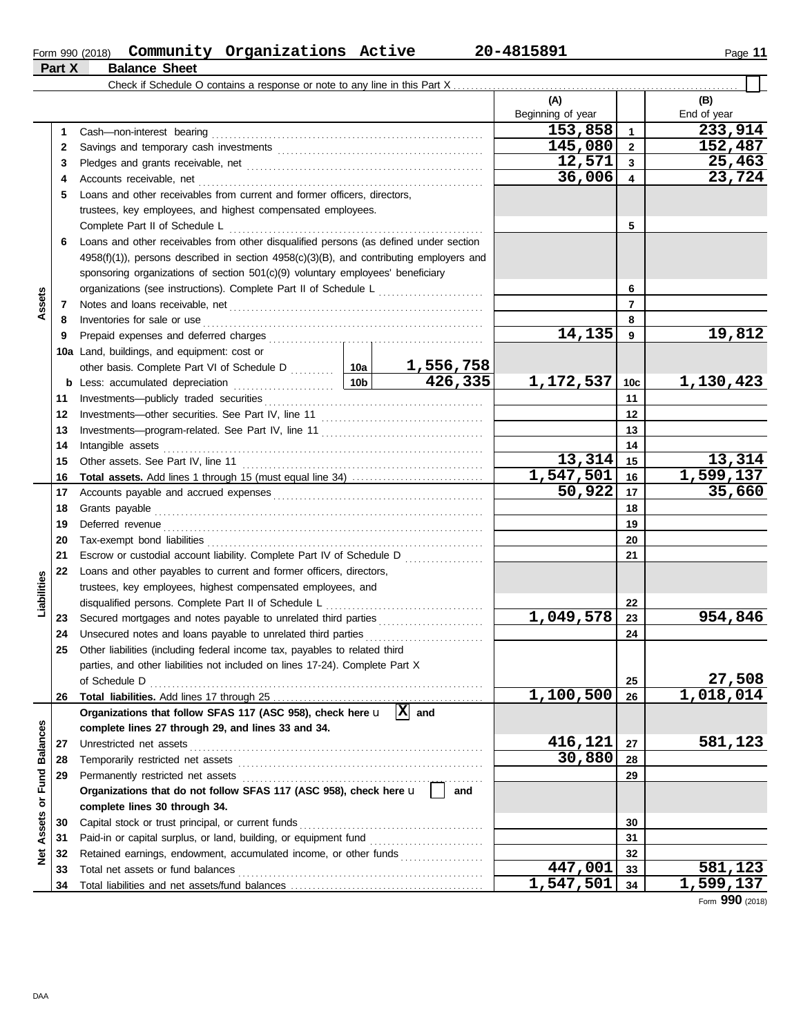#### Form 990 (2018) **Community Organizations Active 20-4815891** Page 11 **Community Organizations Active 20-4815891**

**Part X Balance Sheet**

| (A)<br>(B)<br>Beginning of year<br>End of year<br>233,914<br>153,858<br>$\mathbf{1}$<br>1<br>145,080<br>152,487<br>$\overline{2}$<br>2<br>12,571<br>25,463<br>$\mathbf{3}$<br>3<br>23,724<br>36,006<br>4<br>Accounts receivable, net<br>4<br>Loans and other receivables from current and former officers, directors,<br>5<br>trustees, key employees, and highest compensated employees.<br>5<br>Complete Part II of Schedule L<br>Loans and other receivables from other disqualified persons (as defined under section<br>6<br>$4958(f)(1)$ ), persons described in section $4958(c)(3)(B)$ , and contributing employers and<br>sponsoring organizations of section 501(c)(9) voluntary employees' beneficiary<br>organizations (see instructions). Complete Part II of Schedule L<br>6<br>Assets<br>$\overline{7}$<br>7<br>Inventories for sale or use<br>8<br>8<br>19,812<br>14,135<br>9<br>Prepaid expenses and deferred charges<br>9<br>10a Land, buildings, and equipment: cost or<br>1,556,758<br>426,335<br>1,172,537<br>1,130,423<br>10 <sub>b</sub><br>10 <sub>c</sub><br>Less: accumulated depreciation<br>b<br>11<br>11<br>12<br>12<br>13<br>13<br>14<br>14<br>Intangible assets<br>13,314<br>13,314<br>15<br>15<br>1,599,137<br>1,547,501<br>16<br>16<br>50,922<br>35,660<br>17<br>17<br>18<br>Grants payable<br>18<br>Deferred revenue<br>19<br>19<br>20<br>20<br>21<br>Escrow or custodial account liability. Complete Part IV of Schedule D<br>21<br>22<br>Loans and other payables to current and former officers, directors,<br>Liabilities<br>trustees, key employees, highest compensated employees, and<br>disqualified persons. Complete Part II of Schedule L<br>22<br>1,049,578<br>954,846<br>23<br>23<br>Unsecured notes and loans payable to unrelated third parties<br>24<br>24<br>Other liabilities (including federal income tax, payables to related third<br>25<br>parties, and other liabilities not included on lines 17-24). Complete Part X<br>27,508<br>25<br>of Schedule D<br>1,018,014<br>1,100,500<br>26<br>26<br>$\overline{X}$ and<br>Organizations that follow SFAS 117 (ASC 958), check here u<br><b>Balances</b><br>complete lines 27 through 29, and lines 33 and 34.<br>416,121<br>581,123<br>27<br>Unrestricted net assets<br>27<br>30,880<br>28<br>28<br>Assets or Fund<br>29<br>29<br>Organizations that do not follow SFAS 117 (ASC 958), check here u<br>and<br>complete lines 30 through 34. |  | Check if Schedule O contains a response or note to any line in this Part X |  |  |  |  |  |  |  |
|----------------------------------------------------------------------------------------------------------------------------------------------------------------------------------------------------------------------------------------------------------------------------------------------------------------------------------------------------------------------------------------------------------------------------------------------------------------------------------------------------------------------------------------------------------------------------------------------------------------------------------------------------------------------------------------------------------------------------------------------------------------------------------------------------------------------------------------------------------------------------------------------------------------------------------------------------------------------------------------------------------------------------------------------------------------------------------------------------------------------------------------------------------------------------------------------------------------------------------------------------------------------------------------------------------------------------------------------------------------------------------------------------------------------------------------------------------------------------------------------------------------------------------------------------------------------------------------------------------------------------------------------------------------------------------------------------------------------------------------------------------------------------------------------------------------------------------------------------------------------------------------------------------------------------------------------------------------------------------------------------------------------------------------------------------------------------------------------------------------------------------------------------------------------------------------------------------------------------------------------------------------------------------------------------------------------------------------------------------------------------------------------------------------------------------------------------|--|----------------------------------------------------------------------------|--|--|--|--|--|--|--|
|                                                                                                                                                                                                                                                                                                                                                                                                                                                                                                                                                                                                                                                                                                                                                                                                                                                                                                                                                                                                                                                                                                                                                                                                                                                                                                                                                                                                                                                                                                                                                                                                                                                                                                                                                                                                                                                                                                                                                                                                                                                                                                                                                                                                                                                                                                                                                                                                                                                    |  |                                                                            |  |  |  |  |  |  |  |
|                                                                                                                                                                                                                                                                                                                                                                                                                                                                                                                                                                                                                                                                                                                                                                                                                                                                                                                                                                                                                                                                                                                                                                                                                                                                                                                                                                                                                                                                                                                                                                                                                                                                                                                                                                                                                                                                                                                                                                                                                                                                                                                                                                                                                                                                                                                                                                                                                                                    |  |                                                                            |  |  |  |  |  |  |  |
|                                                                                                                                                                                                                                                                                                                                                                                                                                                                                                                                                                                                                                                                                                                                                                                                                                                                                                                                                                                                                                                                                                                                                                                                                                                                                                                                                                                                                                                                                                                                                                                                                                                                                                                                                                                                                                                                                                                                                                                                                                                                                                                                                                                                                                                                                                                                                                                                                                                    |  |                                                                            |  |  |  |  |  |  |  |
|                                                                                                                                                                                                                                                                                                                                                                                                                                                                                                                                                                                                                                                                                                                                                                                                                                                                                                                                                                                                                                                                                                                                                                                                                                                                                                                                                                                                                                                                                                                                                                                                                                                                                                                                                                                                                                                                                                                                                                                                                                                                                                                                                                                                                                                                                                                                                                                                                                                    |  |                                                                            |  |  |  |  |  |  |  |
|                                                                                                                                                                                                                                                                                                                                                                                                                                                                                                                                                                                                                                                                                                                                                                                                                                                                                                                                                                                                                                                                                                                                                                                                                                                                                                                                                                                                                                                                                                                                                                                                                                                                                                                                                                                                                                                                                                                                                                                                                                                                                                                                                                                                                                                                                                                                                                                                                                                    |  |                                                                            |  |  |  |  |  |  |  |
|                                                                                                                                                                                                                                                                                                                                                                                                                                                                                                                                                                                                                                                                                                                                                                                                                                                                                                                                                                                                                                                                                                                                                                                                                                                                                                                                                                                                                                                                                                                                                                                                                                                                                                                                                                                                                                                                                                                                                                                                                                                                                                                                                                                                                                                                                                                                                                                                                                                    |  |                                                                            |  |  |  |  |  |  |  |
|                                                                                                                                                                                                                                                                                                                                                                                                                                                                                                                                                                                                                                                                                                                                                                                                                                                                                                                                                                                                                                                                                                                                                                                                                                                                                                                                                                                                                                                                                                                                                                                                                                                                                                                                                                                                                                                                                                                                                                                                                                                                                                                                                                                                                                                                                                                                                                                                                                                    |  |                                                                            |  |  |  |  |  |  |  |
|                                                                                                                                                                                                                                                                                                                                                                                                                                                                                                                                                                                                                                                                                                                                                                                                                                                                                                                                                                                                                                                                                                                                                                                                                                                                                                                                                                                                                                                                                                                                                                                                                                                                                                                                                                                                                                                                                                                                                                                                                                                                                                                                                                                                                                                                                                                                                                                                                                                    |  |                                                                            |  |  |  |  |  |  |  |
|                                                                                                                                                                                                                                                                                                                                                                                                                                                                                                                                                                                                                                                                                                                                                                                                                                                                                                                                                                                                                                                                                                                                                                                                                                                                                                                                                                                                                                                                                                                                                                                                                                                                                                                                                                                                                                                                                                                                                                                                                                                                                                                                                                                                                                                                                                                                                                                                                                                    |  |                                                                            |  |  |  |  |  |  |  |
|                                                                                                                                                                                                                                                                                                                                                                                                                                                                                                                                                                                                                                                                                                                                                                                                                                                                                                                                                                                                                                                                                                                                                                                                                                                                                                                                                                                                                                                                                                                                                                                                                                                                                                                                                                                                                                                                                                                                                                                                                                                                                                                                                                                                                                                                                                                                                                                                                                                    |  |                                                                            |  |  |  |  |  |  |  |
|                                                                                                                                                                                                                                                                                                                                                                                                                                                                                                                                                                                                                                                                                                                                                                                                                                                                                                                                                                                                                                                                                                                                                                                                                                                                                                                                                                                                                                                                                                                                                                                                                                                                                                                                                                                                                                                                                                                                                                                                                                                                                                                                                                                                                                                                                                                                                                                                                                                    |  |                                                                            |  |  |  |  |  |  |  |
|                                                                                                                                                                                                                                                                                                                                                                                                                                                                                                                                                                                                                                                                                                                                                                                                                                                                                                                                                                                                                                                                                                                                                                                                                                                                                                                                                                                                                                                                                                                                                                                                                                                                                                                                                                                                                                                                                                                                                                                                                                                                                                                                                                                                                                                                                                                                                                                                                                                    |  |                                                                            |  |  |  |  |  |  |  |
|                                                                                                                                                                                                                                                                                                                                                                                                                                                                                                                                                                                                                                                                                                                                                                                                                                                                                                                                                                                                                                                                                                                                                                                                                                                                                                                                                                                                                                                                                                                                                                                                                                                                                                                                                                                                                                                                                                                                                                                                                                                                                                                                                                                                                                                                                                                                                                                                                                                    |  |                                                                            |  |  |  |  |  |  |  |
|                                                                                                                                                                                                                                                                                                                                                                                                                                                                                                                                                                                                                                                                                                                                                                                                                                                                                                                                                                                                                                                                                                                                                                                                                                                                                                                                                                                                                                                                                                                                                                                                                                                                                                                                                                                                                                                                                                                                                                                                                                                                                                                                                                                                                                                                                                                                                                                                                                                    |  |                                                                            |  |  |  |  |  |  |  |
|                                                                                                                                                                                                                                                                                                                                                                                                                                                                                                                                                                                                                                                                                                                                                                                                                                                                                                                                                                                                                                                                                                                                                                                                                                                                                                                                                                                                                                                                                                                                                                                                                                                                                                                                                                                                                                                                                                                                                                                                                                                                                                                                                                                                                                                                                                                                                                                                                                                    |  |                                                                            |  |  |  |  |  |  |  |
|                                                                                                                                                                                                                                                                                                                                                                                                                                                                                                                                                                                                                                                                                                                                                                                                                                                                                                                                                                                                                                                                                                                                                                                                                                                                                                                                                                                                                                                                                                                                                                                                                                                                                                                                                                                                                                                                                                                                                                                                                                                                                                                                                                                                                                                                                                                                                                                                                                                    |  |                                                                            |  |  |  |  |  |  |  |
|                                                                                                                                                                                                                                                                                                                                                                                                                                                                                                                                                                                                                                                                                                                                                                                                                                                                                                                                                                                                                                                                                                                                                                                                                                                                                                                                                                                                                                                                                                                                                                                                                                                                                                                                                                                                                                                                                                                                                                                                                                                                                                                                                                                                                                                                                                                                                                                                                                                    |  |                                                                            |  |  |  |  |  |  |  |
|                                                                                                                                                                                                                                                                                                                                                                                                                                                                                                                                                                                                                                                                                                                                                                                                                                                                                                                                                                                                                                                                                                                                                                                                                                                                                                                                                                                                                                                                                                                                                                                                                                                                                                                                                                                                                                                                                                                                                                                                                                                                                                                                                                                                                                                                                                                                                                                                                                                    |  |                                                                            |  |  |  |  |  |  |  |
|                                                                                                                                                                                                                                                                                                                                                                                                                                                                                                                                                                                                                                                                                                                                                                                                                                                                                                                                                                                                                                                                                                                                                                                                                                                                                                                                                                                                                                                                                                                                                                                                                                                                                                                                                                                                                                                                                                                                                                                                                                                                                                                                                                                                                                                                                                                                                                                                                                                    |  |                                                                            |  |  |  |  |  |  |  |
|                                                                                                                                                                                                                                                                                                                                                                                                                                                                                                                                                                                                                                                                                                                                                                                                                                                                                                                                                                                                                                                                                                                                                                                                                                                                                                                                                                                                                                                                                                                                                                                                                                                                                                                                                                                                                                                                                                                                                                                                                                                                                                                                                                                                                                                                                                                                                                                                                                                    |  |                                                                            |  |  |  |  |  |  |  |
|                                                                                                                                                                                                                                                                                                                                                                                                                                                                                                                                                                                                                                                                                                                                                                                                                                                                                                                                                                                                                                                                                                                                                                                                                                                                                                                                                                                                                                                                                                                                                                                                                                                                                                                                                                                                                                                                                                                                                                                                                                                                                                                                                                                                                                                                                                                                                                                                                                                    |  |                                                                            |  |  |  |  |  |  |  |
|                                                                                                                                                                                                                                                                                                                                                                                                                                                                                                                                                                                                                                                                                                                                                                                                                                                                                                                                                                                                                                                                                                                                                                                                                                                                                                                                                                                                                                                                                                                                                                                                                                                                                                                                                                                                                                                                                                                                                                                                                                                                                                                                                                                                                                                                                                                                                                                                                                                    |  |                                                                            |  |  |  |  |  |  |  |
|                                                                                                                                                                                                                                                                                                                                                                                                                                                                                                                                                                                                                                                                                                                                                                                                                                                                                                                                                                                                                                                                                                                                                                                                                                                                                                                                                                                                                                                                                                                                                                                                                                                                                                                                                                                                                                                                                                                                                                                                                                                                                                                                                                                                                                                                                                                                                                                                                                                    |  |                                                                            |  |  |  |  |  |  |  |
|                                                                                                                                                                                                                                                                                                                                                                                                                                                                                                                                                                                                                                                                                                                                                                                                                                                                                                                                                                                                                                                                                                                                                                                                                                                                                                                                                                                                                                                                                                                                                                                                                                                                                                                                                                                                                                                                                                                                                                                                                                                                                                                                                                                                                                                                                                                                                                                                                                                    |  |                                                                            |  |  |  |  |  |  |  |
|                                                                                                                                                                                                                                                                                                                                                                                                                                                                                                                                                                                                                                                                                                                                                                                                                                                                                                                                                                                                                                                                                                                                                                                                                                                                                                                                                                                                                                                                                                                                                                                                                                                                                                                                                                                                                                                                                                                                                                                                                                                                                                                                                                                                                                                                                                                                                                                                                                                    |  |                                                                            |  |  |  |  |  |  |  |
|                                                                                                                                                                                                                                                                                                                                                                                                                                                                                                                                                                                                                                                                                                                                                                                                                                                                                                                                                                                                                                                                                                                                                                                                                                                                                                                                                                                                                                                                                                                                                                                                                                                                                                                                                                                                                                                                                                                                                                                                                                                                                                                                                                                                                                                                                                                                                                                                                                                    |  |                                                                            |  |  |  |  |  |  |  |
|                                                                                                                                                                                                                                                                                                                                                                                                                                                                                                                                                                                                                                                                                                                                                                                                                                                                                                                                                                                                                                                                                                                                                                                                                                                                                                                                                                                                                                                                                                                                                                                                                                                                                                                                                                                                                                                                                                                                                                                                                                                                                                                                                                                                                                                                                                                                                                                                                                                    |  |                                                                            |  |  |  |  |  |  |  |
|                                                                                                                                                                                                                                                                                                                                                                                                                                                                                                                                                                                                                                                                                                                                                                                                                                                                                                                                                                                                                                                                                                                                                                                                                                                                                                                                                                                                                                                                                                                                                                                                                                                                                                                                                                                                                                                                                                                                                                                                                                                                                                                                                                                                                                                                                                                                                                                                                                                    |  |                                                                            |  |  |  |  |  |  |  |
|                                                                                                                                                                                                                                                                                                                                                                                                                                                                                                                                                                                                                                                                                                                                                                                                                                                                                                                                                                                                                                                                                                                                                                                                                                                                                                                                                                                                                                                                                                                                                                                                                                                                                                                                                                                                                                                                                                                                                                                                                                                                                                                                                                                                                                                                                                                                                                                                                                                    |  |                                                                            |  |  |  |  |  |  |  |
|                                                                                                                                                                                                                                                                                                                                                                                                                                                                                                                                                                                                                                                                                                                                                                                                                                                                                                                                                                                                                                                                                                                                                                                                                                                                                                                                                                                                                                                                                                                                                                                                                                                                                                                                                                                                                                                                                                                                                                                                                                                                                                                                                                                                                                                                                                                                                                                                                                                    |  |                                                                            |  |  |  |  |  |  |  |
|                                                                                                                                                                                                                                                                                                                                                                                                                                                                                                                                                                                                                                                                                                                                                                                                                                                                                                                                                                                                                                                                                                                                                                                                                                                                                                                                                                                                                                                                                                                                                                                                                                                                                                                                                                                                                                                                                                                                                                                                                                                                                                                                                                                                                                                                                                                                                                                                                                                    |  |                                                                            |  |  |  |  |  |  |  |
|                                                                                                                                                                                                                                                                                                                                                                                                                                                                                                                                                                                                                                                                                                                                                                                                                                                                                                                                                                                                                                                                                                                                                                                                                                                                                                                                                                                                                                                                                                                                                                                                                                                                                                                                                                                                                                                                                                                                                                                                                                                                                                                                                                                                                                                                                                                                                                                                                                                    |  |                                                                            |  |  |  |  |  |  |  |
|                                                                                                                                                                                                                                                                                                                                                                                                                                                                                                                                                                                                                                                                                                                                                                                                                                                                                                                                                                                                                                                                                                                                                                                                                                                                                                                                                                                                                                                                                                                                                                                                                                                                                                                                                                                                                                                                                                                                                                                                                                                                                                                                                                                                                                                                                                                                                                                                                                                    |  |                                                                            |  |  |  |  |  |  |  |
|                                                                                                                                                                                                                                                                                                                                                                                                                                                                                                                                                                                                                                                                                                                                                                                                                                                                                                                                                                                                                                                                                                                                                                                                                                                                                                                                                                                                                                                                                                                                                                                                                                                                                                                                                                                                                                                                                                                                                                                                                                                                                                                                                                                                                                                                                                                                                                                                                                                    |  |                                                                            |  |  |  |  |  |  |  |
|                                                                                                                                                                                                                                                                                                                                                                                                                                                                                                                                                                                                                                                                                                                                                                                                                                                                                                                                                                                                                                                                                                                                                                                                                                                                                                                                                                                                                                                                                                                                                                                                                                                                                                                                                                                                                                                                                                                                                                                                                                                                                                                                                                                                                                                                                                                                                                                                                                                    |  |                                                                            |  |  |  |  |  |  |  |
|                                                                                                                                                                                                                                                                                                                                                                                                                                                                                                                                                                                                                                                                                                                                                                                                                                                                                                                                                                                                                                                                                                                                                                                                                                                                                                                                                                                                                                                                                                                                                                                                                                                                                                                                                                                                                                                                                                                                                                                                                                                                                                                                                                                                                                                                                                                                                                                                                                                    |  |                                                                            |  |  |  |  |  |  |  |
|                                                                                                                                                                                                                                                                                                                                                                                                                                                                                                                                                                                                                                                                                                                                                                                                                                                                                                                                                                                                                                                                                                                                                                                                                                                                                                                                                                                                                                                                                                                                                                                                                                                                                                                                                                                                                                                                                                                                                                                                                                                                                                                                                                                                                                                                                                                                                                                                                                                    |  |                                                                            |  |  |  |  |  |  |  |
|                                                                                                                                                                                                                                                                                                                                                                                                                                                                                                                                                                                                                                                                                                                                                                                                                                                                                                                                                                                                                                                                                                                                                                                                                                                                                                                                                                                                                                                                                                                                                                                                                                                                                                                                                                                                                                                                                                                                                                                                                                                                                                                                                                                                                                                                                                                                                                                                                                                    |  |                                                                            |  |  |  |  |  |  |  |
|                                                                                                                                                                                                                                                                                                                                                                                                                                                                                                                                                                                                                                                                                                                                                                                                                                                                                                                                                                                                                                                                                                                                                                                                                                                                                                                                                                                                                                                                                                                                                                                                                                                                                                                                                                                                                                                                                                                                                                                                                                                                                                                                                                                                                                                                                                                                                                                                                                                    |  |                                                                            |  |  |  |  |  |  |  |
|                                                                                                                                                                                                                                                                                                                                                                                                                                                                                                                                                                                                                                                                                                                                                                                                                                                                                                                                                                                                                                                                                                                                                                                                                                                                                                                                                                                                                                                                                                                                                                                                                                                                                                                                                                                                                                                                                                                                                                                                                                                                                                                                                                                                                                                                                                                                                                                                                                                    |  |                                                                            |  |  |  |  |  |  |  |
|                                                                                                                                                                                                                                                                                                                                                                                                                                                                                                                                                                                                                                                                                                                                                                                                                                                                                                                                                                                                                                                                                                                                                                                                                                                                                                                                                                                                                                                                                                                                                                                                                                                                                                                                                                                                                                                                                                                                                                                                                                                                                                                                                                                                                                                                                                                                                                                                                                                    |  |                                                                            |  |  |  |  |  |  |  |
|                                                                                                                                                                                                                                                                                                                                                                                                                                                                                                                                                                                                                                                                                                                                                                                                                                                                                                                                                                                                                                                                                                                                                                                                                                                                                                                                                                                                                                                                                                                                                                                                                                                                                                                                                                                                                                                                                                                                                                                                                                                                                                                                                                                                                                                                                                                                                                                                                                                    |  |                                                                            |  |  |  |  |  |  |  |
|                                                                                                                                                                                                                                                                                                                                                                                                                                                                                                                                                                                                                                                                                                                                                                                                                                                                                                                                                                                                                                                                                                                                                                                                                                                                                                                                                                                                                                                                                                                                                                                                                                                                                                                                                                                                                                                                                                                                                                                                                                                                                                                                                                                                                                                                                                                                                                                                                                                    |  |                                                                            |  |  |  |  |  |  |  |
|                                                                                                                                                                                                                                                                                                                                                                                                                                                                                                                                                                                                                                                                                                                                                                                                                                                                                                                                                                                                                                                                                                                                                                                                                                                                                                                                                                                                                                                                                                                                                                                                                                                                                                                                                                                                                                                                                                                                                                                                                                                                                                                                                                                                                                                                                                                                                                                                                                                    |  |                                                                            |  |  |  |  |  |  |  |
|                                                                                                                                                                                                                                                                                                                                                                                                                                                                                                                                                                                                                                                                                                                                                                                                                                                                                                                                                                                                                                                                                                                                                                                                                                                                                                                                                                                                                                                                                                                                                                                                                                                                                                                                                                                                                                                                                                                                                                                                                                                                                                                                                                                                                                                                                                                                                                                                                                                    |  |                                                                            |  |  |  |  |  |  |  |
| 30<br>30                                                                                                                                                                                                                                                                                                                                                                                                                                                                                                                                                                                                                                                                                                                                                                                                                                                                                                                                                                                                                                                                                                                                                                                                                                                                                                                                                                                                                                                                                                                                                                                                                                                                                                                                                                                                                                                                                                                                                                                                                                                                                                                                                                                                                                                                                                                                                                                                                                           |  | Capital stock or trust principal, or current funds                         |  |  |  |  |  |  |  |
| 31<br>31                                                                                                                                                                                                                                                                                                                                                                                                                                                                                                                                                                                                                                                                                                                                                                                                                                                                                                                                                                                                                                                                                                                                                                                                                                                                                                                                                                                                                                                                                                                                                                                                                                                                                                                                                                                                                                                                                                                                                                                                                                                                                                                                                                                                                                                                                                                                                                                                                                           |  |                                                                            |  |  |  |  |  |  |  |
| Net<br>Retained earnings, endowment, accumulated income, or other funds<br>32<br>32                                                                                                                                                                                                                                                                                                                                                                                                                                                                                                                                                                                                                                                                                                                                                                                                                                                                                                                                                                                                                                                                                                                                                                                                                                                                                                                                                                                                                                                                                                                                                                                                                                                                                                                                                                                                                                                                                                                                                                                                                                                                                                                                                                                                                                                                                                                                                                |  |                                                                            |  |  |  |  |  |  |  |
| 447,001<br>581,123<br>Total net assets or fund balances<br>33<br>33                                                                                                                                                                                                                                                                                                                                                                                                                                                                                                                                                                                                                                                                                                                                                                                                                                                                                                                                                                                                                                                                                                                                                                                                                                                                                                                                                                                                                                                                                                                                                                                                                                                                                                                                                                                                                                                                                                                                                                                                                                                                                                                                                                                                                                                                                                                                                                                |  |                                                                            |  |  |  |  |  |  |  |
| $\overline{1,599,137}$<br>1,547,501<br>34<br>34                                                                                                                                                                                                                                                                                                                                                                                                                                                                                                                                                                                                                                                                                                                                                                                                                                                                                                                                                                                                                                                                                                                                                                                                                                                                                                                                                                                                                                                                                                                                                                                                                                                                                                                                                                                                                                                                                                                                                                                                                                                                                                                                                                                                                                                                                                                                                                                                    |  |                                                                            |  |  |  |  |  |  |  |

Form **990** (2018)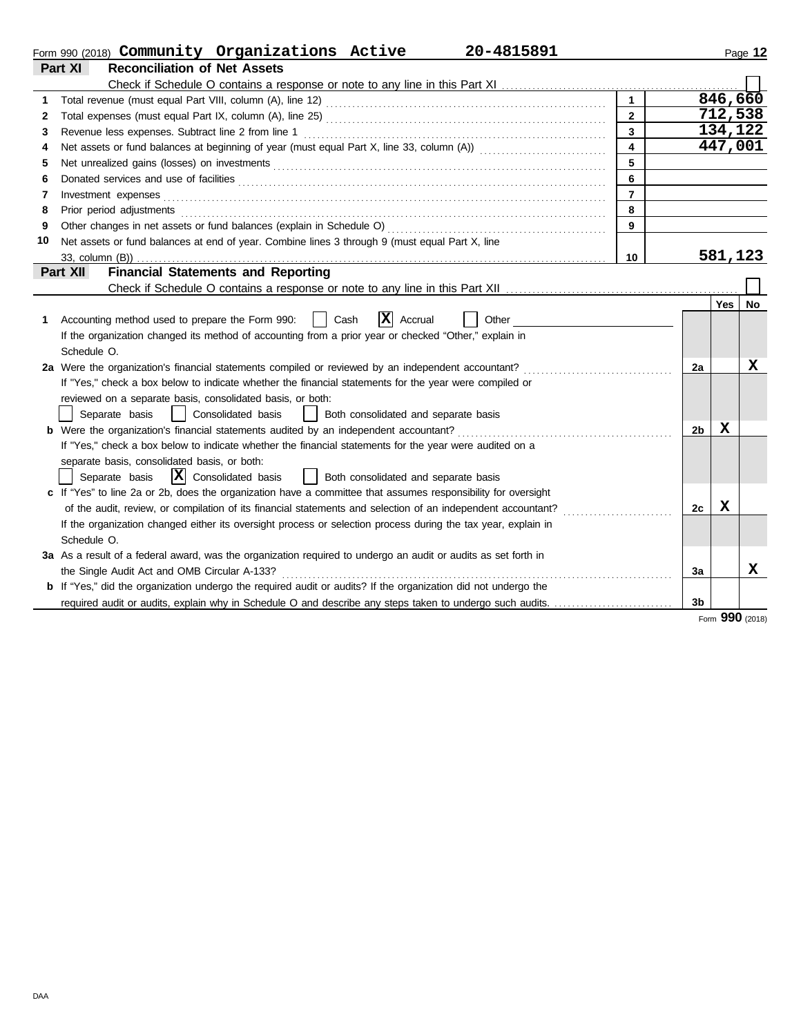| Part XI<br><b>Reconciliation of Net Assets</b><br>846,660<br>$\mathbf{1}$<br>712,538<br>$\overline{2}$<br>2<br>134,122<br>$\overline{3}$<br>Revenue less expenses. Subtract line 2 from line 1<br>3<br>447,001<br>$\overline{\mathbf{4}}$<br>4<br>5<br>5<br>6<br>6<br>$\overline{7}$<br>Investment expenses <b>contract and the expenses</b><br>7<br>Prior period adjustments<br>8<br>8<br>9<br>9<br>Net assets or fund balances at end of year. Combine lines 3 through 9 (must equal Part X, line<br>10<br>581,123<br>10<br><b>Financial Statements and Reporting</b><br>Part XII<br>Yes<br>$ \mathbf{X} $ Accrual<br>Accounting method used to prepare the Form 990:<br>Cash<br>Other<br>1.<br>If the organization changed its method of accounting from a prior year or checked "Other," explain in<br>Schedule O.<br>2a Were the organization's financial statements compiled or reviewed by an independent accountant?<br>2a<br>If "Yes," check a box below to indicate whether the financial statements for the year were compiled or<br>reviewed on a separate basis, consolidated basis, or both:<br>Separate basis<br>Consolidated basis<br>Both consolidated and separate basis<br>$\mathbf x$<br>2b |    |
|-----------------------------------------------------------------------------------------------------------------------------------------------------------------------------------------------------------------------------------------------------------------------------------------------------------------------------------------------------------------------------------------------------------------------------------------------------------------------------------------------------------------------------------------------------------------------------------------------------------------------------------------------------------------------------------------------------------------------------------------------------------------------------------------------------------------------------------------------------------------------------------------------------------------------------------------------------------------------------------------------------------------------------------------------------------------------------------------------------------------------------------------------------------------------------------------------------------------|----|
|                                                                                                                                                                                                                                                                                                                                                                                                                                                                                                                                                                                                                                                                                                                                                                                                                                                                                                                                                                                                                                                                                                                                                                                                                 |    |
|                                                                                                                                                                                                                                                                                                                                                                                                                                                                                                                                                                                                                                                                                                                                                                                                                                                                                                                                                                                                                                                                                                                                                                                                                 |    |
|                                                                                                                                                                                                                                                                                                                                                                                                                                                                                                                                                                                                                                                                                                                                                                                                                                                                                                                                                                                                                                                                                                                                                                                                                 |    |
|                                                                                                                                                                                                                                                                                                                                                                                                                                                                                                                                                                                                                                                                                                                                                                                                                                                                                                                                                                                                                                                                                                                                                                                                                 |    |
|                                                                                                                                                                                                                                                                                                                                                                                                                                                                                                                                                                                                                                                                                                                                                                                                                                                                                                                                                                                                                                                                                                                                                                                                                 |    |
|                                                                                                                                                                                                                                                                                                                                                                                                                                                                                                                                                                                                                                                                                                                                                                                                                                                                                                                                                                                                                                                                                                                                                                                                                 |    |
|                                                                                                                                                                                                                                                                                                                                                                                                                                                                                                                                                                                                                                                                                                                                                                                                                                                                                                                                                                                                                                                                                                                                                                                                                 |    |
|                                                                                                                                                                                                                                                                                                                                                                                                                                                                                                                                                                                                                                                                                                                                                                                                                                                                                                                                                                                                                                                                                                                                                                                                                 |    |
|                                                                                                                                                                                                                                                                                                                                                                                                                                                                                                                                                                                                                                                                                                                                                                                                                                                                                                                                                                                                                                                                                                                                                                                                                 |    |
|                                                                                                                                                                                                                                                                                                                                                                                                                                                                                                                                                                                                                                                                                                                                                                                                                                                                                                                                                                                                                                                                                                                                                                                                                 |    |
|                                                                                                                                                                                                                                                                                                                                                                                                                                                                                                                                                                                                                                                                                                                                                                                                                                                                                                                                                                                                                                                                                                                                                                                                                 |    |
|                                                                                                                                                                                                                                                                                                                                                                                                                                                                                                                                                                                                                                                                                                                                                                                                                                                                                                                                                                                                                                                                                                                                                                                                                 |    |
|                                                                                                                                                                                                                                                                                                                                                                                                                                                                                                                                                                                                                                                                                                                                                                                                                                                                                                                                                                                                                                                                                                                                                                                                                 |    |
|                                                                                                                                                                                                                                                                                                                                                                                                                                                                                                                                                                                                                                                                                                                                                                                                                                                                                                                                                                                                                                                                                                                                                                                                                 |    |
|                                                                                                                                                                                                                                                                                                                                                                                                                                                                                                                                                                                                                                                                                                                                                                                                                                                                                                                                                                                                                                                                                                                                                                                                                 |    |
|                                                                                                                                                                                                                                                                                                                                                                                                                                                                                                                                                                                                                                                                                                                                                                                                                                                                                                                                                                                                                                                                                                                                                                                                                 | No |
|                                                                                                                                                                                                                                                                                                                                                                                                                                                                                                                                                                                                                                                                                                                                                                                                                                                                                                                                                                                                                                                                                                                                                                                                                 |    |
|                                                                                                                                                                                                                                                                                                                                                                                                                                                                                                                                                                                                                                                                                                                                                                                                                                                                                                                                                                                                                                                                                                                                                                                                                 |    |
|                                                                                                                                                                                                                                                                                                                                                                                                                                                                                                                                                                                                                                                                                                                                                                                                                                                                                                                                                                                                                                                                                                                                                                                                                 |    |
|                                                                                                                                                                                                                                                                                                                                                                                                                                                                                                                                                                                                                                                                                                                                                                                                                                                                                                                                                                                                                                                                                                                                                                                                                 | x  |
|                                                                                                                                                                                                                                                                                                                                                                                                                                                                                                                                                                                                                                                                                                                                                                                                                                                                                                                                                                                                                                                                                                                                                                                                                 |    |
|                                                                                                                                                                                                                                                                                                                                                                                                                                                                                                                                                                                                                                                                                                                                                                                                                                                                                                                                                                                                                                                                                                                                                                                                                 |    |
|                                                                                                                                                                                                                                                                                                                                                                                                                                                                                                                                                                                                                                                                                                                                                                                                                                                                                                                                                                                                                                                                                                                                                                                                                 |    |
|                                                                                                                                                                                                                                                                                                                                                                                                                                                                                                                                                                                                                                                                                                                                                                                                                                                                                                                                                                                                                                                                                                                                                                                                                 |    |
| If "Yes," check a box below to indicate whether the financial statements for the year were audited on a                                                                                                                                                                                                                                                                                                                                                                                                                                                                                                                                                                                                                                                                                                                                                                                                                                                                                                                                                                                                                                                                                                         |    |
| separate basis, consolidated basis, or both:                                                                                                                                                                                                                                                                                                                                                                                                                                                                                                                                                                                                                                                                                                                                                                                                                                                                                                                                                                                                                                                                                                                                                                    |    |
| $ \mathbf{X} $ Consolidated basis<br>  Both consolidated and separate basis<br>Separate basis                                                                                                                                                                                                                                                                                                                                                                                                                                                                                                                                                                                                                                                                                                                                                                                                                                                                                                                                                                                                                                                                                                                   |    |
| c If "Yes" to line 2a or 2b, does the organization have a committee that assumes responsibility for oversight                                                                                                                                                                                                                                                                                                                                                                                                                                                                                                                                                                                                                                                                                                                                                                                                                                                                                                                                                                                                                                                                                                   |    |
| x<br>of the audit, review, or compilation of its financial statements and selection of an independent accountant?<br>2c                                                                                                                                                                                                                                                                                                                                                                                                                                                                                                                                                                                                                                                                                                                                                                                                                                                                                                                                                                                                                                                                                         |    |
| If the organization changed either its oversight process or selection process during the tax year, explain in                                                                                                                                                                                                                                                                                                                                                                                                                                                                                                                                                                                                                                                                                                                                                                                                                                                                                                                                                                                                                                                                                                   |    |
| Schedule O.                                                                                                                                                                                                                                                                                                                                                                                                                                                                                                                                                                                                                                                                                                                                                                                                                                                                                                                                                                                                                                                                                                                                                                                                     |    |
| 3a As a result of a federal award, was the organization required to undergo an audit or audits as set forth in                                                                                                                                                                                                                                                                                                                                                                                                                                                                                                                                                                                                                                                                                                                                                                                                                                                                                                                                                                                                                                                                                                  |    |
| the Single Audit Act and OMB Circular A-133?<br>За                                                                                                                                                                                                                                                                                                                                                                                                                                                                                                                                                                                                                                                                                                                                                                                                                                                                                                                                                                                                                                                                                                                                                              | x  |
| <b>b</b> If "Yes," did the organization undergo the required audit or audits? If the organization did not undergo the                                                                                                                                                                                                                                                                                                                                                                                                                                                                                                                                                                                                                                                                                                                                                                                                                                                                                                                                                                                                                                                                                           |    |
| 3 <sub>b</sub>                                                                                                                                                                                                                                                                                                                                                                                                                                                                                                                                                                                                                                                                                                                                                                                                                                                                                                                                                                                                                                                                                                                                                                                                  |    |

Form **990** (2018)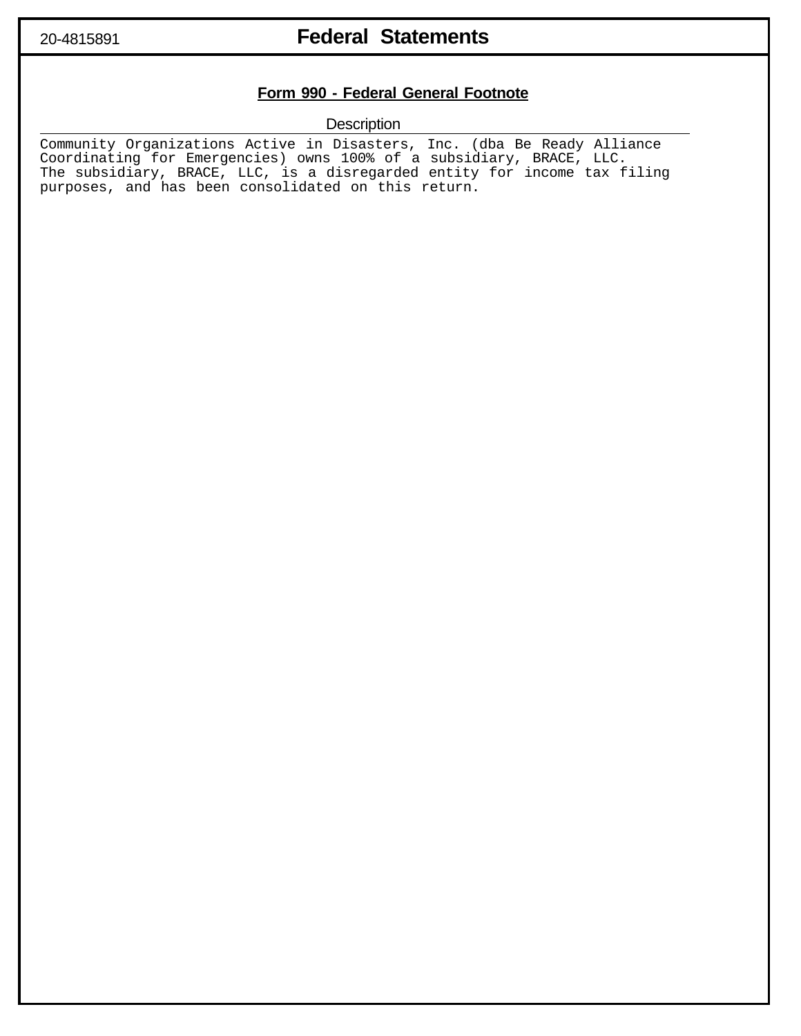## 20-4815891 **Federal Statements**

### **Form 990 - Federal General Footnote**

**Description** 

Community Organizations Active in Disasters, Inc. (dba Be Ready Alliance Coordinating for Emergencies) owns 100% of a subsidiary, BRACE, LLC. The subsidiary, BRACE, LLC, is a disregarded entity for income tax filing purposes, and has been consolidated on this return.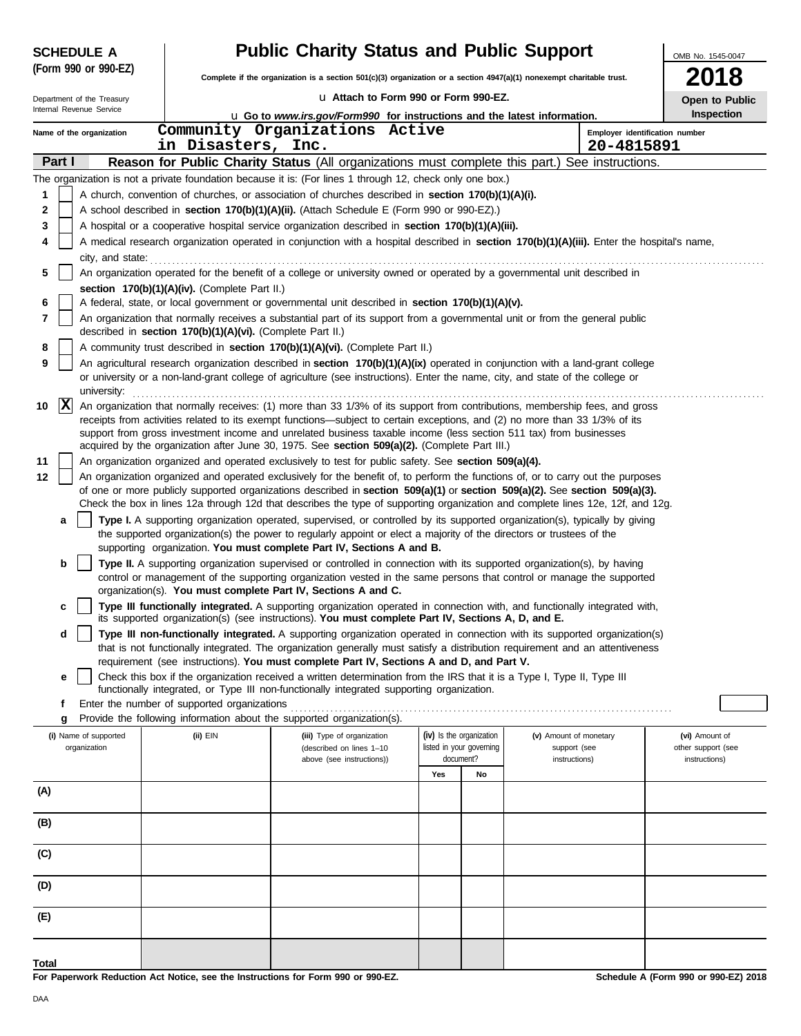| (Form 990 or 990-EZ)<br>Complete if the organization is a section $501(c)(3)$ organization or a section $4947(a)(1)$ nonexempt charitable trust.<br>La Attach to Form 990 or Form 990-EZ.<br>Department of the Treasury<br>Open to Public<br>Internal Revenue Service<br>Inspection<br><b>u</b> Go to www.irs.gov/Form990 for instructions and the latest information.<br>Community Organizations Active<br>Employer identification number<br>Name of the organization<br>in Disasters, Inc.<br>20-4815891 |  |
|------------------------------------------------------------------------------------------------------------------------------------------------------------------------------------------------------------------------------------------------------------------------------------------------------------------------------------------------------------------------------------------------------------------------------------------------------------------------------------------------------------|--|
|                                                                                                                                                                                                                                                                                                                                                                                                                                                                                                            |  |
|                                                                                                                                                                                                                                                                                                                                                                                                                                                                                                            |  |
|                                                                                                                                                                                                                                                                                                                                                                                                                                                                                                            |  |
|                                                                                                                                                                                                                                                                                                                                                                                                                                                                                                            |  |
|                                                                                                                                                                                                                                                                                                                                                                                                                                                                                                            |  |
| Part I<br><b>Reason for Public Charity Status</b> (All organizations must complete this part.) See instructions.                                                                                                                                                                                                                                                                                                                                                                                           |  |
| The organization is not a private foundation because it is: (For lines 1 through 12, check only one box.)                                                                                                                                                                                                                                                                                                                                                                                                  |  |
| A church, convention of churches, or association of churches described in section 170(b)(1)(A)(i).<br>1                                                                                                                                                                                                                                                                                                                                                                                                    |  |
| A school described in section 170(b)(1)(A)(ii). (Attach Schedule E (Form 990 or 990-EZ).)<br>2                                                                                                                                                                                                                                                                                                                                                                                                             |  |
| A hospital or a cooperative hospital service organization described in section 170(b)(1)(A)(iii).<br>3                                                                                                                                                                                                                                                                                                                                                                                                     |  |
| A medical research organization operated in conjunction with a hospital described in section 170(b)(1)(A)(iii). Enter the hospital's name,<br>4                                                                                                                                                                                                                                                                                                                                                            |  |
|                                                                                                                                                                                                                                                                                                                                                                                                                                                                                                            |  |
| An organization operated for the benefit of a college or university owned or operated by a governmental unit described in<br>5                                                                                                                                                                                                                                                                                                                                                                             |  |
| section 170(b)(1)(A)(iv). (Complete Part II.)<br>A federal, state, or local government or governmental unit described in section 170(b)(1)(A)(v).                                                                                                                                                                                                                                                                                                                                                          |  |
| 6<br>An organization that normally receives a substantial part of its support from a governmental unit or from the general public<br>7                                                                                                                                                                                                                                                                                                                                                                     |  |
| described in section 170(b)(1)(A)(vi). (Complete Part II.)                                                                                                                                                                                                                                                                                                                                                                                                                                                 |  |
| A community trust described in section 170(b)(1)(A)(vi). (Complete Part II.)<br>8                                                                                                                                                                                                                                                                                                                                                                                                                          |  |
| An agricultural research organization described in section 170(b)(1)(A)(ix) operated in conjunction with a land-grant college<br>9<br>or university or a non-land-grant college of agriculture (see instructions). Enter the name, city, and state of the college or                                                                                                                                                                                                                                       |  |
| university:                                                                                                                                                                                                                                                                                                                                                                                                                                                                                                |  |
| X<br>An organization that normally receives: (1) more than 33 1/3% of its support from contributions, membership fees, and gross<br>10<br>receipts from activities related to its exempt functions-subject to certain exceptions, and (2) no more than 33 1/3% of its                                                                                                                                                                                                                                      |  |
| support from gross investment income and unrelated business taxable income (less section 511 tax) from businesses                                                                                                                                                                                                                                                                                                                                                                                          |  |
| acquired by the organization after June 30, 1975. See section 509(a)(2). (Complete Part III.)                                                                                                                                                                                                                                                                                                                                                                                                              |  |
| An organization organized and operated exclusively to test for public safety. See section 509(a)(4).<br>11                                                                                                                                                                                                                                                                                                                                                                                                 |  |
| An organization organized and operated exclusively for the benefit of, to perform the functions of, or to carry out the purposes<br>12                                                                                                                                                                                                                                                                                                                                                                     |  |
| of one or more publicly supported organizations described in section 509(a)(1) or section 509(a)(2). See section 509(a)(3).<br>Check the box in lines 12a through 12d that describes the type of supporting organization and complete lines 12e, 12f, and 12g.                                                                                                                                                                                                                                             |  |
| Type I. A supporting organization operated, supervised, or controlled by its supported organization(s), typically by giving<br>а                                                                                                                                                                                                                                                                                                                                                                           |  |
| the supported organization(s) the power to regularly appoint or elect a majority of the directors or trustees of the                                                                                                                                                                                                                                                                                                                                                                                       |  |
| supporting organization. You must complete Part IV, Sections A and B.                                                                                                                                                                                                                                                                                                                                                                                                                                      |  |
| Type II. A supporting organization supervised or controlled in connection with its supported organization(s), by having<br>b                                                                                                                                                                                                                                                                                                                                                                               |  |
| control or management of the supporting organization vested in the same persons that control or manage the supported                                                                                                                                                                                                                                                                                                                                                                                       |  |
| organization(s). You must complete Part IV, Sections A and C.<br>Type III functionally integrated. A supporting organization operated in connection with, and functionally integrated with,<br>c                                                                                                                                                                                                                                                                                                           |  |
| its supported organization(s) (see instructions). You must complete Part IV, Sections A, D, and E.                                                                                                                                                                                                                                                                                                                                                                                                         |  |
| Type III non-functionally integrated. A supporting organization operated in connection with its supported organization(s)<br>d                                                                                                                                                                                                                                                                                                                                                                             |  |
| that is not functionally integrated. The organization generally must satisfy a distribution requirement and an attentiveness                                                                                                                                                                                                                                                                                                                                                                               |  |
| requirement (see instructions). You must complete Part IV, Sections A and D, and Part V.                                                                                                                                                                                                                                                                                                                                                                                                                   |  |
| Check this box if the organization received a written determination from the IRS that it is a Type I, Type II, Type III<br>е<br>functionally integrated, or Type III non-functionally integrated supporting organization.                                                                                                                                                                                                                                                                                  |  |
| Enter the number of supported organizations<br>f                                                                                                                                                                                                                                                                                                                                                                                                                                                           |  |
| Provide the following information about the supported organization(s).<br>g                                                                                                                                                                                                                                                                                                                                                                                                                                |  |
| (iv) Is the organization<br>(i) Name of supported<br>(ii) EIN<br>(iii) Type of organization<br>(v) Amount of monetary<br>(vi) Amount of                                                                                                                                                                                                                                                                                                                                                                    |  |
| listed in your governing<br>organization<br>(described on lines 1-10<br>support (see<br>other support (see<br>document?                                                                                                                                                                                                                                                                                                                                                                                    |  |
| above (see instructions))<br>instructions)<br>instructions)<br>Yes<br>No                                                                                                                                                                                                                                                                                                                                                                                                                                   |  |
| (A)                                                                                                                                                                                                                                                                                                                                                                                                                                                                                                        |  |
|                                                                                                                                                                                                                                                                                                                                                                                                                                                                                                            |  |
| (B)                                                                                                                                                                                                                                                                                                                                                                                                                                                                                                        |  |
|                                                                                                                                                                                                                                                                                                                                                                                                                                                                                                            |  |
| (C)                                                                                                                                                                                                                                                                                                                                                                                                                                                                                                        |  |
|                                                                                                                                                                                                                                                                                                                                                                                                                                                                                                            |  |
| (D)                                                                                                                                                                                                                                                                                                                                                                                                                                                                                                        |  |
|                                                                                                                                                                                                                                                                                                                                                                                                                                                                                                            |  |
| (E)                                                                                                                                                                                                                                                                                                                                                                                                                                                                                                        |  |
|                                                                                                                                                                                                                                                                                                                                                                                                                                                                                                            |  |
| <b>Total</b>                                                                                                                                                                                                                                                                                                                                                                                                                                                                                               |  |

**For Paperwork Reduction Act Notice, see the Instructions for Form 990 or 990-EZ.**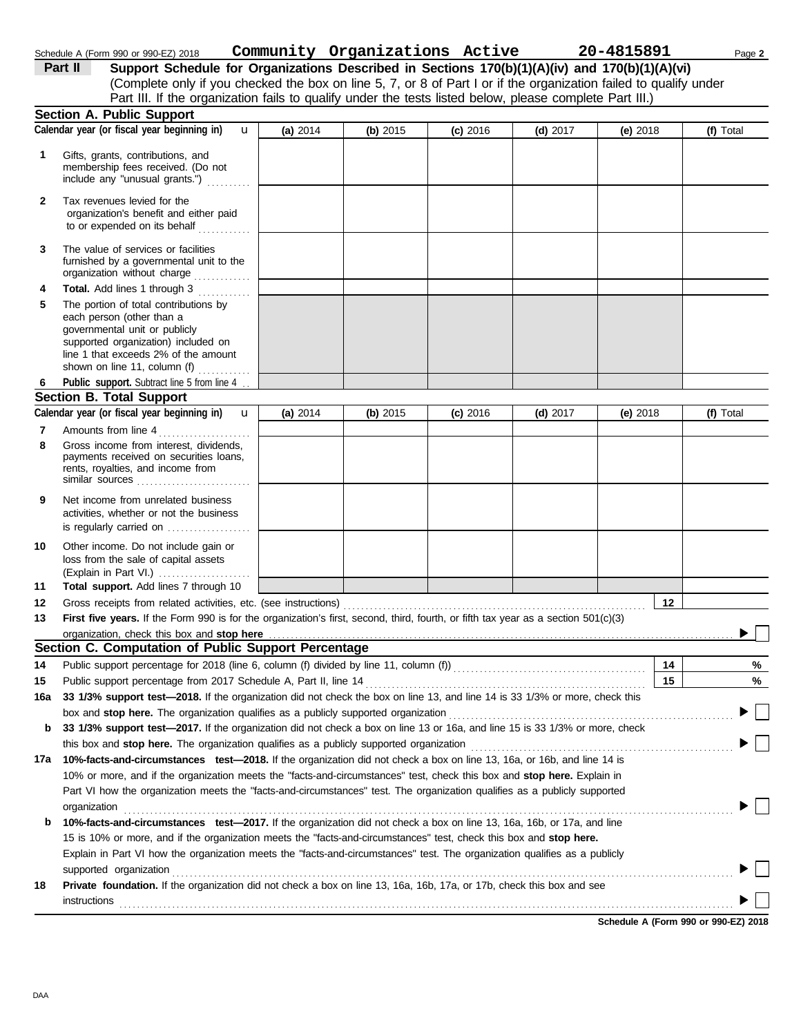|     | Part III. If the organization fails to qualify under the tests listed below, please complete Part III.)                                                                                                                     |          |            |            |            |            |           |
|-----|-----------------------------------------------------------------------------------------------------------------------------------------------------------------------------------------------------------------------------|----------|------------|------------|------------|------------|-----------|
|     | <b>Section A. Public Support</b>                                                                                                                                                                                            |          |            |            |            |            |           |
|     | Calendar year (or fiscal year beginning in)<br>$\mathbf{u}$                                                                                                                                                                 | (a) 2014 | $(b)$ 2015 | $(c)$ 2016 | (d) $2017$ | (e) $2018$ | (f) Total |
| 1.  | Gifts, grants, contributions, and<br>membership fees received. (Do not<br>include any "unusual grants.")                                                                                                                    |          |            |            |            |            |           |
| 2   | Tax revenues levied for the<br>organization's benefit and either paid<br>to or expended on its behalf                                                                                                                       |          |            |            |            |            |           |
| 3   | The value of services or facilities<br>furnished by a governmental unit to the<br>organization without charge                                                                                                               |          |            |            |            |            |           |
| 4   | <b>Total.</b> Add lines 1 through 3<br>.                                                                                                                                                                                    |          |            |            |            |            |           |
| 5   | The portion of total contributions by<br>each person (other than a<br>governmental unit or publicly<br>supported organization) included on<br>line 1 that exceeds 2% of the amount<br>shown on line 11, column (f) $\ldots$ |          |            |            |            |            |           |
| 6   | Public support. Subtract line 5 from line 4                                                                                                                                                                                 |          |            |            |            |            |           |
|     | <b>Section B. Total Support</b>                                                                                                                                                                                             |          |            |            |            |            |           |
|     | Calendar year (or fiscal year beginning in)<br>$\mathbf{u}$                                                                                                                                                                 | (a) 2014 | (b) 2015   | $(c)$ 2016 | $(d)$ 2017 | (e) 2018   | (f) Total |
| 7   | Amounts from line 4                                                                                                                                                                                                         |          |            |            |            |            |           |
| 8   | Gross income from interest, dividends,<br>payments received on securities loans,<br>rents, royalties, and income from<br>similar sources                                                                                    |          |            |            |            |            |           |
| 9   | Net income from unrelated business<br>activities, whether or not the business<br>is regularly carried on                                                                                                                    |          |            |            |            |            |           |
| 10  | Other income. Do not include gain or<br>loss from the sale of capital assets<br>(Explain in Part VI.)                                                                                                                       |          |            |            |            |            |           |
| 11  | Total support. Add lines 7 through 10                                                                                                                                                                                       |          |            |            |            |            |           |
| 12  | Gross receipts from related activities, etc. (see instructions)                                                                                                                                                             |          |            |            |            | 12         |           |
| 13  | First five years. If the Form 990 is for the organization's first, second, third, fourth, or fifth tax year as a section 501(c)(3)                                                                                          |          |            |            |            |            |           |
|     | organization, check this box and stop here                                                                                                                                                                                  |          |            |            |            |            |           |
|     | Section C. Computation of Public Support Percentage                                                                                                                                                                         |          |            |            |            |            |           |
| 14  | Public support percentage for 2018 (line 6, column (f) divided by line 11, column (f) [[[[[[[[[[[[[[[[[[[[[[[                                                                                                               |          |            |            |            | 14         | %         |
| 15  | Public support percentage from 2017 Schedule A, Part II, line 14 <b>Construct Construct Construct 15</b>                                                                                                                    |          |            |            |            |            | $\%$      |
|     | 16a 33 1/3% support test—2018. If the organization did not check the box on line 13, and line 14 is 33 1/3% or more, check this                                                                                             |          |            |            |            |            |           |
|     | box and stop here. The organization qualifies as a publicly supported organization                                                                                                                                          |          |            |            |            |            |           |
| b   | 33 1/3% support test-2017. If the organization did not check a box on line 13 or 16a, and line 15 is 33 1/3% or more, check                                                                                                 |          |            |            |            |            |           |
|     | 10%-facts-and-circumstances test-2018. If the organization did not check a box on line 13, 16a, or 16b, and line 14 is                                                                                                      |          |            |            |            |            |           |
| 17a | 10% or more, and if the organization meets the "facts-and-circumstances" test, check this box and stop here. Explain in                                                                                                     |          |            |            |            |            |           |
|     | Part VI how the organization meets the "facts-and-circumstances" test. The organization qualifies as a publicly supported                                                                                                   |          |            |            |            |            |           |
|     | organization                                                                                                                                                                                                                |          |            |            |            |            |           |
| b   | 10%-facts-and-circumstances test-2017. If the organization did not check a box on line 13, 16a, 16b, or 17a, and line                                                                                                       |          |            |            |            |            |           |
|     | 15 is 10% or more, and if the organization meets the "facts-and-circumstances" test, check this box and stop here.                                                                                                          |          |            |            |            |            |           |
|     | Explain in Part VI how the organization meets the "facts-and-circumstances" test. The organization qualifies as a publicly                                                                                                  |          |            |            |            |            |           |
|     | supported organization                                                                                                                                                                                                      |          |            |            |            |            |           |
| 18  | Private foundation. If the organization did not check a box on line 13, 16a, 16b, 17a, or 17b, check this box and see                                                                                                       |          |            |            |            |            |           |
|     | instructions                                                                                                                                                                                                                |          |            |            |            |            |           |

Schedule A (Form 990 or 990-EZ) 2018 Page **2 Community Organizations Active 20-4815891**

**Part II** Support Schedule for Organizations Described in Sections 170(b)(1)(A)(iv) and 170(b)(1)(A)(vi)

(Complete only if you checked the box on line 5, 7, or 8 of Part I or if the organization failed to qualify under

**Schedule A (Form 990 or 990-EZ) 2018**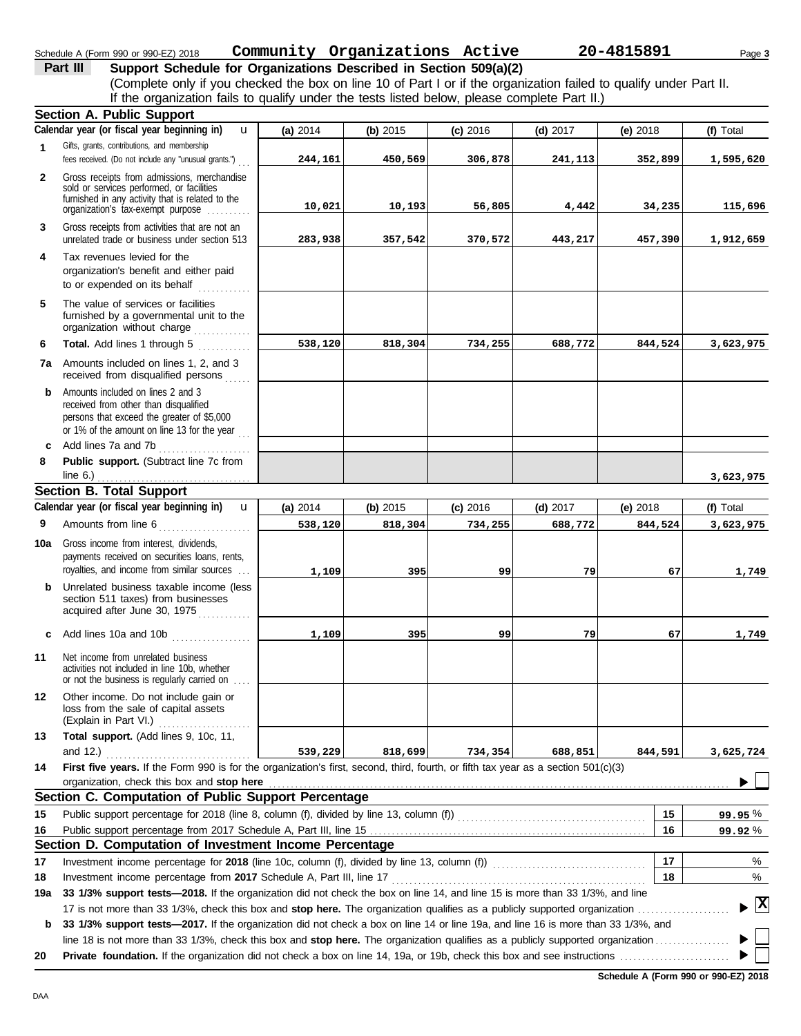#### **Section B. Total Support** unrelated trade or business under section 513 **1 2 3 6 8** Gifts, grants, contributions, and membership fees received. (Do not include any "unusual grants.") . . . **Public support.** (Subtract line 7c from Gross receipts from admissions, merchandise sold or services performed, or facilities furnished in any activity that is related to the Gross receipts from activities that are not an **Total.** Add lines 1 through 5 **Section A. Public Support** organization's tax-exempt purpose .......... **4** Tax revenues levied for the organization's benefit and either paid to or expended on its behalf when  $\cdots$ organization without charge .............. furnished by a governmental unit to the **5** The value of services or facilities **7a** Amounts included on lines 1, 2, and 3 received from disqualified persons **b** Amounts included on lines 2 and 3 received from other than disqualified persons that exceed the greater of \$5,000 or 1% of the amount on line 13 for the year  $\ldots$ **c** Add lines 7a and 7b . . . . . . . . . . . . . . . . . . . . . Amounts from line 6 . . . . . . . . . . . . . . . . . . . . . **9** royalties, and income from similar sources . . . payments received on securities loans, rents, **10a** Gross income from interest, dividends, **b** Unrelated business taxable income (less section 511 taxes) from businesses acquired after June 30, 1975 **c** Add lines 10a and 10b . . . . . . . . . . . . . . . . . . **11** Net income from unrelated business activities not included in line 10b, whether or not the business is regularly carried on . . . . (Explain in Part VI.) . . . . . . . . . . . . . . . . . . . . . loss from the sale of capital assets **12** Other income. Do not include gain or **13 Total support.** (Add lines 9, 10c, 11, **14 First five years.** If the Form 990 is for the organization's first, second, third, fourth, or fifth tax year as a section 501(c)(3) organization, check this box and stop here **Section C. Computation of Public Support Percentage** Public support percentage from 2017 Schedule A, Part III, line 15 . . . . . . . . . . . . . . . . . . . . . . . . . . . . . . . . . . . . . . . . . . . . . . . . . . . . . . . . . . . . . . . **15** Public support percentage for 2018 (line 8, column (f), divided by line 13, column (f))  $\ldots$ **16 Section D. Computation of Investment Income Percentage 18** Investment income percentage for **2018** (line 10c, column (f), divided by line 13, column (f)) . . . . . . . . . . . . . . . . . . . . . . . . . . . . . . . . . . . **17** Investment income percentage from **2017** Schedule A, Part III, line 17 . . . . . . . . . . . . . . . . . . . . . . . . . . . . . . . . . . . . . . . . . . . . . . . . . . . . . . . . . . 17 is not more than 33 1/3%, check this box and **stop here.** The organization qualifies as a publicly supported organization . . . . . . . . . . . . . . . . . . . . . **19a 33 1/3% support tests—2018.** If the organization did not check the box on line 14, and line 15 is more than 33 1/3%, and line **b 33 1/3% support tests—2017.** If the organization did not check a box on line 14 or line 19a, and line 16 is more than 33 1/3%, and line 18 is not more than 33 1/3%, check this box and **stop here.** The organization qualifies as a publicly supported organization . . . . . . . . . . . . . . . . . **20 Private foundation.** If the organization did not check a box on line 14, 19a, or 19b, check this box and see instructions . . . . . . . . . . . . . . . . . . . . . . . . . % **99.92** % **99.95 16 15 17 18** % % **(a)** 2014 **(b)** 2015 **(c)** 2016 **(d)** 2017 **(e)** 2018 **(f)** Total **(f)** Total line 6.) . . . . . . . . . . . . . . . . . . . . . . . . . . . . . . . . . . . **Calendar year (or fiscal year beginning in) Calendar year (or fiscal year beginning in)**  and 12.) . . . . . . . . . . . . . . . . . . . . . . . . . . . . . . . . . **(a)** 2014 **(b)** 2015 **(c)** 2016 **(d)** 2017 **(e)** 2018 u u **244,161 450,569 306,878 241,113 352,899 1,595,620 10,021 10,193 56,805 4,442 34,235 115,696 283,938 357,542 370,572 443,217 457,390 1,912,659 538,120 818,304 734,255 688,772 844,524 3,623,975 3,623,975 538,120 818,304 734,255 688,772 844,524 3,623,975 1,109 395 99 79 67 1,749 1,109 395 99 79 67 1,749 539,229 818,699 734,354 688,851 844,591 3,625,724**  $\blacktriangleright$   $\lfloor \overline{x} \rfloor$

#### **Schedule A (Form 990 or 990-EZ) 2018**

**Part III Support Schedule for Organizations Described in Section 509(a)(2)** (Complete only if you checked the box on line 10 of Part I or if the organization failed to qualify under Part II. If the organization fails to qualify under the tests listed below, please complete Part II.)

Schedule A (Form 990 or 990-EZ) 2018 Page **3 Community Organizations Active 20-4815891**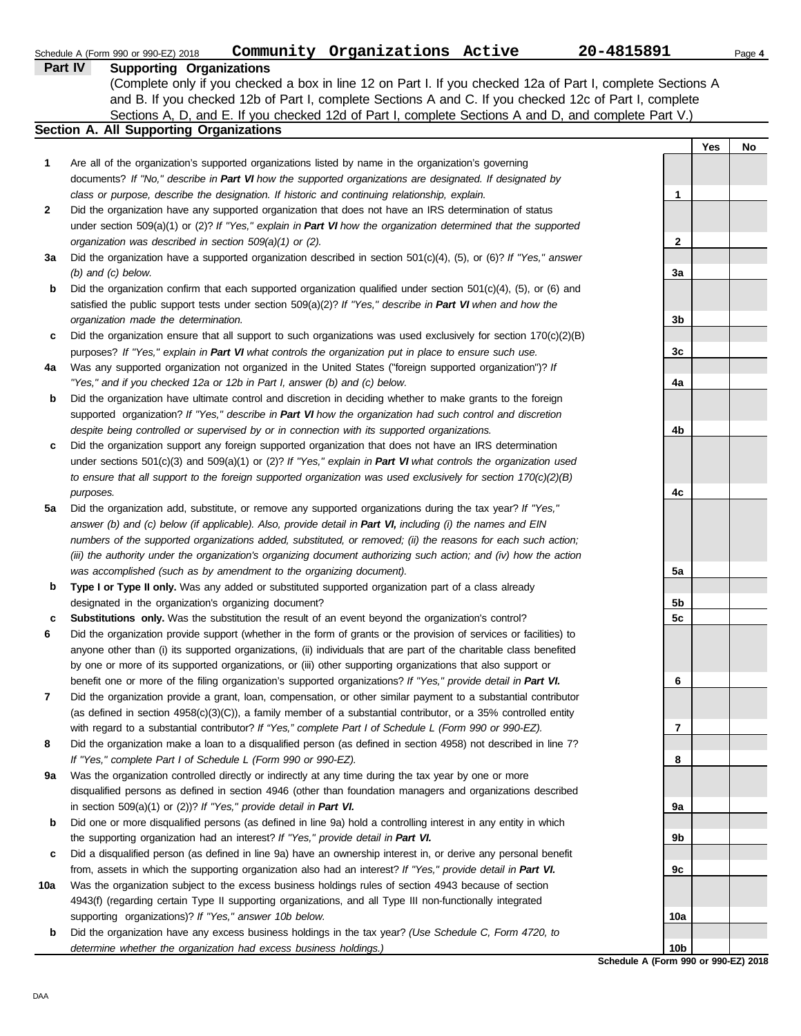|     | Community Organizations Active<br>Schedule A (Form 990 or 990-EZ) 2018                                                   | 20-4815891      |     | Page 4 |
|-----|--------------------------------------------------------------------------------------------------------------------------|-----------------|-----|--------|
|     | <b>Supporting Organizations</b><br><b>Part IV</b>                                                                        |                 |     |        |
|     | (Complete only if you checked a box in line 12 on Part I. If you checked 12a of Part I, complete Sections A              |                 |     |        |
|     | and B. If you checked 12b of Part I, complete Sections A and C. If you checked 12c of Part I, complete                   |                 |     |        |
|     | Sections A, D, and E. If you checked 12d of Part I, complete Sections A and D, and complete Part V.)                     |                 |     |        |
|     | Section A. All Supporting Organizations                                                                                  |                 |     |        |
|     |                                                                                                                          |                 | Yes | No     |
| 1   | Are all of the organization's supported organizations listed by name in the organization's governing                     |                 |     |        |
|     | documents? If "No," describe in Part VI how the supported organizations are designated. If designated by                 |                 |     |        |
|     | class or purpose, describe the designation. If historic and continuing relationship, explain.                            | 1               |     |        |
| 2   | Did the organization have any supported organization that does not have an IRS determination of status                   |                 |     |        |
|     | under section 509(a)(1) or (2)? If "Yes," explain in Part VI how the organization determined that the supported          |                 |     |        |
|     | organization was described in section 509(a)(1) or (2).                                                                  | 2               |     |        |
| За  | Did the organization have a supported organization described in section $501(c)(4)$ , (5), or (6)? If "Yes," answer      |                 |     |        |
|     | $(b)$ and $(c)$ below.                                                                                                   | 3a              |     |        |
| b   | Did the organization confirm that each supported organization qualified under section $501(c)(4)$ , $(5)$ , or $(6)$ and |                 |     |        |
|     | satisfied the public support tests under section 509(a)(2)? If "Yes," describe in Part VI when and how the               |                 |     |        |
|     | organization made the determination.                                                                                     | 3b              |     |        |
| c   | Did the organization ensure that all support to such organizations was used exclusively for section $170(c)(2)(B)$       |                 |     |        |
|     | purposes? If "Yes," explain in Part VI what controls the organization put in place to ensure such use.                   | 3 <sub>c</sub>  |     |        |
| 4a  | Was any supported organization not organized in the United States ("foreign supported organization")? If                 |                 |     |        |
|     | "Yes," and if you checked 12a or 12b in Part I, answer (b) and (c) below.                                                | 4a              |     |        |
| b   | Did the organization have ultimate control and discretion in deciding whether to make grants to the foreign              |                 |     |        |
|     | supported organization? If "Yes," describe in Part VI how the organization had such control and discretion               |                 |     |        |
|     | despite being controlled or supervised by or in connection with its supported organizations.                             | 4b              |     |        |
| c   | Did the organization support any foreign supported organization that does not have an IRS determination                  |                 |     |        |
|     | under sections $501(c)(3)$ and $509(a)(1)$ or (2)? If "Yes," explain in Part VI what controls the organization used      |                 |     |        |
|     | to ensure that all support to the foreign supported organization was used exclusively for section $170(c)(2)(B)$         |                 |     |        |
|     | purposes.                                                                                                                | 4c              |     |        |
| 5a  | Did the organization add, substitute, or remove any supported organizations during the tax year? If "Yes,"               |                 |     |        |
|     | answer (b) and (c) below (if applicable). Also, provide detail in Part VI, including (i) the names and EIN               |                 |     |        |
|     | numbers of the supported organizations added, substituted, or removed; (ii) the reasons for each such action;            |                 |     |        |
|     | (iii) the authority under the organization's organizing document authorizing such action; and (iv) how the action        |                 |     |        |
|     | was accomplished (such as by amendment to the organizing document).                                                      | 5a              |     |        |
| b   | Type I or Type II only. Was any added or substituted supported organization part of a class already                      |                 |     |        |
|     | designated in the organization's organizing document?                                                                    | 5b              |     |        |
| c   | Substitutions only. Was the substitution the result of an event beyond the organization's control?                       | 5c              |     |        |
|     | Did the organization provide support (whether in the form of grants or the provision of services or facilities) to       |                 |     |        |
|     | anyone other than (i) its supported organizations, (ii) individuals that are part of the charitable class benefited      |                 |     |        |
|     | by one or more of its supported organizations, or (iii) other supporting organizations that also support or              |                 |     |        |
|     | benefit one or more of the filing organization's supported organizations? If "Yes," provide detail in Part VI.           | 6               |     |        |
| 7   | Did the organization provide a grant, loan, compensation, or other similar payment to a substantial contributor          |                 |     |        |
|     | (as defined in section $4958(c)(3)(C)$ ), a family member of a substantial contributor, or a 35% controlled entity       |                 |     |        |
|     | with regard to a substantial contributor? If "Yes," complete Part I of Schedule L (Form 990 or 990-EZ).                  | 7               |     |        |
| 8   | Did the organization make a loan to a disqualified person (as defined in section 4958) not described in line 7?          |                 |     |        |
|     | If "Yes," complete Part I of Schedule L (Form 990 or 990-EZ).                                                            | 8               |     |        |
| 9a  | Was the organization controlled directly or indirectly at any time during the tax year by one or more                    |                 |     |        |
|     | disqualified persons as defined in section 4946 (other than foundation managers and organizations described              |                 |     |        |
|     | in section 509(a)(1) or (2))? If "Yes," provide detail in Part VI.                                                       | 9а              |     |        |
| b   | Did one or more disqualified persons (as defined in line 9a) hold a controlling interest in any entity in which          |                 |     |        |
|     | the supporting organization had an interest? If "Yes," provide detail in Part VI.                                        | 9b              |     |        |
| c   | Did a disqualified person (as defined in line 9a) have an ownership interest in, or derive any personal benefit          |                 |     |        |
|     | from, assets in which the supporting organization also had an interest? If "Yes," provide detail in Part VI.             | 9с              |     |        |
| 10a | Was the organization subject to the excess business holdings rules of section 4943 because of section                    |                 |     |        |
|     | 4943(f) (regarding certain Type II supporting organizations, and all Type III non-functionally integrated                |                 |     |        |
|     | supporting organizations)? If "Yes," answer 10b below.                                                                   | 10a             |     |        |
| b   | Did the organization have any excess business holdings in the tax year? (Use Schedule C, Form 4720, to                   |                 |     |        |
|     | determine whether the organization had excess business holdings.)                                                        | 10 <sub>b</sub> |     |        |

**Schedule A (Form 990 or 990-EZ) 2018**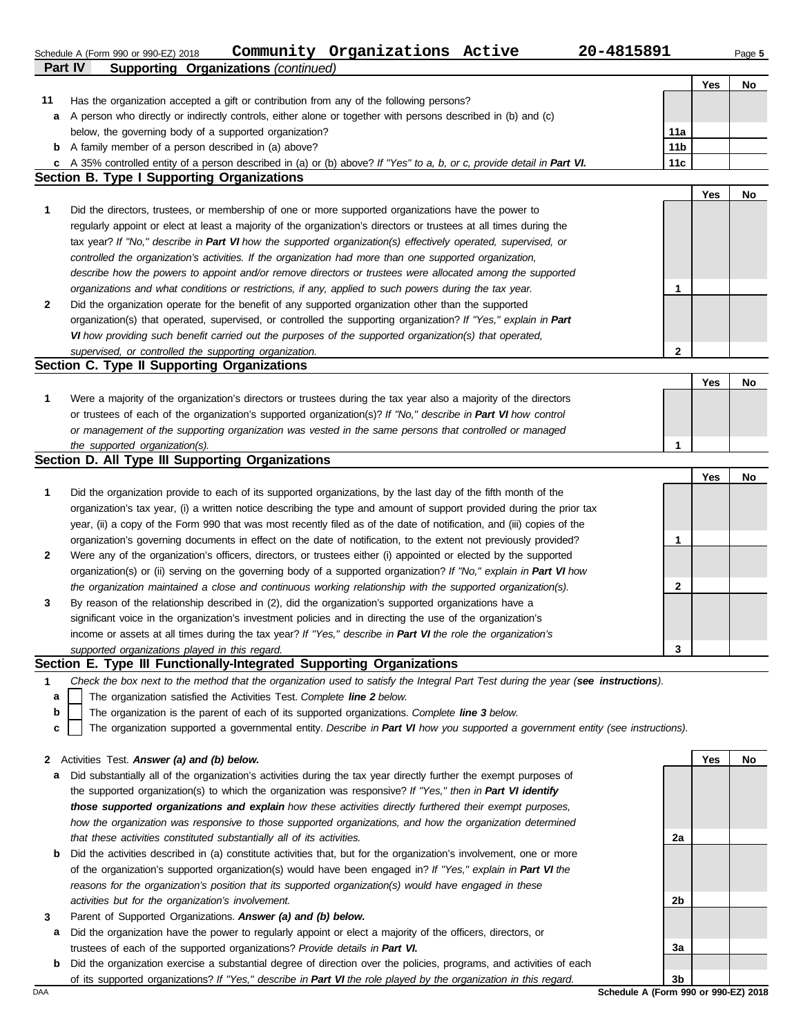**Part IV Supporting Organizations** *(continued)* Schedule A (Form 990 or 990-EZ) 2018 Page **5 Community Organizations Active 20-4815891**

**Yes No**

| 11  | Has the organization accepted a gift or contribution from any of the following persons?                                                                                                                                                 |                                      |     |    |
|-----|-----------------------------------------------------------------------------------------------------------------------------------------------------------------------------------------------------------------------------------------|--------------------------------------|-----|----|
|     | a A person who directly or indirectly controls, either alone or together with persons described in (b) and (c)                                                                                                                          |                                      |     |    |
|     | below, the governing body of a supported organization?                                                                                                                                                                                  | 11a                                  |     |    |
|     | <b>b</b> A family member of a person described in (a) above?                                                                                                                                                                            | 11 <sub>b</sub>                      |     |    |
|     | c A 35% controlled entity of a person described in (a) or (b) above? If "Yes" to a, b, or c, provide detail in Part VI.                                                                                                                 | 11c                                  |     |    |
|     | <b>Section B. Type I Supporting Organizations</b>                                                                                                                                                                                       |                                      |     |    |
|     |                                                                                                                                                                                                                                         |                                      | Yes | No |
| 1   | Did the directors, trustees, or membership of one or more supported organizations have the power to                                                                                                                                     |                                      |     |    |
|     | regularly appoint or elect at least a majority of the organization's directors or trustees at all times during the                                                                                                                      |                                      |     |    |
|     | tax year? If "No," describe in Part VI how the supported organization(s) effectively operated, supervised, or                                                                                                                           |                                      |     |    |
|     | controlled the organization's activities. If the organization had more than one supported organization,                                                                                                                                 |                                      |     |    |
|     | describe how the powers to appoint and/or remove directors or trustees were allocated among the supported                                                                                                                               |                                      |     |    |
|     | organizations and what conditions or restrictions, if any, applied to such powers during the tax year.                                                                                                                                  | 1                                    |     |    |
| 2   | Did the organization operate for the benefit of any supported organization other than the supported                                                                                                                                     |                                      |     |    |
|     | organization(s) that operated, supervised, or controlled the supporting organization? If "Yes," explain in Part                                                                                                                         |                                      |     |    |
|     | VI how providing such benefit carried out the purposes of the supported organization(s) that operated,                                                                                                                                  |                                      |     |    |
|     | supervised, or controlled the supporting organization.                                                                                                                                                                                  | $\mathbf 2$                          |     |    |
|     | Section C. Type II Supporting Organizations                                                                                                                                                                                             |                                      |     |    |
|     |                                                                                                                                                                                                                                         |                                      | Yes | No |
| 1   | Were a majority of the organization's directors or trustees during the tax year also a majority of the directors                                                                                                                        |                                      |     |    |
|     | or trustees of each of the organization's supported organization(s)? If "No," describe in Part VI how control                                                                                                                           |                                      |     |    |
|     | or management of the supporting organization was vested in the same persons that controlled or managed                                                                                                                                  |                                      |     |    |
|     | the supported organization(s).<br>Section D. All Type III Supporting Organizations                                                                                                                                                      | 1                                    |     |    |
|     |                                                                                                                                                                                                                                         |                                      |     |    |
|     |                                                                                                                                                                                                                                         |                                      | Yes | No |
| 1   | Did the organization provide to each of its supported organizations, by the last day of the fifth month of the<br>organization's tax year, (i) a written notice describing the type and amount of support provided during the prior tax |                                      |     |    |
|     | year, (ii) a copy of the Form 990 that was most recently filed as of the date of notification, and (iii) copies of the                                                                                                                  |                                      |     |    |
|     | organization's governing documents in effect on the date of notification, to the extent not previously provided?                                                                                                                        | 1                                    |     |    |
| 2   | Were any of the organization's officers, directors, or trustees either (i) appointed or elected by the supported                                                                                                                        |                                      |     |    |
|     | organization(s) or (ii) serving on the governing body of a supported organization? If "No," explain in Part VI how                                                                                                                      |                                      |     |    |
|     | the organization maintained a close and continuous working relationship with the supported organization(s).                                                                                                                             | $\mathbf{2}$                         |     |    |
| 3   | By reason of the relationship described in (2), did the organization's supported organizations have a                                                                                                                                   |                                      |     |    |
|     | significant voice in the organization's investment policies and in directing the use of the organization's                                                                                                                              |                                      |     |    |
|     | income or assets at all times during the tax year? If "Yes," describe in Part VI the role the organization's                                                                                                                            |                                      |     |    |
|     | supported organizations played in this regard.                                                                                                                                                                                          | 3                                    |     |    |
|     | Section E. Type III Functionally-Integrated Supporting Organizations                                                                                                                                                                    |                                      |     |    |
|     | Check the box next to the method that the organization used to satisfy the Integral Part Test during the year (see instructions).                                                                                                       |                                      |     |    |
| a   | The organization satisfied the Activities Test. Complete line 2 below.                                                                                                                                                                  |                                      |     |    |
| b   | The organization is the parent of each of its supported organizations. Complete line 3 below.                                                                                                                                           |                                      |     |    |
| с   | The organization supported a governmental entity. Describe in Part VI how you supported a government entity (see instructions).                                                                                                         |                                      |     |    |
|     |                                                                                                                                                                                                                                         |                                      |     |    |
|     | 2 Activities Test. Answer (a) and (b) below.                                                                                                                                                                                            |                                      | Yes | No |
| а   | Did substantially all of the organization's activities during the tax year directly further the exempt purposes of                                                                                                                      |                                      |     |    |
|     | the supported organization(s) to which the organization was responsive? If "Yes," then in Part VI identify                                                                                                                              |                                      |     |    |
|     | those supported organizations and explain how these activities directly furthered their exempt purposes,                                                                                                                                |                                      |     |    |
|     | how the organization was responsive to those supported organizations, and how the organization determined                                                                                                                               |                                      |     |    |
|     | that these activities constituted substantially all of its activities.                                                                                                                                                                  | 2a                                   |     |    |
| b   | Did the activities described in (a) constitute activities that, but for the organization's involvement, one or more                                                                                                                     |                                      |     |    |
|     | of the organization's supported organization(s) would have been engaged in? If "Yes," explain in Part VI the                                                                                                                            |                                      |     |    |
|     | reasons for the organization's position that its supported organization(s) would have engaged in these                                                                                                                                  |                                      |     |    |
|     | activities but for the organization's involvement.                                                                                                                                                                                      | 2b                                   |     |    |
| 3   | Parent of Supported Organizations. Answer (a) and (b) below.                                                                                                                                                                            |                                      |     |    |
| а   | Did the organization have the power to regularly appoint or elect a majority of the officers, directors, or                                                                                                                             |                                      |     |    |
|     | trustees of each of the supported organizations? Provide details in Part VI.                                                                                                                                                            | За                                   |     |    |
| b   | Did the organization exercise a substantial degree of direction over the policies, programs, and activities of each                                                                                                                     |                                      |     |    |
|     | of its supported organizations? If "Yes," describe in Part VI the role played by the organization in this regard.                                                                                                                       | 3b                                   |     |    |
| DAA |                                                                                                                                                                                                                                         | Schedule A (Form 990 or 990-EZ) 2018 |     |    |
|     |                                                                                                                                                                                                                                         |                                      |     |    |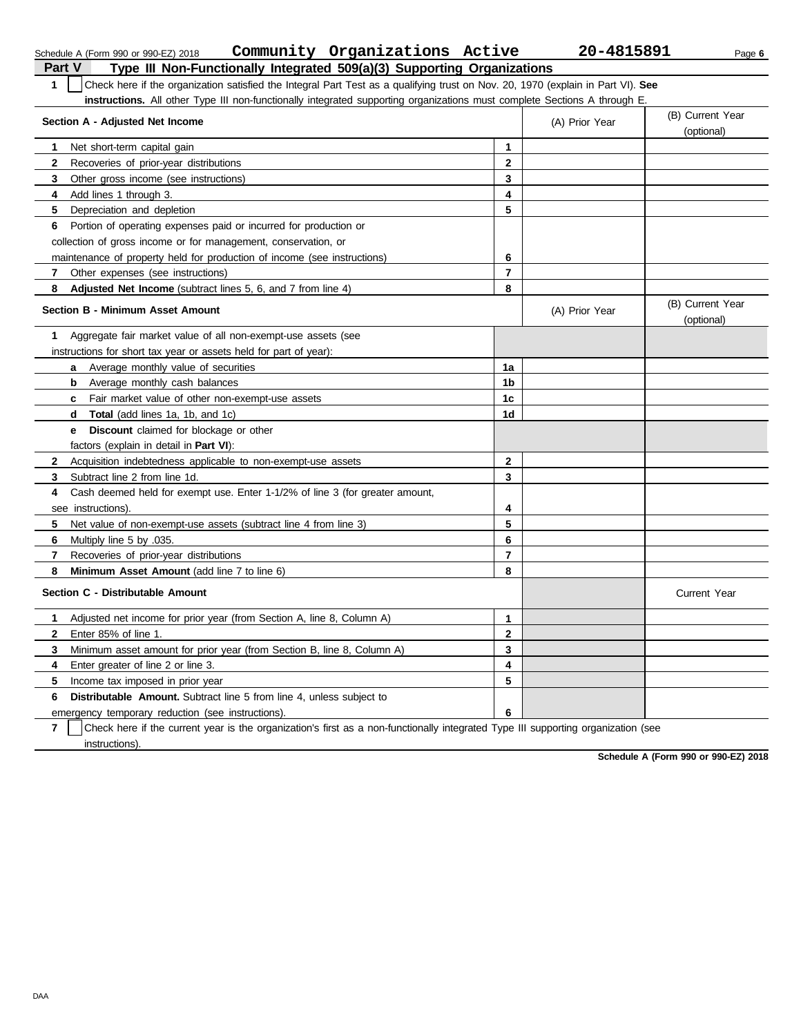|              | Community Organizations Active<br>Schedule A (Form 990 or 990-EZ) 2018                                                                     |                | 20-4815891     | Page 6                         |  |  |  |
|--------------|--------------------------------------------------------------------------------------------------------------------------------------------|----------------|----------------|--------------------------------|--|--|--|
| Part V       | Type III Non-Functionally Integrated 509(a)(3) Supporting Organizations                                                                    |                |                |                                |  |  |  |
| $\mathbf{1}$ | Check here if the organization satisfied the Integral Part Test as a qualifying trust on Nov. 20, 1970 (explain in Part VI). See           |                |                |                                |  |  |  |
|              | <b>instructions.</b> All other Type III non-functionally integrated supporting organizations must complete Sections A through E.           |                |                |                                |  |  |  |
|              | Section A - Adjusted Net Income                                                                                                            |                | (A) Prior Year | (B) Current Year<br>(optional) |  |  |  |
| 1            | Net short-term capital gain                                                                                                                | $\mathbf{1}$   |                |                                |  |  |  |
| 2            | Recoveries of prior-year distributions                                                                                                     | $\mathbf 2$    |                |                                |  |  |  |
| 3            | Other gross income (see instructions)                                                                                                      | 3              |                |                                |  |  |  |
| 4            | Add lines 1 through 3.                                                                                                                     | 4              |                |                                |  |  |  |
| 5            | Depreciation and depletion                                                                                                                 | 5              |                |                                |  |  |  |
| 6            | Portion of operating expenses paid or incurred for production or                                                                           |                |                |                                |  |  |  |
|              | collection of gross income or for management, conservation, or                                                                             |                |                |                                |  |  |  |
|              | maintenance of property held for production of income (see instructions)                                                                   | 6              |                |                                |  |  |  |
| 7            | Other expenses (see instructions)                                                                                                          | $\overline{7}$ |                |                                |  |  |  |
| 8            | <b>Adjusted Net Income</b> (subtract lines 5, 6, and 7 from line 4)                                                                        | 8              |                |                                |  |  |  |
|              | Section B - Minimum Asset Amount                                                                                                           |                | (A) Prior Year | (B) Current Year<br>(optional) |  |  |  |
| 1            | Aggregate fair market value of all non-exempt-use assets (see                                                                              |                |                |                                |  |  |  |
|              | instructions for short tax year or assets held for part of year):                                                                          |                |                |                                |  |  |  |
|              | Average monthly value of securities<br>a                                                                                                   | 1a             |                |                                |  |  |  |
|              | Average monthly cash balances<br>b                                                                                                         | 1b             |                |                                |  |  |  |
|              | Fair market value of other non-exempt-use assets<br>C                                                                                      | 1 <sub>c</sub> |                |                                |  |  |  |
|              | <b>Total</b> (add lines 1a, 1b, and 1c)<br>d                                                                                               | 1d             |                |                                |  |  |  |
|              | <b>Discount</b> claimed for blockage or other<br>е                                                                                         |                |                |                                |  |  |  |
|              | factors (explain in detail in <b>Part VI)</b> :                                                                                            |                |                |                                |  |  |  |
| $\mathbf{2}$ | Acquisition indebtedness applicable to non-exempt-use assets                                                                               | $\mathbf{2}$   |                |                                |  |  |  |
| 3            | Subtract line 2 from line 1d.                                                                                                              | 3              |                |                                |  |  |  |
| 4            | Cash deemed held for exempt use. Enter 1-1/2% of line 3 (for greater amount,                                                               |                |                |                                |  |  |  |
|              | see instructions).                                                                                                                         | 4              |                |                                |  |  |  |
| 5            | Net value of non-exempt-use assets (subtract line 4 from line 3)                                                                           | 5              |                |                                |  |  |  |
| 6            | Multiply line 5 by .035.                                                                                                                   | 6              |                |                                |  |  |  |
| 7            | Recoveries of prior-year distributions                                                                                                     | $\overline{7}$ |                |                                |  |  |  |
| 8            | <b>Minimum Asset Amount</b> (add line 7 to line 6)                                                                                         | 8              |                |                                |  |  |  |
|              | Section C - Distributable Amount                                                                                                           |                |                | <b>Current Year</b>            |  |  |  |
| 1            | Adjusted net income for prior year (from Section A, line 8, Column A)                                                                      | 1              |                |                                |  |  |  |
| $\mathbf{2}$ | Enter 85% of line 1.                                                                                                                       | $\mathbf{2}$   |                |                                |  |  |  |
| 3            | Minimum asset amount for prior year (from Section B, line 8, Column A)                                                                     | 3              |                |                                |  |  |  |
| 4            | Enter greater of line 2 or line 3.                                                                                                         | 4              |                |                                |  |  |  |
| 5            | Income tax imposed in prior year                                                                                                           | 5              |                |                                |  |  |  |
| 6            | <b>Distributable Amount.</b> Subtract line 5 from line 4, unless subject to                                                                |                |                |                                |  |  |  |
|              | emergency temporary reduction (see instructions).                                                                                          | 6              |                |                                |  |  |  |
| ۰.           | Objects to consider the discovery of consideration the disc.<br>the company of the particles with a final state of<br>المتحاوية والمتحاوية |                |                |                                |  |  |  |

**7** | Check here if the current year is the organization's first as a non-functionally integrated Type III supporting organization (see -<br>instructions).

**Schedule A (Form 990 or 990-EZ) 2018**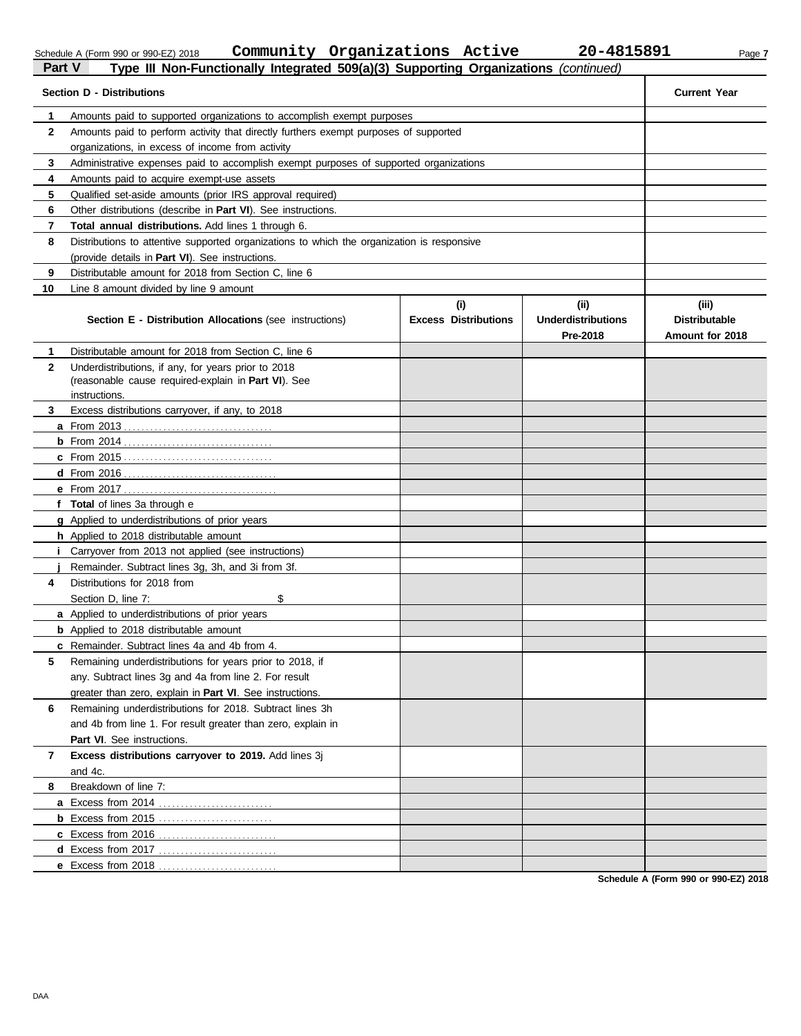DAA

| Schedule A (Form 990 or 990-EZ) 2 |  |  |  |
|-----------------------------------|--|--|--|
|                                   |  |  |  |

Schedule A (Form 990 or 990-EZ) 2018 Page **7 Community Organizations Active 20-4815891**

| Part V       | Type III Non-Functionally Integrated 509(a)(3) Supporting Organizations (continued)                              |                                    |                                               |                                                  |
|--------------|------------------------------------------------------------------------------------------------------------------|------------------------------------|-----------------------------------------------|--------------------------------------------------|
|              | <b>Section D - Distributions</b>                                                                                 |                                    |                                               | <b>Current Year</b>                              |
| 1            | Amounts paid to supported organizations to accomplish exempt purposes                                            |                                    |                                               |                                                  |
| $\mathbf{2}$ | Amounts paid to perform activity that directly furthers exempt purposes of supported                             |                                    |                                               |                                                  |
|              | organizations, in excess of income from activity                                                                 |                                    |                                               |                                                  |
| 3            | Administrative expenses paid to accomplish exempt purposes of supported organizations                            |                                    |                                               |                                                  |
| 4            | Amounts paid to acquire exempt-use assets                                                                        |                                    |                                               |                                                  |
| 5            | Qualified set-aside amounts (prior IRS approval required)                                                        |                                    |                                               |                                                  |
| 6            | Other distributions (describe in <b>Part VI</b> ). See instructions.                                             |                                    |                                               |                                                  |
| 7            | Total annual distributions. Add lines 1 through 6.                                                               |                                    |                                               |                                                  |
| 8            | Distributions to attentive supported organizations to which the organization is responsive                       |                                    |                                               |                                                  |
|              | (provide details in Part VI). See instructions.                                                                  |                                    |                                               |                                                  |
| 9            | Distributable amount for 2018 from Section C, line 6                                                             |                                    |                                               |                                                  |
| 10           | Line 8 amount divided by line 9 amount                                                                           |                                    |                                               |                                                  |
|              | Section E - Distribution Allocations (see instructions)                                                          | (i)<br><b>Excess Distributions</b> | (ii)<br><b>Underdistributions</b><br>Pre-2018 | (iii)<br><b>Distributable</b><br>Amount for 2018 |
| 1            | Distributable amount for 2018 from Section C, line 6                                                             |                                    |                                               |                                                  |
| $\mathbf{2}$ | Underdistributions, if any, for years prior to 2018                                                              |                                    |                                               |                                                  |
|              | (reasonable cause required-explain in Part VI). See                                                              |                                    |                                               |                                                  |
|              | instructions.                                                                                                    |                                    |                                               |                                                  |
| 3            | Excess distributions carryover, if any, to 2018                                                                  |                                    |                                               |                                                  |
|              |                                                                                                                  |                                    |                                               |                                                  |
|              |                                                                                                                  |                                    |                                               |                                                  |
|              |                                                                                                                  |                                    |                                               |                                                  |
|              |                                                                                                                  |                                    |                                               |                                                  |
|              |                                                                                                                  |                                    |                                               |                                                  |
|              | f Total of lines 3a through e                                                                                    |                                    |                                               |                                                  |
|              | <b>g</b> Applied to underdistributions of prior years                                                            |                                    |                                               |                                                  |
|              | <b>h</b> Applied to 2018 distributable amount                                                                    |                                    |                                               |                                                  |
|              | <i>i</i> Carryover from 2013 not applied (see instructions)<br>Remainder. Subtract lines 3g, 3h, and 3i from 3f. |                                    |                                               |                                                  |
| 4            | Distributions for 2018 from                                                                                      |                                    |                                               |                                                  |
|              | \$<br>Section D. line 7:                                                                                         |                                    |                                               |                                                  |
|              | <b>a</b> Applied to underdistributions of prior years                                                            |                                    |                                               |                                                  |
|              | <b>b</b> Applied to 2018 distributable amount                                                                    |                                    |                                               |                                                  |
|              | c Remainder. Subtract lines 4a and 4b from 4.                                                                    |                                    |                                               |                                                  |
| 5            | Remaining underdistributions for years prior to 2018, if                                                         |                                    |                                               |                                                  |
|              | any. Subtract lines 3q and 4a from line 2. For result                                                            |                                    |                                               |                                                  |
|              | greater than zero, explain in Part VI. See instructions.                                                         |                                    |                                               |                                                  |
| 6            | Remaining underdistributions for 2018. Subtract lines 3h                                                         |                                    |                                               |                                                  |
|              | and 4b from line 1. For result greater than zero, explain in                                                     |                                    |                                               |                                                  |
|              | Part VI. See instructions.                                                                                       |                                    |                                               |                                                  |
| 7            | Excess distributions carryover to 2019. Add lines 3j                                                             |                                    |                                               |                                                  |
|              | and 4c.                                                                                                          |                                    |                                               |                                                  |
| 8            | Breakdown of line 7:                                                                                             |                                    |                                               |                                                  |
|              |                                                                                                                  |                                    |                                               |                                                  |
|              |                                                                                                                  |                                    |                                               |                                                  |
|              |                                                                                                                  |                                    |                                               |                                                  |
|              |                                                                                                                  |                                    |                                               |                                                  |
|              | e Excess from 2018                                                                                               |                                    |                                               |                                                  |

**Schedule A (Form 990 or 990-EZ) 2018**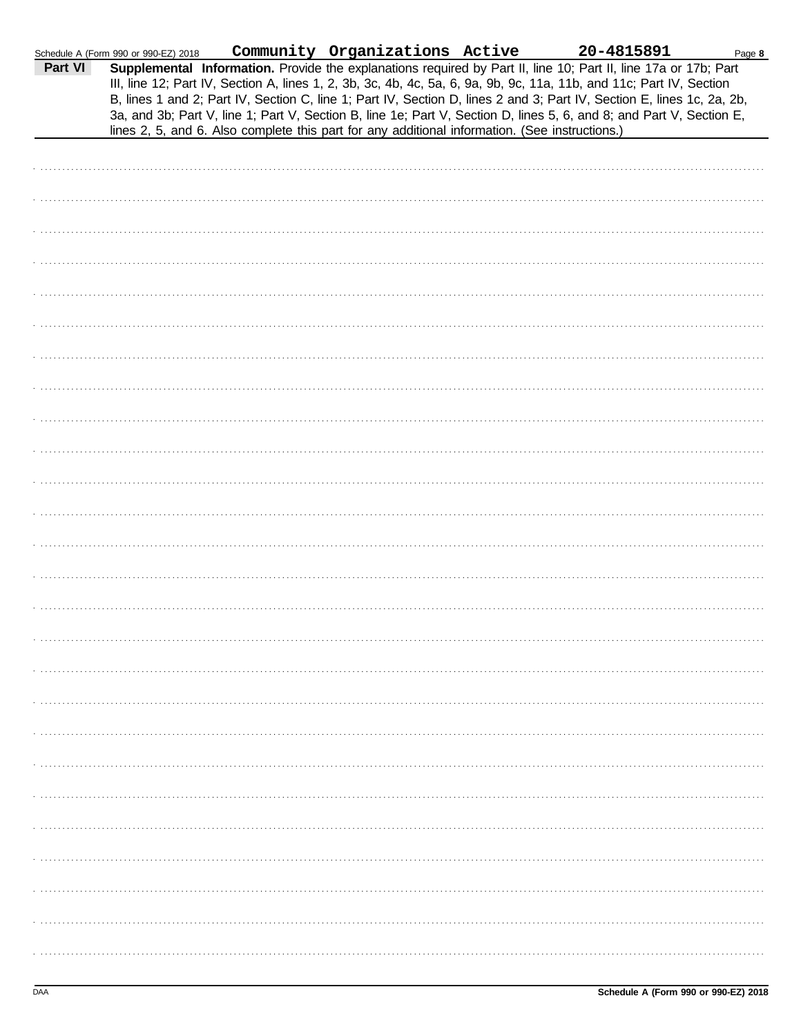|         | Schedule A (Form 990 or 990-EZ) 2018 |                                                                                                | Community Organizations Active | 20-4815891                                                                                                                                                                                                                                                                                                                                                                                                                                                                                | Page 8 |
|---------|--------------------------------------|------------------------------------------------------------------------------------------------|--------------------------------|-------------------------------------------------------------------------------------------------------------------------------------------------------------------------------------------------------------------------------------------------------------------------------------------------------------------------------------------------------------------------------------------------------------------------------------------------------------------------------------------|--------|
| Part VI |                                      | lines 2, 5, and 6. Also complete this part for any additional information. (See instructions.) |                                | Supplemental Information. Provide the explanations required by Part II, line 10; Part II, line 17a or 17b; Part<br>III, line 12; Part IV, Section A, lines 1, 2, 3b, 3c, 4b, 4c, 5a, 6, 9a, 9b, 9c, 11a, 11b, and 11c; Part IV, Section<br>B, lines 1 and 2; Part IV, Section C, line 1; Part IV, Section D, lines 2 and 3; Part IV, Section E, lines 1c, 2a, 2b,<br>3a, and 3b; Part V, line 1; Part V, Section B, line 1e; Part V, Section D, lines 5, 6, and 8; and Part V, Section E, |        |
|         |                                      |                                                                                                |                                |                                                                                                                                                                                                                                                                                                                                                                                                                                                                                           |        |
|         |                                      |                                                                                                |                                |                                                                                                                                                                                                                                                                                                                                                                                                                                                                                           |        |
|         |                                      |                                                                                                |                                |                                                                                                                                                                                                                                                                                                                                                                                                                                                                                           |        |
|         |                                      |                                                                                                |                                |                                                                                                                                                                                                                                                                                                                                                                                                                                                                                           |        |
|         |                                      |                                                                                                |                                |                                                                                                                                                                                                                                                                                                                                                                                                                                                                                           |        |
|         |                                      |                                                                                                |                                |                                                                                                                                                                                                                                                                                                                                                                                                                                                                                           |        |
|         |                                      |                                                                                                |                                |                                                                                                                                                                                                                                                                                                                                                                                                                                                                                           |        |
|         |                                      |                                                                                                |                                |                                                                                                                                                                                                                                                                                                                                                                                                                                                                                           |        |
|         |                                      |                                                                                                |                                |                                                                                                                                                                                                                                                                                                                                                                                                                                                                                           |        |
|         |                                      |                                                                                                |                                |                                                                                                                                                                                                                                                                                                                                                                                                                                                                                           |        |
|         |                                      |                                                                                                |                                |                                                                                                                                                                                                                                                                                                                                                                                                                                                                                           |        |
|         |                                      |                                                                                                |                                |                                                                                                                                                                                                                                                                                                                                                                                                                                                                                           |        |
|         |                                      |                                                                                                |                                |                                                                                                                                                                                                                                                                                                                                                                                                                                                                                           |        |
|         |                                      |                                                                                                |                                |                                                                                                                                                                                                                                                                                                                                                                                                                                                                                           |        |
|         |                                      |                                                                                                |                                |                                                                                                                                                                                                                                                                                                                                                                                                                                                                                           |        |
|         |                                      |                                                                                                |                                |                                                                                                                                                                                                                                                                                                                                                                                                                                                                                           |        |
|         |                                      |                                                                                                |                                |                                                                                                                                                                                                                                                                                                                                                                                                                                                                                           |        |
|         |                                      |                                                                                                |                                |                                                                                                                                                                                                                                                                                                                                                                                                                                                                                           |        |
|         |                                      |                                                                                                |                                |                                                                                                                                                                                                                                                                                                                                                                                                                                                                                           |        |
|         |                                      |                                                                                                |                                |                                                                                                                                                                                                                                                                                                                                                                                                                                                                                           |        |
|         |                                      |                                                                                                |                                |                                                                                                                                                                                                                                                                                                                                                                                                                                                                                           |        |
|         |                                      |                                                                                                |                                |                                                                                                                                                                                                                                                                                                                                                                                                                                                                                           |        |
|         |                                      |                                                                                                |                                |                                                                                                                                                                                                                                                                                                                                                                                                                                                                                           |        |
|         |                                      |                                                                                                |                                |                                                                                                                                                                                                                                                                                                                                                                                                                                                                                           |        |
|         |                                      |                                                                                                |                                |                                                                                                                                                                                                                                                                                                                                                                                                                                                                                           |        |
|         |                                      |                                                                                                |                                |                                                                                                                                                                                                                                                                                                                                                                                                                                                                                           |        |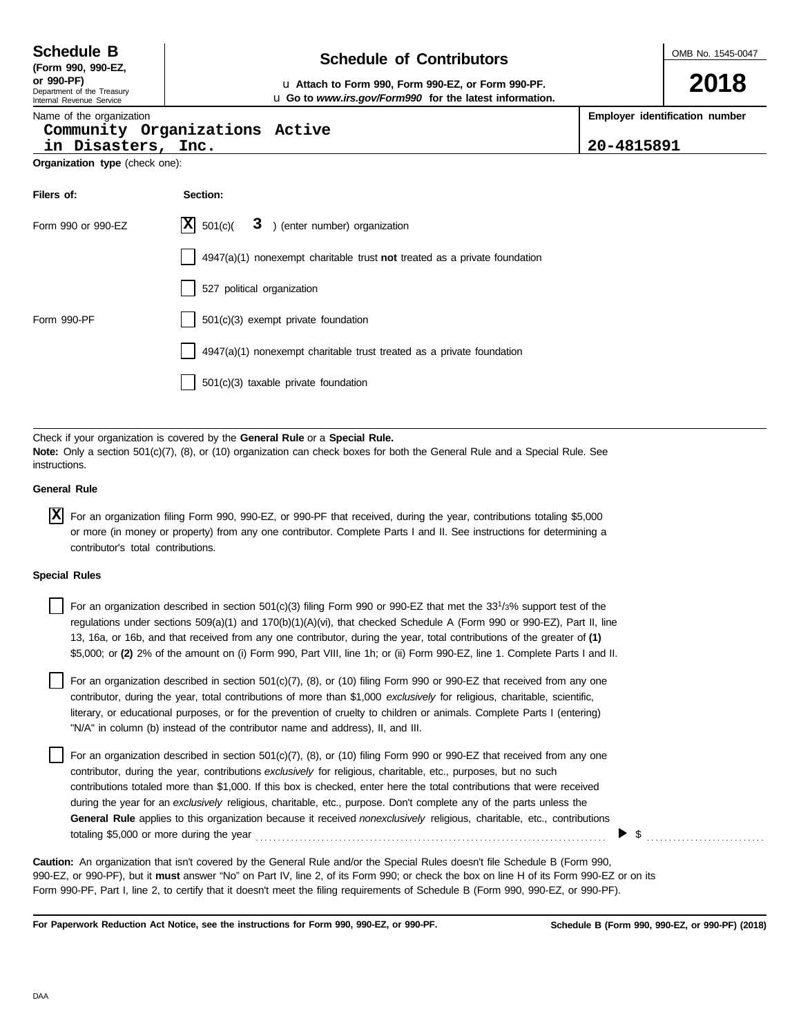**DAA** 

| <b>Schedule B</b>  | <b>Schedule of Contributors</b> |
|--------------------|---------------------------------|
| (Form 990, 990-EZ. |                                 |

Department of the Treasury **or 990-PF)** u **Attach to Form 990, Form 990-EZ, or Form 990-PF.**

#### Internal Revenue Service Name of the organization

#### **Community Organizations Active**

**in Disasters, Inc. 20-4815891**

**Organization type** (check one):

| Filers of:         | Section:                                                                    |
|--------------------|-----------------------------------------------------------------------------|
| Form 990 or 990-EZ | $X \mid 501(c)$<br>$3$ ) (enter number) organization                        |
|                    | $4947(a)(1)$ nonexempt charitable trust not treated as a private foundation |
|                    | 527 political organization                                                  |
| Form 990-PF        | 501(c)(3) exempt private foundation                                         |
|                    | 4947(a)(1) nonexempt charitable trust treated as a private foundation       |
|                    | 501(c)(3) taxable private foundation                                        |

u **Go to** *www.irs.gov/Form990* **for the latest information.**

Check if your organization is covered by the **General Rule** or a **Special Rule. Note:** Only a section 501(c)(7), (8), or (10) organization can check boxes for both the General Rule and a Special Rule. See instructions.

#### **General Rule**

For an organization filing Form 990, 990-EZ, or 990-PF that received, during the year, contributions totaling \$5,000 **X**or more (in money or property) from any one contributor. Complete Parts I and II. See instructions for determining a contributor's total contributions.

#### **Special Rules**

For an organization described in section 501(c)(3) filing Form 990 or 990-EZ that met the 33<sup>1</sup>/3% support test of the regulations under sections 509(a)(1) and 170(b)(1)(A)(vi), that checked Schedule A (Form 990 or 990-EZ), Part II, line 13, 16a, or 16b, and that received from any one contributor, during the year, total contributions of the greater of **(1)** \$5,000; or **(2)** 2% of the amount on (i) Form 990, Part VIII, line 1h; or (ii) Form 990-EZ, line 1. Complete Parts I and II.

literary, or educational purposes, or for the prevention of cruelty to children or animals. Complete Parts I (entering) For an organization described in section 501(c)(7), (8), or (10) filing Form 990 or 990-EZ that received from any one contributor, during the year, total contributions of more than \$1,000 *exclusively* for religious, charitable, scientific, "N/A" in column (b) instead of the contributor name and address), II, and III.

For an organization described in section 501(c)(7), (8), or (10) filing Form 990 or 990-EZ that received from any one contributor, during the year, contributions *exclusively* for religious, charitable, etc., purposes, but no such contributions totaled more than \$1,000. If this box is checked, enter here the total contributions that were received during the year for an *exclusively* religious, charitable, etc., purpose. Don't complete any of the parts unless the **General Rule** applies to this organization because it received *nonexclusively* religious, charitable, etc., contributions totaling \$5,000 or more during the year . . . . . . . . . . . . . . . . . . . . . . . . . . . . . . . . . . . . . . . . . . . . . . . . . . . . . . . . . . . . . . . . . . . . . . . . . . . . . . . .

990-EZ, or 990-PF), but it **must** answer "No" on Part IV, line 2, of its Form 990; or check the box on line H of its Form 990-EZ or on its Form 990-PF, Part I, line 2, to certify that it doesn't meet the filing requirements of Schedule B (Form 990, 990-EZ, or 990-PF). **Caution:** An organization that isn't covered by the General Rule and/or the Special Rules doesn't file Schedule B (Form 990,

**For Paperwork Reduction Act Notice, see the instructions for Form 990, 990-EZ, or 990-PF.**

**2018**

**Employer identification number**

 $\triangleright$  \$

**Schedule B (Form 990, 990-EZ, or 990-PF) (2018)**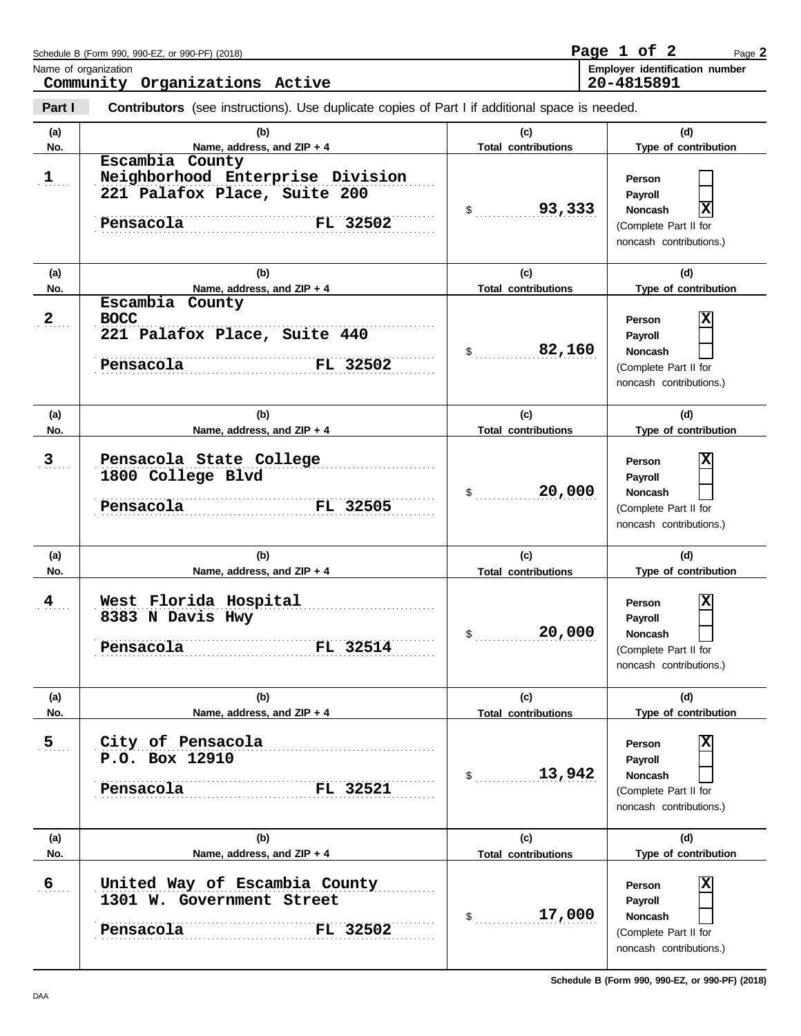|                  | Schedule B (Form 990, 990-EZ, or 990-PF) (2018)<br>Name of organization<br>Community Organizations Active    |                                   | Page 1 of 2<br>Page 2<br>Employer identification number<br>20-4815891                        |
|------------------|--------------------------------------------------------------------------------------------------------------|-----------------------------------|----------------------------------------------------------------------------------------------|
| Part I           | <b>Contributors</b> (see instructions). Use duplicate copies of Part I if additional space is needed.        |                                   |                                                                                              |
| (a)<br>No.       | (b)<br>Name, address, and ZIP + 4                                                                            | (c)<br><b>Total contributions</b> | (d)<br>Type of contribution                                                                  |
| 1                | Escambia County<br>Neighborhood Enterprise Division<br>221 Palafox Place, Suite 200<br>Pensacola<br>FL 32502 | 93,333<br>$\mathsf{S}$            | Person<br>Payroll<br>x<br>Noncash<br>(Complete Part II for<br>noncash contributions.)        |
| (a)<br>No.       | (b)<br>Name, address, and ZIP + 4                                                                            | (c)<br><b>Total contributions</b> | (d)<br>Type of contribution                                                                  |
| $2_{\ldots}$     | Escambia<br>County<br><b>BOCC</b><br>221 Palafox Place, Suite 440<br>FL 32502<br>Pensacola                   | 82,160<br>\$                      | х<br>Person<br>Payroll<br><b>Noncash</b><br>(Complete Part II for<br>noncash contributions.) |
| (a)<br>No.       | (b)<br>Name, address, and ZIP + 4                                                                            | (c)<br><b>Total contributions</b> | (d)<br>Type of contribution                                                                  |
| 3 <sub>1</sub>   | Pensacola State College<br>1800 College Blvd<br>Pensacola<br>FL 32505                                        | 20,000<br>\$                      | X<br>Person<br>Payroll<br>Noncash<br>(Complete Part II for<br>noncash contributions.)        |
| (a)<br>No.       | (b)<br>Name, address, and ZIP + 4                                                                            | (c)<br><b>Total contributions</b> | (d)<br>Type of contribution                                                                  |
| 4                | West Florida Hospital<br>8383 N Davis Hwy<br>Pensacola<br>FL 32514                                           | 20,000<br>\$                      | X<br>Person<br>Payroll<br>Noncash<br>(Complete Part II for<br>noncash contributions.)        |
| (a)<br>No.       | (b)<br>Name, address, and ZIP + 4                                                                            | (c)<br><b>Total contributions</b> | (d)<br>Type of contribution                                                                  |
| $\overline{5}$   | City of Pensacola<br>P.O. Box 12910<br>Pensacola<br>FL 32521                                                 | 13,942<br>$\sim$                  | X<br>Person<br>Payroll<br><b>Noncash</b><br>(Complete Part II for<br>noncash contributions.) |
| (a)<br>No.       | (b)<br>Name, address, and ZIP + 4                                                                            | (c)<br><b>Total contributions</b> | (d)<br>Type of contribution                                                                  |
| $6 \overline{6}$ | United Way of Escambia County<br>1301 W. Government Street<br>Pensacola<br>FL 32502                          | 17,000<br>$\sim$                  | X<br>Person<br>Payroll<br>Noncash<br>(Complete Part II for<br>noncash contributions.)        |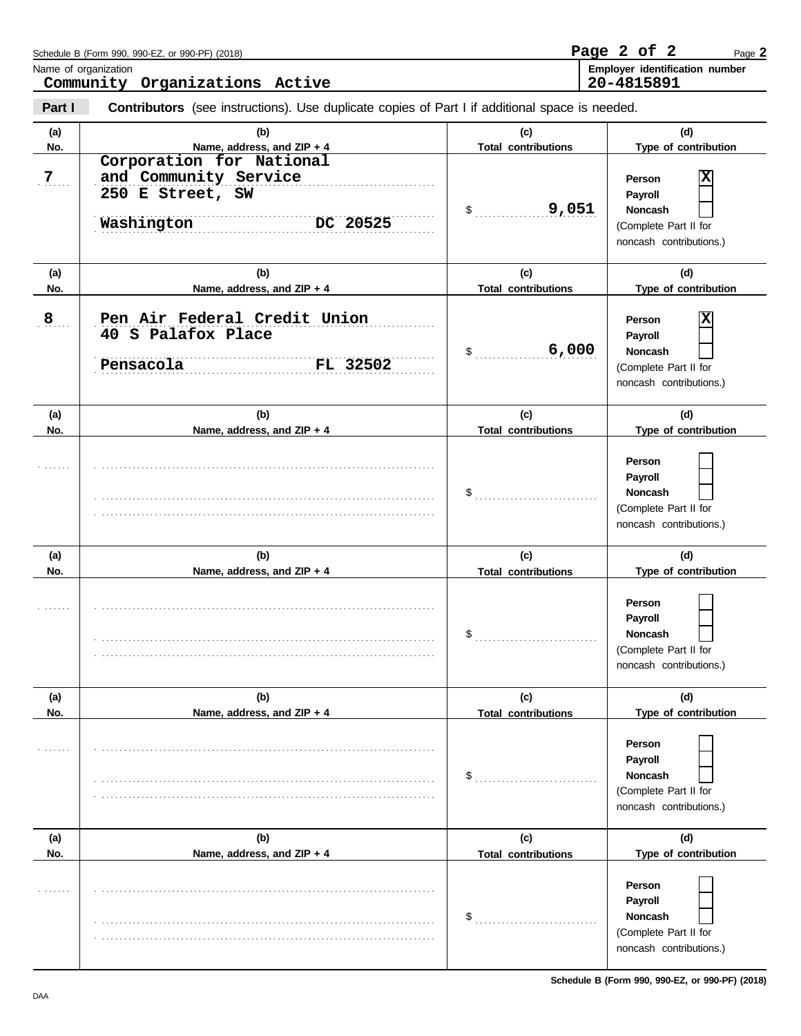|                | Schedule B (Form 990, 990-EZ, or 990-PF) (2018)                                                |                                   | Page 2 of 2<br>Page 2                                                                   |
|----------------|------------------------------------------------------------------------------------------------|-----------------------------------|-----------------------------------------------------------------------------------------|
|                | Name of organization<br>Community Organizations Active                                         |                                   | Employer identification number<br>20-4815891                                            |
| Part I         | Contributors (see instructions). Use duplicate copies of Part I if additional space is needed. |                                   |                                                                                         |
| (a)<br>No.     | (b)<br>Name, address, and ZIP + 4<br>Corporation for National                                  | (c)<br><b>Total contributions</b> | (d)<br>Type of contribution                                                             |
| 7 <sub>1</sub> | and Community Service<br>250 E Street, SW<br>Washington<br>DC 20525                            | 9,051<br>\$                       | X<br>Person<br>Payroll<br>Noncash<br>(Complete Part II for<br>noncash contributions.)   |
| (a)            | (b)                                                                                            | (c)                               | (d)                                                                                     |
| No.            | Name, address, and ZIP + 4                                                                     | <b>Total contributions</b>        | Type of contribution                                                                    |
| 8              | Pen Air Federal Credit Union<br>40 S Palafox Place<br>FL 32502<br>Pensacola                    | 6,000<br>\$                       | X<br>Person<br>Payroll<br>Noncash<br>(Complete Part II for<br>noncash contributions.)   |
| (a)            | (b)                                                                                            | (c)                               | (d)                                                                                     |
| No.            | Name, address, and ZIP + 4                                                                     | <b>Total contributions</b>        | Type of contribution                                                                    |
|                |                                                                                                |                                   | Person<br>Payroll<br>Noncash<br>(Complete Part II for<br>noncash contributions.)        |
| (a)            | (b)                                                                                            | (c)                               | (d)                                                                                     |
| No.            | Name, address, and ZIP + 4                                                                     | <b>Total contributions</b>        | Type of contribution                                                                    |
|                |                                                                                                | \$                                | Person<br>Payroll<br>Noncash<br>(Complete Part II for<br>noncash contributions.)        |
| (a)            | (b)                                                                                            | (c)                               | (d)                                                                                     |
| No.            | Name, address, and ZIP + 4                                                                     | <b>Total contributions</b>        | Type of contribution                                                                    |
|                |                                                                                                | \$                                | Person<br>Payroll<br>Noncash<br>(Complete Part II for<br>noncash contributions.)        |
| (a)            | (b)                                                                                            | (c)                               | (d)                                                                                     |
| No.            | Name, address, and ZIP + 4                                                                     | <b>Total contributions</b>        | Type of contribution                                                                    |
|                |                                                                                                | \$                                | Person<br>Payroll<br><b>Noncash</b><br>(Complete Part II for<br>noncash contributions.) |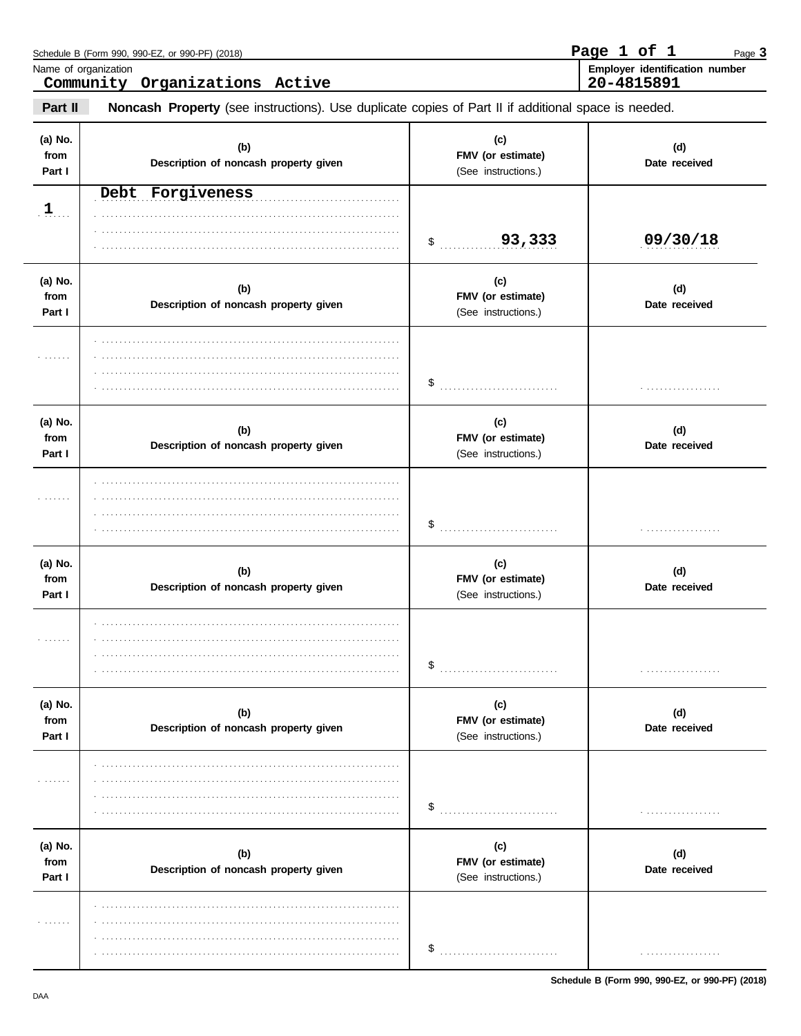| Name of organization      | Schedule B (Form 990, 990-EZ, or 990-PF) (2018)<br>Community Organizations Active                   |                                                 | Page 1 of 1<br>Page 3<br>Employer identification number<br>20-4815891 |
|---------------------------|-----------------------------------------------------------------------------------------------------|-------------------------------------------------|-----------------------------------------------------------------------|
| Part II                   | Noncash Property (see instructions). Use duplicate copies of Part II if additional space is needed. |                                                 |                                                                       |
| (a) No.<br>from<br>Part I | (b)<br>Description of noncash property given                                                        | (c)<br>FMV (or estimate)<br>(See instructions.) | (d)<br>Date received                                                  |
| $1$                       | Debt Forgiveness                                                                                    | 93,333<br>\$                                    | 09/30/18                                                              |
| (a) No.<br>from<br>Part I | (b)<br>Description of noncash property given                                                        | (c)<br>FMV (or estimate)<br>(See instructions.) | (d)<br>Date received                                                  |
|                           |                                                                                                     | \$                                              | .                                                                     |
| (a) No.<br>from<br>Part I | (b)<br>Description of noncash property given                                                        | (c)<br>FMV (or estimate)<br>(See instructions.) | (d)<br>Date received                                                  |
|                           |                                                                                                     | \$                                              | .                                                                     |
| (a) No.<br>from<br>Part I | (b)<br>Description of noncash property given                                                        | (c)<br>FMV (or estimate)<br>(See instructions.) | (d)<br>Date received                                                  |
| .                         |                                                                                                     | \$                                              | .                                                                     |
| (a) No.<br>from<br>Part I | (b)<br>Description of noncash property given                                                        | (c)<br>FMV (or estimate)<br>(See instructions.) | (d)<br>Date received                                                  |
| .                         |                                                                                                     | \$                                              | .                                                                     |
| (a) No.<br>from<br>Part I | (b)<br>Description of noncash property given                                                        | (c)<br>FMV (or estimate)<br>(See instructions.) | (d)<br>Date received                                                  |
| .                         |                                                                                                     | \$                                              | .                                                                     |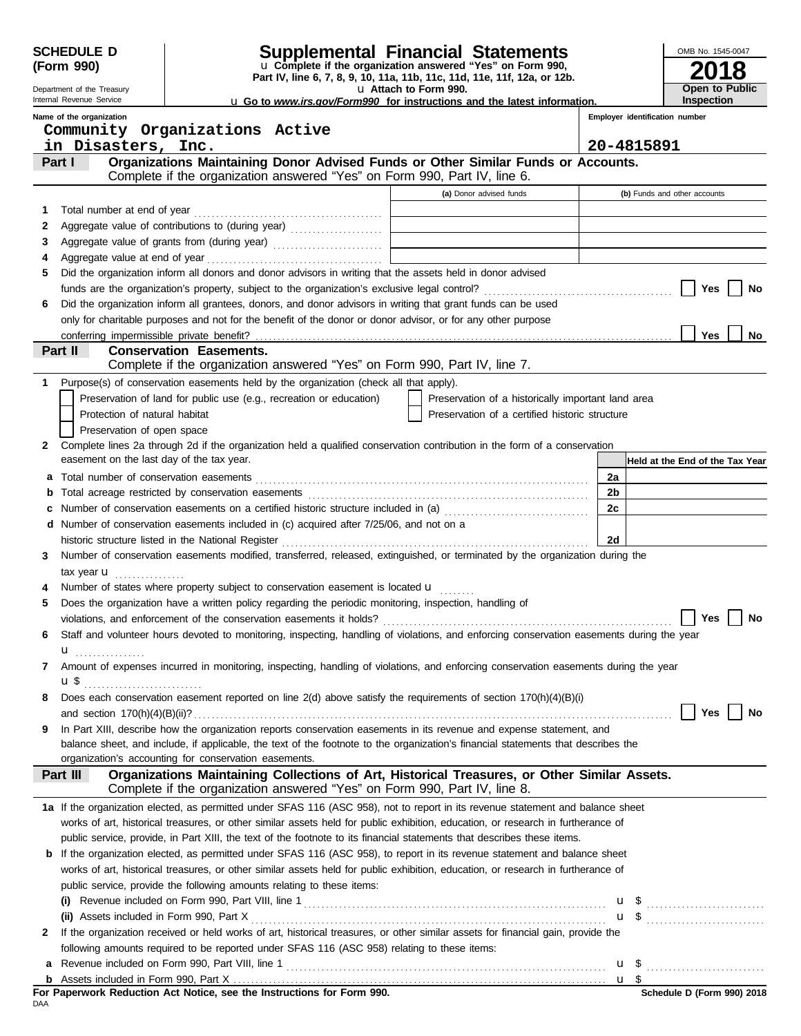|        | <b>SCHEDULE D</b>                                      |                                | <b>Supplemental Financial Statements</b>                                                                                                                                   |                       |                                                    |    |                                | OMB No. 1545-0047               |    |
|--------|--------------------------------------------------------|--------------------------------|----------------------------------------------------------------------------------------------------------------------------------------------------------------------------|-----------------------|----------------------------------------------------|----|--------------------------------|---------------------------------|----|
|        | (Form 990)                                             |                                | u Complete if the organization answered "Yes" on Form 990,<br>Part IV, line 6, 7, 8, 9, 10, 11a, 11b, 11c, 11d, 11e, 11f, 12a, or 12b.                                     |                       |                                                    |    |                                |                                 | 8  |
|        | Department of the Treasury<br>Internal Revenue Service |                                | u Go to www.irs.gov/Form990 for instructions and the latest information.                                                                                                   | u Attach to Form 990. |                                                    |    |                                | Open to Public<br>Inspection    |    |
|        | Name of the organization                               |                                |                                                                                                                                                                            |                       |                                                    |    | Employer identification number |                                 |    |
|        | Community Organizations Active                         |                                |                                                                                                                                                                            |                       |                                                    |    |                                |                                 |    |
|        | in Disasters, Inc.                                     |                                |                                                                                                                                                                            |                       |                                                    |    | 20-4815891                     |                                 |    |
|        | Part I                                                 |                                | Organizations Maintaining Donor Advised Funds or Other Similar Funds or Accounts.                                                                                          |                       |                                                    |    |                                |                                 |    |
|        |                                                        |                                | Complete if the organization answered "Yes" on Form 990, Part IV, line 6.                                                                                                  |                       |                                                    |    |                                |                                 |    |
|        |                                                        |                                |                                                                                                                                                                            |                       | (a) Donor advised funds                            |    |                                | (b) Funds and other accounts    |    |
| 1      |                                                        |                                |                                                                                                                                                                            |                       |                                                    |    |                                |                                 |    |
| 2      |                                                        |                                |                                                                                                                                                                            |                       |                                                    |    |                                |                                 |    |
| 3<br>4 |                                                        |                                | Aggregate value of grants from (during year) Materian Material Material Processor (Material Processor Contractor                                                           |                       |                                                    |    |                                |                                 |    |
| 5      |                                                        |                                | Did the organization inform all donors and donor advisors in writing that the assets held in donor advised                                                                 |                       |                                                    |    |                                |                                 |    |
|        |                                                        |                                |                                                                                                                                                                            |                       |                                                    |    |                                | Yes                             | No |
| 6      |                                                        |                                | Did the organization inform all grantees, donors, and donor advisors in writing that grant funds can be used                                                               |                       |                                                    |    |                                |                                 |    |
|        |                                                        |                                | only for charitable purposes and not for the benefit of the donor or donor advisor, or for any other purpose                                                               |                       |                                                    |    |                                |                                 |    |
|        | conferring impermissible private benefit?              |                                |                                                                                                                                                                            |                       |                                                    |    |                                | <b>Yes</b>                      | No |
|        | Part II                                                | <b>Conservation Easements.</b> |                                                                                                                                                                            |                       |                                                    |    |                                |                                 |    |
|        |                                                        |                                | Complete if the organization answered "Yes" on Form 990, Part IV, line 7.                                                                                                  |                       |                                                    |    |                                |                                 |    |
| 1.     |                                                        |                                | Purpose(s) of conservation easements held by the organization (check all that apply).                                                                                      |                       |                                                    |    |                                |                                 |    |
|        |                                                        |                                | Preservation of land for public use (e.g., recreation or education)                                                                                                        |                       | Preservation of a historically important land area |    |                                |                                 |    |
|        | Protection of natural habitat                          |                                |                                                                                                                                                                            |                       | Preservation of a certified historic structure     |    |                                |                                 |    |
| 2      | Preservation of open space                             |                                | Complete lines 2a through 2d if the organization held a qualified conservation contribution in the form of a conservation                                                  |                       |                                                    |    |                                |                                 |    |
|        | easement on the last day of the tax year.              |                                |                                                                                                                                                                            |                       |                                                    |    |                                | Held at the End of the Tax Year |    |
|        |                                                        |                                |                                                                                                                                                                            |                       |                                                    | 2a |                                |                                 |    |
|        |                                                        |                                |                                                                                                                                                                            |                       |                                                    | 2b |                                |                                 |    |
|        |                                                        |                                | Number of conservation easements on a certified historic structure included in (a) [11] Number of conservation easements on a certified historic structure included in (a) |                       |                                                    | 2c |                                |                                 |    |
| d      |                                                        |                                | Number of conservation easements included in (c) acquired after 7/25/06, and not on a                                                                                      |                       |                                                    |    |                                |                                 |    |
|        |                                                        |                                |                                                                                                                                                                            |                       |                                                    | 2d |                                |                                 |    |
| 3      |                                                        |                                | Number of conservation easements modified, transferred, released, extinguished, or terminated by the organization during the                                               |                       |                                                    |    |                                |                                 |    |
|        | tax year $\mathbf{u}$                                  |                                |                                                                                                                                                                            |                       |                                                    |    |                                |                                 |    |
|        |                                                        |                                | Number of states where property subject to conservation easement is located $\mathbf{u}$                                                                                   |                       |                                                    |    |                                |                                 |    |
| 5      |                                                        |                                | Does the organization have a written policy regarding the periodic monitoring, inspection, handling of                                                                     |                       |                                                    |    |                                |                                 |    |
|        |                                                        |                                |                                                                                                                                                                            |                       |                                                    |    |                                | Yes                             | No |
| 6      |                                                        |                                | Staff and volunteer hours devoted to monitoring, inspecting, handling of violations, and enforcing conservation easements during the year                                  |                       |                                                    |    |                                |                                 |    |
| 7      | u <sub></sub>                                          |                                | Amount of expenses incurred in monitoring, inspecting, handling of violations, and enforcing conservation easements during the year                                        |                       |                                                    |    |                                |                                 |    |
|        | u\$                                                    |                                |                                                                                                                                                                            |                       |                                                    |    |                                |                                 |    |
| 8      |                                                        |                                | Does each conservation easement reported on line 2(d) above satisfy the requirements of section 170(h)(4)(B)(i)                                                            |                       |                                                    |    |                                |                                 |    |
|        |                                                        |                                |                                                                                                                                                                            |                       |                                                    |    |                                | Yes                             | No |
| 9      |                                                        |                                | In Part XIII, describe how the organization reports conservation easements in its revenue and expense statement, and                                                       |                       |                                                    |    |                                |                                 |    |
|        |                                                        |                                | balance sheet, and include, if applicable, the text of the footnote to the organization's financial statements that describes the                                          |                       |                                                    |    |                                |                                 |    |
|        | organization's accounting for conservation easements.  |                                |                                                                                                                                                                            |                       |                                                    |    |                                |                                 |    |
|        | Part III                                               |                                | Organizations Maintaining Collections of Art, Historical Treasures, or Other Similar Assets.<br>Complete if the organization answered "Yes" on Form 990, Part IV, line 8.  |                       |                                                    |    |                                |                                 |    |
|        |                                                        |                                | 1a If the organization elected, as permitted under SFAS 116 (ASC 958), not to report in its revenue statement and balance sheet                                            |                       |                                                    |    |                                |                                 |    |
|        |                                                        |                                | works of art, historical treasures, or other similar assets held for public exhibition, education, or research in furtherance of                                           |                       |                                                    |    |                                |                                 |    |
|        |                                                        |                                | public service, provide, in Part XIII, the text of the footnote to its financial statements that describes these items.                                                    |                       |                                                    |    |                                |                                 |    |
|        |                                                        |                                | <b>b</b> If the organization elected, as permitted under SFAS 116 (ASC 958), to report in its revenue statement and balance sheet                                          |                       |                                                    |    |                                |                                 |    |
|        |                                                        |                                | works of art, historical treasures, or other similar assets held for public exhibition, education, or research in furtherance of                                           |                       |                                                    |    |                                |                                 |    |
|        |                                                        |                                | public service, provide the following amounts relating to these items:                                                                                                     |                       |                                                    |    |                                |                                 |    |
|        |                                                        |                                |                                                                                                                                                                            |                       |                                                    |    |                                |                                 |    |
| 2      |                                                        |                                | If the organization received or held works of art, historical treasures, or other similar assets for financial gain, provide the                                           |                       |                                                    |    |                                | $\mathbf{u}$ \$                 |    |
|        |                                                        |                                | following amounts required to be reported under SFAS 116 (ASC 958) relating to these items:                                                                                |                       |                                                    |    |                                |                                 |    |
|        |                                                        |                                |                                                                                                                                                                            |                       |                                                    |    |                                |                                 |    |
|        |                                                        |                                |                                                                                                                                                                            |                       |                                                    |    |                                |                                 |    |
|        |                                                        |                                |                                                                                                                                                                            |                       |                                                    |    |                                |                                 |    |

**For Paperwork Reduction Act Notice, see the Instructions for Form 990.**<br><sub>DAA</sub>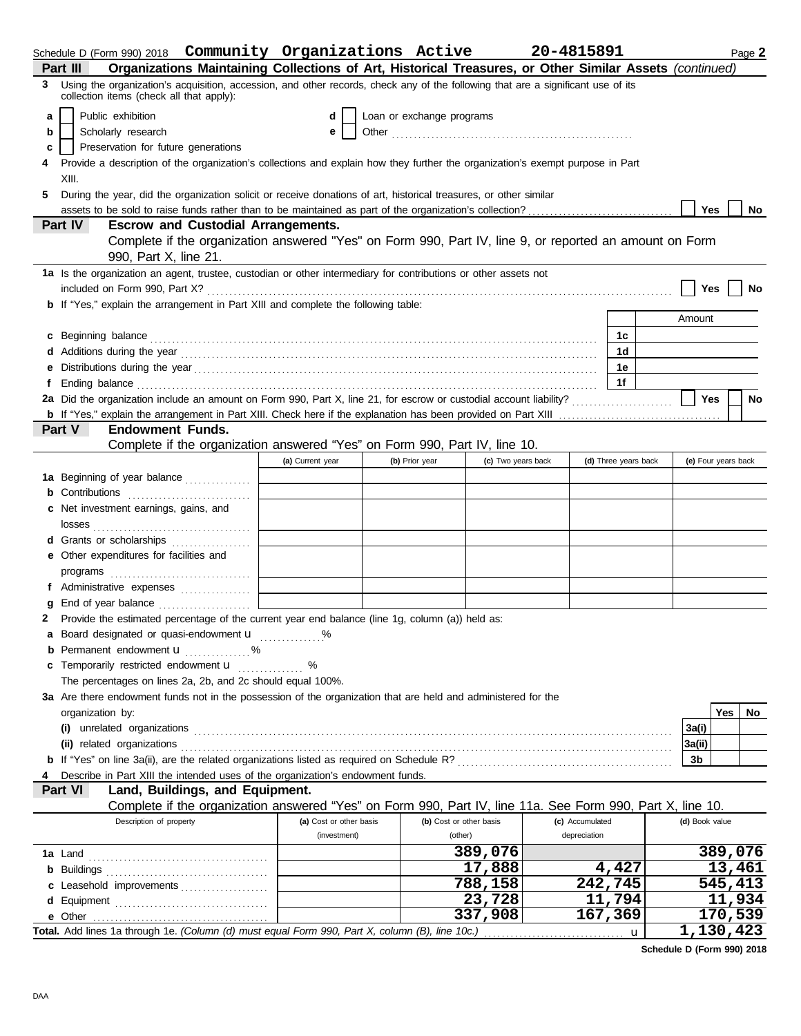|   |                  |                                          |                                             | Schedule D (Form 990) 2018  Community Organizations Active                                                                                                                                                                           |                           |                    | 20-4815891      |                      |                     |     | Page 2  |
|---|------------------|------------------------------------------|---------------------------------------------|--------------------------------------------------------------------------------------------------------------------------------------------------------------------------------------------------------------------------------------|---------------------------|--------------------|-----------------|----------------------|---------------------|-----|---------|
|   | Part III         |                                          |                                             | Organizations Maintaining Collections of Art, Historical Treasures, or Other Similar Assets (continued)                                                                                                                              |                           |                    |                 |                      |                     |     |         |
| 3 |                  | collection items (check all that apply): |                                             | Using the organization's acquisition, accession, and other records, check any of the following that are a significant use of its                                                                                                     |                           |                    |                 |                      |                     |     |         |
| a |                  | Public exhibition                        |                                             |                                                                                                                                                                                                                                      | Loan or exchange programs |                    |                 |                      |                     |     |         |
| b |                  | Scholarly research                       |                                             |                                                                                                                                                                                                                                      |                           |                    |                 |                      |                     |     |         |
| c |                  | Preservation for future generations      |                                             |                                                                                                                                                                                                                                      |                           |                    |                 |                      |                     |     |         |
|   | XIII.            |                                          |                                             | Provide a description of the organization's collections and explain how they further the organization's exempt purpose in Part                                                                                                       |                           |                    |                 |                      |                     |     |         |
|   |                  |                                          |                                             |                                                                                                                                                                                                                                      |                           |                    |                 |                      |                     |     |         |
| 5 |                  |                                          |                                             | During the year, did the organization solicit or receive donations of art, historical treasures, or other similar                                                                                                                    |                           |                    |                 |                      | Yes                 |     |         |
|   | Part IV          |                                          |                                             |                                                                                                                                                                                                                                      |                           |                    |                 |                      |                     |     | No      |
|   |                  |                                          | <b>Escrow and Custodial Arrangements.</b>   |                                                                                                                                                                                                                                      |                           |                    |                 |                      |                     |     |         |
|   |                  | 990, Part X, line 21.                    |                                             | Complete if the organization answered "Yes" on Form 990, Part IV, line 9, or reported an amount on Form                                                                                                                              |                           |                    |                 |                      |                     |     |         |
|   |                  |                                          |                                             | 1a Is the organization an agent, trustee, custodian or other intermediary for contributions or other assets not                                                                                                                      |                           |                    |                 |                      |                     |     |         |
|   |                  |                                          |                                             |                                                                                                                                                                                                                                      |                           |                    |                 |                      | Yes                 |     | No      |
|   |                  |                                          |                                             | <b>b</b> If "Yes," explain the arrangement in Part XIII and complete the following table:                                                                                                                                            |                           |                    |                 |                      |                     |     |         |
|   |                  |                                          |                                             |                                                                                                                                                                                                                                      |                           |                    |                 |                      | Amount              |     |         |
|   |                  |                                          |                                             | c Beginning balance <b>contract to the contract of the contract of the contract of the contract of the contract of the contract of the contract of the contract of the contract of the contract of the contract of the contract </b> |                           |                    |                 | 1c                   |                     |     |         |
|   |                  |                                          |                                             |                                                                                                                                                                                                                                      |                           |                    |                 | 1d                   |                     |     |         |
|   |                  |                                          |                                             |                                                                                                                                                                                                                                      |                           |                    |                 | 1e                   |                     |     |         |
|   |                  |                                          |                                             | Ending balance <i>communically contained a contained a contained a contained a contained a contained a contained a</i>                                                                                                               |                           |                    |                 | 1f                   |                     |     |         |
|   |                  |                                          |                                             |                                                                                                                                                                                                                                      |                           |                    |                 |                      | Yes                 |     | No      |
|   |                  |                                          |                                             |                                                                                                                                                                                                                                      |                           |                    |                 |                      |                     |     |         |
|   | Part V           | <b>Endowment Funds.</b>                  |                                             |                                                                                                                                                                                                                                      |                           |                    |                 |                      |                     |     |         |
|   |                  |                                          |                                             | Complete if the organization answered "Yes" on Form 990, Part IV, line 10.                                                                                                                                                           |                           |                    |                 |                      |                     |     |         |
|   |                  |                                          |                                             | (a) Current year                                                                                                                                                                                                                     | (b) Prior year            | (c) Two years back |                 | (d) Three years back | (e) Four years back |     |         |
|   |                  |                                          | 1a Beginning of year balance                |                                                                                                                                                                                                                                      |                           |                    |                 |                      |                     |     |         |
|   |                  |                                          |                                             |                                                                                                                                                                                                                                      |                           |                    |                 |                      |                     |     |         |
|   |                  | c Net investment earnings, gains, and    | <b>b</b> Contributions <b>contributions</b> |                                                                                                                                                                                                                                      |                           |                    |                 |                      |                     |     |         |
|   |                  |                                          |                                             |                                                                                                                                                                                                                                      |                           |                    |                 |                      |                     |     |         |
|   |                  |                                          |                                             |                                                                                                                                                                                                                                      |                           |                    |                 |                      |                     |     |         |
|   |                  |                                          | d Grants or scholarships                    |                                                                                                                                                                                                                                      |                           |                    |                 |                      |                     |     |         |
|   |                  | e Other expenditures for facilities and  |                                             |                                                                                                                                                                                                                                      |                           |                    |                 |                      |                     |     |         |
|   |                  |                                          |                                             |                                                                                                                                                                                                                                      |                           |                    |                 |                      |                     |     |         |
|   |                  |                                          | f Administrative expenses                   |                                                                                                                                                                                                                                      |                           |                    |                 |                      |                     |     |         |
|   |                  |                                          |                                             |                                                                                                                                                                                                                                      |                           |                    |                 |                      |                     |     |         |
| 2 |                  |                                          |                                             | Provide the estimated percentage of the current year end balance (line 1g, column (a)) held as:                                                                                                                                      |                           |                    |                 |                      |                     |     |         |
|   |                  |                                          | a Board designated or quasi-endowment u     |                                                                                                                                                                                                                                      |                           |                    |                 |                      |                     |     |         |
|   |                  |                                          | <b>b</b> Permanent endowment <b>u</b>       |                                                                                                                                                                                                                                      |                           |                    |                 |                      |                     |     |         |
|   |                  |                                          | c Temporarily restricted endowment <b>u</b> | %                                                                                                                                                                                                                                    |                           |                    |                 |                      |                     |     |         |
|   |                  |                                          |                                             | The percentages on lines 2a, 2b, and 2c should equal 100%.                                                                                                                                                                           |                           |                    |                 |                      |                     |     |         |
|   |                  |                                          |                                             | 3a Are there endowment funds not in the possession of the organization that are held and administered for the                                                                                                                        |                           |                    |                 |                      |                     |     |         |
|   | organization by: |                                          |                                             |                                                                                                                                                                                                                                      |                           |                    |                 |                      |                     | Yes | No.     |
|   |                  |                                          |                                             |                                                                                                                                                                                                                                      |                           |                    |                 |                      | 3a(i)               |     |         |
|   |                  |                                          |                                             |                                                                                                                                                                                                                                      |                           |                    |                 |                      | 3a(ii)              |     |         |
|   |                  |                                          |                                             |                                                                                                                                                                                                                                      |                           |                    |                 |                      | 3b                  |     |         |
|   |                  |                                          |                                             | Describe in Part XIII the intended uses of the organization's endowment funds.                                                                                                                                                       |                           |                    |                 |                      |                     |     |         |
|   | <b>Part VI</b>   |                                          | Land, Buildings, and Equipment.             |                                                                                                                                                                                                                                      |                           |                    |                 |                      |                     |     |         |
|   |                  |                                          |                                             | Complete if the organization answered "Yes" on Form 990, Part IV, line 11a. See Form 990, Part X, line 10.                                                                                                                           |                           |                    |                 |                      |                     |     |         |
|   |                  | Description of property                  |                                             | (a) Cost or other basis                                                                                                                                                                                                              | (b) Cost or other basis   |                    | (c) Accumulated |                      | (d) Book value      |     |         |
|   |                  |                                          |                                             | (investment)                                                                                                                                                                                                                         | (other)                   |                    | depreciation    |                      |                     |     |         |
|   |                  |                                          |                                             |                                                                                                                                                                                                                                      |                           | 389,076            |                 |                      |                     |     | 389,076 |
|   |                  |                                          |                                             |                                                                                                                                                                                                                                      |                           | 17,888             |                 | 4,427                |                     |     | 13,461  |
|   |                  |                                          |                                             |                                                                                                                                                                                                                                      |                           | 788,158            |                 | 242,745              |                     |     | 545,413 |
|   |                  |                                          | c Leasehold improvements                    |                                                                                                                                                                                                                                      |                           |                    |                 |                      |                     |     |         |
|   |                  |                                          |                                             |                                                                                                                                                                                                                                      |                           | 23,728             |                 | 11,794               |                     |     | 11,934  |
|   |                  |                                          |                                             |                                                                                                                                                                                                                                      |                           | 337,908            |                 | 167,369              |                     |     | 170,539 |
|   |                  |                                          |                                             | Total. Add lines 1a through 1e. (Column (d) must equal Form 990, Part X, column (B), line 10c.)                                                                                                                                      |                           |                    |                 | $\mathbf{u}$         | 1,130,423           |     |         |

**Schedule D (Form 990) 2018**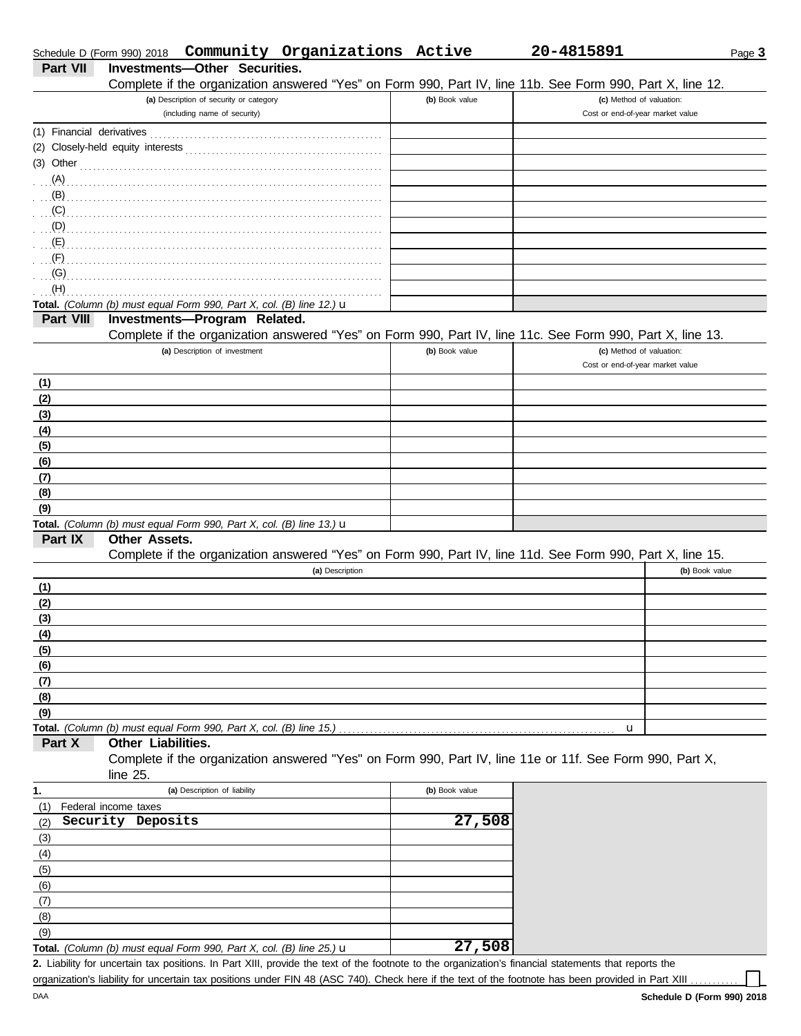|                           | Schedule D (Form 990) 2018  Community Organizations Active                                                                                           |                | 20-4815891                                                   | Page 3         |
|---------------------------|------------------------------------------------------------------------------------------------------------------------------------------------------|----------------|--------------------------------------------------------------|----------------|
| <b>Part VII</b>           | Investments-Other Securities.                                                                                                                        |                |                                                              |                |
|                           | Complete if the organization answered "Yes" on Form 990, Part IV, line 11b. See Form 990, Part X, line 12.                                           |                |                                                              |                |
|                           | (a) Description of security or category<br>(including name of security)                                                                              | (b) Book value | (c) Method of valuation:<br>Cost or end-of-year market value |                |
| (1) Financial derivatives |                                                                                                                                                      |                |                                                              |                |
|                           |                                                                                                                                                      |                |                                                              |                |
| $(3)$ Other               |                                                                                                                                                      |                |                                                              |                |
| (A)                       |                                                                                                                                                      |                |                                                              |                |
| (B)                       |                                                                                                                                                      |                |                                                              |                |
| (C)                       |                                                                                                                                                      |                |                                                              |                |
| (D)                       |                                                                                                                                                      |                |                                                              |                |
| (E)                       |                                                                                                                                                      |                |                                                              |                |
| (F)                       |                                                                                                                                                      |                |                                                              |                |
| (G)                       |                                                                                                                                                      |                |                                                              |                |
| (H)                       |                                                                                                                                                      |                |                                                              |                |
|                           | Total. (Column (b) must equal Form 990, Part X, col. (B) line 12.) u                                                                                 |                |                                                              |                |
| Part VIII                 | Investments-Program Related.                                                                                                                         |                |                                                              |                |
|                           | Complete if the organization answered "Yes" on Form 990, Part IV, line 11c. See Form 990, Part X, line 13.                                           |                |                                                              |                |
|                           | (a) Description of investment                                                                                                                        | (b) Book value | (c) Method of valuation:                                     |                |
|                           |                                                                                                                                                      |                | Cost or end-of-year market value                             |                |
| (1)                       |                                                                                                                                                      |                |                                                              |                |
| (2)                       |                                                                                                                                                      |                |                                                              |                |
| (3)                       |                                                                                                                                                      |                |                                                              |                |
| (4)                       |                                                                                                                                                      |                |                                                              |                |
| (5)                       |                                                                                                                                                      |                |                                                              |                |
| (6)                       |                                                                                                                                                      |                |                                                              |                |
| (7)                       |                                                                                                                                                      |                |                                                              |                |
| (8)                       |                                                                                                                                                      |                |                                                              |                |
| (9)                       |                                                                                                                                                      |                |                                                              |                |
|                           | Total. (Column (b) must equal Form 990, Part X, col. (B) line 13.) u                                                                                 |                |                                                              |                |
| Part IX                   | <b>Other Assets.</b>                                                                                                                                 |                |                                                              |                |
|                           | Complete if the organization answered "Yes" on Form 990, Part IV, line 11d. See Form 990, Part X, line 15.                                           |                |                                                              |                |
|                           | (a) Description                                                                                                                                      |                |                                                              | (b) Book value |
| (1)                       |                                                                                                                                                      |                |                                                              |                |
| (2)                       |                                                                                                                                                      |                |                                                              |                |
| (3)                       |                                                                                                                                                      |                |                                                              |                |
| (4)                       |                                                                                                                                                      |                |                                                              |                |
| (5)                       |                                                                                                                                                      |                |                                                              |                |
| (6)                       |                                                                                                                                                      |                |                                                              |                |
| (7)                       |                                                                                                                                                      |                |                                                              |                |
| (8)                       |                                                                                                                                                      |                |                                                              |                |
| (9)                       |                                                                                                                                                      |                |                                                              |                |
|                           | Total. (Column (b) must equal Form 990, Part X, col. (B) line 15.)                                                                                   |                | u                                                            |                |
| Part X                    | Other Liabilities.                                                                                                                                   |                |                                                              |                |
|                           | Complete if the organization answered "Yes" on Form 990, Part IV, line 11e or 11f. See Form 990, Part X,                                             |                |                                                              |                |
|                           | line $25$ .                                                                                                                                          |                |                                                              |                |
| 1.                        | (a) Description of liability                                                                                                                         | (b) Book value |                                                              |                |
| (1)                       | Federal income taxes                                                                                                                                 |                |                                                              |                |
| (2)                       | Security Deposits                                                                                                                                    | 27,508         |                                                              |                |
| (3)                       |                                                                                                                                                      |                |                                                              |                |
| (4)                       |                                                                                                                                                      |                |                                                              |                |
| (5)                       |                                                                                                                                                      |                |                                                              |                |
| (6)                       |                                                                                                                                                      |                |                                                              |                |
| (7)                       |                                                                                                                                                      |                |                                                              |                |
| (8)                       |                                                                                                                                                      |                |                                                              |                |
| (9)                       |                                                                                                                                                      |                |                                                              |                |
|                           | Total. (Column (b) must equal Form 990, Part X, col. (B) line 25.) u                                                                                 | 27,508         |                                                              |                |
|                           | 2. Liability for uncertain tax positions. In Part XIII, provide the text of the footnote to the organization's financial statements that reports the |                |                                                              |                |

organization's liability for uncertain tax positions under FIN 48 (ASC 740). Check here if the text of the footnote has been provided in Part XIII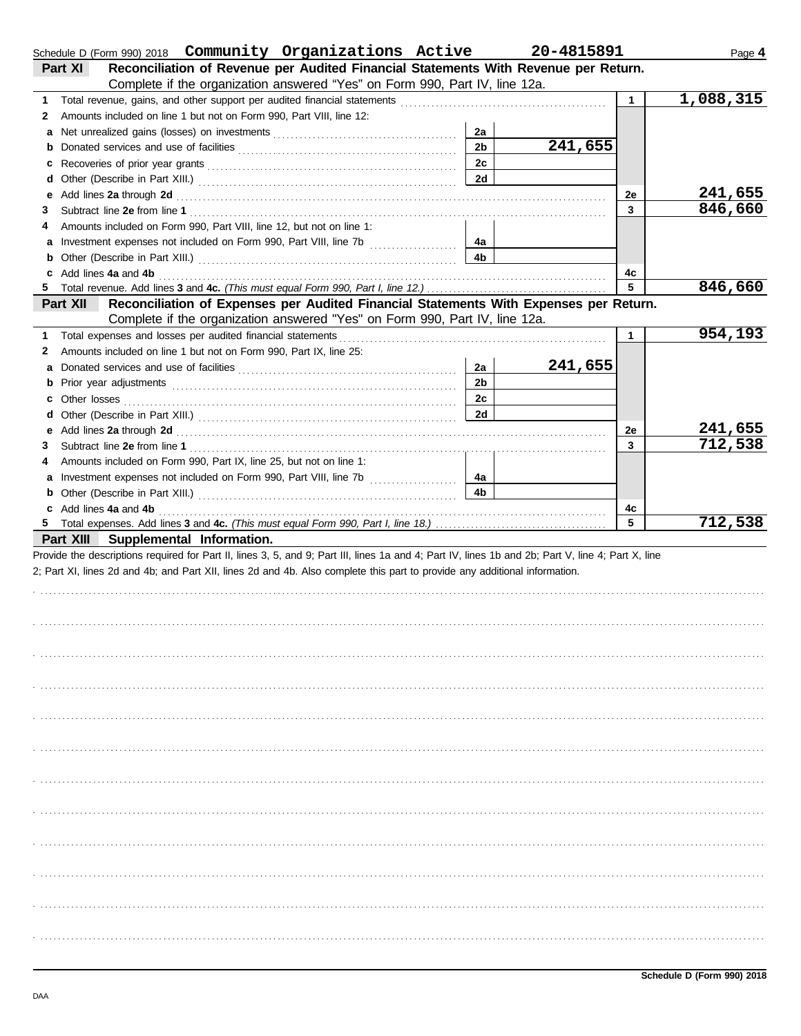| Schedule D (Form 990) 2018  Community Organizations Active                                                                                                                                                                          |                | 20-4815891 |              | Page 4    |
|-------------------------------------------------------------------------------------------------------------------------------------------------------------------------------------------------------------------------------------|----------------|------------|--------------|-----------|
| Reconciliation of Revenue per Audited Financial Statements With Revenue per Return.<br>Part XI                                                                                                                                      |                |            |              |           |
| Complete if the organization answered "Yes" on Form 990, Part IV, line 12a.                                                                                                                                                         |                |            |              |           |
| 1.                                                                                                                                                                                                                                  |                |            | $\mathbf{1}$ | 1,088,315 |
| Amounts included on line 1 but not on Form 990, Part VIII, line 12:<br>2                                                                                                                                                            |                |            |              |           |
| a                                                                                                                                                                                                                                   | 2a             |            |              |           |
| b                                                                                                                                                                                                                                   | 2 <sub>b</sub> | 241,655    |              |           |
| c                                                                                                                                                                                                                                   | 2c             |            |              |           |
| d                                                                                                                                                                                                                                   | 2d             |            |              |           |
| Add lines 2a through 2d [11, 12] Add [12] Add lines 2a through 2d [12] Add lines 2a through 2d [12] Add lines 2.<br>е                                                                                                               |                |            | 2e           | 241,655   |
| 3                                                                                                                                                                                                                                   |                |            | 3            | 846,660   |
| Amounts included on Form 990, Part VIII, line 12, but not on line 1:<br>4                                                                                                                                                           |                |            |              |           |
| a                                                                                                                                                                                                                                   | 4a             |            |              |           |
| b                                                                                                                                                                                                                                   | 4b             |            |              |           |
| Add lines 4a and 4b<br>c                                                                                                                                                                                                            |                |            | 4c           |           |
| 5                                                                                                                                                                                                                                   |                |            | 5.           | 846,660   |
| Reconciliation of Expenses per Audited Financial Statements With Expenses per Return.<br>Part XII                                                                                                                                   |                |            |              |           |
| Complete if the organization answered "Yes" on Form 990, Part IV, line 12a.                                                                                                                                                         |                |            |              |           |
| Total expenses and losses per audited financial statements<br>1                                                                                                                                                                     |                |            | $\mathbf{1}$ | 954,193   |
| Amounts included on line 1 but not on Form 990, Part IX, line 25:<br>2                                                                                                                                                              |                |            |              |           |
| a                                                                                                                                                                                                                                   | 2a             | 241,655    |              |           |
| b                                                                                                                                                                                                                                   | 2 <sub>b</sub> |            |              |           |
| c                                                                                                                                                                                                                                   | 2c             |            |              |           |
| d                                                                                                                                                                                                                                   | 2d             |            |              |           |
| Add lines 2a through 2d [11] Martin Martin Martin Martin Martin Martin Martin Martin Martin Martin Martin Martin Martin Martin Martin Martin Martin Martin Martin Martin Martin Martin Martin Martin Martin Martin Martin Mart<br>е |                |            | 2e           | 241,655   |
| 3                                                                                                                                                                                                                                   |                |            | 3            | 712,538   |
| Amounts included on Form 990, Part IX, line 25, but not on line 1:<br>4                                                                                                                                                             |                |            |              |           |
|                                                                                                                                                                                                                                     | 4a             |            |              |           |
| b                                                                                                                                                                                                                                   | 4 <sub>b</sub> |            |              |           |
| c Add lines 4a and 4b                                                                                                                                                                                                               |                |            | 4c           |           |
| 5                                                                                                                                                                                                                                   |                |            | 5            | 712,538   |
| Part XIII Supplemental Information.                                                                                                                                                                                                 |                |            |              |           |
| Provide the descriptions required for Part II, lines 3, 5, and 9; Part III, lines 1a and 4; Part IV, lines 1b and 2b; Part V, line 4; Part X, line                                                                                  |                |            |              |           |
| 2; Part XI, lines 2d and 4b; and Part XII, lines 2d and 4b. Also complete this part to provide any additional information.                                                                                                          |                |            |              |           |
|                                                                                                                                                                                                                                     |                |            |              |           |
|                                                                                                                                                                                                                                     |                |            |              |           |
|                                                                                                                                                                                                                                     |                |            |              |           |
|                                                                                                                                                                                                                                     |                |            |              |           |
|                                                                                                                                                                                                                                     |                |            |              |           |
|                                                                                                                                                                                                                                     |                |            |              |           |
|                                                                                                                                                                                                                                     |                |            |              |           |
|                                                                                                                                                                                                                                     |                |            |              |           |
|                                                                                                                                                                                                                                     |                |            |              |           |
|                                                                                                                                                                                                                                     |                |            |              |           |
|                                                                                                                                                                                                                                     |                |            |              |           |
|                                                                                                                                                                                                                                     |                |            |              |           |
|                                                                                                                                                                                                                                     |                |            |              |           |
|                                                                                                                                                                                                                                     |                |            |              |           |
|                                                                                                                                                                                                                                     |                |            |              |           |
|                                                                                                                                                                                                                                     |                |            |              |           |
|                                                                                                                                                                                                                                     |                |            |              |           |
|                                                                                                                                                                                                                                     |                |            |              |           |
|                                                                                                                                                                                                                                     |                |            |              |           |
|                                                                                                                                                                                                                                     |                |            |              |           |
|                                                                                                                                                                                                                                     |                |            |              |           |
|                                                                                                                                                                                                                                     |                |            |              |           |
|                                                                                                                                                                                                                                     |                |            |              |           |
|                                                                                                                                                                                                                                     |                |            |              |           |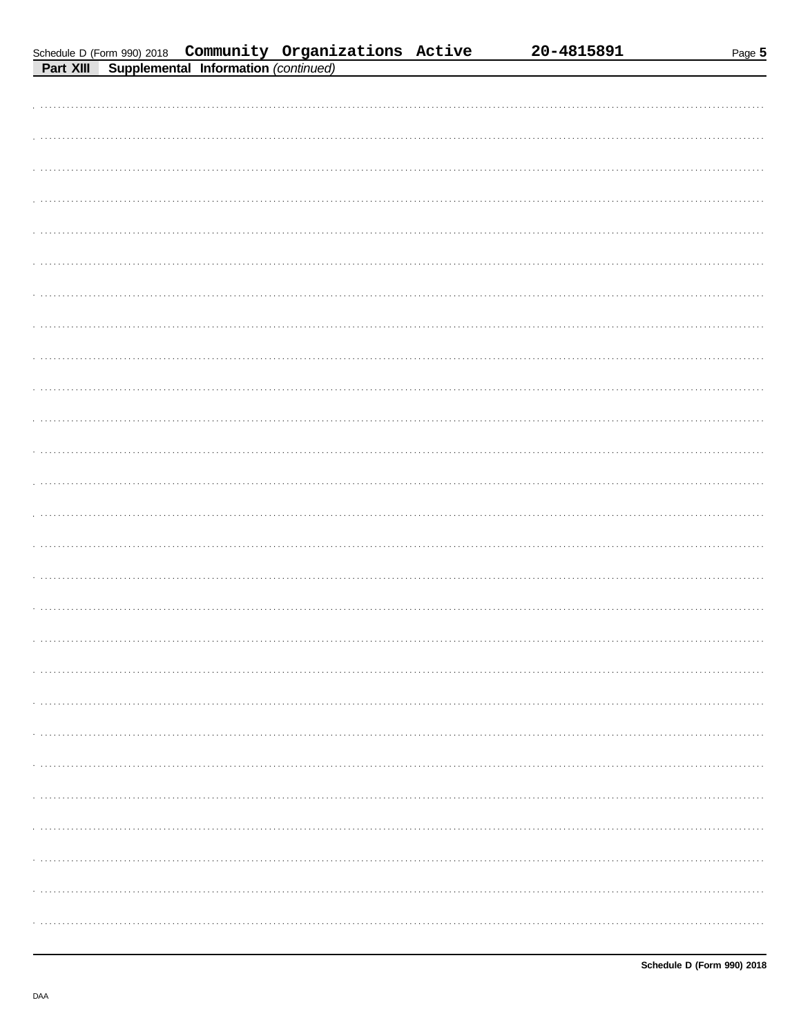|--|--|

| Schedule D (Form 990) 2018  Community Organizations Active<br>Dout VIII Cupplemental Information (continued) |  |  |
|--------------------------------------------------------------------------------------------------------------|--|--|
|                                                                                                              |  |  |

| 20-4815891 |  |
|------------|--|
|------------|--|

| Part Alli<br>Supplemental Information (continued) |
|---------------------------------------------------|
|                                                   |
|                                                   |
|                                                   |
|                                                   |
|                                                   |
|                                                   |
|                                                   |
|                                                   |
|                                                   |
|                                                   |
|                                                   |
|                                                   |
|                                                   |
|                                                   |
|                                                   |
|                                                   |
|                                                   |
|                                                   |
|                                                   |
|                                                   |
|                                                   |
|                                                   |
|                                                   |
|                                                   |
|                                                   |
|                                                   |
|                                                   |
|                                                   |
|                                                   |
|                                                   |
|                                                   |
|                                                   |
|                                                   |
|                                                   |
|                                                   |
|                                                   |
|                                                   |
|                                                   |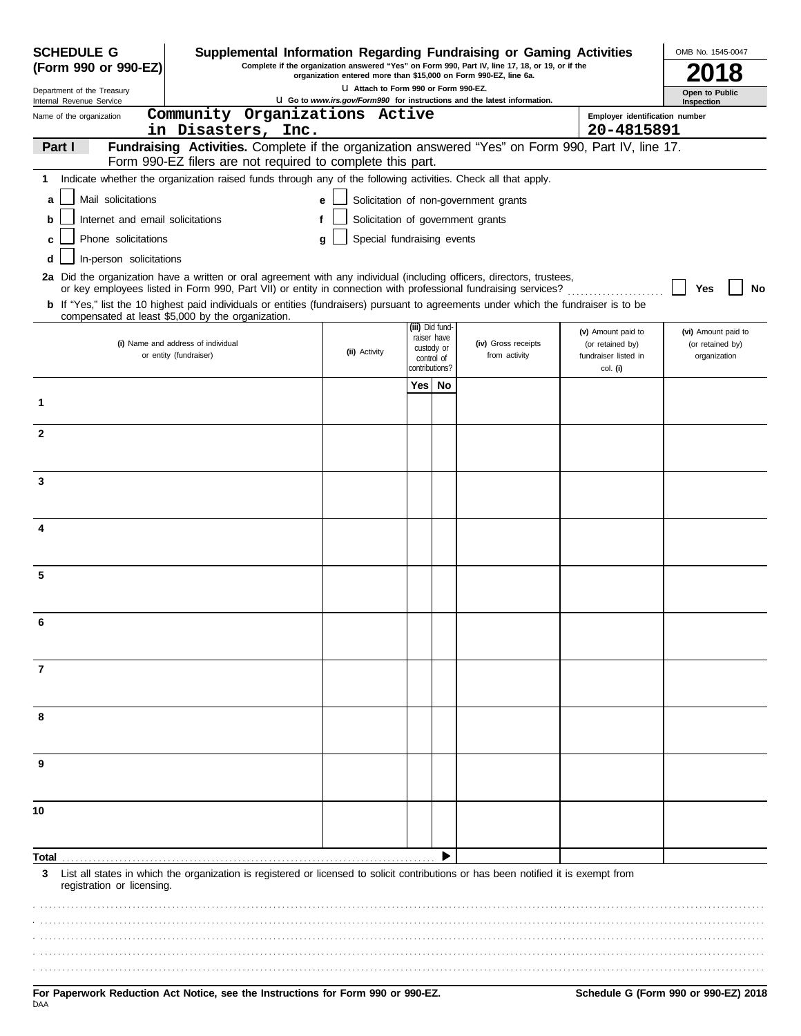| <b>SCHEDULE G</b><br>Supplemental Information Regarding Fundraising or Gaming Activities |                                                                                                                                                                                                                                                                                                                                                                                   |                                      |                                            | OMB No. 1545-0047 |                                                                          |                                        |                                         |  |  |
|------------------------------------------------------------------------------------------|-----------------------------------------------------------------------------------------------------------------------------------------------------------------------------------------------------------------------------------------------------------------------------------------------------------------------------------------------------------------------------------|--------------------------------------|--------------------------------------------|-------------------|--------------------------------------------------------------------------|----------------------------------------|-----------------------------------------|--|--|
| (Form 990 or 990-EZ)                                                                     | Complete if the organization answered "Yes" on Form 990, Part IV, line 17, 18, or 19, or if the<br>organization entered more than \$15,000 on Form 990-EZ, line 6a.                                                                                                                                                                                                               |                                      |                                            |                   |                                                                          |                                        |                                         |  |  |
| Department of the Treasury<br>Internal Revenue Service                                   |                                                                                                                                                                                                                                                                                                                                                                                   | U Attach to Form 990 or Form 990-EZ. |                                            |                   | U Go to www.irs.gov/Form990 for instructions and the latest information. |                                        | Open to Public<br>Inspection            |  |  |
| Name of the organization                                                                 | Community Organizations Active                                                                                                                                                                                                                                                                                                                                                    |                                      |                                            |                   |                                                                          | Employer identification number         |                                         |  |  |
|                                                                                          | in Disasters, Inc.                                                                                                                                                                                                                                                                                                                                                                |                                      |                                            |                   |                                                                          | 20-4815891                             |                                         |  |  |
| Part I                                                                                   | Fundraising Activities. Complete if the organization answered "Yes" on Form 990, Part IV, line 17.<br>Form 990-EZ filers are not required to complete this part.                                                                                                                                                                                                                  |                                      |                                            |                   |                                                                          |                                        |                                         |  |  |
| 1                                                                                        | Indicate whether the organization raised funds through any of the following activities. Check all that apply.                                                                                                                                                                                                                                                                     |                                      |                                            |                   |                                                                          |                                        |                                         |  |  |
| Mail solicitations<br>a                                                                  |                                                                                                                                                                                                                                                                                                                                                                                   | e                                    |                                            |                   | Solicitation of non-government grants                                    |                                        |                                         |  |  |
| Internet and email solicitations<br>b                                                    |                                                                                                                                                                                                                                                                                                                                                                                   | Solicitation of government grants    |                                            |                   |                                                                          |                                        |                                         |  |  |
| Phone solicitations                                                                      |                                                                                                                                                                                                                                                                                                                                                                                   | Special fundraising events           |                                            |                   |                                                                          |                                        |                                         |  |  |
| In-person solicitations<br>d                                                             |                                                                                                                                                                                                                                                                                                                                                                                   |                                      |                                            |                   |                                                                          |                                        |                                         |  |  |
|                                                                                          | 2a Did the organization have a written or oral agreement with any individual (including officers, directors, trustees,<br>or key employees listed in Form 990, Part VII) or entity in connection with professional fundraising services?<br>b If "Yes," list the 10 highest paid individuals or entities (fundraisers) pursuant to agreements under which the fundraiser is to be |                                      |                                            |                   |                                                                          |                                        | No<br>Yes                               |  |  |
|                                                                                          | compensated at least \$5,000 by the organization.                                                                                                                                                                                                                                                                                                                                 |                                      |                                            | (iii) Did fund-   |                                                                          |                                        |                                         |  |  |
|                                                                                          | (i) Name and address of individual                                                                                                                                                                                                                                                                                                                                                |                                      |                                            | raiser have       | (iv) Gross receipts                                                      | (v) Amount paid to<br>(or retained by) | (vi) Amount paid to<br>(or retained by) |  |  |
|                                                                                          | or entity (fundraiser)                                                                                                                                                                                                                                                                                                                                                            | (ii) Activity                        | custody or<br>control of<br>contributions? |                   | from activity                                                            | fundraiser listed in                   | organization                            |  |  |
|                                                                                          |                                                                                                                                                                                                                                                                                                                                                                                   |                                      | Yes                                        | No                |                                                                          | col. (i)                               |                                         |  |  |
| 1                                                                                        |                                                                                                                                                                                                                                                                                                                                                                                   |                                      |                                            |                   |                                                                          |                                        |                                         |  |  |
| $\mathbf{2}$                                                                             |                                                                                                                                                                                                                                                                                                                                                                                   |                                      |                                            |                   |                                                                          |                                        |                                         |  |  |
|                                                                                          |                                                                                                                                                                                                                                                                                                                                                                                   |                                      |                                            |                   |                                                                          |                                        |                                         |  |  |
| 3                                                                                        |                                                                                                                                                                                                                                                                                                                                                                                   |                                      |                                            |                   |                                                                          |                                        |                                         |  |  |
|                                                                                          |                                                                                                                                                                                                                                                                                                                                                                                   |                                      |                                            |                   |                                                                          |                                        |                                         |  |  |
| 4                                                                                        |                                                                                                                                                                                                                                                                                                                                                                                   |                                      |                                            |                   |                                                                          |                                        |                                         |  |  |
|                                                                                          |                                                                                                                                                                                                                                                                                                                                                                                   |                                      |                                            |                   |                                                                          |                                        |                                         |  |  |
| 5                                                                                        |                                                                                                                                                                                                                                                                                                                                                                                   |                                      |                                            |                   |                                                                          |                                        |                                         |  |  |
| 6                                                                                        |                                                                                                                                                                                                                                                                                                                                                                                   |                                      |                                            |                   |                                                                          |                                        |                                         |  |  |
|                                                                                          |                                                                                                                                                                                                                                                                                                                                                                                   |                                      |                                            |                   |                                                                          |                                        |                                         |  |  |
| 7                                                                                        |                                                                                                                                                                                                                                                                                                                                                                                   |                                      |                                            |                   |                                                                          |                                        |                                         |  |  |
| 8                                                                                        |                                                                                                                                                                                                                                                                                                                                                                                   |                                      |                                            |                   |                                                                          |                                        |                                         |  |  |
|                                                                                          |                                                                                                                                                                                                                                                                                                                                                                                   |                                      |                                            |                   |                                                                          |                                        |                                         |  |  |
| 9                                                                                        |                                                                                                                                                                                                                                                                                                                                                                                   |                                      |                                            |                   |                                                                          |                                        |                                         |  |  |
| 10                                                                                       |                                                                                                                                                                                                                                                                                                                                                                                   |                                      |                                            |                   |                                                                          |                                        |                                         |  |  |
|                                                                                          |                                                                                                                                                                                                                                                                                                                                                                                   |                                      |                                            |                   |                                                                          |                                        |                                         |  |  |
| Total                                                                                    |                                                                                                                                                                                                                                                                                                                                                                                   |                                      |                                            |                   |                                                                          |                                        |                                         |  |  |
| 3<br>registration or licensing.                                                          | List all states in which the organization is registered or licensed to solicit contributions or has been notified it is exempt from                                                                                                                                                                                                                                               |                                      |                                            |                   |                                                                          |                                        |                                         |  |  |
|                                                                                          |                                                                                                                                                                                                                                                                                                                                                                                   |                                      |                                            |                   |                                                                          |                                        |                                         |  |  |
|                                                                                          |                                                                                                                                                                                                                                                                                                                                                                                   |                                      |                                            |                   |                                                                          |                                        |                                         |  |  |
|                                                                                          |                                                                                                                                                                                                                                                                                                                                                                                   |                                      |                                            |                   |                                                                          |                                        |                                         |  |  |
|                                                                                          |                                                                                                                                                                                                                                                                                                                                                                                   |                                      |                                            |                   |                                                                          |                                        |                                         |  |  |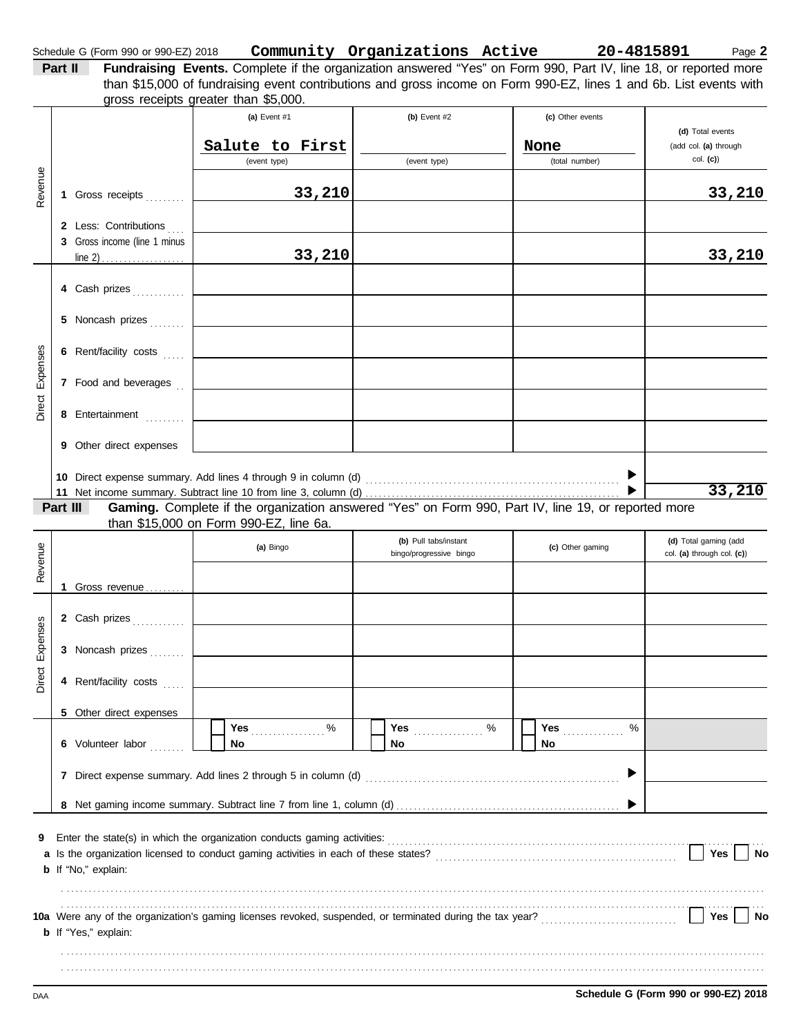| Schedule G (Form 990 or 990-EZ) 2018 | Community Organizations Active | 20-4815891 | Page $\bm{2}$ |  |
|--------------------------------------|--------------------------------|------------|---------------|--|
|                                      |                                |            |               |  |

| Part II | <b>Fundraising Events.</b> Complete if the organization answered "Yes" on Form 990, Part IV, line 18, or reported more |
|---------|------------------------------------------------------------------------------------------------------------------------|
|         | than \$15,000 of fundraising event contributions and gross income on Form 990-EZ, lines 1 and 6b. List events with     |
|         | gross receipts greater than \$5,000.                                                                                   |

|          |    |                              | (a) Event $#1$                                                                                                                                                   | (b) Event $#2$                                   |      | (c) Other events |                                                     |
|----------|----|------------------------------|------------------------------------------------------------------------------------------------------------------------------------------------------------------|--------------------------------------------------|------|------------------|-----------------------------------------------------|
|          |    |                              |                                                                                                                                                                  |                                                  |      |                  | (d) Total events                                    |
|          |    |                              | Salute to First<br>(event type)                                                                                                                                  | (event type)                                     | None | (total number)   | (add col. (a) through<br>col. (c)                   |
|          |    |                              |                                                                                                                                                                  |                                                  |      |                  |                                                     |
| Revenue  |    | 1 Gross receipts             | 33,210                                                                                                                                                           |                                                  |      |                  | 33,210                                              |
|          |    | 2 Less: Contributions        |                                                                                                                                                                  |                                                  |      |                  |                                                     |
|          |    | 3 Gross income (line 1 minus |                                                                                                                                                                  |                                                  |      |                  |                                                     |
|          |    |                              | 33,210                                                                                                                                                           |                                                  |      |                  | 33,210                                              |
|          |    |                              |                                                                                                                                                                  |                                                  |      |                  |                                                     |
|          |    | 4 Cash prizes                |                                                                                                                                                                  |                                                  |      |                  |                                                     |
|          |    | 5 Noncash prizes             |                                                                                                                                                                  |                                                  |      |                  |                                                     |
|          |    |                              |                                                                                                                                                                  |                                                  |      |                  |                                                     |
|          |    | 6 Rent/facility costs        |                                                                                                                                                                  |                                                  |      |                  |                                                     |
| Expenses |    |                              |                                                                                                                                                                  |                                                  |      |                  |                                                     |
|          |    | 7 Food and beverages         |                                                                                                                                                                  |                                                  |      |                  |                                                     |
| Direct   |    |                              |                                                                                                                                                                  |                                                  |      |                  |                                                     |
|          |    | 8 Entertainment              |                                                                                                                                                                  |                                                  |      |                  |                                                     |
|          |    | 9 Other direct expenses      |                                                                                                                                                                  |                                                  |      |                  |                                                     |
|          |    |                              |                                                                                                                                                                  |                                                  |      |                  |                                                     |
|          |    |                              | 10 Direct expense summary. Add lines 4 through 9 in column (d)                                                                                                   |                                                  |      |                  |                                                     |
|          |    |                              |                                                                                                                                                                  |                                                  |      |                  | 33,210                                              |
|          |    | Part III                     | Gaming. Complete if the organization answered "Yes" on Form 990, Part IV, line 19, or reported more                                                              |                                                  |      |                  |                                                     |
|          |    |                              | than \$15,000 on Form 990-EZ, line 6a.                                                                                                                           |                                                  |      |                  |                                                     |
|          |    |                              | (a) Bingo                                                                                                                                                        | (b) Pull tabs/instant<br>bingo/progressive bingo |      | (c) Other gaming | (d) Total gaming (add<br>col. (a) through col. (c)) |
| Revenue  |    |                              |                                                                                                                                                                  |                                                  |      |                  |                                                     |
|          | 1. | Gross revenue                |                                                                                                                                                                  |                                                  |      |                  |                                                     |
|          |    |                              |                                                                                                                                                                  |                                                  |      |                  |                                                     |
|          |    | 2 Cash prizes                |                                                                                                                                                                  |                                                  |      |                  |                                                     |
| Expenses |    |                              |                                                                                                                                                                  |                                                  |      |                  |                                                     |
|          |    | 3 Noncash prizes             |                                                                                                                                                                  |                                                  |      |                  |                                                     |
| Direct   |    | 4 Rent/facility costs        |                                                                                                                                                                  |                                                  |      |                  |                                                     |
|          |    |                              |                                                                                                                                                                  |                                                  |      |                  |                                                     |
|          |    | 5 Other direct expenses      |                                                                                                                                                                  |                                                  |      |                  |                                                     |
|          |    |                              | $\%$<br>Yes                                                                                                                                                      | %<br>Yes                                         | Yes  | %                |                                                     |
|          |    | 6 Volunteer labor            | No                                                                                                                                                               | No                                               | No   |                  |                                                     |
|          |    |                              |                                                                                                                                                                  |                                                  |      |                  |                                                     |
|          |    |                              |                                                                                                                                                                  |                                                  |      |                  |                                                     |
|          |    |                              |                                                                                                                                                                  |                                                  |      |                  |                                                     |
|          |    |                              |                                                                                                                                                                  |                                                  |      |                  |                                                     |
| 9        |    |                              | Enter the state(s) in which the organization conducts gaming activities: [11] content content the state(s) in which the organization conducts gaming activities: |                                                  |      |                  |                                                     |
|          |    |                              |                                                                                                                                                                  |                                                  |      |                  | Yes<br>No                                           |
|          |    | <b>b</b> If "No," explain:   |                                                                                                                                                                  |                                                  |      |                  |                                                     |
|          |    |                              |                                                                                                                                                                  |                                                  |      |                  |                                                     |
|          |    |                              |                                                                                                                                                                  |                                                  |      |                  | Yes<br>No                                           |
|          |    | <b>b</b> If "Yes," explain:  |                                                                                                                                                                  |                                                  |      |                  |                                                     |
|          |    |                              |                                                                                                                                                                  |                                                  |      |                  |                                                     |
|          |    |                              |                                                                                                                                                                  |                                                  |      |                  |                                                     |
|          |    |                              |                                                                                                                                                                  |                                                  |      |                  |                                                     |
| DAA      |    |                              |                                                                                                                                                                  |                                                  |      |                  | Schedule G (Form 990 or 990-EZ) 2018                |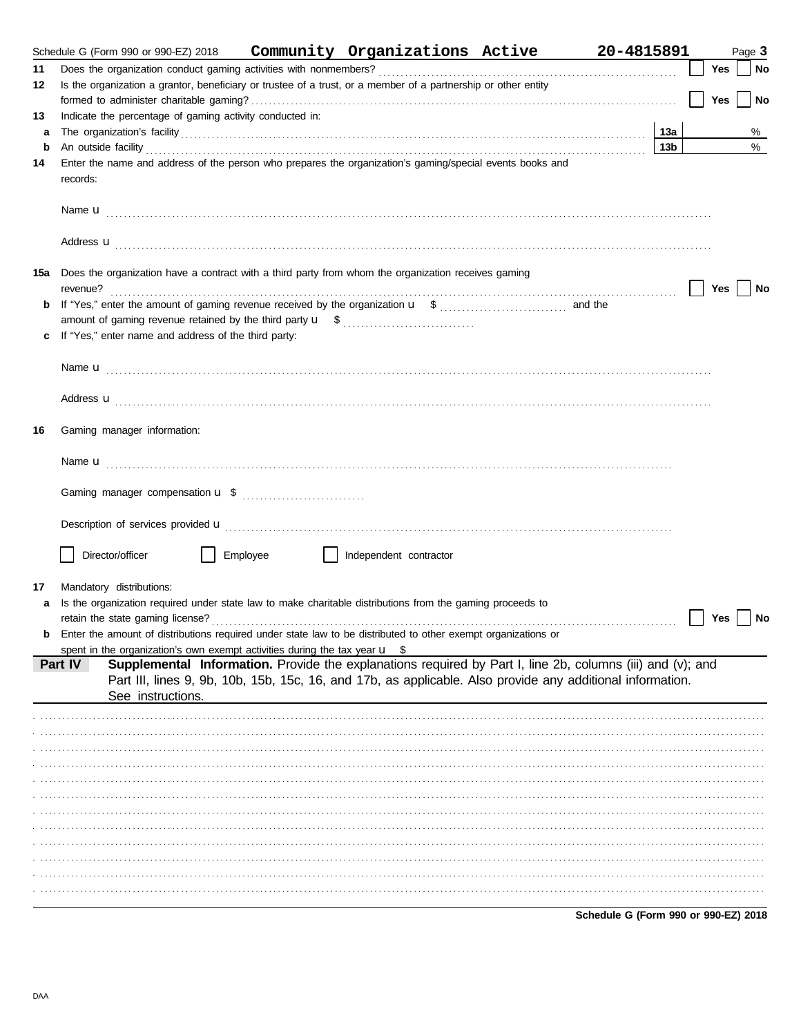|     | Schedule G (Form 990 or 990-EZ) 2018                                                                                                                                                                                                 |          | Community Organizations Active                                                                             |  | 20-4815891      |     | Page 3     |      |  |  |  |
|-----|--------------------------------------------------------------------------------------------------------------------------------------------------------------------------------------------------------------------------------------|----------|------------------------------------------------------------------------------------------------------------|--|-----------------|-----|------------|------|--|--|--|
| 11  |                                                                                                                                                                                                                                      |          |                                                                                                            |  |                 | Yes |            | No   |  |  |  |
| 12  | Is the organization a grantor, beneficiary or trustee of a trust, or a member of a partnership or other entity                                                                                                                       |          |                                                                                                            |  |                 |     |            |      |  |  |  |
|     |                                                                                                                                                                                                                                      |          |                                                                                                            |  |                 | Yes |            | No   |  |  |  |
| 13  | Indicate the percentage of gaming activity conducted in:                                                                                                                                                                             |          |                                                                                                            |  |                 |     |            |      |  |  |  |
| a   |                                                                                                                                                                                                                                      |          |                                                                                                            |  | 13a             |     |            | %    |  |  |  |
| b   | An outside facility <b>contained a set of the contract of the contract of the contract of the contract of the contract of the contract of the contract of the contract of the contract of the contract of the contract of the co</b> |          |                                                                                                            |  | 13 <sub>b</sub> |     |            | $\%$ |  |  |  |
| 14  | Enter the name and address of the person who prepares the organization's gaming/special events books and<br>records:                                                                                                                 |          |                                                                                                            |  |                 |     |            |      |  |  |  |
|     | Name <b>u</b> explorer and the contract of the contract of the contract of the contract of the contract of the contract of the contract of the contract of the contract of the contract of the contract of the contract of the cont  |          |                                                                                                            |  |                 |     |            |      |  |  |  |
|     | Address <b>u</b>                                                                                                                                                                                                                     |          |                                                                                                            |  |                 |     |            |      |  |  |  |
| 15a | Does the organization have a contract with a third party from whom the organization receives gaming                                                                                                                                  |          |                                                                                                            |  |                 |     | Yes     No |      |  |  |  |
|     |                                                                                                                                                                                                                                      |          |                                                                                                            |  |                 |     |            |      |  |  |  |
|     |                                                                                                                                                                                                                                      |          |                                                                                                            |  |                 |     |            |      |  |  |  |
|     | c If "Yes," enter name and address of the third party:                                                                                                                                                                               |          |                                                                                                            |  |                 |     |            |      |  |  |  |
|     |                                                                                                                                                                                                                                      |          |                                                                                                            |  |                 |     |            |      |  |  |  |
|     |                                                                                                                                                                                                                                      |          |                                                                                                            |  |                 |     |            |      |  |  |  |
|     |                                                                                                                                                                                                                                      |          |                                                                                                            |  |                 |     |            |      |  |  |  |
|     | Address <b>u</b>                                                                                                                                                                                                                     |          |                                                                                                            |  |                 |     |            |      |  |  |  |
| 16  | Gaming manager information:                                                                                                                                                                                                          |          |                                                                                                            |  |                 |     |            |      |  |  |  |
|     |                                                                                                                                                                                                                                      |          |                                                                                                            |  |                 |     |            |      |  |  |  |
|     |                                                                                                                                                                                                                                      |          |                                                                                                            |  |                 |     |            |      |  |  |  |
|     | Description of services provided <b>u</b> electron contains a constant of the series of the services and contained with the services of the services of the services of the services of the services of the services of the service  |          |                                                                                                            |  |                 |     |            |      |  |  |  |
|     | Director/officer                                                                                                                                                                                                                     | Employee | Independent contractor                                                                                     |  |                 |     |            |      |  |  |  |
| 17  | Mandatory distributions:                                                                                                                                                                                                             |          |                                                                                                            |  |                 |     |            |      |  |  |  |
| a   | Is the organization required under state law to make charitable distributions from the gaming proceeds to                                                                                                                            |          |                                                                                                            |  |                 |     |            |      |  |  |  |
|     |                                                                                                                                                                                                                                      |          |                                                                                                            |  |                 | Yes |            | ∣ No |  |  |  |
| b   | Enter the amount of distributions required under state law to be distributed to other exempt organizations or                                                                                                                        |          |                                                                                                            |  |                 |     |            |      |  |  |  |
|     | spent in the organization's own exempt activities during the tax year $\mathbf{u}$ \$                                                                                                                                                |          |                                                                                                            |  |                 |     |            |      |  |  |  |
|     | Part IV                                                                                                                                                                                                                              |          | Supplemental Information. Provide the explanations required by Part I, line 2b, columns (iii) and (v); and |  |                 |     |            |      |  |  |  |
|     |                                                                                                                                                                                                                                      |          | Part III, lines 9, 9b, 10b, 15b, 15c, 16, and 17b, as applicable. Also provide any additional information. |  |                 |     |            |      |  |  |  |
|     | See instructions.                                                                                                                                                                                                                    |          |                                                                                                            |  |                 |     |            |      |  |  |  |
|     |                                                                                                                                                                                                                                      |          |                                                                                                            |  |                 |     |            |      |  |  |  |
|     |                                                                                                                                                                                                                                      |          |                                                                                                            |  |                 |     |            |      |  |  |  |
|     |                                                                                                                                                                                                                                      |          |                                                                                                            |  |                 |     |            |      |  |  |  |
|     |                                                                                                                                                                                                                                      |          |                                                                                                            |  |                 |     |            |      |  |  |  |
|     |                                                                                                                                                                                                                                      |          |                                                                                                            |  |                 |     |            |      |  |  |  |
|     |                                                                                                                                                                                                                                      |          |                                                                                                            |  |                 |     |            |      |  |  |  |
|     |                                                                                                                                                                                                                                      |          |                                                                                                            |  |                 |     |            |      |  |  |  |
|     |                                                                                                                                                                                                                                      |          |                                                                                                            |  |                 |     |            |      |  |  |  |
|     |                                                                                                                                                                                                                                      |          |                                                                                                            |  |                 |     |            |      |  |  |  |
|     |                                                                                                                                                                                                                                      |          |                                                                                                            |  |                 |     |            |      |  |  |  |
|     |                                                                                                                                                                                                                                      |          |                                                                                                            |  |                 |     |            |      |  |  |  |
|     |                                                                                                                                                                                                                                      |          |                                                                                                            |  |                 |     |            |      |  |  |  |

Schedule G (Form 990 or 990-EZ) 2018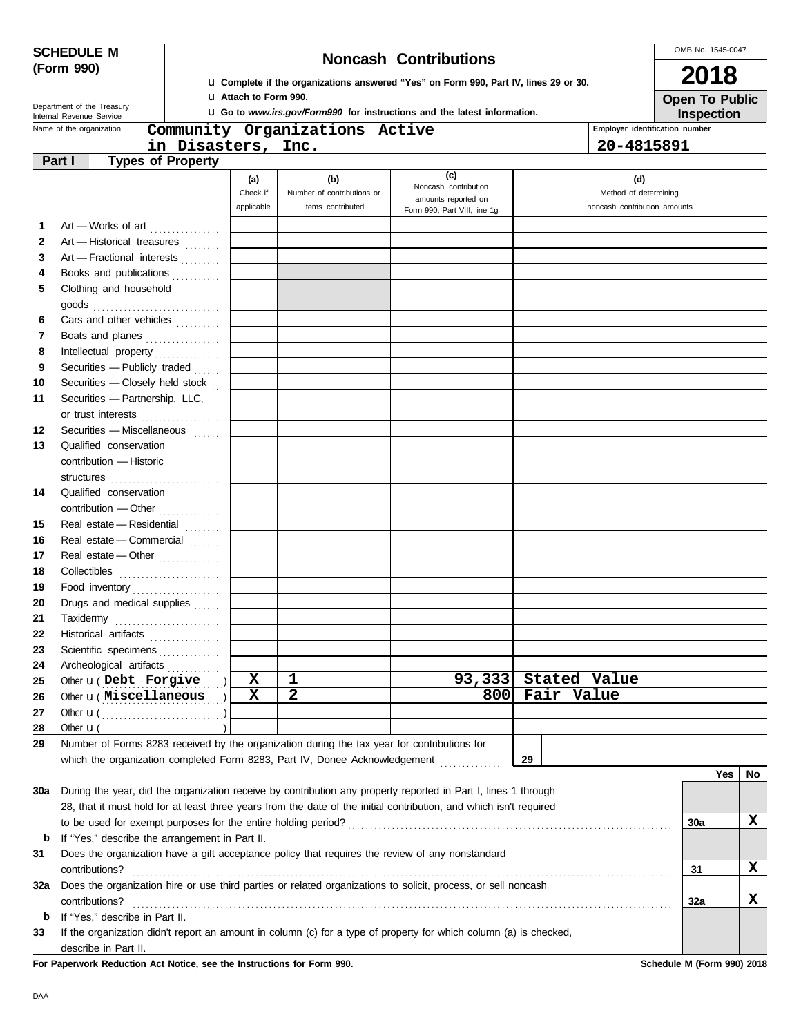DAA

**b** If "Yes," describe in Part II.

describe in Part II.

|     | <b>SCHEDULE M</b>                                              |                          |                              | OMB No. 1545-0047                                                                           |                                                                                                                    |            |                                |                                            |     |    |
|-----|----------------------------------------------------------------|--------------------------|------------------------------|---------------------------------------------------------------------------------------------|--------------------------------------------------------------------------------------------------------------------|------------|--------------------------------|--------------------------------------------|-----|----|
|     | (Form 990)                                                     |                          |                              | <b>Noncash Contributions</b>                                                                |                                                                                                                    |            | 2018                           |                                            |     |    |
|     |                                                                |                          |                              |                                                                                             | La Complete if the organizations answered "Yes" on Form 990, Part IV, lines 29 or 30.                              |            |                                |                                            |     |    |
|     | Department of the Treasury                                     |                          | <b>u</b> Attach to Form 990. |                                                                                             | <b>u</b> Go to www.irs.gov/Form990 for instructions and the latest information.                                    |            |                                | <b>Open To Public</b><br><b>Inspection</b> |     |    |
|     | Internal Revenue Service<br>Name of the organization           |                          |                              | Community Organizations Active                                                              |                                                                                                                    |            | Employer identification number |                                            |     |    |
|     |                                                                | in Disasters, Inc.       |                              |                                                                                             |                                                                                                                    |            | 20-4815891                     |                                            |     |    |
|     | Part I                                                         | <b>Types of Property</b> |                              |                                                                                             |                                                                                                                    |            |                                |                                            |     |    |
|     |                                                                |                          | (a)                          | (b)                                                                                         | (c)<br>Noncash contribution                                                                                        |            | (d)                            |                                            |     |    |
|     |                                                                |                          | Check if                     | Number of contributions or                                                                  | amounts reported on                                                                                                |            | Method of determining          |                                            |     |    |
|     |                                                                |                          | applicable                   | items contributed                                                                           | Form 990, Part VIII, line 1g                                                                                       |            | noncash contribution amounts   |                                            |     |    |
| 1   | Art - Works of art                                             |                          |                              |                                                                                             |                                                                                                                    |            |                                |                                            |     |    |
| 2   | Art - Historical treasures                                     |                          |                              |                                                                                             |                                                                                                                    |            |                                |                                            |     |    |
| 3   | Art - Fractional interests                                     |                          |                              |                                                                                             |                                                                                                                    |            |                                |                                            |     |    |
| 4   | Books and publications                                         |                          |                              |                                                                                             |                                                                                                                    |            |                                |                                            |     |    |
| 5   | Clothing and household                                         |                          |                              |                                                                                             |                                                                                                                    |            |                                |                                            |     |    |
|     |                                                                |                          |                              |                                                                                             |                                                                                                                    |            |                                |                                            |     |    |
| 6   | Cars and other vehicles                                        |                          |                              |                                                                                             |                                                                                                                    |            |                                |                                            |     |    |
| 7   | Boats and planes                                               |                          |                              |                                                                                             |                                                                                                                    |            |                                |                                            |     |    |
| 8   |                                                                |                          |                              |                                                                                             |                                                                                                                    |            |                                |                                            |     |    |
| 9   | Securities - Publicly traded                                   |                          |                              |                                                                                             |                                                                                                                    |            |                                |                                            |     |    |
| 10  | Securities - Closely held stock                                |                          |                              |                                                                                             |                                                                                                                    |            |                                |                                            |     |    |
| 11  | Securities - Partnership, LLC,                                 |                          |                              |                                                                                             |                                                                                                                    |            |                                |                                            |     |    |
|     | or trust interests                                             |                          |                              |                                                                                             |                                                                                                                    |            |                                |                                            |     |    |
| 12  | Securities - Miscellaneous                                     |                          |                              |                                                                                             |                                                                                                                    |            |                                |                                            |     |    |
| 13  | Qualified conservation                                         |                          |                              |                                                                                             |                                                                                                                    |            |                                |                                            |     |    |
|     | contribution - Historic                                        |                          |                              |                                                                                             |                                                                                                                    |            |                                |                                            |     |    |
|     | structures                                                     |                          |                              |                                                                                             |                                                                                                                    |            |                                |                                            |     |    |
| 14  | Qualified conservation                                         |                          |                              |                                                                                             |                                                                                                                    |            |                                |                                            |     |    |
|     | contribution - Other                                           |                          |                              |                                                                                             |                                                                                                                    |            |                                |                                            |     |    |
| 15  | Real estate - Residential                                      |                          |                              |                                                                                             |                                                                                                                    |            |                                |                                            |     |    |
| 16  | Real estate - Commercial                                       |                          |                              |                                                                                             |                                                                                                                    |            |                                |                                            |     |    |
| 17  | Real estate - Other                                            |                          |                              |                                                                                             |                                                                                                                    |            |                                |                                            |     |    |
| 18  |                                                                |                          |                              |                                                                                             |                                                                                                                    |            |                                |                                            |     |    |
| 19  | Food inventory                                                 |                          |                              |                                                                                             |                                                                                                                    |            |                                |                                            |     |    |
| 20  | Drugs and medical supplies                                     |                          |                              |                                                                                             |                                                                                                                    |            |                                |                                            |     |    |
| 21  | Taxidermy                                                      |                          |                              |                                                                                             |                                                                                                                    |            |                                |                                            |     |    |
| 22  | Historical artifacts                                           |                          |                              |                                                                                             |                                                                                                                    |            |                                |                                            |     |    |
| 23  | Scientific specimens <b>Constanting</b>                        |                          |                              |                                                                                             |                                                                                                                    |            |                                |                                            |     |    |
| 24  | Archeological artifacts                                        |                          | X                            |                                                                                             | 93,333                                                                                                             |            | Stated Value                   |                                            |     |    |
| 25  | Other <b>u</b> (Debt Forgive<br>Other <b>u</b> ( Miscellaneous |                          | X                            | 1<br>$\overline{\mathbf{2}}$                                                                | 800                                                                                                                | Fair Value |                                |                                            |     |    |
| 26  |                                                                |                          |                              |                                                                                             |                                                                                                                    |            |                                |                                            |     |    |
| 27  |                                                                |                          |                              |                                                                                             |                                                                                                                    |            |                                |                                            |     |    |
| 28  | Other $\mathbf{u}$ (                                           |                          |                              |                                                                                             |                                                                                                                    |            |                                |                                            |     |    |
| 29  |                                                                |                          |                              | Number of Forms 8283 received by the organization during the tax year for contributions for |                                                                                                                    |            |                                |                                            |     |    |
|     |                                                                |                          |                              | which the organization completed Form 8283, Part IV, Donee Acknowledgement                  |                                                                                                                    | 29         |                                |                                            |     |    |
|     |                                                                |                          |                              |                                                                                             |                                                                                                                    |            |                                |                                            | Yes | No |
| 30a |                                                                |                          |                              |                                                                                             | During the year, did the organization receive by contribution any property reported in Part I, lines 1 through     |            |                                |                                            |     |    |
|     |                                                                |                          |                              |                                                                                             | 28, that it must hold for at least three years from the date of the initial contribution, and which isn't required |            |                                |                                            |     |    |
|     |                                                                |                          |                              |                                                                                             |                                                                                                                    |            |                                | 30a                                        |     | X  |
| b   | If "Yes," describe the arrangement in Part II.                 |                          |                              |                                                                                             |                                                                                                                    |            |                                |                                            |     |    |
| 31  |                                                                |                          |                              |                                                                                             | Does the organization have a gift acceptance policy that requires the review of any nonstandard                    |            |                                |                                            |     |    |
|     | contributions?                                                 |                          |                              |                                                                                             |                                                                                                                    |            |                                | 31                                         |     | X  |
| 32a |                                                                |                          |                              |                                                                                             | Does the organization hire or use third parties or related organizations to solicit, process, or sell noncash      |            |                                |                                            |     |    |

contributions? . . . . . . . . . . . . . . . . . . . . . . . . . . . . . . . . . . . . . . . . . . . . . . . . . . . . . . . . . . . . . . . . . . . . . . . . . . . . . . . . . . . . . . . . . . . . . . . . . . . . . . . . . . . . . . . . . . . . . . . . . . .

**33** If the organization didn't report an amount in column (c) for a type of property for which column (a) is checked,

**Yes No**

**X**

**X**

**32a**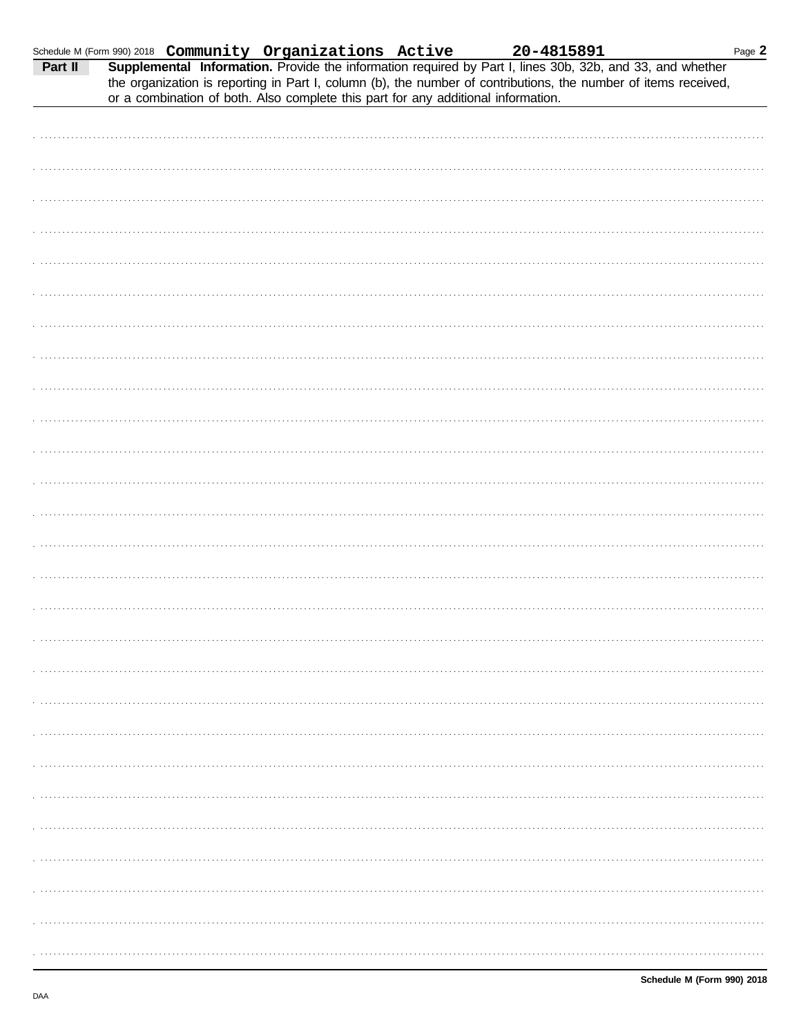| Schedule M (Form 990) 2018 Community Organizations Active 20-4815891<br>Part II Supplemental Information. Provide the information required by Part I, lines 30b, 32b, and 33, and whether |                                                                                   |  |  | Page 2 |
|-------------------------------------------------------------------------------------------------------------------------------------------------------------------------------------------|-----------------------------------------------------------------------------------|--|--|--------|
| the organization is reporting in Part I, column (b), the number of contributions, the number of items received,                                                                           | or a combination of both. Also complete this part for any additional information. |  |  |        |
|                                                                                                                                                                                           |                                                                                   |  |  |        |
|                                                                                                                                                                                           |                                                                                   |  |  |        |
|                                                                                                                                                                                           |                                                                                   |  |  |        |
|                                                                                                                                                                                           |                                                                                   |  |  |        |
|                                                                                                                                                                                           |                                                                                   |  |  |        |
|                                                                                                                                                                                           |                                                                                   |  |  |        |
|                                                                                                                                                                                           |                                                                                   |  |  |        |
|                                                                                                                                                                                           |                                                                                   |  |  |        |
|                                                                                                                                                                                           |                                                                                   |  |  |        |
|                                                                                                                                                                                           |                                                                                   |  |  |        |
|                                                                                                                                                                                           |                                                                                   |  |  |        |
|                                                                                                                                                                                           |                                                                                   |  |  |        |
|                                                                                                                                                                                           |                                                                                   |  |  |        |
|                                                                                                                                                                                           |                                                                                   |  |  |        |
|                                                                                                                                                                                           |                                                                                   |  |  |        |
|                                                                                                                                                                                           |                                                                                   |  |  |        |
|                                                                                                                                                                                           |                                                                                   |  |  |        |
|                                                                                                                                                                                           |                                                                                   |  |  |        |
|                                                                                                                                                                                           |                                                                                   |  |  |        |
|                                                                                                                                                                                           |                                                                                   |  |  |        |
|                                                                                                                                                                                           |                                                                                   |  |  |        |
|                                                                                                                                                                                           |                                                                                   |  |  |        |
|                                                                                                                                                                                           |                                                                                   |  |  |        |
|                                                                                                                                                                                           |                                                                                   |  |  |        |
|                                                                                                                                                                                           |                                                                                   |  |  |        |
|                                                                                                                                                                                           |                                                                                   |  |  |        |
|                                                                                                                                                                                           |                                                                                   |  |  |        |
|                                                                                                                                                                                           |                                                                                   |  |  |        |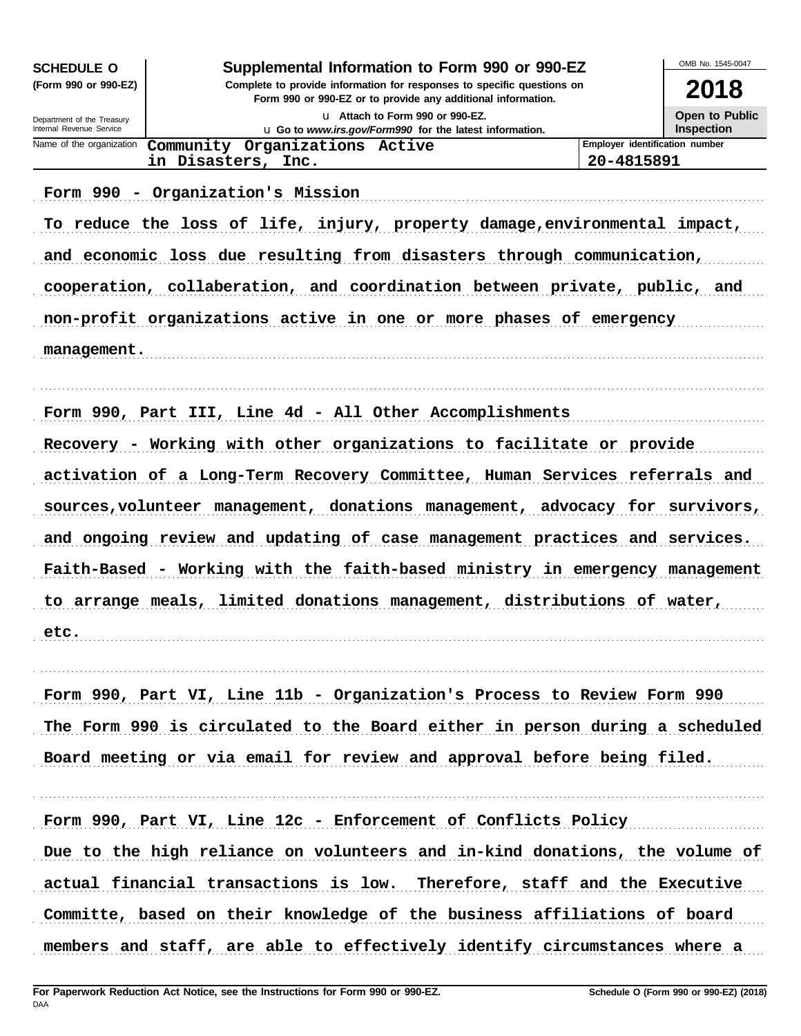| <b>SCHEDULE O</b>                                      | Supplemental Information to Form 990 or 990-EZ                                                  |                                | OMB No. 1545-0047      |  |  |  |  |  |
|--------------------------------------------------------|-------------------------------------------------------------------------------------------------|--------------------------------|------------------------|--|--|--|--|--|
| (Form 990 or 990-EZ)                                   | Complete to provide information for responses to specific questions on                          |                                |                        |  |  |  |  |  |
|                                                        | Form 990 or 990-EZ or to provide any additional information.<br>u Attach to Form 990 or 990-EZ. |                                | 2018<br>Open to Public |  |  |  |  |  |
| Department of the Treasury<br>Internal Revenue Service | u Go to www.irs.gov/Form990 for the latest information.                                         |                                | <b>Inspection</b>      |  |  |  |  |  |
| Name of the organization                               | Community Organizations Active                                                                  | Employer identification number |                        |  |  |  |  |  |
|                                                        | in Disasters, Inc.                                                                              | 20-4815891                     |                        |  |  |  |  |  |
|                                                        | Form 990 - Organization's Mission                                                               |                                |                        |  |  |  |  |  |
|                                                        | To reduce the loss of life, injury, property damage, environmental impact,                      |                                |                        |  |  |  |  |  |
|                                                        | and economic loss due resulting from disasters through communication,                           |                                |                        |  |  |  |  |  |
|                                                        | cooperation, collaberation, and coordination between private, public, and                       |                                |                        |  |  |  |  |  |
|                                                        | non-profit organizations active in one or more phases of emergency                              |                                |                        |  |  |  |  |  |
| management.                                            |                                                                                                 |                                |                        |  |  |  |  |  |
|                                                        | Form 990, Part III, Line 4d - All Other Accomplishments                                         |                                |                        |  |  |  |  |  |
|                                                        | Recovery - Working with other organizations to facilitate or provide                            |                                |                        |  |  |  |  |  |
|                                                        | activation of a Long-Term Recovery Committee, Human Services referrals and                      |                                |                        |  |  |  |  |  |
|                                                        | sources, volunteer management, donations management, advocacy for survivors,                    |                                |                        |  |  |  |  |  |
|                                                        | and ongoing review and updating of case management practices and services.                      |                                |                        |  |  |  |  |  |
|                                                        | Faith-Based - Working with the faith-based ministry in emergency management                     |                                |                        |  |  |  |  |  |
|                                                        | to arrange meals, limited donations management, distributions of water,                         |                                |                        |  |  |  |  |  |
| etc.                                                   |                                                                                                 |                                |                        |  |  |  |  |  |
|                                                        | Form 990, Part VI, Line 11b - Organization's Process to Review Form 990                         |                                |                        |  |  |  |  |  |
|                                                        | The Form 990 is circulated to the Board either in person during a scheduled                     |                                |                        |  |  |  |  |  |
|                                                        | Board meeting or via email for review and approval before being filed.                          |                                |                        |  |  |  |  |  |
|                                                        | Form 990, Part VI, Line 12c - Enforcement of Conflicts Policy                                   |                                |                        |  |  |  |  |  |
|                                                        | Due to the high reliance on volunteers and in-kind donations, the volume of                     |                                |                        |  |  |  |  |  |
|                                                        | actual financial transactions is low. Therefore, staff and the Executive                        |                                |                        |  |  |  |  |  |
|                                                        | Committe, based on their knowledge of the business affiliations of board                        |                                |                        |  |  |  |  |  |
|                                                        | members and staff, are able to effectively identify circumstances where a                       |                                |                        |  |  |  |  |  |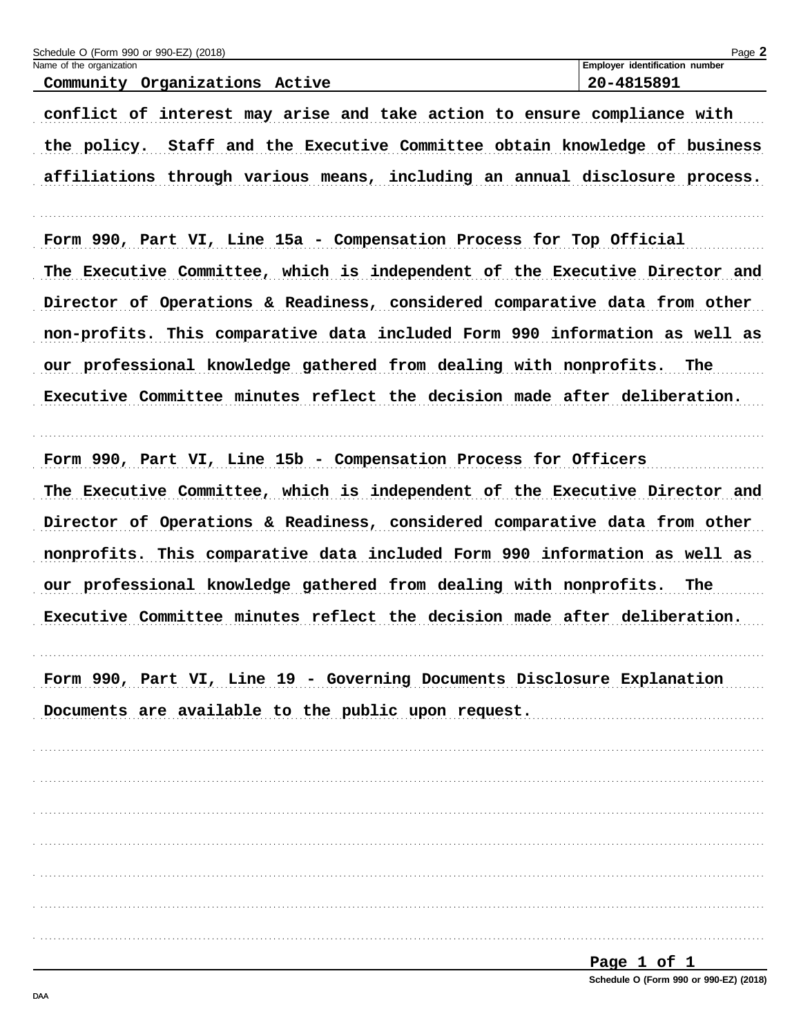| Schedule O (Form 990 or 990-EZ) (2018)<br>Name of the organization            | Page 2<br>Employer identification number |
|-------------------------------------------------------------------------------|------------------------------------------|
| Community Organizations Active                                                | 20-4815891                               |
| conflict of interest may arise and take action to ensure compliance with      |                                          |
| Staff and the Executive Committee obtain knowledge of business<br>the policy. |                                          |
| affiliations through various means, including an annual disclosure process.   |                                          |
| Form 990, Part VI, Line 15a - Compensation Process for Top Official           |                                          |
| The Executive Committee, which is independent of the Executive Director and   |                                          |
| Director of Operations & Readiness, considered comparative data from other    |                                          |
| non-profits. This comparative data included Form 990 information as well as   |                                          |
| our professional knowledge gathered from dealing with nonprofits. The         |                                          |
| Executive Committee minutes reflect the decision made after deliberation.     |                                          |
| Form 990, Part VI, Line 15b - Compensation Process for Officers               |                                          |
| The Executive Committee, which is independent of the Executive Director and   |                                          |
| Director of Operations & Readiness, considered comparative data from other    |                                          |
| nonprofits. This comparative data included Form 990 information as well as    |                                          |
| our professional knowledge gathered from dealing with nonprofits. The         |                                          |
| Executive Committee minutes reflect the decision made after deliberation.     |                                          |
| Form 990, Part VI, Line 19 - Governing Documents Disclosure Explanation       |                                          |
| Documents are available to the public upon request.                           |                                          |
|                                                                               |                                          |
|                                                                               |                                          |
|                                                                               |                                          |
|                                                                               |                                          |
|                                                                               |                                          |
|                                                                               |                                          |
|                                                                               |                                          |
|                                                                               | Page 1 of 1                              |

| $1090 + 011$                           |  |  |
|----------------------------------------|--|--|
| Schedule O (Form 990 or 990-EZ) (2018) |  |  |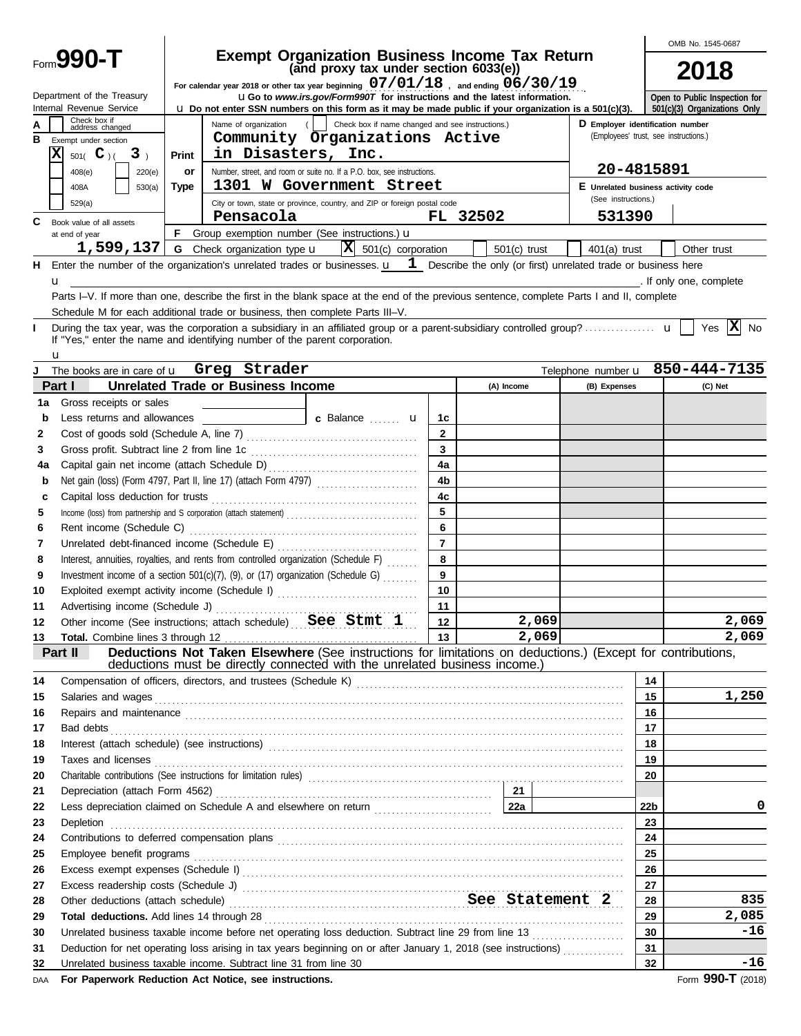|     |                                                          |              |                                                                                                                                                                                                                                      |                                                  |                         |                |       |                                       |                                    | OMB No. 1545-0687               |  |  |
|-----|----------------------------------------------------------|--------------|--------------------------------------------------------------------------------------------------------------------------------------------------------------------------------------------------------------------------------------|--------------------------------------------------|-------------------------|----------------|-------|---------------------------------------|------------------------------------|---------------------------------|--|--|
|     | Form <b>990-T</b>                                        |              | <b>Exempt Organization Business Income Tax Return</b>                                                                                                                                                                                | (and proxy tax under section 6033(e))            |                         |                |       |                                       |                                    | 2018                            |  |  |
|     | Department of the Treasury                               |              | For calendar year 2018 or other tax year beginning $07/01/18$ , and ending $06/30/19$<br><b>uGo</b> to www.irs.gov/Form990T for instructions and the latest information.                                                             |                                                  |                         |                |       |                                       |                                    | Open to Public Inspection for   |  |  |
|     | Internal Revenue Service<br>Check box if                 |              | $\bf{u}$ Do not enter SSN numbers on this form as it may be made public if your organization is a 501(c)(3).<br>Name of organization                                                                                                 | Check box if name changed and see instructions.) |                         |                |       | D Employer identification number      |                                    | 501(c)(3) Organizations Only    |  |  |
| в   | address changed<br>Exempt under section                  |              | Community Organizations Active                                                                                                                                                                                                       |                                                  |                         |                |       | (Employees' trust, see instructions.) |                                    |                                 |  |  |
|     | $\overline{\textbf{x}}$<br>501( $C$ )(<br>3 <sub>1</sub> | <b>Print</b> | in Disasters, Inc.                                                                                                                                                                                                                   |                                                  |                         |                |       |                                       |                                    |                                 |  |  |
|     |                                                          |              | Number, street, and room or suite no. If a P.O. box, see instructions.                                                                                                                                                               |                                                  |                         |                |       |                                       | 20-4815891                         |                                 |  |  |
|     | 408(e)<br>220(e)                                         | or           | 1301 W Government Street                                                                                                                                                                                                             |                                                  |                         |                |       |                                       |                                    |                                 |  |  |
|     | 408A<br>530(a)                                           | <b>Type</b>  |                                                                                                                                                                                                                                      |                                                  |                         |                |       | (See instructions.)                   | E Unrelated business activity code |                                 |  |  |
|     | 529(a)                                                   |              | City or town, state or province, country, and ZIP or foreign postal code<br>Pensacola                                                                                                                                                |                                                  |                         | FL 32502       |       | 531390                                |                                    |                                 |  |  |
| C   | Book value of all assets                                 |              |                                                                                                                                                                                                                                      |                                                  |                         |                |       |                                       |                                    |                                 |  |  |
|     | at end of year                                           |              | F Group exemption number (See instructions.) u                                                                                                                                                                                       |                                                  |                         |                |       |                                       |                                    |                                 |  |  |
|     | 1,599,137                                                |              | <b>G</b> Check organization type <b>u</b>                                                                                                                                                                                            | $ \mathbf{X} $ 501(c) corporation                |                         | $501(c)$ trust |       | $401(a)$ trust                        |                                    | Other trust                     |  |  |
|     |                                                          |              | H Enter the number of the organization's unrelated trades or businesses. $\mathbf{u}$ $\mathbf{1}$ Describe the only (or first) unrelated trade or business here                                                                     |                                                  |                         |                |       |                                       |                                    |                                 |  |  |
|     | u                                                        |              |                                                                                                                                                                                                                                      |                                                  |                         |                |       |                                       |                                    | . If only one, complete         |  |  |
|     |                                                          |              | Parts I-V. If more than one, describe the first in the blank space at the end of the previous sentence, complete Parts I and II, complete                                                                                            |                                                  |                         |                |       |                                       |                                    |                                 |  |  |
|     |                                                          |              | Schedule M for each additional trade or business, then complete Parts III-V.                                                                                                                                                         |                                                  |                         |                |       |                                       |                                    |                                 |  |  |
| L   | u                                                        |              | If "Yes," enter the name and identifying number of the parent corporation.                                                                                                                                                           |                                                  |                         |                |       |                                       |                                    | Yes $ \mathbf{X} $<br>No        |  |  |
| J   |                                                          |              | The books are in care of <b>u</b> Greg Strader                                                                                                                                                                                       |                                                  |                         |                |       |                                       |                                    | Telephone number u 850-444-7135 |  |  |
|     | Part I                                                   |              | <b>Unrelated Trade or Business Income</b>                                                                                                                                                                                            |                                                  |                         | (A) Income     |       | (B) Expenses                          |                                    | (C) Net                         |  |  |
| 1a  | Gross receipts or sales                                  |              |                                                                                                                                                                                                                                      |                                                  |                         |                |       |                                       |                                    |                                 |  |  |
| b   | Less returns and allowances                              |              |                                                                                                                                                                                                                                      | c Balance <b>u</b>                               | 1c                      |                |       |                                       |                                    |                                 |  |  |
| 2   |                                                          |              |                                                                                                                                                                                                                                      |                                                  | $\mathbf{2}$            |                |       |                                       |                                    |                                 |  |  |
| 3   | Gross profit. Subtract line 2 from line 1c               |              |                                                                                                                                                                                                                                      |                                                  | $\overline{\mathbf{3}}$ |                |       |                                       |                                    |                                 |  |  |
| 4a  |                                                          |              |                                                                                                                                                                                                                                      |                                                  | 4a                      |                |       |                                       |                                    |                                 |  |  |
| b   |                                                          |              | Net gain (loss) (Form 4797, Part II, line 17) (attach Form 4797)                                                                                                                                                                     |                                                  | 4 <sub>b</sub>          |                |       |                                       |                                    |                                 |  |  |
| c   |                                                          |              |                                                                                                                                                                                                                                      |                                                  | 4c                      |                |       |                                       |                                    |                                 |  |  |
| 5   |                                                          |              |                                                                                                                                                                                                                                      |                                                  | 5                       |                |       |                                       |                                    |                                 |  |  |
| 6   |                                                          |              |                                                                                                                                                                                                                                      |                                                  | 6                       |                |       |                                       |                                    |                                 |  |  |
| 7   |                                                          |              |                                                                                                                                                                                                                                      |                                                  | $\overline{7}$          |                |       |                                       |                                    |                                 |  |  |
| 8   |                                                          |              | Interest, annuities, royalties, and rents from controlled organization (Schedule F)                                                                                                                                                  |                                                  | 8                       |                |       |                                       |                                    |                                 |  |  |
| 9   |                                                          |              | Investment income of a section 501(c)(7), (9), or (17) organization (Schedule G)                                                                                                                                                     |                                                  | 9                       |                |       |                                       |                                    |                                 |  |  |
| 10  |                                                          |              | Exploited exempt activity income (Schedule I)                                                                                                                                                                                        |                                                  | 10                      |                |       |                                       |                                    |                                 |  |  |
| 11  |                                                          |              |                                                                                                                                                                                                                                      |                                                  | 11                      |                |       |                                       |                                    |                                 |  |  |
| 12  |                                                          |              | Other income (See instructions; attach schedule) See Stmt 1                                                                                                                                                                          |                                                  | 12 <sup>12</sup>        |                | 2,069 |                                       |                                    | 2,069                           |  |  |
| 13  |                                                          |              |                                                                                                                                                                                                                                      |                                                  |                         |                | 2,069 |                                       |                                    | 2,069                           |  |  |
|     | Part II                                                  |              | Total. Combine lines 3 through 12 <b>Formal Company of the Company of the Company of the Company of the Company of Taken Elsewhere</b> (See instructions for limitations on deductions.) (Except for contributions,                  |                                                  |                         |                |       |                                       |                                    |                                 |  |  |
|     |                                                          |              | deductions must be directly connected with the unrelated business income.)                                                                                                                                                           |                                                  |                         |                |       |                                       |                                    |                                 |  |  |
| 14  |                                                          |              |                                                                                                                                                                                                                                      |                                                  |                         |                |       |                                       | 14                                 |                                 |  |  |
| 15  |                                                          |              |                                                                                                                                                                                                                                      |                                                  |                         |                |       |                                       | 15                                 | 1,250                           |  |  |
| 16  |                                                          |              | Repairs and maintenance <i>communical continuum continuum continuum continuum continuum continuum continuum continuum continuum continuum continuum continuum continuum continuum continuum continuum continuum continuum contin</i> |                                                  |                         |                |       |                                       | 16                                 |                                 |  |  |
| 17  | Bad debts                                                |              |                                                                                                                                                                                                                                      |                                                  |                         |                |       |                                       | 17                                 |                                 |  |  |
| 18  |                                                          |              |                                                                                                                                                                                                                                      |                                                  |                         |                |       |                                       | 18                                 |                                 |  |  |
| 19  | Taxes and licenses                                       |              |                                                                                                                                                                                                                                      |                                                  |                         |                |       |                                       | 19                                 |                                 |  |  |
| 20  |                                                          |              |                                                                                                                                                                                                                                      |                                                  |                         |                |       |                                       | 20                                 |                                 |  |  |
| 21  |                                                          |              |                                                                                                                                                                                                                                      |                                                  |                         |                |       |                                       |                                    |                                 |  |  |
| 22  |                                                          |              |                                                                                                                                                                                                                                      |                                                  |                         |                |       |                                       | 22 <sub>b</sub>                    | 0                               |  |  |
| 23  | Depletion                                                |              |                                                                                                                                                                                                                                      |                                                  |                         |                |       |                                       | 23                                 |                                 |  |  |
| 24  |                                                          |              |                                                                                                                                                                                                                                      |                                                  |                         |                |       |                                       | 24                                 |                                 |  |  |
| 25  |                                                          |              |                                                                                                                                                                                                                                      |                                                  |                         |                |       |                                       | 25                                 |                                 |  |  |
| 26  |                                                          |              |                                                                                                                                                                                                                                      |                                                  |                         |                |       |                                       | 26                                 |                                 |  |  |
| 27  |                                                          |              |                                                                                                                                                                                                                                      |                                                  |                         |                |       |                                       | 27                                 |                                 |  |  |
| 28  |                                                          |              | Other deductions (attach schedule) Manuscritics and See Statement 2                                                                                                                                                                  |                                                  |                         |                |       |                                       | 28                                 | 835                             |  |  |
| 29  |                                                          |              |                                                                                                                                                                                                                                      |                                                  |                         |                |       |                                       | 29                                 | 2,085                           |  |  |
| 30  |                                                          |              | Unrelated business taxable income before net operating loss deduction. Subtract line 29 from line 13                                                                                                                                 |                                                  |                         |                |       |                                       | 30                                 | -16                             |  |  |
| 31  |                                                          |              | Deduction for net operating loss arising in tax years beginning on or after January 1, 2018 (see instructions)                                                                                                                       |                                                  |                         |                |       |                                       | 31                                 |                                 |  |  |
| 32  |                                                          |              | Unrelated business taxable income. Subtract line 31 from line 30                                                                                                                                                                     |                                                  |                         |                |       |                                       | 32                                 | -16                             |  |  |
| DAA |                                                          |              | For Paperwork Reduction Act Notice, see instructions.                                                                                                                                                                                |                                                  |                         |                |       |                                       |                                    | Form 990-T (2018)               |  |  |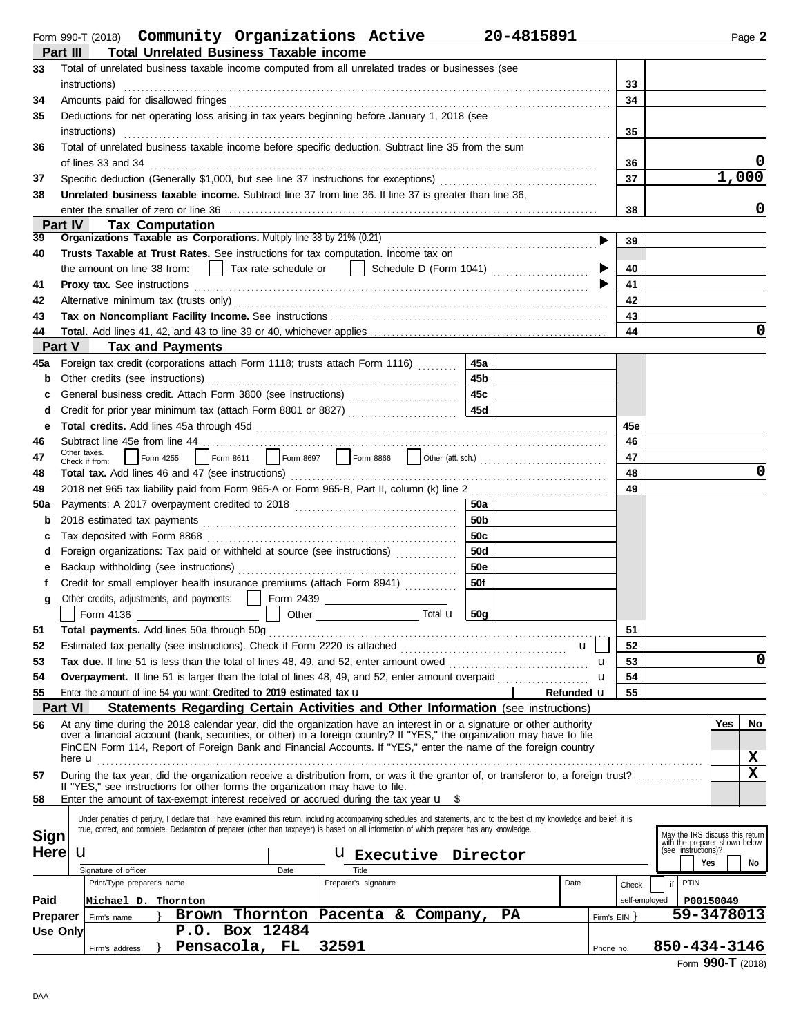| Form 990-T (2018) | Community | Organizations | Active | 20-4815891 | <sup>⊃</sup> aɑe ∠ |
|-------------------|-----------|---------------|--------|------------|--------------------|
|                   |           |               |        |            |                    |

|                 | <b>Total Unrelated Business Taxable income</b><br>Part III                                                                                                                                                                                       |                |               |                                                      |
|-----------------|--------------------------------------------------------------------------------------------------------------------------------------------------------------------------------------------------------------------------------------------------|----------------|---------------|------------------------------------------------------|
| 33              | Total of unrelated business taxable income computed from all unrelated trades or businesses (see<br>instructions)                                                                                                                                | 33             |               |                                                      |
| 34              | Amounts paid for disallowed fringes                                                                                                                                                                                                              | 34             |               |                                                      |
| 35              | Deductions for net operating loss arising in tax years beginning before January 1, 2018 (see                                                                                                                                                     |                |               |                                                      |
|                 | instructions)                                                                                                                                                                                                                                    | 35             |               |                                                      |
| 36              | Total of unrelated business taxable income before specific deduction. Subtract line 35 from the sum                                                                                                                                              |                |               |                                                      |
|                 | of lines 33 and 34                                                                                                                                                                                                                               | 36             |               |                                                      |
| 37              | Specific deduction (Generally \$1,000, but see line 37 instructions for exceptions) [[[[[[[[[[[[[[[[[[[[[[[[[[                                                                                                                                   | 37             |               | 1,000                                                |
| 38              | Unrelated business taxable income. Subtract line 37 from line 36. If line 37 is greater than line 36,                                                                                                                                            |                |               |                                                      |
|                 |                                                                                                                                                                                                                                                  | 38             |               | 0                                                    |
|                 | Part IV<br><b>Tax Computation</b>                                                                                                                                                                                                                |                |               |                                                      |
| 39              | Organizations Taxable as Corporations. Multiply line 38 by 21% (0.21)                                                                                                                                                                            | ▶<br>39        |               |                                                      |
| 40              | Trusts Taxable at Trust Rates. See instructions for tax computation. Income tax on                                                                                                                                                               |                |               |                                                      |
|                 | Tax rate schedule or     Schedule D (Form 1041)<br>the amount on line 38 from:                                                                                                                                                                   | 40             |               |                                                      |
| 41              |                                                                                                                                                                                                                                                  | 41             |               |                                                      |
| 42              |                                                                                                                                                                                                                                                  | 42             |               |                                                      |
| 43              |                                                                                                                                                                                                                                                  | 43<br>44       |               | 0                                                    |
| 44              | Part V<br><b>Tax and Payments</b>                                                                                                                                                                                                                |                |               |                                                      |
| 45a             | Foreign tax credit (corporations attach Form 1118; trusts attach Form 1116)<br>45a                                                                                                                                                               |                |               |                                                      |
| b               | 45b<br>Other credits (see instructions)                                                                                                                                                                                                          |                |               |                                                      |
|                 | 45c                                                                                                                                                                                                                                              |                |               |                                                      |
| d               | 45d<br>Credit for prior year minimum tax (attach Form 8801 or 8827)                                                                                                                                                                              |                |               |                                                      |
| е               |                                                                                                                                                                                                                                                  | 45e            |               |                                                      |
| 46              | Subtract line 45e from line 44                                                                                                                                                                                                                   | 46             |               |                                                      |
| 47              | Other taxes.<br>Form 8611 Form 8697 Form 8866 Ocher (att. sch.) [1] Form 8866 Context Cate Sch.) [1] Form 8611<br>Form 4255                                                                                                                      | 47             |               |                                                      |
| 48              | Check if from:                                                                                                                                                                                                                                   | 48             |               | 0                                                    |
| 49              |                                                                                                                                                                                                                                                  | 49             |               |                                                      |
| <b>50a</b>      | 50a l                                                                                                                                                                                                                                            |                |               |                                                      |
| b               | 50 <sub>b</sub>                                                                                                                                                                                                                                  |                |               |                                                      |
| с               | 50c                                                                                                                                                                                                                                              |                |               |                                                      |
| d               | 50d<br>Foreign organizations: Tax paid or withheld at source (see instructions) [                                                                                                                                                                |                |               |                                                      |
| е               | <b>50e</b>                                                                                                                                                                                                                                       |                |               |                                                      |
|                 | 50f<br>Credit for small employer health insurance premiums (attach Form 8941)                                                                                                                                                                    |                |               |                                                      |
| g               | Other credits, adjustments, and payments:                                                                                                                                                                                                        |                |               |                                                      |
|                 | Form 4136<br>Total <b>u</b><br>50g                                                                                                                                                                                                               |                |               |                                                      |
| 51              | Total payments. Add lines 50a through 50g                                                                                                                                                                                                        | 51             |               |                                                      |
| 52              | u                                                                                                                                                                                                                                                | 52             |               |                                                      |
| 53              |                                                                                                                                                                                                                                                  | 53<br>u        |               | 0                                                    |
| 54              |                                                                                                                                                                                                                                                  | 54<br>u        |               |                                                      |
| 55              | Enter the amount of line 54 you want: Credited to 2019 estimated tax $\mathbf u$<br>Refunded u                                                                                                                                                   | 55             |               |                                                      |
|                 | <b>Part VI</b><br><b>Statements Regarding Certain Activities and Other Information (see instructions)</b>                                                                                                                                        |                |               |                                                      |
| 56              | At any time during the 2018 calendar year, did the organization have an interest in or a signature or other authority<br>over a financial account (bank, securities, or other) in a foreign country? If "YES," the organization may have to file |                |               | Yes<br>No                                            |
|                 | FinCEN Form 114, Report of Foreign Bank and Financial Accounts. If "YES," enter the name of the foreign country                                                                                                                                  |                |               |                                                      |
|                 | here <b>u</b>                                                                                                                                                                                                                                    |                |               | x                                                    |
| 57              | During the tax year, did the organization receive a distribution from, or was it the grantor of, or transferor to, a foreign trust?                                                                                                              |                |               | $\mathbf{x}$                                         |
| 58              | If "YES," see instructions for other forms the organization may have to file.<br>Enter the amount of tax-exempt interest received or accrued during the tax year $\mathbf{u}$ \$                                                                 |                |               |                                                      |
|                 | Under penalties of perjury, I declare that I have examined this return, including accompanying schedules and statements, and to the best of my knowledge and belief, it is                                                                       |                |               |                                                      |
| <b>Sign</b>     | true, correct, and complete. Declaration of preparer (other than taxpayer) is based on all information of which preparer has any knowledge.                                                                                                      |                |               | May the IRS discuss this return                      |
| <b>Here</b>     | u<br><b>U</b> Executive Director                                                                                                                                                                                                                 |                |               | with the preparer shown below<br>(see instructions)? |
|                 | Signature of officer<br>Title<br>Date                                                                                                                                                                                                            |                |               | Yes<br>No                                            |
|                 | Date<br>Print/Type preparer's name<br>Preparer's signature                                                                                                                                                                                       | Check          | PTIN<br>if    |                                                      |
| Paid            | Michael D. Thornton                                                                                                                                                                                                                              |                | self-employed | P00150049                                            |
| <b>Preparer</b> | Thornton<br>Pacenta & Company,<br>PA<br>Brown<br>Firm's name                                                                                                                                                                                     | Firm's $EIN$ } |               | 59-3478013                                           |
| Use Only        | P.O. Box 12484                                                                                                                                                                                                                                   |                |               |                                                      |
|                 | Pensacola, FL<br>32591<br>Firm's address                                                                                                                                                                                                         | Phone no.      |               | 850-434-3146                                         |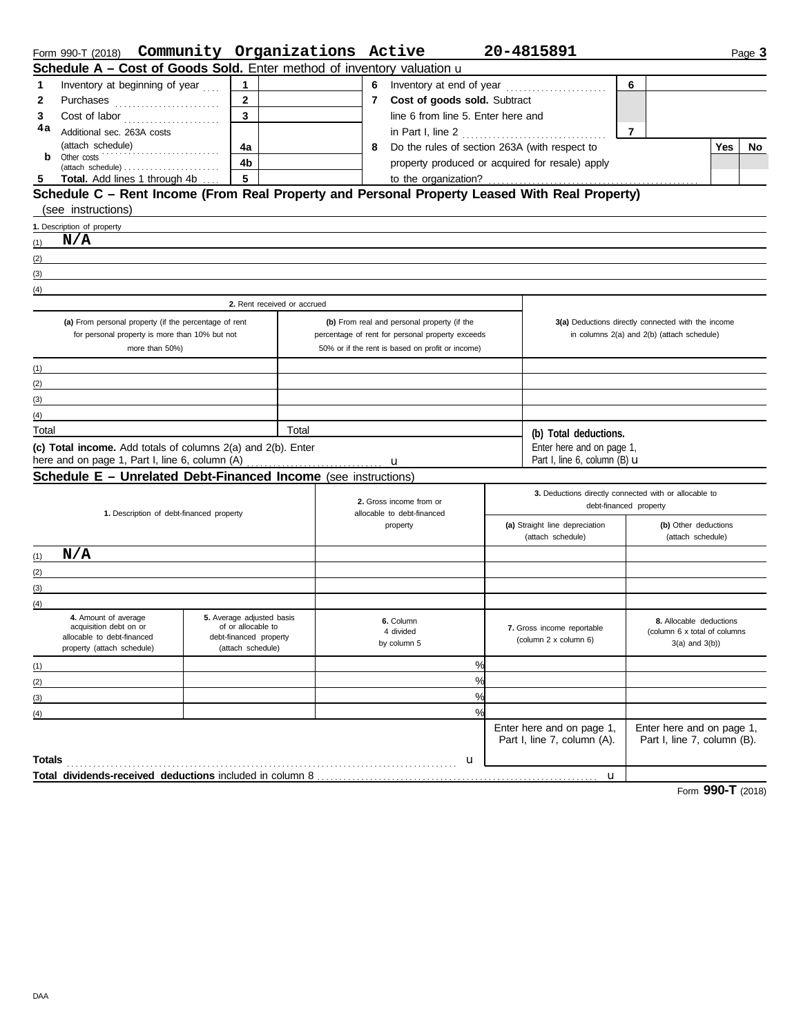|                                                | Form 990-T (2018) Community Organizations Active                                              |                                          |                                             |       |  |   |                                                  | 20-4815891                                                                      |                                                    |                                            |     | Page 3 |
|------------------------------------------------|-----------------------------------------------------------------------------------------------|------------------------------------------|---------------------------------------------|-------|--|---|--------------------------------------------------|---------------------------------------------------------------------------------|----------------------------------------------------|--------------------------------------------|-----|--------|
|                                                | Schedule A - Cost of Goods Sold. Enter method of inventory valuation u                        |                                          |                                             |       |  |   |                                                  |                                                                                 |                                                    |                                            |     |        |
| 1                                              | Inventory at beginning of year                                                                |                                          | 1                                           |       |  |   | 6 Inventory at end of year                       |                                                                                 | 6                                                  |                                            |     |        |
| 2                                              | Purchases                                                                                     |                                          | $\mathbf{2}$                                |       |  |   | 7 Cost of goods sold. Subtract                   |                                                                                 |                                                    |                                            |     |        |
| 3                                              |                                                                                               |                                          | $\overline{3}$                              |       |  |   | line 6 from line 5. Enter here and               |                                                                                 |                                                    |                                            |     |        |
| 4a                                             | Additional sec. 263A costs                                                                    |                                          |                                             |       |  |   | in Part I, line 2                                | .                                                                               | $\overline{7}$                                     |                                            |     |        |
|                                                | (attach schedule)                                                                             | .                                        | 4a                                          |       |  | 8 | Do the rules of section 263A (with respect to    |                                                                                 |                                                    |                                            | Yes | No     |
| b                                              | Other costs                                                                                   |                                          | 4b                                          |       |  |   | property produced or acquired for resale) apply  |                                                                                 |                                                    |                                            |     |        |
|                                                | Total. Add lines 1 through 4b                                                                 |                                          | $\overline{\mathbf{5}}$                     |       |  |   | to the organization?                             |                                                                                 |                                                    |                                            |     |        |
|                                                | Schedule C - Rent Income (From Real Property and Personal Property Leased With Real Property) |                                          |                                             |       |  |   |                                                  |                                                                                 |                                                    |                                            |     |        |
|                                                | (see instructions)                                                                            |                                          |                                             |       |  |   |                                                  |                                                                                 |                                                    |                                            |     |        |
|                                                | 1. Description of property                                                                    |                                          |                                             |       |  |   |                                                  |                                                                                 |                                                    |                                            |     |        |
| (1)                                            | N/A                                                                                           |                                          |                                             |       |  |   |                                                  |                                                                                 |                                                    |                                            |     |        |
| (2)                                            |                                                                                               |                                          |                                             |       |  |   |                                                  |                                                                                 |                                                    |                                            |     |        |
| (3)                                            |                                                                                               |                                          |                                             |       |  |   |                                                  |                                                                                 |                                                    |                                            |     |        |
| (4)                                            |                                                                                               |                                          |                                             |       |  |   |                                                  |                                                                                 |                                                    |                                            |     |        |
|                                                |                                                                                               |                                          | 2. Rent received or accrued                 |       |  |   |                                                  |                                                                                 |                                                    |                                            |     |        |
|                                                | (a) From personal property (if the percentage of rent                                         |                                          |                                             |       |  |   | (b) From real and personal property (if the      |                                                                                 | 3(a) Deductions directly connected with the income |                                            |     |        |
| for personal property is more than 10% but not |                                                                                               |                                          |                                             |       |  |   | percentage of rent for personal property exceeds |                                                                                 |                                                    | in columns 2(a) and 2(b) (attach schedule) |     |        |
|                                                |                                                                                               | more than 50%)                           |                                             |       |  |   | 50% or if the rent is based on profit or income) |                                                                                 |                                                    |                                            |     |        |
| (1)                                            |                                                                                               |                                          |                                             |       |  |   |                                                  |                                                                                 |                                                    |                                            |     |        |
| (2)                                            |                                                                                               |                                          |                                             |       |  |   |                                                  |                                                                                 |                                                    |                                            |     |        |
| (3)                                            |                                                                                               |                                          |                                             |       |  |   |                                                  |                                                                                 |                                                    |                                            |     |        |
| (4)                                            |                                                                                               |                                          |                                             |       |  |   |                                                  |                                                                                 |                                                    |                                            |     |        |
| Total                                          |                                                                                               |                                          |                                             | Total |  |   |                                                  | (b) Total deductions.                                                           |                                                    |                                            |     |        |
|                                                | (c) Total income. Add totals of columns 2(a) and 2(b). Enter                                  |                                          |                                             |       |  |   |                                                  | Enter here and on page 1,                                                       |                                                    |                                            |     |        |
|                                                |                                                                                               |                                          |                                             |       |  |   |                                                  | Part I, line 6, column (B) <b>u</b>                                             |                                                    |                                            |     |        |
|                                                | Schedule E - Unrelated Debt-Financed Income (see instructions)                                |                                          |                                             |       |  |   |                                                  |                                                                                 |                                                    |                                            |     |        |
|                                                |                                                                                               |                                          |                                             |       |  |   | 2. Gross income from or                          | 3. Deductions directly connected with or allocable to<br>debt-financed property |                                                    |                                            |     |        |
|                                                |                                                                                               | 1. Description of debt-financed property |                                             |       |  |   | allocable to debt-financed                       |                                                                                 |                                                    |                                            |     |        |
|                                                |                                                                                               |                                          |                                             |       |  |   | property                                         | (a) Straight line depreciation<br>(attach schedule)                             |                                                    | (b) Other deductions<br>(attach schedule)  |     |        |
|                                                | N/A                                                                                           |                                          |                                             |       |  |   |                                                  |                                                                                 |                                                    |                                            |     |        |
| (1)                                            |                                                                                               |                                          |                                             |       |  |   |                                                  |                                                                                 |                                                    |                                            |     |        |
| (2)<br>(3)                                     |                                                                                               |                                          |                                             |       |  |   |                                                  |                                                                                 |                                                    |                                            |     |        |
| (4)                                            |                                                                                               |                                          |                                             |       |  |   |                                                  |                                                                                 |                                                    |                                            |     |        |
|                                                | 4. Amount of average                                                                          |                                          | 5. Average adjusted basis                   |       |  |   | 6. Column                                        |                                                                                 |                                                    | 8. Allocable deductions                    |     |        |
|                                                | acquisition debt on or                                                                        |                                          | of or allocable to                          |       |  |   | 4 divided                                        | 7. Gross income reportable                                                      |                                                    | (column 6 x total of columns               |     |        |
|                                                | allocable to debt-financed<br>property (attach schedule)                                      |                                          | debt-financed property<br>(attach schedule) |       |  |   | by column 5                                      | (column 2 x column 6)                                                           |                                                    | $3(a)$ and $3(b)$ )                        |     |        |
| (1)                                            |                                                                                               |                                          |                                             |       |  |   | %                                                |                                                                                 |                                                    |                                            |     |        |
| (2)                                            |                                                                                               |                                          |                                             |       |  |   | %                                                |                                                                                 |                                                    |                                            |     |        |
| (3)                                            |                                                                                               |                                          |                                             |       |  |   | %                                                |                                                                                 |                                                    |                                            |     |        |
| (4)                                            |                                                                                               |                                          |                                             |       |  |   | $\frac{9}{6}$                                    |                                                                                 |                                                    |                                            |     |        |
|                                                |                                                                                               |                                          |                                             |       |  |   |                                                  | Enter here and on page 1,                                                       |                                                    | Enter here and on page 1,                  |     |        |
|                                                |                                                                                               |                                          |                                             |       |  |   |                                                  | Part I, line 7, column (A).                                                     |                                                    | Part I, line 7, column (B).                |     |        |
| <b>Totals</b>                                  |                                                                                               |                                          |                                             |       |  |   | u                                                |                                                                                 |                                                    |                                            |     |        |
|                                                |                                                                                               |                                          |                                             |       |  |   |                                                  | u                                                                               |                                                    |                                            |     |        |
|                                                |                                                                                               |                                          |                                             |       |  |   |                                                  |                                                                                 |                                                    |                                            |     |        |

Form **990-T** (2018)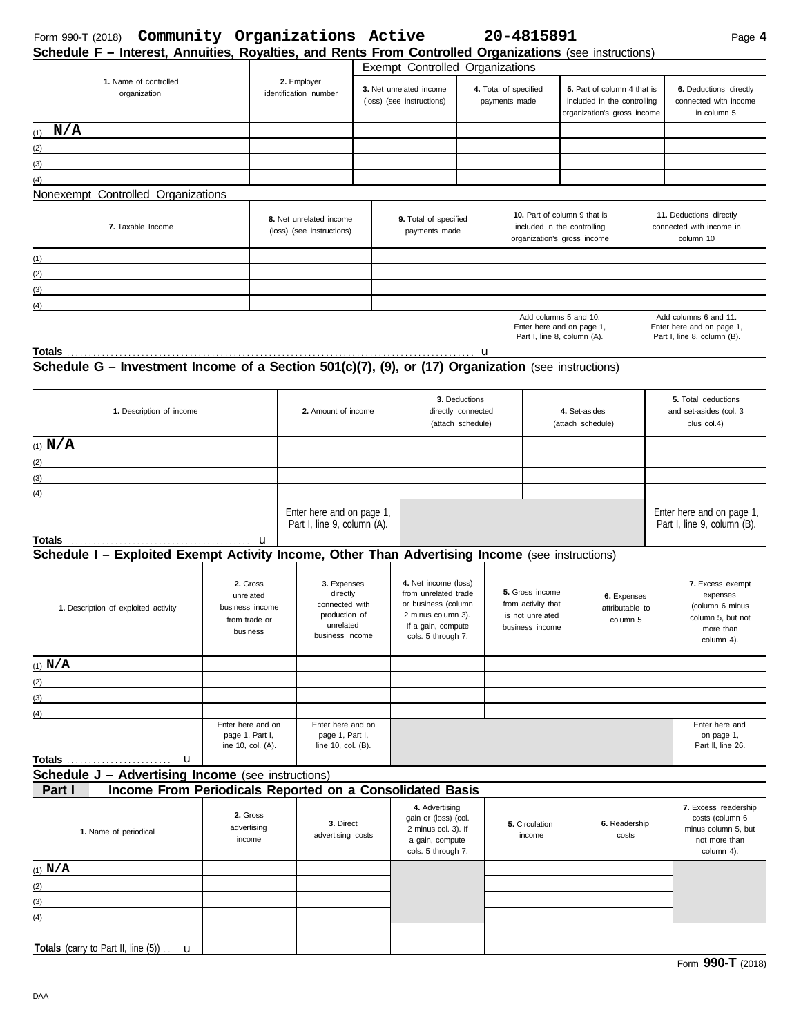| Form 990-T (2018) | Community | Organizations | Active | 20-4815891 | . л<br>Page |
|-------------------|-----------|---------------|--------|------------|-------------|
|                   |           |               |        |            |             |

| Schedule F - Interest, Annuities, Royalties, and Rents From Controlled Organizations (see instructions) |                                      |                                      |                    |                                              |                 |                                        |                 |                              |                             |                                         |  |
|---------------------------------------------------------------------------------------------------------|--------------------------------------|--------------------------------------|--------------------|----------------------------------------------|-----------------|----------------------------------------|-----------------|------------------------------|-----------------------------|-----------------------------------------|--|
|                                                                                                         |                                      |                                      |                    | Exempt Controlled Organizations              |                 |                                        |                 |                              |                             |                                         |  |
| 1. Name of controlled                                                                                   |                                      | 2. Employer                          |                    |                                              |                 |                                        |                 |                              |                             |                                         |  |
| organization                                                                                            |                                      | identification number                |                    | 3. Net unrelated income                      |                 | 4. Total of specified                  |                 | 5. Part of column 4 that is  |                             | 6. Deductions directly                  |  |
|                                                                                                         |                                      |                                      |                    | (loss) (see instructions)                    |                 | payments made                          |                 | included in the controlling  |                             | connected with income                   |  |
|                                                                                                         |                                      |                                      |                    |                                              |                 |                                        |                 | organization's gross income  |                             | in column 5                             |  |
| $(1)$ $N/A$                                                                                             |                                      |                                      |                    |                                              |                 |                                        |                 |                              |                             |                                         |  |
| (2)                                                                                                     |                                      |                                      |                    |                                              |                 |                                        |                 |                              |                             |                                         |  |
| (3)<br>the contract of the contract of the contract of the contract of the contract of                  |                                      |                                      |                    |                                              |                 |                                        |                 |                              |                             |                                         |  |
| (4)                                                                                                     |                                      |                                      |                    |                                              |                 |                                        |                 |                              |                             |                                         |  |
| Nonexempt Controlled Organizations                                                                      |                                      |                                      |                    |                                              |                 |                                        |                 |                              |                             |                                         |  |
|                                                                                                         |                                      |                                      |                    |                                              |                 |                                        |                 |                              |                             |                                         |  |
|                                                                                                         |                                      | 8. Net unrelated income              |                    | 9. Total of specified<br>payments made       |                 |                                        |                 | 10. Part of column 9 that is |                             | 11. Deductions directly                 |  |
| 7. Taxable Income                                                                                       |                                      | (loss) (see instructions)            |                    |                                              |                 |                                        |                 | included in the controlling  |                             | connected with income in                |  |
|                                                                                                         |                                      |                                      |                    |                                              |                 |                                        |                 | organization's gross income  |                             | column 10                               |  |
| (1)                                                                                                     |                                      |                                      |                    |                                              |                 |                                        |                 |                              |                             |                                         |  |
| (2)<br>the control of the control of the control of the control of the control of the control of        |                                      |                                      |                    |                                              |                 |                                        |                 |                              |                             |                                         |  |
| (3)<br>the control of the control of the control of the control of the control of the control of        |                                      |                                      |                    |                                              |                 |                                        |                 |                              |                             |                                         |  |
| (4)                                                                                                     |                                      |                                      |                    |                                              |                 |                                        |                 |                              |                             |                                         |  |
|                                                                                                         |                                      |                                      |                    |                                              |                 |                                        |                 | Add columns 5 and 10.        |                             | Add columns 6 and 11.                   |  |
|                                                                                                         |                                      |                                      |                    |                                              |                 |                                        |                 | Enter here and on page 1,    |                             | Enter here and on page 1,               |  |
|                                                                                                         |                                      |                                      |                    |                                              |                 |                                        |                 | Part I, line 8, column (A).  |                             | Part I, line 8, column (B).             |  |
|                                                                                                         |                                      |                                      |                    |                                              |                 |                                        |                 |                              |                             |                                         |  |
|                                                                                                         |                                      |                                      |                    |                                              |                 |                                        |                 |                              |                             |                                         |  |
|                                                                                                         |                                      |                                      |                    |                                              |                 |                                        |                 |                              |                             |                                         |  |
|                                                                                                         |                                      |                                      |                    |                                              | 3. Deductions   |                                        |                 |                              |                             | 5. Total deductions                     |  |
| 1. Description of income                                                                                | 2. Amount of income                  |                                      |                    | directly connected                           |                 |                                        | 4. Set-asides   |                              | and set-asides (col. 3      |                                         |  |
|                                                                                                         |                                      |                                      | (attach schedule)  |                                              |                 | (attach schedule)                      |                 | plus col.4)                  |                             |                                         |  |
| (1) $N/A$                                                                                               |                                      |                                      |                    |                                              |                 |                                        |                 |                              |                             |                                         |  |
|                                                                                                         |                                      |                                      |                    |                                              |                 |                                        |                 |                              |                             |                                         |  |
| (2)<br>the contract of the contract of the contract of the contract of the contract of                  |                                      |                                      |                    |                                              |                 |                                        |                 |                              |                             |                                         |  |
| (3)<br>the control of the control of the control of the control of the control of the control of        |                                      |                                      |                    |                                              |                 |                                        |                 |                              |                             |                                         |  |
| (4)                                                                                                     |                                      |                                      |                    |                                              |                 |                                        |                 |                              |                             |                                         |  |
|                                                                                                         |                                      | Enter here and on page 1,            |                    |                                              |                 |                                        |                 |                              |                             | Enter here and on page 1,               |  |
|                                                                                                         |                                      | Part I, line 9, column (A).          |                    |                                              |                 |                                        |                 |                              | Part I, line 9, column (B). |                                         |  |
|                                                                                                         |                                      |                                      |                    |                                              |                 |                                        |                 |                              |                             |                                         |  |
| Schedule I - Exploited Exempt Activity Income, Other Than Advertising Income (see instructions)         | u u                                  |                                      |                    |                                              |                 |                                        |                 |                              |                             |                                         |  |
|                                                                                                         |                                      |                                      |                    |                                              |                 |                                        |                 |                              |                             |                                         |  |
|                                                                                                         |                                      |                                      |                    |                                              |                 |                                        |                 |                              |                             |                                         |  |
|                                                                                                         | 2. Gross<br>unrelated                | 3. Expenses<br>directly              |                    | 4. Net income (loss)<br>from unrelated trade |                 |                                        | 5. Gross income | 6. Expenses                  |                             | 7. Excess exempt<br>expenses            |  |
| 1. Description of exploited activity                                                                    | business income                      | connected with                       |                    | or business (column                          |                 | from activity that<br>is not unrelated |                 |                              | attributable to             | (column 6 minus                         |  |
|                                                                                                         | from trade or                        | production of                        |                    | 2 minus column 3).                           |                 |                                        |                 |                              | column 5                    | column 5, but not                       |  |
|                                                                                                         | business                             | unrelated<br>business income         |                    | If a gain, compute<br>cols. 5 through 7.     | business income |                                        |                 |                              |                             | more than                               |  |
|                                                                                                         |                                      |                                      |                    |                                              |                 |                                        |                 |                              |                             | column 4).                              |  |
| $(1)$ N/A                                                                                               |                                      |                                      |                    |                                              |                 |                                        |                 |                              |                             |                                         |  |
|                                                                                                         |                                      |                                      |                    |                                              |                 |                                        |                 |                              |                             |                                         |  |
| (2)                                                                                                     |                                      |                                      |                    |                                              |                 |                                        |                 |                              |                             |                                         |  |
| (3)                                                                                                     |                                      |                                      |                    |                                              |                 |                                        |                 |                              |                             |                                         |  |
| (4)                                                                                                     |                                      |                                      |                    |                                              |                 |                                        |                 |                              |                             |                                         |  |
|                                                                                                         | Enter here and on<br>page 1, Part I, | Enter here and on<br>page 1, Part I, |                    |                                              |                 |                                        |                 |                              |                             | Enter here and<br>on page 1,            |  |
|                                                                                                         | line 10, col. (A).                   | line 10, col. (B).                   |                    |                                              |                 |                                        |                 |                              |                             | Part II, line 26.                       |  |
|                                                                                                         |                                      |                                      |                    |                                              |                 |                                        |                 |                              |                             |                                         |  |
| <b>Schedule J - Advertising Income</b> (see instructions)                                               |                                      |                                      |                    |                                              |                 |                                        |                 |                              |                             |                                         |  |
| Income From Periodicals Reported on a Consolidated Basis<br>Part I                                      |                                      |                                      |                    |                                              |                 |                                        |                 |                              |                             |                                         |  |
|                                                                                                         |                                      |                                      |                    |                                              |                 |                                        |                 |                              |                             |                                         |  |
|                                                                                                         | 2. Gross                             |                                      |                    | 4. Advertising<br>gain or (loss) (col.       |                 |                                        |                 |                              |                             | 7. Excess readership<br>costs (column 6 |  |
| advertising<br>1. Name of periodical<br>income                                                          |                                      | 3. Direct                            |                    | 2 minus col. 3). If                          |                 |                                        | 5. Circulation  |                              | 6. Readership               | minus column 5, but                     |  |
|                                                                                                         |                                      | advertising costs                    |                    | a gain, compute                              |                 |                                        | income          |                              | costs                       | not more than                           |  |
|                                                                                                         |                                      |                                      | cols. 5 through 7. |                                              |                 |                                        |                 |                              | column 4).                  |                                         |  |
| $(1)$ N/A                                                                                               |                                      |                                      |                    |                                              |                 |                                        |                 |                              |                             |                                         |  |
| (2)                                                                                                     |                                      |                                      |                    |                                              |                 |                                        |                 |                              |                             |                                         |  |
| (3)                                                                                                     |                                      |                                      |                    |                                              |                 |                                        |                 |                              |                             |                                         |  |
|                                                                                                         |                                      |                                      |                    |                                              |                 |                                        |                 |                              |                             |                                         |  |
| (4)                                                                                                     |                                      |                                      |                    |                                              |                 |                                        |                 |                              |                             |                                         |  |
|                                                                                                         |                                      |                                      |                    |                                              |                 |                                        |                 |                              |                             |                                         |  |
| Totals (carry to Part II, line (5)).<br>$\mathbf u$                                                     |                                      |                                      |                    |                                              |                 |                                        |                 |                              |                             |                                         |  |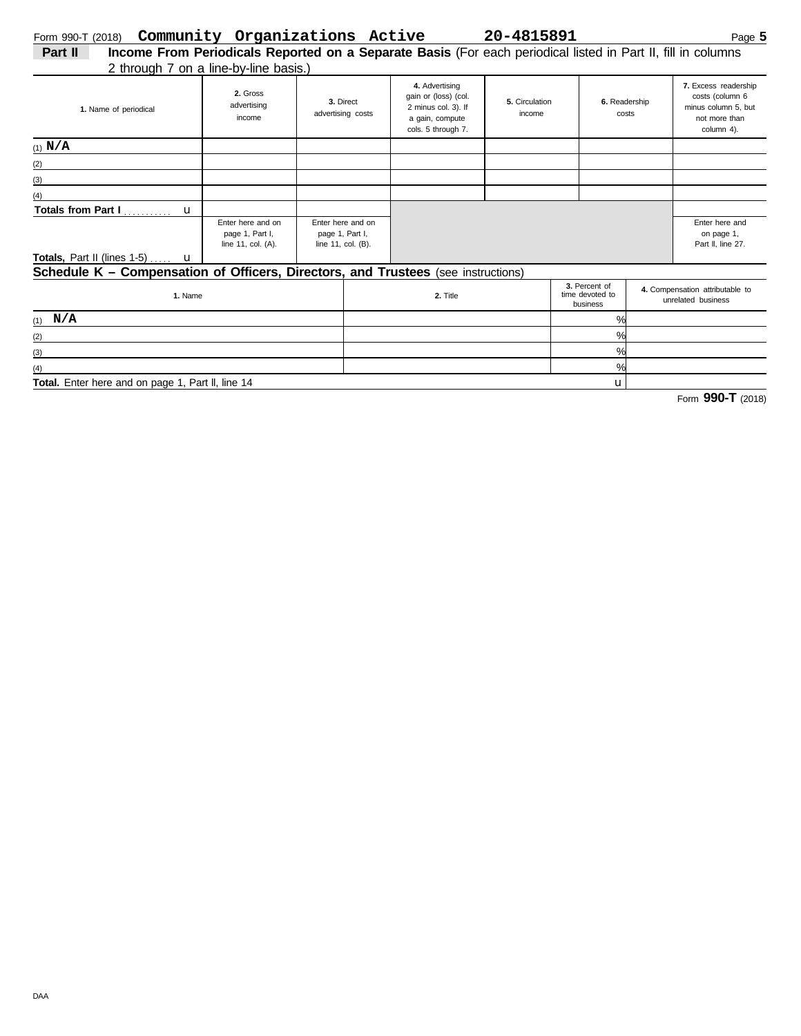| Part II | Income From Periodicals Reported on a Separate Basis (For each periodical listed in Part II, fill in columns |
|---------|--------------------------------------------------------------------------------------------------------------|
|         | 2 through 7 an a ling-hu-ling hacie)                                                                         |

| 2 through 7 on a line-by-line basis.)                                                                                                |                                                            |                                                            |  |                                                                                                        |                          |  |                                                       |                                                                                               |  |  |  |
|--------------------------------------------------------------------------------------------------------------------------------------|------------------------------------------------------------|------------------------------------------------------------|--|--------------------------------------------------------------------------------------------------------|--------------------------|--|-------------------------------------------------------|-----------------------------------------------------------------------------------------------|--|--|--|
| 1. Name of periodical                                                                                                                | 2. Gross<br>advertising<br>income                          | 3. Direct<br>advertising costs                             |  | 4. Advertising<br>gain or (loss) (col.<br>2 minus col. 3). If<br>a gain, compute<br>cols. 5 through 7. | 5. Circulation<br>income |  | 6. Readership<br>costs                                | 7. Excess readership<br>costs (column 6<br>minus column 5, but<br>not more than<br>column 4). |  |  |  |
| $(1)$ N/A                                                                                                                            |                                                            |                                                            |  |                                                                                                        |                          |  |                                                       |                                                                                               |  |  |  |
| (2)                                                                                                                                  |                                                            |                                                            |  |                                                                                                        |                          |  |                                                       |                                                                                               |  |  |  |
| (3)                                                                                                                                  |                                                            |                                                            |  |                                                                                                        |                          |  |                                                       |                                                                                               |  |  |  |
| (4)                                                                                                                                  |                                                            |                                                            |  |                                                                                                        |                          |  |                                                       |                                                                                               |  |  |  |
| Totals from Part I<br>$\mathbf{u}$                                                                                                   |                                                            |                                                            |  |                                                                                                        |                          |  |                                                       |                                                                                               |  |  |  |
|                                                                                                                                      | Enter here and on<br>page 1, Part I,<br>line 11, col. (A). | Enter here and on<br>page 1, Part I,<br>line 11, col. (B). |  |                                                                                                        |                          |  |                                                       | Enter here and<br>on page 1,<br>Part II, line 27.                                             |  |  |  |
| <b>Totals, Part II (lines 1-5)</b> $\mathbf{u}$<br>Schedule K - Compensation of Officers, Directors, and Trustees (see instructions) |                                                            |                                                            |  |                                                                                                        |                          |  |                                                       |                                                                                               |  |  |  |
|                                                                                                                                      |                                                            |                                                            |  |                                                                                                        |                          |  |                                                       |                                                                                               |  |  |  |
| 1. Name                                                                                                                              |                                                            |                                                            |  | 3. Percent of<br>time devoted to<br>2. Title<br>business                                               |                          |  | 4. Compensation attributable to<br>unrelated business |                                                                                               |  |  |  |

| 1. I VAILIUT                                      | 4.105 | $$ $$<br>business | unrelated business |
|---------------------------------------------------|-------|-------------------|--------------------|
| $(1)$ N/A                                         |       | $\%$              |                    |
| (2)                                               |       | $\%$              |                    |
| (3)                                               |       | $\%$              |                    |
| (4)                                               |       | $\frac{1}{2}$     |                    |
| Total. Enter here and on page 1, Part II, line 14 |       |                   |                    |

Form **990-T** (2018)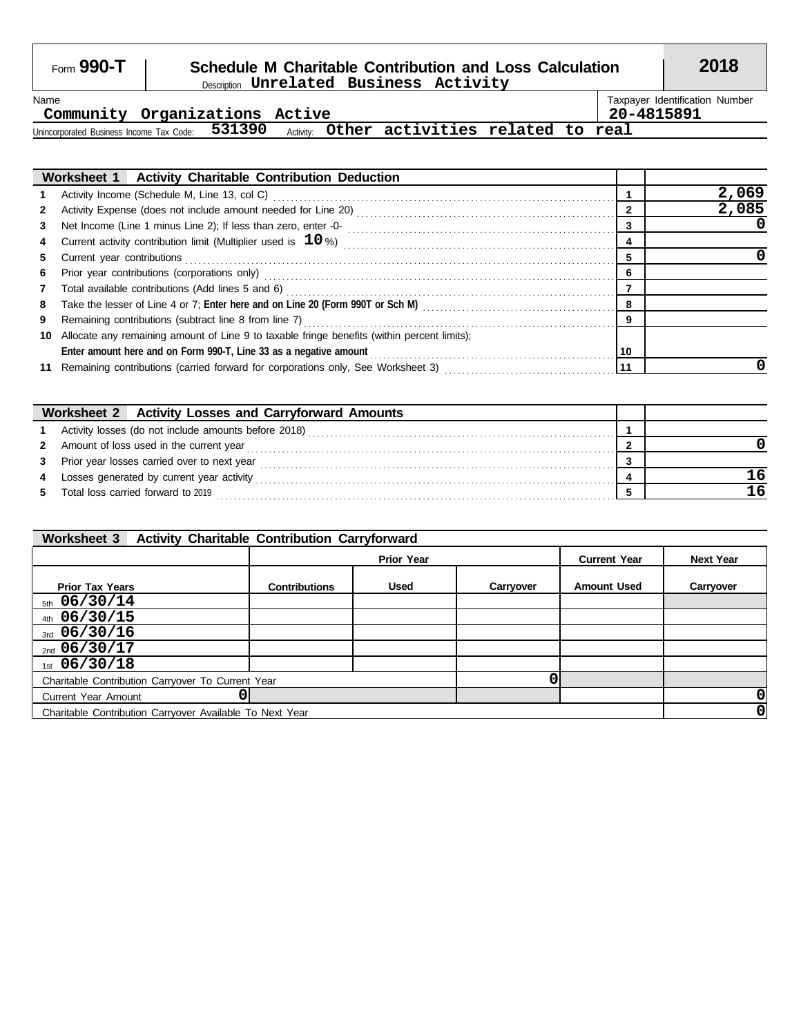### Form **990-T Schedule M Charitable Contribution and Loss Calculation 2018** Description **Unrelated Business Activity**

**Community Organizations Active 20-4815891**

Name Taxpayer Identification Number

Unincorporated Business Income Tax Code: 531390 Activity: **531390 Other activities related to real**

|              | Worksheet 1   Activity Charitable Contribution Deduction                                                                                                                                                                       |    |       |
|--------------|--------------------------------------------------------------------------------------------------------------------------------------------------------------------------------------------------------------------------------|----|-------|
| 1            |                                                                                                                                                                                                                                |    | 2,069 |
| $\mathbf{2}$ |                                                                                                                                                                                                                                | 2  | 2,085 |
| 3            |                                                                                                                                                                                                                                | 3  |       |
| 4            |                                                                                                                                                                                                                                | 4  |       |
| 5.           | Current year contributions [11] contained a state of the control of the contributions of the contributions of the contributions of the contributions of the contributions of the contributions of the contributions of the con | 5  |       |
| 6            | Prior year contributions (corporations only) contained and according to the control of the contributions (corporations only)                                                                                                   | 6  |       |
| 7            | Total available contributions (Add lines 5 and 6) Materian Contract Contract and Separation Contributions (Add lines 5 and 6)                                                                                                  |    |       |
| 8            |                                                                                                                                                                                                                                | 8  |       |
| 9            | Remaining contributions (subtract line 8 from line 7) [[11] Case of the contract of the contributions (subtract line 8 from line 7) [[11] Case of the contract of the contract of the contract of the contract of the contract | -9 |       |
| 10           | Allocate any remaining amount of Line 9 to taxable fringe benefits (within percent limits);                                                                                                                                    |    |       |
|              |                                                                                                                                                                                                                                | 10 |       |
|              | Remaining contributions (carried forward for corporations only, See Worksheet 3)                                                                                                                                               | 11 |       |

|   | <b>Activity Losses and Carryforward Amounts</b><br>Worksheet 2 |  |
|---|----------------------------------------------------------------|--|
|   | Activity losses (do not include amounts before 2018)           |  |
|   | 2 Amount of loss used in the current year                      |  |
| 3 | Prior year losses carried over to next year                    |  |
| 4 | Losses generated by current year activity                      |  |
|   | Total loss carried forward to 2019                             |  |

| <b>Activity Charitable Contribution Carryforward</b><br><b>Worksheet 3</b> |                      |                   |                     |                    |           |  |  |  |
|----------------------------------------------------------------------------|----------------------|-------------------|---------------------|--------------------|-----------|--|--|--|
|                                                                            |                      | <b>Prior Year</b> | <b>Current Year</b> | <b>Next Year</b>   |           |  |  |  |
| <b>Prior Tax Years</b>                                                     | <b>Contributions</b> | <b>Used</b>       | Carryover           | <b>Amount Used</b> | Carryover |  |  |  |
| $_{5th}$ 06/30/14                                                          |                      |                   |                     |                    |           |  |  |  |
| $_{4th}$ 06/30/15                                                          |                      |                   |                     |                    |           |  |  |  |
| $_{3rd}$ 06/30/16                                                          |                      |                   |                     |                    |           |  |  |  |
| $_{2nd}$ 06/30/17                                                          |                      |                   |                     |                    |           |  |  |  |
| $1st$ 06/30/18                                                             |                      |                   |                     |                    |           |  |  |  |
| Charitable Contribution Carryover To Current Year                          |                      |                   |                     |                    |           |  |  |  |
| <b>Current Year Amount</b>                                                 |                      |                   |                     | 0                  |           |  |  |  |
| Charitable Contribution Carryover Available To Next Year                   |                      |                   |                     |                    |           |  |  |  |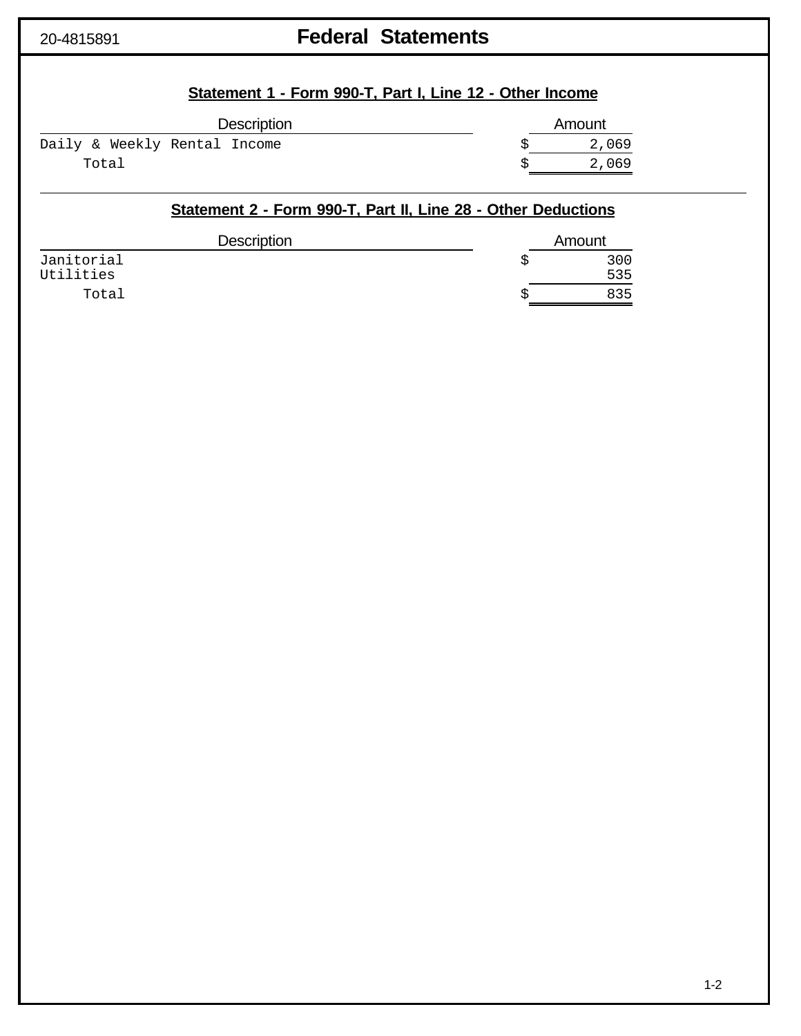# 20-4815891 **Federal Statements**

| Statement 1 - Form 990-T, Part I, Line 12 - Other Income |  |  |  |
|----------------------------------------------------------|--|--|--|
|                                                          |  |  |  |

| <b>Description</b>           | Amount |
|------------------------------|--------|
| Daily & Weekly Rental Income | 2,069  |
| Total                        | 2,069  |
|                              |        |

### **Statement 2 - Form 990-T, Part II, Line 28 - Other Deductions**

| <b>Description</b>      | Amount     |  |  |
|-------------------------|------------|--|--|
| Janitorial<br>Utilities | 300<br>535 |  |  |
| Total                   | 835        |  |  |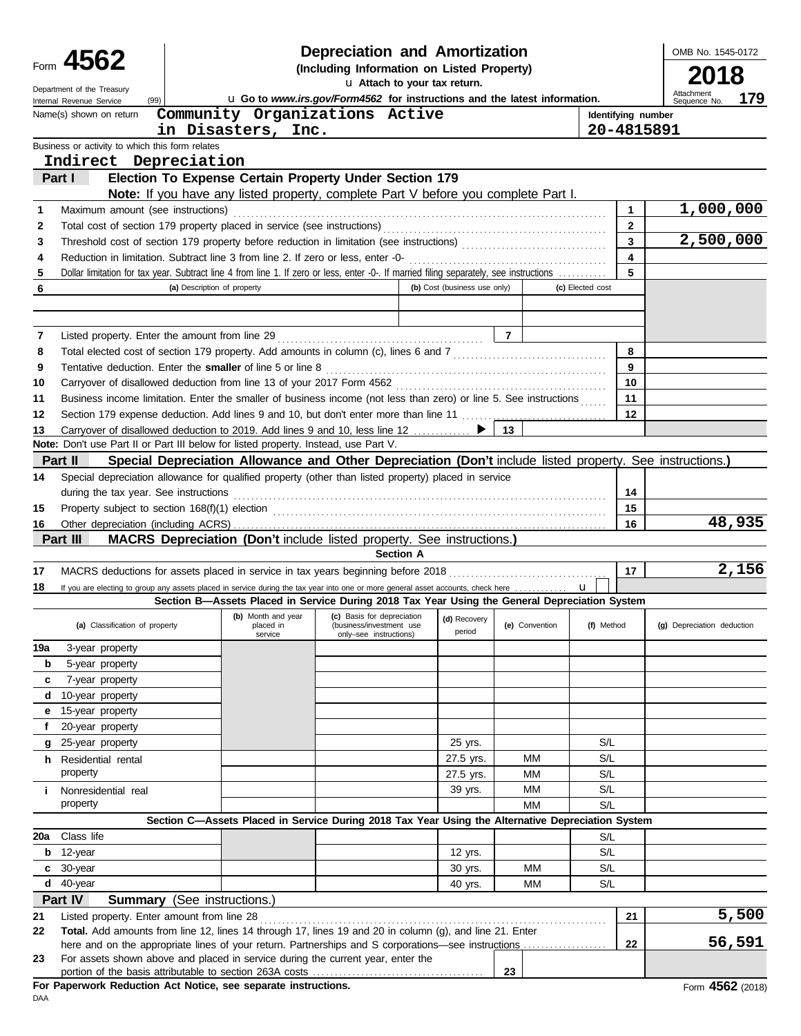|        | Depreciation and Amortization<br>Form 4562<br>(Including Information on Listed Property)                                                                                     |                                    |                                                                                                                                              |                                                                                  |                              |                |                |                  |                    | OMB No. 1545-0172                 |
|--------|------------------------------------------------------------------------------------------------------------------------------------------------------------------------------|------------------------------------|----------------------------------------------------------------------------------------------------------------------------------------------|----------------------------------------------------------------------------------|------------------------------|----------------|----------------|------------------|--------------------|-----------------------------------|
|        |                                                                                                                                                                              |                                    |                                                                                                                                              |                                                                                  | u Attach to your tax return. |                |                |                  |                    |                                   |
|        | Department of the Treasury<br>(99)<br>Internal Revenue Service                                                                                                               |                                    | u Go to www.irs.gov/Form4562 for instructions and the latest information.                                                                    |                                                                                  |                              |                |                |                  |                    | Attachment<br>179<br>Sequence No. |
|        | Name(s) shown on return                                                                                                                                                      |                                    | Community Organizations Active                                                                                                               |                                                                                  |                              |                |                |                  | Identifying number |                                   |
|        |                                                                                                                                                                              |                                    | in Disasters, Inc.                                                                                                                           |                                                                                  |                              |                |                |                  | 20-4815891         |                                   |
|        | Business or activity to which this form relates                                                                                                                              |                                    |                                                                                                                                              |                                                                                  |                              |                |                |                  |                    |                                   |
|        | Indirect Depreciation                                                                                                                                                        |                                    |                                                                                                                                              |                                                                                  |                              |                |                |                  |                    |                                   |
|        | Part I                                                                                                                                                                       |                                    | Election To Expense Certain Property Under Section 179<br>Note: If you have any listed property, complete Part V before you complete Part I. |                                                                                  |                              |                |                |                  |                    |                                   |
| 1      | Maximum amount (see instructions)                                                                                                                                            |                                    |                                                                                                                                              |                                                                                  |                              |                |                |                  | 1                  | 1,000,000                         |
| 2      |                                                                                                                                                                              |                                    |                                                                                                                                              |                                                                                  |                              |                |                |                  | $\mathbf{2}$       |                                   |
| 3      |                                                                                                                                                                              |                                    |                                                                                                                                              |                                                                                  |                              |                |                |                  | 3                  | 2,500,000                         |
| 4      |                                                                                                                                                                              |                                    |                                                                                                                                              |                                                                                  |                              |                |                |                  | 4                  |                                   |
| 5      | Dollar limitation for tax year. Subtract line 4 from line 1. If zero or less, enter -0-. If married filing separately, see instructions                                      |                                    |                                                                                                                                              |                                                                                  |                              |                |                |                  | 5                  |                                   |
| 6      |                                                                                                                                                                              | (a) Description of property        |                                                                                                                                              |                                                                                  | (b) Cost (business use only) |                |                | (c) Elected cost |                    |                                   |
|        |                                                                                                                                                                              |                                    |                                                                                                                                              |                                                                                  |                              |                |                |                  |                    |                                   |
|        |                                                                                                                                                                              |                                    |                                                                                                                                              |                                                                                  |                              |                |                |                  |                    |                                   |
| 7      |                                                                                                                                                                              |                                    |                                                                                                                                              |                                                                                  |                              | $\overline{7}$ |                |                  |                    |                                   |
| 8<br>9 | Total elected cost of section 179 property. Add amounts in column (c), lines 6 and 7 [[[[[[[[[[[[[[[[[[[[[[[[[<br>Tentative deduction. Enter the smaller of line 5 or line 8 |                                    |                                                                                                                                              |                                                                                  |                              |                |                |                  | 8<br>9             |                                   |
| 10     |                                                                                                                                                                              |                                    |                                                                                                                                              |                                                                                  |                              |                |                |                  | 10                 |                                   |
| 11     | Business income limitation. Enter the smaller of business income (not less than zero) or line 5. See instructions                                                            |                                    |                                                                                                                                              |                                                                                  |                              |                |                |                  | 11                 |                                   |
| 12     | Section 179 expense deduction. Add lines 9 and 10, but don't enter more than line 11                                                                                         |                                    |                                                                                                                                              |                                                                                  |                              |                |                |                  | 12                 |                                   |
| 13     | Carryover of disallowed deduction to 2019. Add lines 9 and 10, less line 12                                                                                                  |                                    |                                                                                                                                              |                                                                                  |                              | ▶<br>13        |                |                  |                    |                                   |
|        | Note: Don't use Part II or Part III below for listed property. Instead, use Part V.                                                                                          |                                    |                                                                                                                                              |                                                                                  |                              |                |                |                  |                    |                                   |
|        | Part II                                                                                                                                                                      |                                    | Special Depreciation Allowance and Other Depreciation (Don't include listed property. See instructions.)                                     |                                                                                  |                              |                |                |                  |                    |                                   |
| 14     | Special depreciation allowance for qualified property (other than listed property) placed in service                                                                         |                                    |                                                                                                                                              |                                                                                  |                              |                |                |                  |                    |                                   |
|        | during the tax year. See instructions                                                                                                                                        |                                    |                                                                                                                                              |                                                                                  |                              |                |                |                  | 14                 |                                   |
| 15     |                                                                                                                                                                              |                                    |                                                                                                                                              |                                                                                  |                              |                |                |                  | 15                 |                                   |
| 16     |                                                                                                                                                                              |                                    |                                                                                                                                              |                                                                                  |                              |                |                |                  | 16                 | 48,935                            |
|        | Part III                                                                                                                                                                     |                                    | MACRS Depreciation (Don't include listed property. See instructions.)                                                                        |                                                                                  | <b>Section A</b>             |                |                |                  |                    |                                   |
| 17     |                                                                                                                                                                              |                                    |                                                                                                                                              |                                                                                  |                              |                |                |                  | 17                 | 2,156                             |
| 18     | If you are electing to group any assets placed in service during the tax year into one or more general asset accounts, check here                                            |                                    |                                                                                                                                              |                                                                                  |                              |                |                | $\mathbf{u}$     |                    |                                   |
|        |                                                                                                                                                                              |                                    | Section B-Assets Placed in Service During 2018 Tax Year Using the General Depreciation System                                                |                                                                                  |                              |                |                |                  |                    |                                   |
|        | (a) Classification of property                                                                                                                                               |                                    | (b) Month and year<br>placed in<br>service                                                                                                   | (c) Basis for depreciation<br>(business/investment use<br>only-see instructions) | (d) Recovery<br>period       |                | (e) Convention | (f) Method       |                    | (g) Depreciation deduction        |
| 19a    | 3-year property                                                                                                                                                              |                                    |                                                                                                                                              |                                                                                  |                              |                |                |                  |                    |                                   |
| b      | 5-year property                                                                                                                                                              |                                    |                                                                                                                                              |                                                                                  |                              |                |                |                  |                    |                                   |
| c      | 7-year property                                                                                                                                                              |                                    |                                                                                                                                              |                                                                                  |                              |                |                |                  |                    |                                   |
|        | d 10-year property                                                                                                                                                           |                                    |                                                                                                                                              |                                                                                  |                              |                |                |                  |                    |                                   |
| е      | 15-year property                                                                                                                                                             |                                    |                                                                                                                                              |                                                                                  |                              |                |                |                  |                    |                                   |
| f      | 20-year property                                                                                                                                                             |                                    |                                                                                                                                              |                                                                                  |                              |                |                |                  |                    |                                   |
| g      | 25-year property                                                                                                                                                             |                                    |                                                                                                                                              |                                                                                  | 25 yrs.                      |                |                | S/L<br>S/L       |                    |                                   |
|        | h Residential rental<br>property                                                                                                                                             |                                    |                                                                                                                                              |                                                                                  | 27.5 yrs.<br>27.5 yrs.       |                | ΜМ<br>ΜМ       | S/L              |                    |                                   |
| i.     | Nonresidential real                                                                                                                                                          |                                    |                                                                                                                                              |                                                                                  | 39 yrs.                      |                | ΜМ             | S/L              |                    |                                   |
|        | property                                                                                                                                                                     |                                    |                                                                                                                                              |                                                                                  |                              |                | МM             | S/L              |                    |                                   |
|        |                                                                                                                                                                              |                                    | Section C-Assets Placed in Service During 2018 Tax Year Using the Alternative Depreciation System                                            |                                                                                  |                              |                |                |                  |                    |                                   |
| 20a    | Class life                                                                                                                                                                   |                                    |                                                                                                                                              |                                                                                  |                              |                |                | S/L              |                    |                                   |
|        | $b$ 12-year                                                                                                                                                                  |                                    |                                                                                                                                              |                                                                                  | 12 yrs.                      |                |                | S/L              |                    |                                   |
|        | $c30$ -year                                                                                                                                                                  |                                    |                                                                                                                                              |                                                                                  | 30 yrs.                      |                | ΜМ             | S/L              |                    |                                   |
|        | $d$ 40-year                                                                                                                                                                  |                                    |                                                                                                                                              |                                                                                  | 40 yrs.                      |                | ΜМ             | S/L              |                    |                                   |
|        | Part IV                                                                                                                                                                      | <b>Summary</b> (See instructions.) |                                                                                                                                              |                                                                                  |                              |                |                |                  |                    |                                   |
| 21     | Listed property. Enter amount from line 28                                                                                                                                   |                                    |                                                                                                                                              |                                                                                  |                              |                |                |                  | 21                 | 5,500                             |
| 22     | Total. Add amounts from line 12, lines 14 through 17, lines 19 and 20 in column (g), and line 21. Enter                                                                      |                                    |                                                                                                                                              |                                                                                  |                              |                |                |                  | 22                 | 56,591                            |
| 23     | For assets shown above and placed in service during the current year, enter the                                                                                              |                                    |                                                                                                                                              |                                                                                  |                              |                |                |                  |                    |                                   |
|        |                                                                                                                                                                              |                                    |                                                                                                                                              |                                                                                  |                              | 23             |                |                  |                    |                                   |
|        | For Depertuarly Poduction, Act Notice, can concrete instructions                                                                                                             |                                    |                                                                                                                                              |                                                                                  |                              |                |                |                  |                    | $A E C 2 \approx$                 |